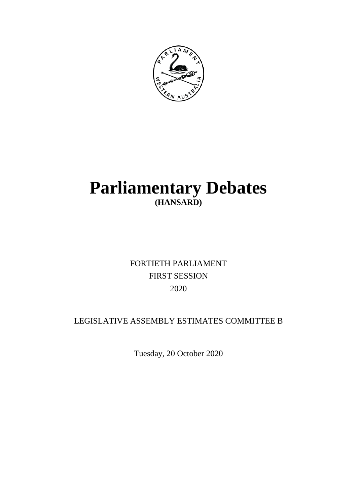

# **Parliamentary Debates (HANSARD)**

# FORTIETH PARLIAMENT FIRST SESSION 2020

# LEGISLATIVE ASSEMBLY ESTIMATES COMMITTEE B

Tuesday, 20 October 2020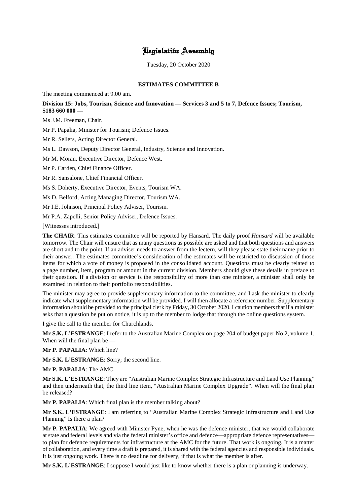# Legislative Assembly

Tuesday, 20 October 2020

# **ESTIMATES COMMITTEE B**

The meeting commenced at 9.00 am.

**Division 15: Jobs, Tourism, Science and Innovation — Services 3 and 5 to 7, Defence Issues; Tourism, \$183 660 000 —**

 $\overline{a}$ 

Ms J.M. Freeman, Chair.

Mr P. Papalia, Minister for Tourism; Defence Issues.

Mr R. Sellers, Acting Director General.

Ms L. Dawson, Deputy Director General, Industry, Science and Innovation.

Mr M. Moran, Executive Director, Defence West.

Mr P. Carden, Chief Finance Officer.

Mr R. Sansalone, Chief Financial Officer.

Ms S. Doherty, Executive Director, Events, Tourism WA.

Ms D. Belford, Acting Managing Director, Tourism WA.

Mr I.E. Johnson, Principal Policy Adviser, Tourism.

Mr P.A. Zapelli, Senior Policy Adviser, Defence Issues.

[Witnesses introduced.]

**The CHAIR**: This estimates committee will be reported by Hansard. The daily proof *Hansard* will be available tomorrow. The Chair will ensure that as many questions as possible are asked and that both questions and answers are short and to the point. If an adviser needs to answer from the lectern, will they please state their name prior to their answer. The estimates committee's consideration of the estimates will be restricted to discussion of those items for which a vote of money is proposed in the consolidated account. Questions must be clearly related to a page number, item, program or amount in the current division. Members should give these details in preface to their question. If a division or service is the responsibility of more than one minister, a minister shall only be examined in relation to their portfolio responsibilities.

The minister may agree to provide supplementary information to the committee, and I ask the minister to clearly indicate what supplementary information will be provided. I will then allocate a reference number. Supplementary information should be provided to the principal clerk by Friday, 30 October 2020. I caution members that if a minister asks that a question be put on notice, it is up to the member to lodge that through the online questions system.

I give the call to the member for Churchlands.

**Mr S.K. L'ESTRANGE**: I refer to the Australian Marine Complex on page 204 of budget paper No 2, volume 1. When will the final plan be —

**Mr P. PAPALIA**: Which line?

**Mr S.K. L'ESTRANGE**: Sorry; the second line.

**Mr P. PAPALIA**: The AMC.

**Mr S.K. L'ESTRANGE**: They are "Australian Marine Complex Strategic Infrastructure and Land Use Planning" and then underneath that, the third line item, "Australian Marine Complex Upgrade". When will the final plan be released?

**Mr P. PAPALIA**: Which final plan is the member talking about?

**Mr S.K. L'ESTRANGE**: I am referring to "Australian Marine Complex Strategic Infrastructure and Land Use Planning" Is there a plan?

**Mr P. PAPALIA**: We agreed with Minister Pyne, when he was the defence minister, that we would collaborate at state and federal levels and via the federal minister's office and defence—appropriate defence representatives to plan for defence requirements for infrastructure at the AMC for the future. That work is ongoing. It is a matter of collaboration, and every time a draft is prepared, it is shared with the federal agencies and responsible individuals. It is just ongoing work. There is no deadline for delivery, if that is what the member is after.

**Mr S.K. L'ESTRANGE**: I suppose I would just like to know whether there is a plan or planning is underway.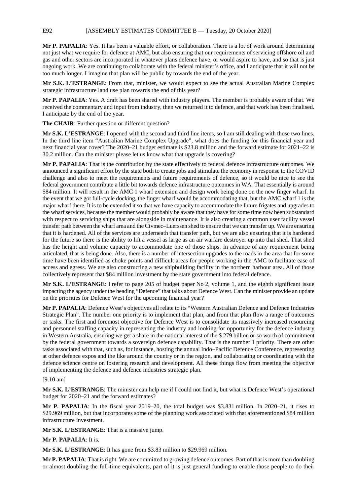**Mr P. PAPALIA**: Yes. It has been a valuable effort, or collaboration. There is a lot of work around determining not just what we require for defence at AMC, but also ensuring that our requirements of servicing offshore oil and gas and other sectors are incorporated in whatever plans defence have, or would aspire to have, and so that is just ongoing work. We are continuing to collaborate with the federal minister's office, and I anticipate that it will not be too much longer. I imagine that plan will be public by towards the end of the year.

**Mr S.K. L'ESTRANGE**: From that, minister, we would expect to see the actual Australian Marine Complex strategic infrastructure land use plan towards the end of this year?

**Mr P. PAPALIA**: Yes. A draft has been shared with industry players. The member is probably aware of that. We received the commentary and input from industry, then we returned it to defence, and that work has been finalised. I anticipate by the end of the year.

**The CHAIR**: Further question or different question?

**Mr S.K. L'ESTRANGE**: I opened with the second and third line items, so I am still dealing with those two lines. In the third line item "Australian Marine Complex Upgrade", what does the funding for this financial year and next financial year cover? The 2020–21 budget estimate is \$23.8 million and the forward estimate for 2021–22 is 30.2 million. Can the minister please let us know what that upgrade is covering?

**Mr P. PAPALIA**: That is the contribution by the state effectively to federal defence infrastructure outcomes. We announced a significant effort by the state both to create jobs and stimulate the economy in response to the COVID challenge and also to meet the requirements and future requirements of defence, so it would be nice to see the federal government contribute a little bit towards defence infrastructure outcomes in WA. That essentially is around \$84 million. It will result in the AMC 1 wharf extension and design work being done on the new finger wharf. In the event that we got full-cycle docking, the finger wharf would be accommodating that, but the AMC wharf 1 is the major wharf there. It is to be extended it so that we have capacity to accommodate the future frigates and upgrades to the wharf services, because the member would probably be aware that they have for some time now been substandard with respect to servicing ships that are alongside in maintenance. It is also creating a common user facility vessel transfer path between the wharf area and the Civmec–Luerssen shed to ensure that we can transfer up. We are ensuring that it is hardened. All of the services are underneath that transfer path, but we are also ensuring that it is hardened for the future so there is the ability to lift a vessel as large as an air warfare destroyer up into that shed. That shed has the height and volume capacity to accommodate one of those ships. In advance of any requirement being articulated, that is being done. Also, there is a number of intersection upgrades to the roads in the area that for some time have been identified as choke points and difficult areas for people working in the AMC to facilitate ease of access and egress. We are also constructing a new shipbuilding facility in the northern harbour area. All of those collectively represent that \$84 million investment by the state government into federal defence.

**Mr S.K. L'ESTRANGE**: I refer to page 205 of budget paper No 2, volume 1, and the eighth significant issue impacting the agency under the heading "Defence" that talks about Defence West. Can the minister provide an update on the priorities for Defence West for the upcoming financial year?

**Mr P. PAPALIA**: Defence West's objectives all relate to its "Western Australian Defence and Defence Industries Strategic Plan". The number one priority is to implement that plan, and from that plan flow a range of outcomes or tasks. The first and foremost objective for Defence West is to consolidate its massively increased resourcing and personnel staffing capacity in representing the industry and looking for opportunity for the defence industry in Western Australia, ensuring we get a share in the national interest of the \$ 279 billion or so worth of commitment by the federal government towards a sovereign defence capability. That is the number 1 priority. There are other tasks associated with that, such as, for instance, hosting the annual Indo–Pacific Defence Conference, representing at other defence expos and the like around the country or in the region, and collaborating or coordinating with the defence science centre on fostering research and development. All these things flow from meeting the objective of implementing the defence and defence industries strategic plan.

#### [9.10 am]

**Mr S.K. L'ESTRANGE**: The minister can help me if I could not find it, but what is Defence West's operational budget for 2020–21 and the forward estimates?

**Mr P. PAPALIA**: In the fiscal year 2019–20, the total budget was \$3.831 million. In 2020–21, it rises to \$29.969 million, but that incorporates some of the planning work associated with that aforementioned \$84 million infrastructure investment.

**Mr S.K. L'ESTRANGE**: That is a massive jump.

**Mr P. PAPALIA**: It is.

**Mr S.K. L'ESTRANGE**: It has gone from \$3.83 million to \$29.969 million.

**Mr P. PAPALIA**: That is right. We are committed to growing defence outcomes. Part of that is more than doubling or almost doubling the full-time equivalents, part of it is just general funding to enable those people to do their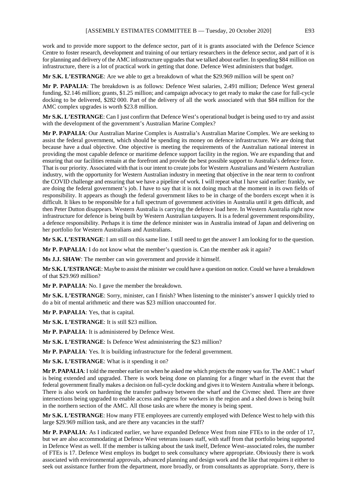work and to provide more support to the defence sector, part of it is grants associated with the Defence Science Centre to foster research, development and training of our tertiary researchers in the defence sector, and part of it is for planning and delivery of the AMC infrastructure upgrades that we talked about earlier. In spending \$84 million on infrastructure, there is a lot of practical work in getting that done. Defence West administers that budget.

**Mr S.K. L'ESTRANGE**: Are we able to get a breakdown of what the \$29.969 million will be spent on?

**Mr P. PAPALIA**: The breakdown is as follows: Defence West salaries, 2.491 million; Defence West general funding, \$2.146 million; grants, \$1.25 million; and campaign advocacy to get ready to make the case for full-cycle docking to be delivered, \$282 000. Part of the delivery of all the work associated with that \$84 million for the AMC complex upgrades is worth \$23.8 million.

**Mr S.K. L'ESTRANGE**: Can I just confirm that Defence West's operational budget is being used to try and assist with the development of the government's Australian Marine Complex?

**Mr P. PAPALIA**: Our Australian Marine Complex is Australia's Australian Marine Complex. We are seeking to assist the federal government, which should be spending its money on defence infrastructure. We are doing that because have a dual objective. One objective is meeting the requirements of the Australian national interest in providing the most capable defence or maritime defence support facility in the region. We are expanding that and ensuring that our facilities remain at the forefront and provide the best possible support to Australia's defence force. That is our priority. Associated with that is our intent to create jobs for Western Australians and Western Australian industry, with the opportunity for Western Australian industry in meeting that objective in the near term to confront the COVID challenge and ensuring that we have a pipeline of work. I will repeat what I have said earlier: frankly, we are doing the federal government's job. I have to say that it is not doing much at the moment in its own fields of responsibility. It appears as though the federal government likes to be in charge of the borders except when it is difficult. It likes to be responsible for a full spectrum of government activities in Australia until it gets difficult, and then Peter Dutton disappears. Western Australia is carrying the defence load here. In Western Australia right now infrastructure for defence is being built by Western Australian taxpayers. It is a federal government responsibility, a defence responsibility. Perhaps it is time the defence minister was in Australia instead of Japan and delivering on her portfolio for Western Australians and Australians.

**Mr S.K. L'ESTRANGE**: I am still on this same line. I still need to get the answer I am looking for to the question.

**Mr P. PAPALIA**: I do not know what the member's question is. Can the member ask it again?

**Ms J.J. SHAW**: The member can win government and provide it himself.

**Mr S.K. L'ESTRANGE**: Maybe to assist the minister we could have a question on notice. Could we have a breakdown of that \$29.969 million?

**Mr P. PAPALIA**: No. I gave the member the breakdown.

**Mr S.K. L'ESTRANGE**: Sorry, minister, can I finish? When listening to the minister's answer I quickly tried to do a bit of mental arithmetic and there was \$23 million unaccounted for.

**Mr P. PAPALIA**: Yes, that is capital.

**Mr S.K. L'ESTRANGE**: It is still \$23 million.

**Mr P. PAPALIA**: It is administered by Defence West.

**Mr S.K. L'ESTRANGE**: Is Defence West administering the \$23 million?

**Mr P. PAPALIA**: Yes. It is building infrastructure for the federal government.

**Mr S.K. L'ESTRANGE**: What is it spending it on?

**Mr P. PAPALIA**: I told the member earlier on when he asked me which projects the money was for. The AMC 1 wharf is being extended and upgraded. There is work being done on planning for a finger wharf in the event that the federal government finally makes a decision on full-cycle docking and gives it to Western Australia where it belongs. There is also work on hardening the transfer pathway between the wharf and the Civmec shed. There are three intersections being upgraded to enable access and egress for workers in the region and a shed down is being built in the northern section of the AMC. All those tasks are where the money is being spent.

**Mr S.K. L'ESTRANGE**: How many FTE employees are currently employed with Defence West to help with this large \$29.969 million task, and are there any vacancies in the staff?

**Mr P. PAPALIA**: As I indicated earlier, we have expanded Defence West from nine FTEs to in the order of 17, but we are also accommodating at Defence West veterans issues staff, with staff from that portfolio being supported in Defence West as well. If the member is talking about the task itself, Defence West–associated roles, the number of FTEs is 17. Defence West employs its budget to seek consultancy where appropriate. Obviously there is work associated with environmental approvals, advanced planning and design work and the like that requires it either to seek out assistance further from the department, more broadly, or from consultants as appropriate. Sorry, there is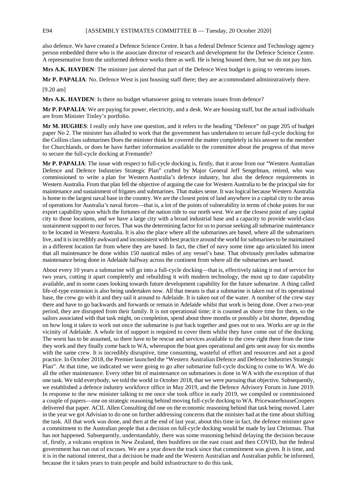also defence. We have created a Defence Science Centre. It has a federal Defence Science and Technology agency person embedded there who is the associate director of research and development for the Defence Science Centre. A representative from the uniformed defence works there as well. He is being housed there, but we do not pay him.

**Mrs A.K. HAYDEN**: The minister just alerted that part of the Defence West budget is going to veterans issues.

**Mr P. PAPALIA**: No. Defence West is just housing staff there; they are accommodated administratively there.

[9.20 am]

**Mrs A.K. HAYDEN:** Is there no budget whatsoever going to veterans issues from defence?

**Mr P. PAPALIA**: We are paying for power, electricity, and a desk. We are housing staff, but the actual individuals are from Minister Tinley's portfolio.

**Mr M. HUGHES**: I really only have one question, and it refers to the heading "Defence" on page 205 of budget paper No 2. The minister has alluded to work that the government has undertaken to secure full-cycle docking for the Collins class submarines Does the minister think he covered the matter completely in his answer to the member for Churchlands, or does he have further information available to the committee about the progress of that move to secure the full-cycle docking at Fremantle?

**Mr P. PAPALIA**: The issue with respect to full-cycle docking is, firstly, that it arose from our "Western Australian Defence and Defence Industries Strategic Plan" crafted by Major General Jeff Sengelman, retired, who was commissioned to write a plan for Western Australia's defence industry, but also the defence requirements in Western Australia. From that plan fell the objective of arguing the case for Western Australia to be the principal site for maintenance and sustainment of frigates and submarines. That makes sense. It was logical because Western Australia is home to the largest naval base in the country. We are the closest point of land anywhere in a capital city to the areas of operations for Australia's naval forces—that is, a lot of the points of vulnerability in terms of choke points for our export capability upon which the fortunes of the nation ride to our north west. We are the closest point of any capital city to those locations, and we have a large city with a broad industrial base and a capacity to provide world-class sustainment support to our forces. That was the determining factor for us to pursue seeking all submarine maintenance to be located in Western Australia. It is also the place where all the submarines are based, where all the submariners live, and it is incredibly awkward and inconsistent with best practice around the world for submarines to be maintained in a different location far from where they are based. In fact, the chief of navy some time ago articulated his intent that all maintenance be done within 150 nautical miles of any vessel's base. That obviously precludes submarine maintenance being done in Adelaide halfway across the continent from where all the submarines are based.

About every 10 years a submarine will go into a full-cycle docking—that is, effectively taking it out of service for two years, cutting it apart completely and rebuilding it with modern technology, the most up to date capability available, and in some cases looking towards future development capability for the future submarine. A thing called life-of-type extension is also being undertaken now. All that means is that a submarine is taken out of its operational base, the crew go with it and they sail it around to Adelaide. It is taken out of the water. A number of the crew stay there and have to go backwards and forwards or remain in Adelaide whilst that work is being done. Over a two-year period, they are disrupted from their family. It is not operational time; it is counted as shore time for them, so the sailors associated with that task might, on completion, spend about three months or possibly a bit shorter, depending on how long it takes to work out once the submarine is put back together and goes out to sea. Works are up in the vicinity of Adelaide. A whole lot of support is required to cover them whilst they have come out of the docking. The worst has to be assumed, so there have to be rescue and services available to the crew right there from the time they work and they finally come back to WA, whereupon the boat goes operational and gets sent away for six months with the same crew. It is incredibly disruptive, time consuming, wasteful of effort and resources and not a good practice. In October 2018, the Premier launched the "Western Australian Defence and Defence Industries Strategic Plan". At that time, we indicated we were going to go after submarine full-cycle docking to come to WA. We do all the other maintenance. Every other bit of maintenance on submarines is done in WA with the exception of that one task. We told everybody, we told the world in October 2018, that we were pursuing that objective. Subsequently, we established a defence industry workforce office in May 2019, and the Defence Advisory Forum in June 2019. In response to the new minister talking to me once she took office in early 2019, we compiled or commissioned a couple of papers—one on strategic reasoning behind moving full-cycle docking to WA. PricewaterhouseCoopers delivered that paper. ACIL Allen Consulting did one on the economic reasoning behind that task being moved. Later in the year we got Advisian to do one on further addressing concerns that the minister had at the time about shifting the task. All that work was done, and then at the end of last year, about this time in fact, the defence minister gave a commitment to the Australian people that a decision on full-cycle docking would be made by last Christmas. That has not happened. Subsequently, understandably, there was some reasoning behind delaying the decision because of, firstly, a volcano eruption in New Zealand, then bushfires on the east coast and then COVID, but the federal government has run out of excuses. We are a year down the track since that commitment was given. It is time, and it is in the national interest, that a decision be made and the Western Australian and Australian public be informed, because the it takes years to train people and build infrastructure to do this task.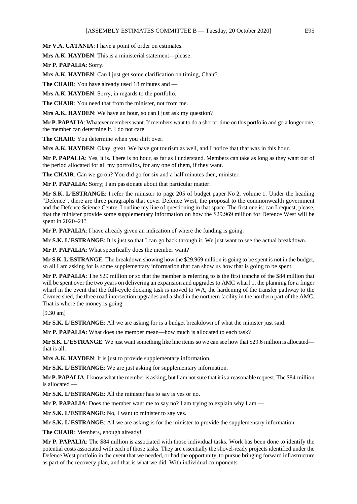**Mr V.A. CATANIA**: I have a point of order on estimates.

**Mrs A.K. HAYDEN**: This is a ministerial statement—please.

**Mr P. PAPALIA**: Sorry.

**Mrs A.K. HAYDEN**: Can I just get some clarification on timing, Chair?

**The CHAIR**: You have already used 18 minutes and —

**Mrs A.K. HAYDEN**: Sorry, in regards to the portfolio.

**The CHAIR**: You need that from the minister, not from me.

**Mrs A.K. HAYDEN**: We have an hour, so can I just ask my question?

**Mr P. PAPALIA**: Whatever members want. If members want to do a shorter time on this portfolio and go a longer one, the member can determine it. I do not care.

**The CHAIR**: You determine when you shift over.

**Mrs A.K. HAYDEN**: Okay, great. We have got tourism as well, and I notice that that was in this hour.

**Mr P. PAPALIA**: Yes, it is. There is no hour, as far as I understand. Members can take as long as they want out of the period allocated for all my portfolios, for any one of them, if they want.

**The CHAIR**: Can we go on? You did go for six and a half minutes then, minister.

**Mr P. PAPALIA**: Sorry; I am passionate about that particular matter!

**Mr S.K. L'ESTRANGE**: I refer the minister to page 205 of budget paper No 2, volume 1. Under the heading "Defence", there are three paragraphs that cover Defence West, the proposal to the commonwealth government and the Defence Science Centre. I outline my line of questioning in that space. The first one is: can I request, please, that the minister provide some supplementary information on how the \$29.969 million for Defence West will be spent in 2020–21?

**Mr P. PAPALIA**: I have already given an indication of where the funding is going.

**Mr S.K. L'ESTRANGE**: It is just so that I can go back through it. We just want to see the actual breakdown.

**Mr P. PAPALIA**: What specifically does the member want?

**Mr S.K. L'ESTRANGE**: The breakdown showing how the \$29.969 million is going to be spent is not in the budget, so all I am asking for is some supplementary information that can show us how that is going to be spent.

**Mr P. PAPALIA**: The \$29 million or so that the member is referring to is the first tranche of the \$84 million that will be spent over the two years on delivering an expansion and upgrades to AMC wharf 1, the planning for a finger wharf in the event that the full-cycle docking task is moved to WA, the hardening of the transfer pathway to the Civmec shed, the three road intersection upgrades and a shed in the northern facility in the northern part of the AMC. That is where the money is going.

[9.30 am]

**Mr S.K. L'ESTRANGE**: All we are asking for is a budget breakdown of what the minister just said.

**Mr P. PAPALIA:** What does the member mean—how much is allocated to each task?

**Mr S.K. L'ESTRANGE:** We just want something like line items so we can see how that \$29.6 million is allocated that is all.

**Mrs A.K. HAYDEN**: It is just to provide supplementary information.

**Mr S.K. L'ESTRANGE**: We are just asking for supplementary information.

**Mr P. PAPALIA**: I know what the member is asking, butI am not sure that it is a reasonable request. The \$84 million is allocated —

**Mr S.K. L'ESTRANGE**: All the minister has to say is yes or no.

**Mr P. PAPALIA**: Does the member want me to say no? I am trying to explain why I am —

**Mr S.K. L'ESTRANGE**: No, I want to minister to say yes.

**Mr S.K. L'ESTRANGE**: All we are asking is for the minister to provide the supplementary information.

**The CHAIR**: Members, enough already!

**Mr P. PAPALIA**: The \$84 million is associated with those individual tasks. Work has been done to identify the potential costs associated with each of those tasks. They are essentially the shovel-ready projects identified under the Defence West portfolio in the event that we needed, or had the opportunity, to pursue bringing forward infrastructure as part of the recovery plan, and that is what we did. With individual components —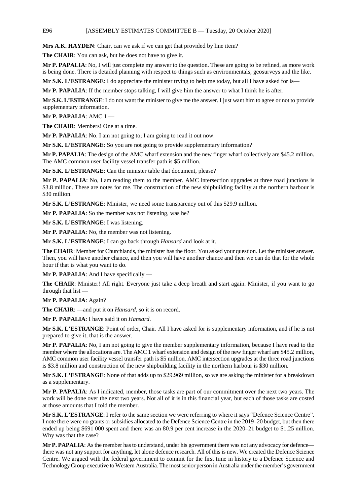#### E96 [ASSEMBLY ESTIMATES COMMITTEE B — Tuesday, 20 October 2020]

**Mrs A.K. HAYDEN**: Chair, can we ask if we can get that provided by line item?

**The CHAIR**: You can ask, but he does not have to give it.

**Mr P. PAPALIA**: No, I will just complete my answer to the question. These are going to be refined, as more work is being done. There is detailed planning with respect to things such as environmentals, geosurveys and the like.

**Mr S.K. L'ESTRANGE:** I do appreciate the minister trying to help me today, but all I have asked for is—

**Mr P. PAPALIA**: If the member stops talking, I will give him the answer to what I think he is after.

**Mr S.K. L'ESTRANGE:** I do not want the minister to give me the answer. I just want him to agree or not to provide supplementary information.

**Mr P. PAPALIA**: AMC 1 —

**The CHAIR**: Members! One at a time.

**Mr P. PAPALIA**: No. I am not going to; I am going to read it out now.

**Mr S.K. L'ESTRANGE:** So you are not going to provide supplementary information?

**Mr P. PAPALIA**: The design of the AMC wharf extension and the new finger wharf collectively are \$45.2 million. The AMC common user facility vessel transfer path is \$5 million.

**Mr S.K. L'ESTRANGE**: Can the minister table that document, please?

**Mr P. PAPALIA**: No, I am reading them to the member. AMC intersection upgrades at three road junctions is \$3.8 million. These are notes for me. The construction of the new shipbuilding facility at the northern harbour is \$30 million.

**Mr S.K. L'ESTRANGE**: Minister, we need some transparency out of this \$29.9 million.

**Mr P. PAPALIA**: So the member was not listening, was he?

**Mr S.K. L'ESTRANGE**: I was listening.

**Mr P. PAPALIA**: No, the member was not listening.

**Mr S.K. L'ESTRANGE**: I can go back through *Hansard* and look at it.

**The CHAIR**: Member for Churchlands, the minister has the floor. You asked your question. Let the minister answer. Then, you will have another chance, and then you will have another chance and then we can do that for the whole hour if that is what you want to do.

**Mr P. PAPALIA**: And I have specifically —

**The CHAIR**: Minister! All right. Everyone just take a deep breath and start again. Minister, if you want to go through that list —

**Mr P. PAPALIA**: Again?

**The CHAIR**: —and put it on *Hansard*, so it is on record.

**Mr P. PAPALIA**: I have said it on *Hansard*.

**Mr S.K. L'ESTRANGE**: Point of order, Chair. All I have asked for is supplementary information, and if he is not prepared to give it, that is the answer.

**Mr P. PAPALIA**: No, I am not going to give the member supplementary information, because I have read to the member where the allocations are. The AMC 1 wharf extension and design of the new finger wharf are \$45.2 million, AMC common user facility vessel transfer path is \$5 million, AMC intersection upgrades at the three road junctions is \$3.8 million and construction of the new shipbuilding facility in the northern harbour is \$30 million.

**Mr S.K. L'ESTRANGE**: None of that adds up to \$29.969 million, so we are asking the minister for a breakdown as a supplementary.

**Mr P. PAPALIA**: As I indicated, member, those tasks are part of our commitment over the next two years. The work will be done over the next two years. Not all of it is in this financial year, but each of those tasks are costed at those amounts that I told the member.

**Mr S.K. L'ESTRANGE**: I refer to the same section we were referring to where it says "Defence Science Centre". I note there were no grants or subsidies allocated to the Defence Science Centre in the 2019–20 budget, but then there ended up being \$691 000 spent and there was an 80.9 per cent increase in the 2020–21 budget to \$1.25 million. Why was that the case?

**Mr P. PAPALIA**: As the member has to understand, under his government there was not any advocacy for defence there was not any support for anything, let alone defence research. All of this is new. We created the Defence Science Centre. We argued with the federal government to commit for the first time in history to a Defence Science and Technology Group executive to Western Australia. The most senior person in Australia under the member's government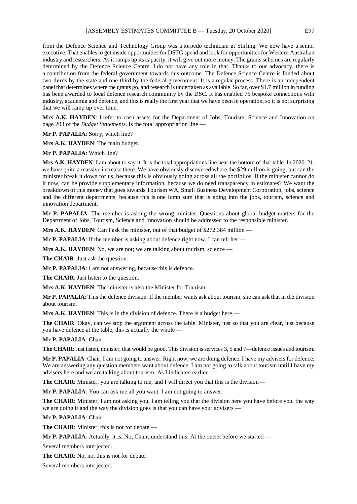from the Defence Science and Technology Group was a torpedo technician at Stirling. We now have a senior executive. That enables to get inside opportunities for DSTG spend and look for opportunities for Western Australian industry and researchers. As it ramps up its capacity, it will give out more money. The grants schemes are regularly determined by the Defence Science Centre. I do not have any role in that. Thanks to our advocacy, there is a contribution from the federal government towards this outcome. The Defence Science Centre is funded about two-thirds by the state and one-third by the federal government. It is a regular process. There is an independent panel that determines where the grants go, and research is undertaken as available. So far, over \$1.7 million in funding has been awarded to local defence research community by the DSC. It has enabled 75 bespoke connections with industry, academia and defence, and this is really the first year that we have been in operation, so it is not surprising that we will ramp up over time.

**Mrs A.K. HAYDEN**: I refer to cash assets for the Department of Jobs, Tourism, Science and Innovation on page 203 of the *Budget Statements*. Is the total appropriation line —

**Mr P. PAPALIA**: Sorry, which line?

**Mrs A.K. HAYDEN**: The main budget.

**Mr P. PAPALIA**: Which line?

**Mrs A.K. HAYDEN**: I am about to say it. It is the total appropriations line near the bottom of that table. In 2020–21, we have quite a massive increase there. We have obviously discovered where the \$29 million is going, but can the minister break it down for us, because this is obviously going across all the portfolios. If the minister cannot do it now, can he provide supplementary information, because we do need transparency in estimates? We want the breakdown of this money that goes towards Tourism WA, Small Business Development Corporation, jobs, science and the different departments, because this is one lump sum that is going into the jobs, tourism, science and innovation department.

**Mr P. PAPALIA**: The member is asking the wrong minister. Questions about global budget matters for the Department of Jobs, Tourism, Science and Innovation should be addressed to the responsible minister.

**Mrs A.K. HAYDEN**: Can I ask the minister, out of that budget of \$272.384 million —

**Mr P. PAPALIA**: If the member is asking about defence right now, I can tell her —

**Mrs A.K. HAYDEN**: No, we are not; we are talking about tourism, science —

**The CHAIR**: Just ask the question.

**Mr P. PAPALIA**: I am not answering, because this is defence.

**The CHAIR**: Just listen to the question.

**Mrs A.K. HAYDEN**: The minister is also the Minister for Tourism.

**Mr P. PAPALIA**: This the defence division. If the member wants ask about tourism, she can ask that in the division about tourism.

**Mrs A.K. HAYDEN:** This is in the division of defence. There is a budget here —

The CHAIR: Okay, can we stop the argument across the table. Minister, just so that you are clear, just because you have defence at the table, this is actually the whole —

**Mr P. PAPALIA**: Chair —

**The CHAIR**: Just listen, minister, that would be good. This division is services 3, 5 and 7—defence issues and tourism.

**Mr P. PAPALIA**: Chair, I am not going to answer. Right now, we are doing defence. I have my advisers for defence. We are answering any question members want about defence. I am not going to talk about tourism until I have my advisers here and we are talking about tourism. As I indicated earlier —

**The CHAIR**: Minister, you are talking to me, and I will direct you that this is the division—

**Mr P. PAPALIA**: You can ask me all you want. I am not going to answer.

**The CHAIR:** Minister, I am not asking you, I am telling you that the division here you have before you, the way we are doing it and the way the division goes is that you can have your advisers —

**Mr P. PAPALIA**: Chair.

**The CHAIR**: Minister, this is not for debate —

**Mr P. PAPALIA**: Actually, it is. No, Chair, understand this. At the outset before we started —

Several members interjected.

**The CHAIR**: No, no, this is not for debate.

Several members interjected.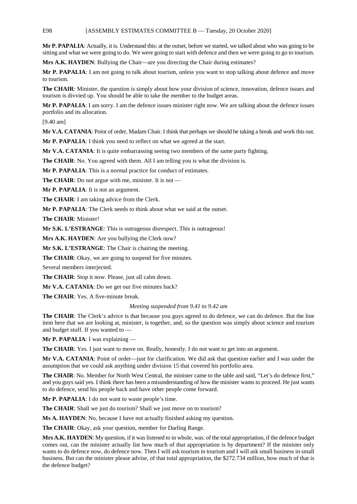# E98 [ASSEMBLY ESTIMATES COMMITTEE B — Tuesday, 20 October 2020]

**Mr P. PAPALIA**: Actually, it is. Understand this: at the outset, before we started, we talked about who was going to be sitting and what we were going to do. We were going to start with defence and then we were going to go to tourism.

**Mrs A.K. HAYDEN**: Bullying the Chair—are you directing the Chair during estimates?

**Mr P. PAPALIA**: I am not going to talk about tourism, unless you want to stop talking about defence and move to tourism.

**The CHAIR**: Minister, the question is simply about how your division of science, innovation, defence issues and tourism is divvied up. You should be able to take the member to the budget areas.

**Mr P. PAPALIA**: I am sorry. I am the defence issues minister right now. We are talking about the defence issues portfolio and its allocation.

[9.40 am]

**Mr V.A. CATANIA**: Point of order, Madam Chair. I think that perhaps we should be taking a break and work this out.

**Mr P. PAPALIA**: I think you need to reflect on what we agreed at the start.

**Mr V.A. CATANIA**: It is quite embarrassing seeing two members of the same party fighting.

**The CHAIR:** No. You agreed with them. All I am telling you is what the division is.

**Mr P. PAPALIA**: This is a normal practice for conduct of estimates.

The CHAIR: Do not argue with me, minister. It is not —

**Mr P. PAPALIA**: It is not an argument.

**The CHAIR**: I am taking advice from the Clerk.

**Mr P. PAPALIA**: The Clerk needs to think about what we said at the outset.

**The CHAIR**: Minister!

**Mr S.K. L'ESTRANGE**: This is outrageous disrespect. This is outrageous!

**Mrs A.K. HAYDEN**: Are you bullying the Clerk now?

**Mr S.K. L'ESTRANGE**: The Chair is chairing the meeting.

**The CHAIR**: Okay, we are going to suspend for five minutes.

Several members interjected.

**The CHAIR**: Stop it now. Please, just all calm down.

**Mr V.A. CATANIA**: Do we get our five minutes back?

**The CHAIR**: Yes. A five-minute break.

#### *Meeting suspended from 9.41 to 9.42 am*

**The CHAIR**: The Clerk's advice is that because you guys agreed to do defence, we can do defence. But the line item here that we are looking at, minister, is together, and, so the question was simply about science and tourism and budget stuff. If you wanted to —

**Mr P. PAPALIA**: I was explaining —

**The CHAIR**: Yes. I just want to move on. Really, honestly. I do not want to get into an argument.

**Mr V.A. CATANIA**: Point of order—just for clarification. We did ask that question earlier and I was under the assumption that we could ask anything under division 15 that covered his portfolio area.

**The CHAIR**: No. Member for North West Central, the minister came to the table and said, "Let's do defence first," and you guys said yes. I think there has been a misunderstanding of how the minister wants to proceed. He just wants to do defence, send his people back and have other people come forward.

**Mr P. PAPALIA**: I do not want to waste people's time.

**The CHAIR**: Shall we just do tourism? Shall we just move on to tourism?

**Ms A. HAYDEN**: No, because I have not actually finished asking my question.

**The CHAIR**: Okay, ask your question, member for Darling Range.

**Mrs A.K. HAYDEN**: My question, if it was listened to in whole, was: of the total appropriation, if the defence budget comes out, can the minister actually list how much of that appropriation is by department? If the minister only wants to do defence now, do defence now. Then I will ask tourism in tourism and I will ask small business in small business. But can the minister please advise, of that total appropriation, the \$272.734 million, how much of that is the defence budget?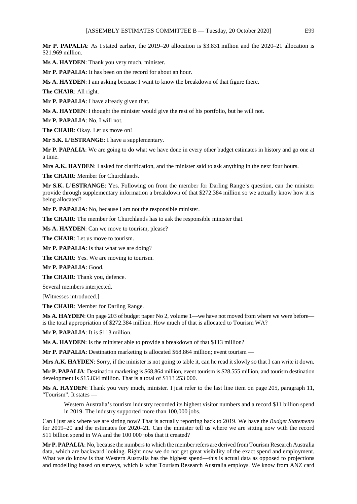**Mr P. PAPALIA**: As I stated earlier, the 2019–20 allocation is \$3.831 million and the 2020–21 allocation is \$21.969 million.

**Ms A. HAYDEN**: Thank you very much, minister.

**Mr P. PAPALIA**: It has been on the record for about an hour.

**Ms A. HAYDEN**: I am asking because I want to know the breakdown of that figure there.

**The CHAIR**: All right.

**Mr P. PAPALIA**: I have already given that.

**Ms A. HAYDEN**: I thought the minister would give the rest of his portfolio, but he will not.

**Mr P. PAPALIA**: No, I will not.

**The CHAIR**: Okay. Let us move on!

**Mr S.K. L'ESTRANGE**: I have a supplementary.

**Mr P. PAPALIA**: We are going to do what we have done in every other budget estimates in history and go one at a time.

**Mrs A.K. HAYDEN**: I asked for clarification, and the minister said to ask anything in the next four hours.

**The CHAIR**: Member for Churchlands.

**Mr S.K. L'ESTRANGE**: Yes. Following on from the member for Darling Range's question, can the minister provide through supplementary information a breakdown of that \$272.384 million so we actually know how it is being allocated?

**Mr P. PAPALIA**: No, because I am not the responsible minister.

**The CHAIR**: The member for Churchlands has to ask the responsible minister that.

**Ms A. HAYDEN**: Can we move to tourism, please?

**The CHAIR**: Let us move to tourism.

**Mr P. PAPALIA**: Is that what we are doing?

**The CHAIR**: Yes. We are moving to tourism.

**Mr P. PAPALIA**: Good.

**The CHAIR**: Thank you, defence.

Several members interjected.

[Witnesses introduced.]

**The CHAIR**: Member for Darling Range.

**Ms A. HAYDEN**: On page 203 of budget paper No 2, volume 1—we have not moved from where we were before is the total appropriation of \$272.384 million. How much of that is allocated to Tourism WA?

**Mr P. PAPALIA**: It is \$113 million.

**Ms A. HAYDEN**: Is the minister able to provide a breakdown of that \$113 million?

**Mr P. PAPALIA**: Destination marketing is allocated \$68.864 million; event tourism ––

**Mrs A.K. HAYDEN**: Sorry, if the minister is not going to table it, can he read it slowly so that I can write it down.

**Mr P. PAPALIA**: Destination marketing is \$68.864 million, event tourism is \$28.555 million, and tourism destination development is \$15.834 million. That is a total of \$113 253 000.

**Ms A. HAYDEN**: Thank you very much, minister. I just refer to the last line item on page 205, paragraph 11, "Tourism". It states —

Western Australia's tourism industry recorded its highest visitor numbers and a record \$11 billion spend in 2019. The industry supported more than 100,000 jobs.

Can I just ask where we are sitting now? That is actually reporting back to 2019. We have the *Budget Statements* for 2019–20 and the estimates for 2020–21. Can the minister tell us where we are sitting now with the record \$11 billion spend in WA and the 100 000 jobs that it created?

**Mr P. PAPALIA**: No, because the numbers to which the member refers are derived from Tourism Research Australia data, which are backward looking. Right now we do not get great visibility of the exact spend and employment. What we do know is that Western Australia has the highest spend—this is actual data as opposed to projections and modelling based on surveys, which is what Tourism Research Australia employs. We know from ANZ card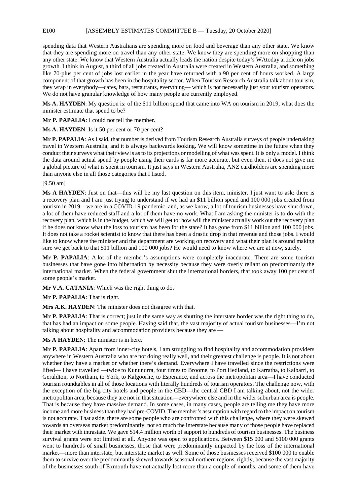# E100 [ASSEMBLY ESTIMATES COMMITTEE B — Tuesday, 20 October 2020]

spending data that Western Australians are spending more on food and beverage than any other state. We know that they are spending more on travel than any other state. We know they are spending more on shopping than any other state. We know that Western Australia actually leads the nation despite today's WAtoday article on jobs growth. I think in August, a third of all jobs created in Australia were created in Western Australia, and something like 70-plus per cent of jobs lost earlier in the year have returned with a 90 per cent of hours worked. A large component of that growth has been in the hospitality sector. When Tourism Research Australia talk about tourism, they wrap in everybody—cafes, bars, restaurants, everything— which is not necessarily just your tourism operators. We do not have granular knowledge of how many people are currently employed.

**Ms A. HAYDEN**: My question is: of the \$11 billion spend that came into WA on tourism in 2019, what does the minister estimate that spend to be?

**Mr P. PAPALIA**: I could not tell the member.

**Ms A. HAYDEN**: Is it 50 per cent or 70 per cent?

**Mr P. PAPALIA**: As I said, that number is derived from Tourism Research Australia surveys of people undertaking travel in Western Australia, and it is always backwards looking. We will know sometime in the future when they conduct their surveys what their view is as to its projections or modelling of what was spent. It is only a model. I think the data around actual spend by people using their cards is far more accurate, but even then, it does not give me a global picture of what is spent in tourism. It just says in Western Australia, ANZ cardholders are spending more than anyone else in all those categories that I listed.

#### [9.50 am]

**Ms A HAYDEN**: Just on that—this will be my last question on this item, minister. I just want to ask: there is a recovery plan and I am just trying to understand if we had an \$11 billion spend and 100 000 jobs created from tourism in 2019—we are in a COVID-19 pandemic, and, as we know, a lot of tourism businesses have shut down, a lot of them have reduced staff and a lot of them have no work. What I am asking the minister is to do with the recovery plan, which is in the budget, which we will get to: how will the minister actually work out the recovery plan if he does not know what the loss to tourism has been for the state? It has gone from \$11 billion and 100 000 jobs. It does not take a rocket scientist to know that there has been a drastic drop in that revenue and those jobs. I would like to know where the minister and the department are working on recovery and what their plan is around making sure we get back to that \$11 billion and 100 000 jobs? He would need to know where we are at now, surely.

**Mr P. PAPALIA**: A lot of the member's assumptions were completely inaccurate. There are some tourism businesses that have gone into hibernation by necessity because they were overly reliant on predominantly the international market. When the federal government shut the international borders, that took away 100 per cent of some people's market.

**Mr V.A. CATANIA**: Which was the right thing to do.

**Mr P. PAPALIA**: That is right.

**Mrs A.K. HAYDEN**: The minister does not disagree with that.

**Mr P. PAPALIA**: That is correct; just in the same way as shutting the interstate border was the right thing to do, that has had an impact on some people. Having said that, the vast majority of actual tourism businesses—I'm not talking about hospitality and accommodation providers because they are —

**Ms A HAYDEN**: The minister is in here.

**Mr P. PAPALIA**: Apart from inner-city hotels, I am struggling to find hospitality and accommodation providers anywhere in Western Australia who are not doing really well, and their greatest challenge is people. It is not about whether they have a market or whether there's demand. Everywhere I have travelled since the restrictions were lifted— I have travelled —twice to Kununurra, four times to Broome, to Port Hedland, to Karratha, to Kalbarri, to Geraldton, to Northam, to York, to Kalgoorlie, to Esperance, and across the metropolitan area—I have conducted tourism roundtables in all of those locations with literally hundreds of tourism operators. The challenge now, with the exception of the big city hotels and people in the CBD—the central CBD I am talking about, not the wider metropolitan area, because they are not in that situation—everywhere else and in the wider suburban area is people. That is because they have massive demand. In some cases, in many cases, people are telling me they have more income and more business than they had pre-COVID. The member's assumption with regard to the impact on tourism is not accurate. That aside, there are some people who are confronted with this challenge, where they were skewed towards an overseas market predominantly, not so much the interstate because many of those people have replaced their market with intrastate. We gave \$14.4 million worth of support to hundreds of tourism businesses. The business survival grants were not limited at all. Anyone was open to applications. Between \$15 000 and \$100 000 grants went to hundreds of small businesses, those that were predominantly impacted by the loss of the international market—more than interstate, but interstate market as well. Some of those businesses received \$100 000 to enable them to survive over the predominantly skewed towards seasonal northern regions, rightly, because the vast majority of the businesses south of Exmouth have not actually lost more than a couple of months, and some of them have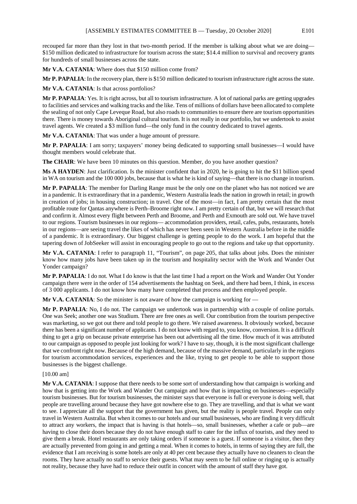recouped far more than they lost in that two-month period. If the member is talking about what we are doing— \$150 million dedicated to infrastructure for tourism across the state; \$14.4 million to survival and recovery grants for hundreds of small businesses across the state.

**Mr V.A. CATANIA**: Where does that \$150 million come from?

**Mr P. PAPALIA**: In the recovery plan, there is \$150 million dedicated to tourism infrastructure right across the state.

**Mr V.A. CATANIA**: Is that across portfolios?

**Mr P. PAPALIA**: Yes. It is right across, but all to tourism infrastructure. A lot of national parks are getting upgrades to facilities and services and walking tracks and the like. Tens of millions of dollars have been allocated to complete the sealing of not only Cape Leveque Road, but also roads to communities to ensure there are tourism opportunities there. There is money towards Aboriginal cultural tourism. It is not really in our portfolio, but we undertook to assist travel agents. We created a \$3 million fund—the only fund in the country dedicated to travel agents.

**Mr V.A. CATANIA**: That was under a huge amount of pressure.

**Mr P. PAPALIA**: I am sorry; taxpayers' money being dedicated to supporting small businesses—I would have thought members would celebrate that.

**The CHAIR**: We have been 10 minutes on this question. Member, do you have another question?

**Ms A HAYDEN:** Just clarification. Is the minister confident that in 2020, he is going to hit the \$11 billion spend in WA on tourism and the 100 000 jobs, because that is what he is kind of saying—that there is no change in tourism.

**Mr P. PAPALIA**: The member for Darling Range must be the only one on the planet who has not noticed we are in a pandemic. It is extraordinary that in a pandemic, Western Australia leads the nation in growth in retail; in growth in creation of jobs; in housing construction; in travel. One of the most—in fact, I am pretty certain that the most profitable route for Qantas anywhere is Perth–Broome right now. I am pretty certain of that, but we will research that and confirm it. Almost every flight between Perth and Broome, and Perth and Exmouth are sold out. We have travel to our regions. Tourism businesses in our regions— accommodation providers, retail, cafes, pubs, restaurants, hotels in our regions—are seeing travel the likes of which has never been seen in Western Australia before in the middle of a pandemic. It is extraordinary. Our biggest challenge is getting people to do the work. I am hopeful that the tapering down of JobSeeker will assist in encouraging people to go out to the regions and take up that opportunity.

**Mr V.A. CATANIA**: I refer to paragraph 11, "Tourism", on page 205, that talks about jobs. Does the minister know how many jobs have been taken up in the tourism and hospitality sector with the Work and Wander Out Yonder campaign?

**Mr P. PAPALIA**: I do not. What I do know is that the last time I had a report on the Work and Wander Out Yonder campaign there were in the order of 154 advertisements the hashtag on Seek, and there had been, I think, in excess of 3 000 applicants. I do not know how many have completed that process and then employed people.

**Mr V.A. CATANIA:** So the minister is not aware of how the campaign is working for —

**Mr P. PAPALIA**: No, I do not. The campaign we undertook was in partnership with a couple of online portals. One was Seek; another one was Studium. There are free ones as well. Our contribution from the tourism perspective was marketing, so we got out there and told people to go there. We raised awareness. It obviously worked, because there has been a significant number of applicants. I do not know with regard to, you know, conversion. It is a difficult thing to get a grip on because private enterprise has been out advertising all the time. How much of it was attributed to our campaign as opposed to people just looking for work? I have to say, though, it is the most significant challenge that we confront right now. Because of the high demand, because of the massive demand, particularly in the regions for tourism accommodation services, experiences and the like, trying to get people to be able to support those businesses is the biggest challenge.

#### [10.00 am]

**Mr V.A. CATANIA**: I suppose that there needs to be some sort of understanding how that campaign is working and how that is getting into the Work and Wander Out campaign and how that is impacting on businesses—especially tourism businesses. But for tourism businesses, the minister says that everyone is full or everyone is doing well, that people are travelling around because they have got nowhere else to go. They are travelling, and that is what we want to see. I appreciate all the support that the government has given, but the reality is people travel. People can only travel in Western Australia. But when it comes to our hotels and our small businesses, who are finding it very difficult to attract any workers, the impact that is having is that hotels—so, small businesses, whether a cafe or pub—are having to close their doors because they do not have enough staff to cater for the influx of tourists, and they need to give them a break. Hotel restaurants are only taking orders if someone is a guest. If someone is a visitor, then they are actually prevented from going in and getting a meal. When it comes to hotels, in terms of saying they are full, the evidence that I am receiving is some hotels are only at 40 per cent because they actually have no cleaners to clean the rooms. They have actually no staff to service their guests. What may seem to be full online or ringing up is actually not reality, because they have had to reduce their outfit in concert with the amount of staff they have got.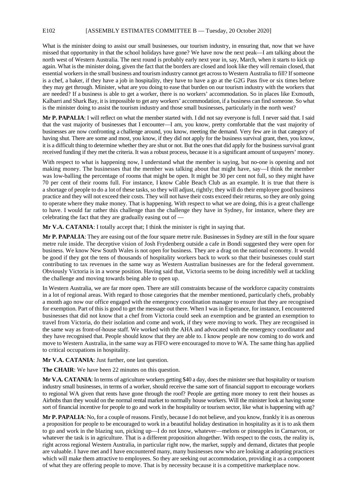# E102 [ASSEMBLY ESTIMATES COMMITTEE B — Tuesday, 20 October 2020]

What is the minister doing to assist our small businesses, our tourism industry, in ensuring that, now that we have missed that opportunity in that the school holidays have gone? We have now the next peak—I am talking about the north west of Western Australia. The next round is probably early next year in, say, March, when it starts to kick up again. What is the minister doing, given the fact that the borders are closed and look like they will remain closed, that essential workers in the small business and tourism industry cannot get across to Western Australia to fill? If someone is a chef, a baker, if they have a job in hospitality, they have to have a go at the G2G Pass five or six times before they may get through. Minister, what are you doing to ease that burden on our tourism industry with the workers that are needed? If a business is able to get a worker, there is no workers' accommodation. So in places like Exmouth, Kalbarri and Shark Bay, it is impossible to get any workers' accommodation, if a business can find someone. So what is the minister doing to assist the tourism industry and those small businesses, particularly in the north west?

**Mr P. PAPALIA**: I will reflect on what the member started with. I did not say everyone is full. I never said that. I said that the vast majority of businesses that I encounter—I am, you know, pretty comfortable that the vast majority of businesses are now confronting a challenge around, you know, meeting the demand. Very few are in that category of having shut. There are some and most, you know, if they did not apply for the business survival grant, then, you know, it is a difficult thing to determine whether they are shut or not. But the ones that did apply for the business survival grant received funding if they met the criteria. It was a robust process, because it is a significant amount of taxpayers' money.

With respect to what is happening now, I understand what the member is saying, but no-one is opening and not making money. The businesses that the member was talking about that might have, say—I think the member was low-balling the percentage of rooms that might be open. It might be 30 per cent not full, so they might have 70 per cent of their rooms full. For instance, I know Cable Beach Club as an example. It is true that there is a shortage of people to do a lot of these tasks, so they will adjust, rightly; they will do their employee good business practice and they will not exceed their costs. They will not have their costs exceed their returns, so they are only going to operate where they make money. That is happening. With respect to what we are doing, this is a great challenge to have. I would far rather this challenge than the challenge they have in Sydney, for instance, where they are celebrating the fact that they are gradually easing out of —

**Mr V.A. CATANIA**: I totally accept that; I think the minister is right in saying that.

**Mr P. PAPALIA**: They are easing out of the four square metre rule. Businesses in Sydney are still in the four square metre rule inside. The deceptive vision of Josh Frydenberg outside a cafe in Bondi suggested they were open for business. We know New South Wales is not open for business. They are a drag on the national economy. It would be good if they got the tens of thousands of hospitality workers back to work so that their businesses could start contributing to tax revenues in the same way as Western Australian businesses are for the federal government. Obviously Victoria is in a worse position. Having said that, Victoria seems to be doing incredibly well at tackling the challenge and moving towards being able to open up.

In Western Australia, we are far more open. There are still constraints because of the workforce capacity constraints in a lot of regional areas. With regard to those categories that the member mentioned, particularly chefs, probably a month ago now our office engaged with the emergency coordination manager to ensure that they are recognised for exemption. Part of this is good to get the message out there. When I was in Esperance, for instance, I encountered businesses that did not know that a chef from Victoria could seek an exemption and be granted an exemption to travel from Victoria, do their isolation and come and work, if they were moving to work. They are recognised in the same way as front-of-house staff. We worked with the AHA and advocated with the emergency coordinator and they have recognised that. People should know that they are able to. I know people are now coming to do work and move to Western Australia, in the same way as FIFO were encouraged to move to WA. The same thing has applied to critical occupations in hospitality.

**Mr V.A. CATANIA**: Just further, one last question.

**The CHAIR**: We have been 22 minutes on this question.

**Mr V.A. CATANIA**: In terms of agriculture workers getting \$40 a day, does the minister see that hospitality or tourism industry small businesses, in terms of a worker, should receive the same sort of financial support to encourage workers to regional WA given that rents have gone through the roof? People are getting more money to rent their houses as Airbnbs than they would on the normal rental market to normally house workers. Will the minister look at having some sort of financial incentive for people to go and work in the hospitality or tourism sector, like what is happening with ag?

**Mr P. PAPALIA**: No, for a couple of reasons. Firstly, because I do not believe, and you know, frankly it is as onerous a proposition for people to be encouraged to work in a beautiful holiday destination in hospitality as it is to ask them to go and work in the blazing sun, picking up—I do not know, whatever—melons or pineapples in Carnarvon, or whatever the task is in agriculture. That is a different proposition altogether. With respect to the costs, the reality is, right across regional Western Australia, in particular right now, the market, supply and demand, dictates that people are valuable. I have met and I have encountered many, many businesses now who are looking at adopting practices which will make them attractive to employees. So they are seeking out accommodation, providing it as a component of what they are offering people to move. That is by necessity because it is a competitive marketplace now.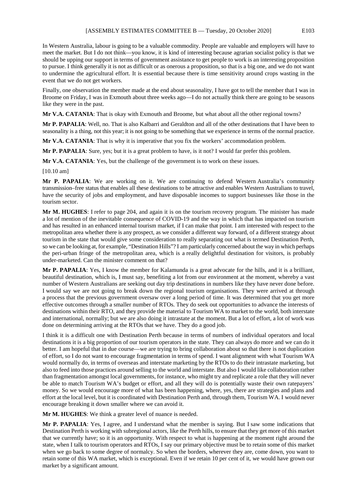In Western Australia, labour is going to be a valuable commodity. People are valuable and employers will have to meet the market. But I do not think—you know, it is kind of interesting because agrarian socialist policy is that we should be upping our support in terms of government assistance to get people to work is an interesting proposition to pursue. I think generally it is not as difficult or as onerous a proposition, so that is a big one, and we do not want to undermine the agricultural effort. It is essential because there is time sensitivity around crops wasting in the event that we do not get workers.

Finally, one observation the member made at the end about seasonality, I have got to tell the member that I was in Broome on Friday, I was in Exmouth about three weeks ago—I do not actually think there are going to be seasons like they were in the past.

**Mr V.A. CATANIA**: That is okay with Exmouth and Broome, but what about all the other regional towns?

**Mr P. PAPALIA**: Well, no. That is also Kalbarri and Geraldton and all of the other destinations that I have been to seasonality is a thing, not this year; it is not going to be something that we experience in terms of the normal practice.

**Mr V.A. CATANIA**: That is why it is imperative that you fix the workers' accommodation problem.

**Mr P. PAPALIA**: Sure, yes; but it is a great problem to have, is it not? I would far prefer this problem.

**Mr V.A. CATANIA**: Yes, but the challenge of the government is to work on these issues.

[10.10 am]

**Mr P. PAPALIA**: We are working on it. We are continuing to defend Western Australia's community transmission–free status that enables all these destinations to be attractive and enables Western Australians to travel, have the security of jobs and employment, and have disposable incomes to support businesses like those in the tourism sector.

**Mr M. HUGHES**: I refer to page 204, and again it is on the tourism recovery program. The minister has made a lot of mention of the inevitable consequence of COVID-19 and the way in which that has impacted on tourism and has resulted in an enhanced internal tourism market, if I can make that point. I am interested with respect to the metropolitan area whether there is any prospect, as we consider a different way forward, of a different strategy about tourism in the state that would give some consideration to really separating out what is termed Destination Perth, so we can be looking at, for example, "Destination Hills"? I am particularly concerned about the way in which perhaps the peri-urban fringe of the metropolitan area, which is a really delightful destination for visitors, is probably under-marketed. Can the minister comment on that?

**Mr P. PAPALIA**: Yes, I know the member for Kalamunda is a great advocate for the hills, and it is a brilliant, beautiful destination, which is, I must say, benefiting a lot from our environment at the moment, whereby a vast number of Western Australians are seeking out day trip destinations in numbers like they have never done before. I would say we are not going to break down the regional tourism organisations. They were arrived at through a process that the previous government oversaw over a long period of time. It was determined that you get more effective outcomes through a smaller number of RTOs. They do seek out opportunities to advance the interests of destinations within their RTO, and they provide the material to Tourism WA to market to the world, both interstate and international, normally; but we are also doing it intrastate at the moment. But a lot of effort, a lot of work was done on determining arriving at the RTOs that we have. They do a good job.

I think it is a difficult one with Destination Perth because in terms of numbers of individual operators and local destinations it is a big proportion of our tourism operators in the state. They can always do more and we can do it better. I am hopeful that in due course—we are trying to bring collaboration about so that there is not duplication of effort, so I do not want to encourage fragmentation in terms of spend. I want alignment with what Tourism WA would normally do, in terms of overseas and interstate marketing by the RTOs to do their intrastate marketing, but also to feed into those practices around selling to the world and interstate. But also I would like collaboration rather than fragmentation amongst local governments, for instance, who might try and replicate a role that they will never be able to match Tourism WA's budget or effort, and all they will do is potentially waste their own ratepayers' money. So we would encourage more of what has been happening, where, yes, there are strategies and plans and effort at the local level, but it is coordinated with Destination Perth and, through them, Tourism WA. I would never encourage breaking it down smaller where we can avoid it.

**Mr M. HUGHES**: We think a greater level of nuance is needed.

**Mr P. PAPALIA**: Yes, I agree, and I understand what the member is saying. But I saw some indications that Destination Perth is working with subregional actors, like the Perth hills, to ensure that they get more of this market that we currently have; so it is an opportunity. With respect to what is happening at the moment right around the state, when I talk to tourism operators and RTOs, I say our primary objective must be to retain some of this market when we go back to some degree of normalcy. So when the borders, wherever they are, come down, you want to retain some of this WA market, which is exceptional. Even if we retain 10 per cent of it, we would have grown our market by a significant amount.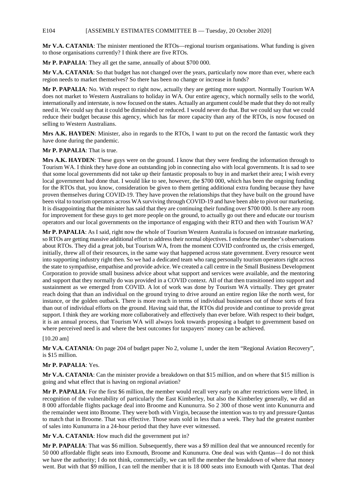# E104 [ASSEMBLY ESTIMATES COMMITTEE B — Tuesday, 20 October 2020]

**Mr V.A. CATANIA**: The minister mentioned the RTOs—regional tourism organisations. What funding is given to those organisations currently? I think there are five RTOs.

**Mr P. PAPALIA**: They all get the same, annually of about \$700 000.

**Mr V.A. CATANIA**: So that budget has not changed over the years, particularly now more than ever, where each region needs to market themselves? So there has been no change or increase in funds?

**Mr P. PAPALIA**: No. With respect to right now, actually they are getting more support. Normally Tourism WA does not market to Western Australians to holiday in WA. Our entire agency, which normally sells to the world, internationally and interstate, is now focused on the states. Actually an argument could be made that they do not really need it. We could say that it could be diminished or reduced. I would never do that. But we could say that we could reduce their budget because this agency, which has far more capacity than any of the RTOs, is now focused on selling to Western Australians.

**Mrs A.K. HAYDEN**: Minister, also in regards to the RTOs, I want to put on the record the fantastic work they have done during the pandemic.

#### **Mr P. PAPALIA**: That is true.

**Mrs A.K. HAYDEN**: These guys were on the ground. I know that they were feeding the information through to Tourism WA. I think they have done an outstanding job in connecting also with local governments. It is sad to see that some local governments did not take up their fantastic proposals to buy in and market their area; I wish every local government had done that. I would like to see, however, the \$700 000, which has been the ongoing funding for the RTOs that, you know, consideration be given to them getting additional extra funding because they have proven themselves during COVID-19. They have proven the relationships that they have built on the ground have been vital to tourism operators across WA surviving through COVID-19 and have been able to pivot our marketing. It is disappointing that the minister has said that they are continuing their funding over \$700 000. Is there any room for improvement for these guys to get more people on the ground, to actually go out there and educate our tourism operators and our local governments on the importance of engaging with their RTO and then with Tourism WA?

**Mr P. PAPALIA**: As I said, right now the whole of Tourism Western Australia is focused on intrastate marketing, so RTOs are getting massive additional effort to address their normal objectives. I endorse the member's observations about RTOs. They did a great job, but Tourism WA, from the moment COVID confronted us, the crisis emerged, initially, threw all of their resources, in the same way that happened across state government. Every resource went into supporting industry right then. So we had a dedicated team who rang personally tourism operators right across the state to sympathise, empathise and provide advice. We created a call centre in the Small Business Development Corporation to provide small business advice about what support and services were available, and the mentoring and support that they normally do was provided in a COVID context. All of that then transitioned into support and sustainment as we emerged from COVID. A lot of work was done by Tourism WA virtually. They get greater reach doing that than an individual on the ground trying to drive around an entire region like the north west, for instance, or the golden outback. There is more reach in terms of individual businesses out of those sorts of fora than out of individual efforts on the ground. Having said that, the RTOs did provide and continue to provide great support. I think they are working more collaboratively and effectively than ever before. With respect to their budget, it is an annual process, that Tourism WA will always look towards proposing a budget to government based on where perceived need is and where the best outcomes for taxpayers' money can be achieved.

#### [10.20 am]

**Mr V.A. CATANIA**: On page 204 of budget paper No 2, volume 1, under the item "Regional Aviation Recovery", is \$15 million.

# **Mr P. PAPALIA**: Yes.

**Mr V.A. CATANIA**: Can the minister provide a breakdown on that \$15 million, and on where that \$15 million is going and what effect that is having on regional aviation?

**Mr P. PAPALIA**: For the first \$6 million, the member would recall very early on after restrictions were lifted, in recognition of the vulnerability of particularly the East Kimberley, but also the Kimberley generally, we did an 8 000 affordable flights package deal into Broome and Kununurra. So 2 300 of those went into Kununurra and the remainder went into Broome. They were both with Virgin, because the intention was to try and pressure Qantas to match that in Broome. That was effective. Those seats sold in less than a week. They had the greatest number of sales into Kununurra in a 24-hour period that they have ever witnessed.

**Mr V.A. CATANIA**: How much did the government put in?

**Mr P. PAPALIA**: That was \$6 million. Subsequently, there was a \$9 million deal that we announced recently for 50 000 affordable flight seats into Exmouth, Broome and Kununurra. One deal was with Qantas—I do not think we have the authority; I do not think, commercially, we can tell the member the breakdown of where that money went. But with that \$9 million, I can tell the member that it is 18 000 seats into Exmouth with Qantas. That deal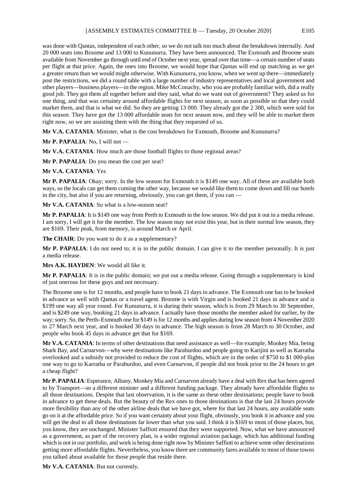was done with Qantas, independent of each other, so we do not talk too much about the breakdown internally. And 20 000 seats into Broome and 13 000 to Kununurra. They have been announced. The Exmouth and Broome seats available from November go through until end of October next year, spread over that time—a certain number of seats per flight at that price. Again, the ones into Broome, we would hope that Qantas will end up matching as we get a greater return than we would might otherwise. With Kununurra, you know, when we went up there—immediately post the restrictions, we did a round table with a large number of industry representatives and local government and other players—business players—in the region. Mike McConachy, who you are probably familiar with, did a really good job. They got them all together before and they said, what do we want out of government? They asked us for one thing, and that was certainty around affordable flights for next season, as soon as possible so that they could market them, and that is what we did. So they are getting 13 000. They already got the 2 300, which were sold for this season. They have got the 13 000 affordable seats for next season now, and they will be able to market them right now, so we are assisting them with the thing that they requested of us.

**Mr V.A. CATANIA**: Minister, what is the cost breakdown for Exmouth, Broome and Kununurra?

**Mr P. PAPALIA**: No, I will not —

**Mr V.A. CATANIA**: How much are those football flights to those regional areas?

**Mr P. PAPALIA**: Do you mean the cost per seat?

**Mr V.A. CATANIA**: Yes

**Mr P. PAPALIA**: Okay; sorry. In the low season for Exmouth it is \$149 one way. All of these are available both ways, so the locals can get them coming the other way, because we would like them to come down and fill our hotels in the city, but also if you are returning, obviously, you can get them, if you can —

**Mr V.A. CATANIA**: So what is a low-season seat?

**Mr P. PAPALIA**: It is \$149 one way from Perth to Exmouth in the low season. We did put it out in a media release. I am sorry, I will get it for the member. The low season may not exist this year, but in their normal low season, they are \$169. Their peak, from memory, is around March or April.

**The CHAIR**: Do you want to do it as a supplementary?

**Mr P. PAPALIA**: I do not need to; it is in the public domain. I can give it to the member personally. It is just a media release.

**Mrs A.K. HAYDEN**: We would all like it.

**Mr P. PAPALIA:** It is in the public domain; we put out a media release. Going through a supplementary is kind of just onerous for these guys and not necessary.

The Broome one is for 12 months, and people have to book 21 days in advance. The Exmouth one has to be booked in advance as well with Qantas or a travel agent. Broome is with Virgin and is booked 21 days in advance and is \$199 one way all year round. For Kununurra, it is during their season, which is from 29 March to 30 September, and is \$249 one way, booking 21 days in advance. I actually have those months the member asked for earlier, by the way; sorry. So, the Perth–Exmouth one for \$149 is for 12 months and applies during low season from 4 November 2020 to 27 March next year, and is booked 30 days in advance. The high season is from 28 March to 30 October, and people who book 45 days in advance get that for \$169.

**Mr V.A. CATANIA**: In terms of other destinations that need assistance as well—for example, Monkey Mia, being Shark Bay, and Carnarvon—why were destinations like Paraburdoo and people going to Karijini as well as Karratha overlooked and a subsidy not provided to reduce the cost of flights, which are in the order of \$750 to \$1 000-plus one way to go to Karratha or Paraburdoo, and even Carnarvon, if people did not book prior to the 24 hours to get a cheap flight?

**Mr P. PAPALIA**: Esperance, Albany, Monkey Mia and Carnarvon already have a deal with Rex that has been agreed to by Transport—so a different minister and a different funding package. They already have affordable flights to all those destinations. Despite that last observation, it is the same as these other destinations; people have to book in advance to get these deals. But the beauty of the Rex ones to those destinations is that the last 24 hours provide more flexibility than any of the other airline deals that we have got, where for that last 24 hours, any available seats go on it at the affordable price. So if you want certainty about your flight, obviously, you book it in advance and you will get the deal to all those destinations far lower than what you said. I think it is \$169 to most of those places, but, you know, they are unchanged. Minister Saffioti ensured that they were supported. Now, what we have announced as a government, as part of the recovery plan, is a wider regional aviation package, which has additional funding which is not in our portfolio, and work is being done right now by Minister Saffioti to achieve some other destinations getting more affordable flights. Nevertheless, you know there are community fares available to most of those towns you talked about available for those people that reside there.

**Mr V.A. CATANIA**: But not currently.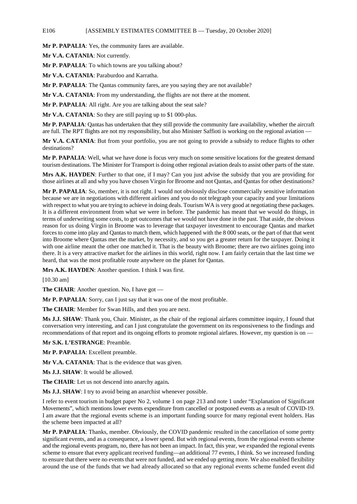**Mr P. PAPALIA**: Yes, the community fares are available.

**Mr V.A. CATANIA**: Not currently.

**Mr P. PAPALIA**: To which towns are you talking about?

**Mr V.A. CATANIA**: Paraburdoo and Karratha.

**Mr P. PAPALIA**: The Qantas community fares, are you saying they are not available?

**Mr V.A. CATANIA**: From my understanding, the flights are not there at the moment.

**Mr P. PAPALIA**: All right. Are you are talking about the seat sale?

**Mr V.A. CATANIA**: So they are still paying up to \$1 000-plus.

**Mr P. PAPALIA**: Qantas has undertaken that they still provide the community fare availability, whether the aircraft are full. The RPT flights are not my responsibility, but also Minister Saffioti is working on the regional aviation —

**Mr V.A. CATANIA**: But from your portfolio, you are not going to provide a subsidy to reduce flights to other destinations?

**Mr P. PAPALIA**: Well, what we have done is focus very much on some sensitive locations for the greatest demand tourism destinations. The Minister for Transport is doing other regional aviation deals to assist other parts of the state.

**Mrs A.K. HAYDEN:** Further to that one, if I may? Can you just advise the subsidy that you are providing for those airlines at all and why you have chosen Virgin for Broome and not Qantas, and Qantas for other destinations?

**Mr P. PAPALIA**: So, member, it is not right. I would not obviously disclose commercially sensitive information because we are in negotiations with different airlines and you do not telegraph your capacity and your limitations with respect to what you are trying to achieve in doing deals. Tourism WA is very good at negotiating these packages. It is a different environment from what we were in before. The pandemic has meant that we would do things, in terms of underwriting some costs, to get outcomes that we would not have done in the past. That aside, the obvious reason for us doing Virgin in Broome was to leverage that taxpayer investment to encourage Qantas and market forces to come into play and Qantas to match them, which happened with the 8 000 seats, or the part of that that went into Broome where Qantas met the market, by necessity, and so you get a greater return for the taxpayer. Doing it with one airline meant the other one matched it. That is the beauty with Broome; there are two airlines going into there. It is a very attractive market for the airlines in this world, right now. I am fairly certain that the last time we heard, that was the most profitable route anywhere on the planet for Qantas.

**Mrs A.K. HAYDEN**: Another question. I think I was first.

[10.30 am]

**The CHAIR:** Another question. No, I have got —

**Mr P. PAPALIA**: Sorry, can I just say that it was one of the most profitable.

**The CHAIR**: Member for Swan Hills, and then you are next.

**Ms J.J. SHAW**: Thank you, Chair. Minister, as the chair of the regional airfares committee inquiry, I found that conversation very interesting, and can I just congratulate the government on its responsiveness to the findings and recommendations of that report and its ongoing efforts to promote regional airfares. However, my question is on —

**Mr S.K. L'ESTRANGE**: Preamble.

**Mr P. PAPALIA**: Excellent preamble.

**Mr V.A. CATANIA**: That is the evidence that was given.

**Ms J.J. SHAW**: It would be allowed.

**The CHAIR**: Let us not descend into anarchy again**.**

**Ms J.J. SHAW**: I try to avoid being an anarchist whenever possible.

I refer to event tourism in budget paper No 2, volume 1 on page 213 and note 1 under "Explanation of Significant Movements", which mentions lower events expenditure from cancelled or postponed events as a result of COVID-19. I am aware that the regional events scheme is an important funding source for many regional event holders. Has the scheme been impacted at all?

**Mr P. PAPALIA**: Thanks, member. Obviously, the COVID pandemic resulted in the cancellation of some pretty significant events, and as a consequence, a lower spend. But with regional events, from the regional events scheme and the regional events program, no, there has not been an impact. In fact, this year, we expanded the regional events scheme to ensure that every applicant received funding—an additional 77 events, I think. So we increased funding to ensure that there were no events that were not funded, and we ended up getting more. We also enabled flexibility around the use of the funds that we had already allocated so that any regional events scheme funded event did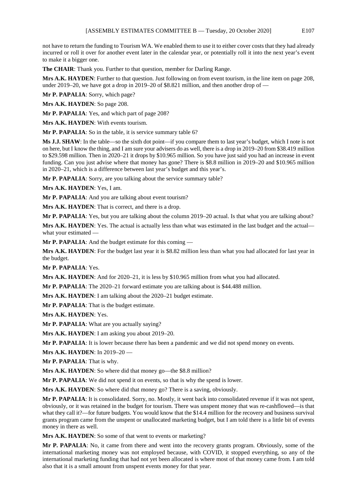not have to return the funding to Tourism WA. We enabled them to use it to either cover costs that they had already incurred or roll it over for another event later in the calendar year, or potentially roll it into the next year's event to make it a bigger one.

**The CHAIR**: Thank you. Further to that question, member for Darling Range.

**Mrs A.K. HAYDEN**: Further to that question. Just following on from event tourism, in the line item on page 208, under 2019–20, we have got a drop in 2019–20 of \$8.821 million, and then another drop of -

**Mr P. PAPALIA**: Sorry, which page?

**Mrs A.K. HAYDEN**: So page 208.

**Mr P. PAPALIA**: Yes, and which part of page 208?

**Mrs A.K. HAYDEN**: With events tourism.

**Mr P. PAPALIA**: So in the table, it is service summary table 6?

**Ms J.J. SHAW**: In the table—so the sixth dot point—if you compare them to last year's budget, which I note is not on here, but I know the thing, and I am sure your advisers do as well, there is a drop in 2019–20 from \$38.419 million to \$29.598 million. Then in 2020–21 it drops by \$10.965 million. So you have just said you had an increase in event funding. Can you just advise where that money has gone? There is \$8.8 million in 2019–20 and \$10.965 million in 2020–21, which is a difference between last year's budget and this year's.

**Mr P. PAPALIA**: Sorry, are you talking about the service summary table?

**Mrs A.K. HAYDEN**: Yes, I am.

**Mr P. PAPALIA**: And you are talking about event tourism?

**Mrs A.K. HAYDEN**: That is correct, and there is a drop.

**Mr P. PAPALIA**: Yes, but you are talking about the column 2019–20 actual. Is that what you are talking about?

Mrs A.K. HAYDEN: Yes. The actual is actually less than what was estimated in the last budget and the actual what your estimated —

**Mr P. PAPALIA**: And the budget estimate for this coming —

**Mrs A.K. HAYDEN**: For the budget last year it is \$8.82 million less than what you had allocated for last year in the budget.

**Mr P. PAPALIA**: Yes.

**Mrs A.K. HAYDEN**: And for 2020–21, it is less by \$10.965 million from what you had allocated.

**Mr P. PAPALIA**: The 2020–21 forward estimate you are talking about is \$44.488 million.

**Mrs A.K. HAYDEN**: I am talking about the 2020–21 budget estimate.

**Mr P. PAPALIA**: That is the budget estimate.

**Mrs A.K. HAYDEN**: Yes.

**Mr P. PAPALIA**: What are you actually saying?

**Mrs A.K. HAYDEN**: I am asking you about 2019–20.

**Mr P. PAPALIA**: It is lower because there has been a pandemic and we did not spend money on events.

**Mrs A.K. HAYDEN**: In 2019–20 —

**Mr P. PAPALIA**: That is why.

**Mrs A.K. HAYDEN**: So where did that money go—the \$8.8 million?

**Mr P. PAPALIA**: We did not spend it on events, so that is why the spend is lower.

**Mrs A.K. HAYDEN**: So where did that money go? There is a saving, obviously.

**Mr P. PAPALIA**: It is consolidated. Sorry, no. Mostly, it went back into consolidated revenue if it was not spent, obviously, or it was retained in the budget for tourism. There was unspent money that was re-cashflowed—is that what they call it?—for future budgets. You would know that the \$14.4 million for the recovery and business survival grants program came from the unspent or unallocated marketing budget, but I am told there is a little bit of events money in there as well.

**Mrs A.K. HAYDEN**: So some of that went to events or marketing?

**Mr P. PAPALIA**: No, it came from there and went into the recovery grants program. Obviously, some of the international marketing money was not employed because, with COVID, it stopped everything, so any of the international marketing funding that had not yet been allocated is where most of that money came from. I am told also that it is a small amount from unspent events money for that year.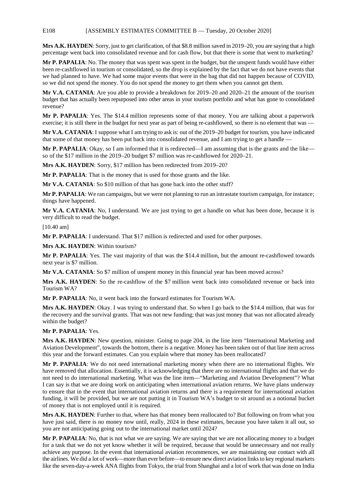#### E108 [ASSEMBLY ESTIMATES COMMITTEE B — Tuesday, 20 October 2020]

**Mrs A.K. HAYDEN**: Sorry, just to get clarification, of that \$8.8 million saved in 2019–20, you are saying that a high percentage went back into consolidated revenue and for cash flow, but that there is some that went to marketing?

**Mr P. PAPALIA**: No. The money that was spent was spent in the budget, but the unspent funds would have either been re-cashflowed in tourism or consolidated, so the drop is explained by the fact that we do not have events that we had planned to have. We had some major events that were in the bag that did not happen because of COVID, so we did not spend the money. You do not spend the money to get them when you cannot get them.

**Mr V.A. CATANIA**: Are you able to provide a breakdown for 2019–20 and 2020–21 the amount of the tourism budget that has actually been repurposed into other areas in your tourism portfolio and what has gone to consolidated revenue?

**Mr P. PAPALIA**: Yes. The \$14.4 million represents some of that money. You are talking about a paperwork exercise; it is still there in the budget for next year as part of being re-cashflowed, so there is no element that was —

**Mr V.A. CATANIA**: I suppose what I am trying to ask is: out of the 2019–20 budget for tourism, you have indicated that some of that money has been put back into consolidated revenue, and I am trying to get a handle —

**Mr P. PAPALIA**: Okay, so I am informed that it is redirected—I am assuming that is the grants and the like so of the \$17 million in the 2019–20 budget \$7 million was re-cashflowed for 2020–21.

**Mrs A.K. HAYDEN**: Sorry, \$17 million has been redirected from 2019–20?

**Mr P. PAPALIA**: That is the money that is used for those grants and the like.

**Mr V.A. CATANIA**: So \$10 million of that has gone back into the other stuff?

**Mr P. PAPALIA**: We ran campaigns, but we were not planning to run an intrastate tourism campaign, for instance; things have happened.

**Mr V.A. CATANIA**: No, I understand. We are just trying to get a handle on what has been done, because it is very difficult to read the budget.

[10.40 am]

**Mr P. PAPALIA**: I understand. That \$17 million is redirected and used for other purposes.

**Mrs A.K. HAYDEN**: Within tourism?

**Mr P. PAPALIA**: Yes. The vast majority of that was the \$14.4 million, but the amount re-cashflowed towards next year is \$7 million.

**Mr V.A. CATANIA:** So \$7 million of unspent money in this financial year has been moved across?

**Mrs A.K. HAYDEN**: So the re-cashflow of the \$7 million went back into consolidated revenue or back into Tourism WA?

**Mr P. PAPALIA**: No, it went back into the forward estimates for Tourism WA.

**Mrs A.K. HAYDEN**: Okay. I was trying to understand that. So when I go back to the \$14.4 million, that was for the recovery and the survival grants. That was not new funding; that was just money that was not allocated already within the budget?

#### **Mr P. PAPALIA**: Yes.

**Mrs A.K. HAYDEN**: New question, minister. Going to page 204, in the line item "International Marketing and Aviation Development", towards the bottom, there is a negative. Money has been taken out of that line item across this year and the forward estimates. Can you explain where that money has been reallocated?

**Mr P. PAPALIA**: We do not need international marketing money when there are no international flights. We have removed that allocation. Essentially, it is acknowledging that there are no international flights and that we do not need to do international marketing. What was the line item—"Marketing and Aviation Development"? What I can say is that we are doing work on anticipating when international aviation returns. We have plans underway to ensure that in the event that international aviation returns and there is a requirement for international aviation funding, it will be provided, but we are not putting it in Tourism WA's budget to sit around as a notional bucket of money that is not employed until it is required.

**Mrs A.K. HAYDEN**: Further to that, where has that money been reallocated to? But following on from what you have just said, there is no money now until, really, 2024 in these estimates, because you have taken it all out, so you are not anticipating going out to the international market until 2024?

**Mr P. PAPALIA**: No, that is not what we are saying. We are saying that we are not allocating money to a budget for a task that we do not yet know whether it will be required, because that would be unnecessary and not really achieve any purpose. In the event that international aviation recommences, we are maintaining our contact with all the airlines. We did a lot of work—more than ever before—to ensure new direct aviation links to key regional markets like the seven-day-a-week ANA flights from Tokyo, the trial from Shanghai and a lot of work that was done on India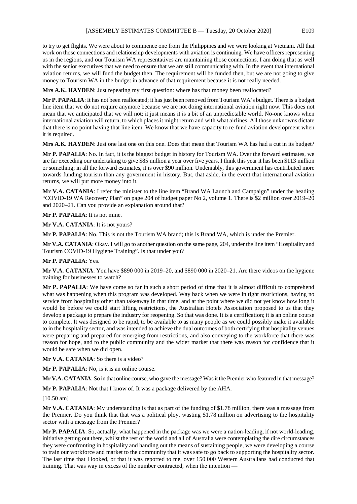**Mrs A.K. HAYDEN:** Just repeating my first question: where has that money been reallocated?

**Mr P. PAPALIA**: It has not been reallocated; it has just been removed from Tourism WA's budget. There is a budget line item that we do not require anymore because we are not doing international aviation right now. This does not mean that we anticipated that we will not; it just means it is a bit of an unpredictable world. No-one knows when international aviation will return, to which places it might return and with what airlines. All those unknowns dictate that there is no point having that line item. We know that we have capacity to re-fund aviation development when it is required.

**Mrs A.K. HAYDEN:** Just one last one on this one. Does that mean that Tourism WA has had a cut in its budget?

**Mr P. PAPALIA**: No. In fact, it is the biggest budget in history for Tourism WA. Over the forward estimates, we are far exceeding our undertaking to give \$85 million a year over five years. I think this year it has been \$113 million or something; in all the forward estimates, it is over \$90 million. Undeniably, this government has contributed more towards funding tourism than any government in history. But, that aside, in the event that international aviation returns, we will put more money into it.

**Mr V.A. CATANIA**: I refer the minister to the line item "Brand WA Launch and Campaign" under the heading "COVID-19 WA Recovery Plan" on page 204 of budget paper No 2, volume 1. There is \$2 million over 2019–20 and 2020–21. Can you provide an explanation around that?

**Mr P. PAPALIA**: It is not mine.

**Mr V.A. CATANIA**: It is not yours?

**Mr P. PAPALIA**: No. This is not the Tourism WA brand; this is Brand WA, which is under the Premier.

**Mr V.A. CATANIA**: Okay. I will go to another question on the same page, 204, under the line item "Hospitality and Tourism COVID-19 Hygiene Training". Is that under you?

# **Mr P. PAPALIA**: Yes.

**Mr V.A. CATANIA**: You have \$890 000 in 2019–20, and \$890 000 in 2020–21. Are there videos on the hygiene training for businesses to watch?

**Mr P. PAPALIA**: We have come so far in such a short period of time that it is almost difficult to comprehend what was happening when this program was developed. Way back when we were in tight restrictions, having no service from hospitality other than takeaway in that time, and at the point where we did not yet know how long it would be before we could start lifting restrictions, the Australian Hotels Association proposed to us that they develop a package to prepare the industry for reopening. So that was done. It is a certification; it is an online course to complete. It was designed to be rapid, to be available to as many people as we could possibly make it available to in the hospitality sector, and was intended to achieve the dual outcomes of both certifying that hospitality venues were preparing and prepared for emerging from restrictions, and also conveying to the workforce that there was reason for hope, and to the public community and the wider market that there was reason for confidence that it would be safe when we did open.

**Mr V.A. CATANIA**: So there is a video?

**Mr P. PAPALIA**: No, is it is an online course.

**Mr V.A. CATANIA**: So in that online course, who gave the message? Was it the Premier who featured in that message?

**Mr P. PAPALIA**: Not that I know of. It was a package delivered by the AHA.

[10.50 am]

**Mr V.A. CATANIA**: My understanding is that as part of the funding of \$1.78 million, there was a message from the Premier. Do you think that that was a political ploy, wasting \$1.78 million on advertising to the hospitality sector with a message from the Premier?

**Mr P. PAPALIA**: So, actually, what happened in the package was we were a nation-leading, if not world-leading, initiative getting out there, whilst the rest of the world and all of Australia were contemplating the dire circumstances they were confronting in hospitality and handing out the means of sustaining people, we were developing a course to train our workforce and market to the community that it was safe to go back to supporting the hospitality sector. The last time that I looked, or that it was reported to me, over 150 000 Western Australians had conducted that training. That was way in excess of the number contracted, when the intention —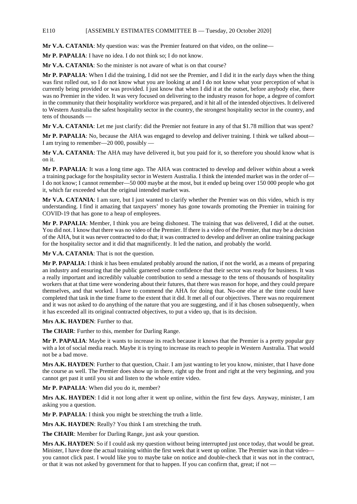# E110 [ASSEMBLY ESTIMATES COMMITTEE B — Tuesday, 20 October 2020]

**Mr V.A. CATANIA**: My question was: was the Premier featured on that video, on the online—

**Mr P. PAPALIA**: I have no idea. I do not think so; I do not know.

Mr V.A. CATANIA: So the minister is not aware of what is on that course?

**Mr P. PAPALIA**: When I did the training, I did not see the Premier, and I did it in the early days when the thing was first rolled out, so I do not know what you are looking at and I do not know what your perception of what is currently being provided or was provided. I just know that when I did it at the outset, before anybody else, there was no Premier in the video. It was very focused on delivering to the industry reason for hope, a degree of comfort in the community that their hospitality workforce was prepared, and it hit all of the intended objectives. It delivered to Western Australia the safest hospitality sector in the country, the strongest hospitality sector in the country, and tens of thousands —

**Mr V.A. CATANIA**: Let me just clarify: did the Premier not feature in any of that \$1.78 million that was spent?

**Mr P. PAPALIA**: No, because the AHA was engaged to develop and deliver training. I think we talked about— I am trying to remember—20 000, possibly —

**Mr V.A. CATANIA**: The AHA may have delivered it, but you paid for it, so therefore you should know what is on it.

**Mr P. PAPALIA**: It was a long time ago. The AHA was contracted to develop and deliver within about a week a training package for the hospitality sector in Western Australia. I think the intended market was in the order of— I do not know; I cannot remember—50 000 maybe at the most, but it ended up being over 150 000 people who got it, which far exceeded what the original intended market was.

**Mr V.A. CATANIA**: I am sure, but I just wanted to clarify whether the Premier was on this video, which is my understanding. I find it amazing that taxpayers' money has gone towards promoting the Premier in training for COVID-19 that has gone to a heap of employees.

**Mr P. PAPALIA**: Member, I think you are being dishonest. The training that was delivered, I did at the outset. You did not. I know that there was no video of the Premier. If there is a video of the Premier, that may be a decision of the AHA, but it was never contracted to do that; it was contracted to develop and deliver an online training package for the hospitality sector and it did that magnificently. It led the nation, and probably the world.

**Mr V.A. CATANIA**: That is not the question.

**Mr P. PAPALIA**: I think it has been emulated probably around the nation, if not the world, as a means of preparing an industry and ensuring that the public garnered some confidence that their sector was ready for business. It was a really important and incredibly valuable contribution to send a message to the tens of thousands of hospitality workers that at that time were wondering about their futures, that there was reason for hope, and they could prepare themselves, and that worked. I have to commend the AHA for doing that. No-one else at the time could have completed that task in the time frame to the extent that it did. It met all of our objectives. There was no requirement and it was not asked to do anything of the nature that you are suggesting, and if it has chosen subsequently, when it has exceeded all its original contracted objectives, to put a video up, that is its decision.

**Mrs A.K. HAYDEN**: Further to that.

**The CHAIR**: Further to this, member for Darling Range.

**Mr P. PAPALIA**: Maybe it wants to increase its reach because it knows that the Premier is a pretty popular guy with a lot of social media reach. Maybe it is trying to increase its reach to people in Western Australia. That would not be a bad move.

**Mrs A.K. HAYDEN**: Further to that question, Chair. I am just wanting to let you know, minister, that I have done the course as well. The Premier does show up in there, right up the front and right at the very beginning, and you cannot get past it until you sit and listen to the whole entire video.

**Mr P. PAPALIA**: When did you do it, member?

**Mrs A.K. HAYDEN**: I did it not long after it went up online, within the first few days. Anyway, minister, I am asking you a question.

**Mr P. PAPALIA**: I think you might be stretching the truth a little.

**Mrs A.K. HAYDEN**: Really? You think I am stretching the truth.

**The CHAIR**: Member for Darling Range, just ask your question.

**Mrs A.K. HAYDEN:** So if I could ask my question without being interrupted just once today, that would be great. Minister, I have done the actual training within the first week that it went up online. The Premier was in that video you cannot click past. I would like you to maybe take on notice and double-check that it was not in the contract, or that it was not asked by government for that to happen. If you can confirm that, great; if not —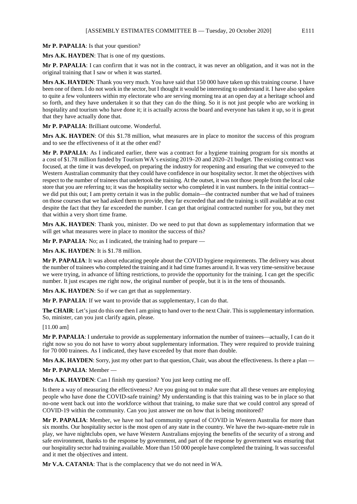**Mr P. PAPALIA**: Is that your question?

**Mrs A.K. HAYDEN**: That is one of my questions.

**Mr P. PAPALIA**: I can confirm that it was not in the contract, it was never an obligation, and it was not in the original training that I saw or when it was started.

**Mrs A.K. HAYDEN**: Thank you very much. You have said that 150 000 have taken up this training course. I have been one of them. I do not work in the sector, but I thought it would be interesting to understand it. I have also spoken to quite a few volunteers within my electorate who are serving morning tea at an open day at a heritage school and so forth, and they have undertaken it so that they can do the thing. So it is not just people who are working in hospitality and tourism who have done it; it is actually across the board and everyone has taken it up, so it is great that they have actually done that.

**Mr P. PAPALIA**: Brilliant outcome. Wonderful.

**Mrs A.K. HAYDEN**: Of this \$1.78 million, what measures are in place to monitor the success of this program and to see the effectiveness of it at the other end?

**Mr P. PAPALIA**: As I indicated earlier, there was a contract for a hygiene training program for six months at a cost of \$1.78 million funded by Tourism WA's existing 2019–20 and 2020–21 budget. The existing contract was focused, at the time it was developed, on preparing the industry for reopening and ensuring that we conveyed to the Western Australian community that they could have confidence in our hospitality sector. It met the objectives with respect to the number of trainees that undertook the training. At the outset, it was not those people from the local cake store that you are referring to; it was the hospitality sector who completed it in vast numbers. In the initial contract we did put this out; I am pretty certain it was in the public domain—the contracted number that we had of trainees on those courses that we had asked them to provide, they far exceeded that and the training is still available at no cost despite the fact that they far exceeded the number. I can get that original contracted number for you, but they met that within a very short time frame.

**Mrs A.K. HAYDEN**: Thank you, minister. Do we need to put that down as supplementary information that we will get what measures were in place to monitor the success of this?

**Mr P. PAPALIA**: No; as I indicated, the training had to prepare —

**Mrs A.K. HAYDEN**: It is \$1.78 million.

**Mr P. PAPALIA**: It was about educating people about the COVID hygiene requirements. The delivery was about the number of trainees who completed the training and it had time frames around it. It was very time-sensitive because we were trying, in advance of lifting restrictions, to provide the opportunity for the training. I can get the specific number. It just escapes me right now, the original number of people, but it is in the tens of thousands.

**Mrs A.K. HAYDEN**: So if we can get that as supplementary.

**Mr P. PAPALIA**: If we want to provide that as supplementary, I can do that.

**The CHAIR:** Let's just do this one then I am going to hand over to the next Chair. This is supplementary information. So, minister, can you just clarify again, please.

[11.00 am]

**Mr P. PAPALIA**: I undertake to provide as supplementary information the number of trainees—actually, I can do it right now so you do not have to worry about supplementary information. They were required to provide training for 70 000 trainees. As I indicated, they have exceeded by that more than double.

**Mrs A.K. HAYDEN**: Sorry, just my other part to that question, Chair, was about the effectiveness. Is there a plan —

**Mr P. PAPALIA**: Member —

**Mrs A.K. HAYDEN**: Can I finish my question? You just keep cutting me off.

Is there a way of measuring the effectiveness? Are you going out to make sure that all these venues are employing people who have done the COVID-safe training? My understanding is that this training was to be in place so that no-one went back out into the workforce without that training, to make sure that we could control any spread of COVID-19 within the community. Can you just answer me on how that is being monitored?

**Mr P. PAPALIA**: Member, we have not had community spread of COVID in Western Australia for more than six months. Our hospitality sector is the most open of any state in the country. We have the two-square-metre rule in play, we have nightclubs open, we have Western Australians enjoying the benefits of the security of a strong and safe environment, thanks to the response by government, and part of the response by government was ensuring that our hospitality sector had training available. More than 150 000 people have completed the training. It was successful and it met the objectives and intent.

**Mr V.A. CATANIA**: That is the complacency that we do not need in WA.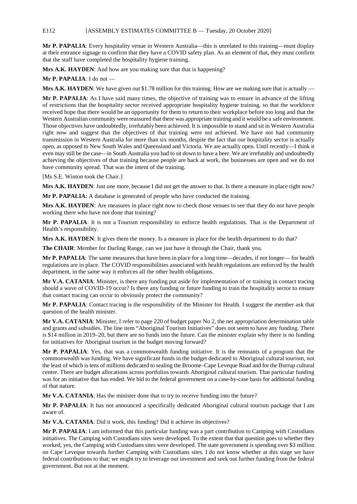# E112 [ASSEMBLY ESTIMATES COMMITTEE B — Tuesday, 20 October 2020]

**Mr P. PAPALIA**: Every hospitality venue in Western Australia—this is unrelated to this training—must display at their entrance signage to confirm that they have a COVID safety plan. As an element of that, they must confirm that the staff have completed the hospitality hygiene training.

**Mrs A.K. HAYDEN**: And how are you making sure that that is happening?

**Mr P. PAPALIA**: I do not —

**Mrs A.K. HAYDEN**: We have given out \$1.78 million for this training. How are we making sure that is actually —

**Mr P. PAPALIA**: As I have said many times, the objective of training was to ensure in advance of the lifting of restrictions that the hospitality sector received appropriate hospitality hygiene training, so that the workforce received hope that there would be an opportunity for them to return to their workplace before too long and that the Western Australian community were reassured that there was appropriate training and it would be a safe environment. Those objectives have undoubtedly, irrefutably been achieved. It is impossible to stand and sit in Western Australia right now and suggest that the objectives of that training were not achieved. We have not had community transmission in Western Australia for more than six months, despite the fact that our hospitality sector is actually open, as opposed to New South Wales and Queensland and Victoria. We are actually open. Until recently—I think it even may still be the case—in South Australia you had to sit down to have a beer. We are irrefutably and undoubtedly achieving the objectives of that training because people are back at work, the businesses are open and we do not have community spread. That was the intent of the training.

[Ms S.E. Winton took the Chair.]

**Mrs A.K. HAYDEN**: Just one more, because I did not get the answer to that. Is there a measure in place right now?

**Mr P. PAPALIA**: A database is generated of people who have conducted the training.

**Mrs A.K. HAYDEN**: Are measures in place right now to check those venues to see that they do not have people working there who have not done that training?

**Mr P. PAPALIA**: It is not a Tourism responsibility to enforce health regulations. That is the Department of Health's responsibility.

**Mrs A.K. HAYDEN**: It gives them the money. Is a measure in place for the health department to do that?

**The CHAIR**: Member for Darling Range, can we just have it through the Chair, thank you.

**Mr P. PAPALIA**: The same measures that have been in place for a long time—decades, if not longer— for health regulations are in place. The COVID responsibilities associated with health regulations are enforced by the health department, in the same way it enforces all the other health obligations.

**Mr V.A. CATANIA**: Minister, is there any funding put aside for implementation of or training in contact tracing should a wave of COVID-19 occur? Is there any funding or future funding to train the hospitality sector to ensure that contact tracing can occur to obviously protect the community?

**Mr P. PAPALIA**: Contact tracing is the responsibility of the Minister for Health. I suggest the member ask that question of the health minister.

**Mr V.A. CATANIA**: Minister, I refer to page 220 of budget paper No 2, the net appropriation determination table and grants and subsidies. The line item "Aboriginal Tourism Initiatives" does not seem to have any funding. There is \$14 million in 2019–20, but there are no funds into the future. Can the minister explain why there is no funding for initiatives for Aboriginal tourism in the budget moving forward?

**Mr P. PAPALIA**: Yes, that was a commonwealth funding initiative. It is the remnants of a program that the commonwealth was funding. We have significant funds in the budget dedicated to Aboriginal cultural tourism, not the least of which is tens of millions dedicated to sealing the Broome–Cape Leveque Road and for the Burrup cultural centre. There are budget allocations across portfolios towards Aboriginal cultural tourism. That particular funding was for an initiative that has ended. We bid to the federal government on a case-by-case basis for additional funding of that nature.

**Mr V.A. CATANIA**: Has the minister done that to try to receive funding into the future?

**Mr P. PAPALIA**: It has not announced a specifically dedicated Aboriginal cultural tourism package that I am aware of.

**Mr V.A. CATANIA**: Did it work, this funding? Did it achieve its objectives?

**Mr P. PAPALIA**: I am informed that this particular funding was a part contribution to Camping with Custodians initiatives. The Camping with Custodians sites were developed. To the extent that that question goes to whether they worked, yes, the Camping with Custodians sites were developed. The state government is spending over \$3 million on Cape Leveque towards further Camping with Custodians sites. I do not know whether at this stage we have federal contributions to that; we might try to leverage our investment and seek out further funding from the federal government. But not at the moment.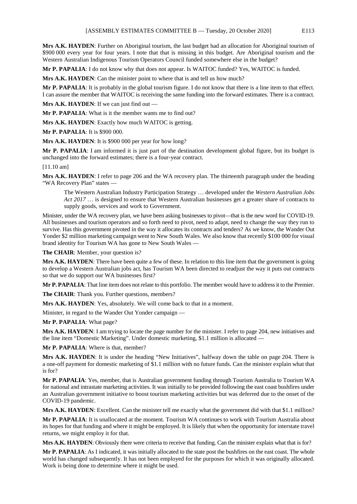**Mrs A.K. HAYDEN**: Further on Aboriginal tourism, the last budget had an allocation for Aboriginal tourism of \$900 000 every year for four years. I note that that is missing in this budget. Are Aboriginal tourism and the Western Australian Indigenous Tourism Operators Council funded somewhere else in the budget?

**Mr P. PAPALIA**: I do not know why that does not appear. Is WAITOC funded? Yes, WAITOC is funded.

**Mrs A.K. HAYDEN:** Can the minister point to where that is and tell us how much?

**Mr P. PAPALIA**: It is probably in the global tourism figure. I do not know that there is a line item to that effect. I can assure the member that WAITOC is receiving the same funding into the forward estimates. There is a contract.

**Mrs A.K. HAYDEN**: If we can just find out —

**Mr P. PAPALIA**: What is it the member wants me to find out?

**Mrs A.K. HAYDEN**: Exactly how much WAITOC is getting.

**Mr P. PAPALIA**: It is \$900 000.

**Mrs A.K. HAYDEN**: It is \$900 000 per year for how long?

**Mr P. PAPALIA**: I am informed it is just part of the destination development global figure, but its budget is unchanged into the forward estimates; there is a four-year contract.

[11.10 am]

**Mrs A.K. HAYDEN**: I refer to page 206 and the WA recovery plan. The thirteenth paragraph under the heading "WA Recovery Plan" states —

The Western Australian Industry Participation Strategy … developed under the *Western Australian Jobs Act 2017* … is designed to ensure that Western Australian businesses get a greater share of contracts to supply goods, services and work to Government.

Minister, under the WA recovery plan, we have been asking businesses to pivot—that is the new word for COVID-19. All businesses and tourism operators and so forth need to pivot, need to adapt, need to change the way they run to survive. Has this government pivoted in the way it allocates its contracts and tenders? As we know, the Wander Out Yonder \$2 million marketing campaign went to New South Wales. We also know that recently \$100 000 for visual brand identity for Tourism WA has gone to New South Wales —

**The CHAIR**: Member, your question is?

**Mrs A.K. HAYDEN**: There have been quite a few of these. In relation to this line item that the government is going to develop a Western Australian jobs act, has Tourism WA been directed to readjust the way it puts out contracts so that we do support our WA businesses first?

**Mr P. PAPALIA**: That line item does not relate to this portfolio. The member would have to address it to the Premier.

**The CHAIR**: Thank you. Further questions, members?

**Mrs A.K. HAYDEN**: Yes, absolutely. We will come back to that in a moment.

Minister, in regard to the Wander Out Yonder campaign —

**Mr P. PAPALIA**: What page?

**Mrs A.K. HAYDEN**: I am trying to locate the page number for the minister. I refer to page 204, new initiatives and the line item "Domestic Marketing". Under domestic marketing, \$1.1 million is allocated —

**Mr P. PAPALIA**: Where is that, member?

**Mrs A.K. HAYDEN:** It is under the heading "New Initiatives", halfway down the table on page 204. There is a one-off payment for domestic marketing of \$1.1 million with no future funds. Can the minister explain what that is for?

**Mr P. PAPALIA**: Yes, member, that is Australian government funding through Tourism Australia to Tourism WA for national and intrastate marketing activities. It was initially to be provided following the east coast bushfires under an Australian government initiative to boost tourism marketing activities but was deferred due to the onset of the COVID-19 pandemic.

**Mrs A.K. HAYDEN:** Excellent. Can the minister tell me exactly what the government did with that \$1.1 million?

**Mr P. PAPALIA**: It is unallocated at the moment. Tourism WA continues to work with Tourism Australia about its hopes for that funding and where it might be employed. It is likely that when the opportunity for interstate travel returns, we might employ it for that.

**Mrs A.K. HAYDEN**: Obviously there were criteria to receive that funding. Can the minister explain what that is for?

**Mr P. PAPALIA**: As I indicated, it was initially allocated to the state post the bushfires on the east coast. The whole world has changed subsequently. It has not been employed for the purposes for which it was originally allocated. Work is being done to determine where it might be used.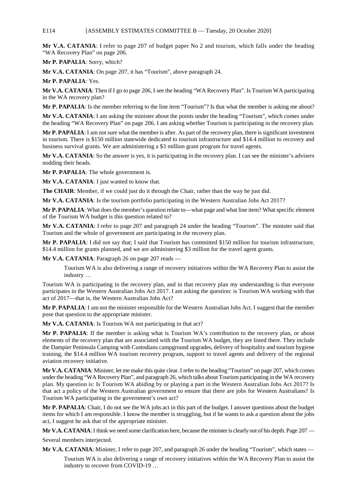#### E114 [ASSEMBLY ESTIMATES COMMITTEE B — Tuesday, 20 October 2020]

**Mr V.A. CATANIA**: I refer to page 207 of budget paper No 2 and tourism, which falls under the heading "WA Recovery Plan" on page 206.

**Mr P. PAPALIA**: Sorry, which?

**Mr V.A. CATANIA**: On page 207, it has "Tourism", above paragraph 24.

**Mr P. PAPALIA**: Yes.

**Mr V.A. CATANIA**: Then if I go to page 206, I see the heading "WA Recovery Plan". Is Tourism WA participating in the WA recovery plan?

**Mr P. PAPALIA**: Is the member referring to the line item "Tourism"? Is that what the member is asking me about?

**Mr V.A. CATANIA**: I am asking the minister about the points under the heading "Tourism", which comes under the heading "WA Recovery Plan" on page 206. I am asking whether Tourism is participating in the recovery plan.

**Mr P. PAPALIA**: I am not sure what the member is after. As part of the recovery plan, there is significant investment in tourism. There is \$150 million statewide dedicated to tourism infrastructure and \$14.4 million to recovery and business survival grants. We are administering a \$3 million grant program for travel agents.

**Mr V.A. CATANIA**: So the answer is yes, it is participating in the recovery plan. I can see the minister's advisers nodding their heads.

**Mr P. PAPALIA**: The whole government is.

**Mr V.A. CATANIA**: I just wanted to know that.

**The CHAIR**: Member, if we could just do it through the Chair, rather than the way he just did.

**Mr V.A. CATANIA**: Is the tourism portfolio participating in the Western Australian Jobs Act 2017?

**Mr P. PAPALIA**: What does the member's question relate to—what page and what line item? What specific element of the Tourism WA budget is this question related to?

**Mr V.A. CATANIA**: I refer to page 207 and paragraph 24 under the heading "Tourism". The minister said that Tourism and the whole of government are participating in the recovery plan.

**Mr P. PAPALIA**: I did not say that; I said that Tourism has committed \$150 million for tourism infrastructure, \$14.4 million for grants planned, and we are administering \$3 million for the travel agent grants.

**Mr V.A. CATANIA**: Paragraph 26 on page 207 reads —

Tourism WA is also delivering a range of recovery initiatives within the WA Recovery Plan to assist the industry …

Tourism WA is participating in the recovery plan, and in that recovery plan my understanding is that everyone participates in the Western Australian Jobs Act 2017. I am asking the question: is Tourism WA working with that act of 2017—that is, the Western Australian Jobs Act?

**Mr P. PAPALIA**: I am not the minister responsible for the Western Australian Jobs Act. I suggest that the member pose that question to the appropriate minister.

**Mr V.A. CATANIA**: Is Tourism WA not participating in that act?

**Mr P. PAPALIA**: If the member is asking what is Tourism WA's contribution to the recovery plan, or about elements of the recovery plan that are associated with the Tourism WA budget, they are listed there. They include the Dampier Peninsula Camping with Custodians campground upgrades, delivery of hospitality and tourism hygiene training, the \$14.4 million WA tourism recovery program, support to travel agents and delivery of the regional aviation recovery initiative.

**Mr V.A. CATANIA**: Minister, let me make this quite clear. I refer to the heading "Tourism" on page 207, which comes under the heading "WA Recovery Plan", and paragraph 26, which talks about Tourism participating in the WA recovery plan. My question is: Is Tourism WA abiding by or playing a part in the Western Australian Jobs Act 2017? Is that act a policy of the Western Australian government to ensure that there are jobs for Western Australians? Is Tourism WA participating in the government's own act?

**Mr P. PAPALIA**: Chair, I do not see the WA jobs act in this part of the budget. I answer questions about the budget items for which I am responsible. I know the member is struggling, but if he wants to ask a question about the jobs act, I suggest he ask that of the appropriate minister.

**Mr V.A. CATANIA:** I think we need some clarification here, because the minister is clearly out of his depth. Page 207

Several members interjected.

**Mr V.A. CATANIA**: Minister, I refer to page 207, and paragraph 26 under the heading "Tourism", which states —

Tourism WA is also delivering a range of recovery initiatives within the WA Recovery Plan to assist the industry to recover from COVID-19 …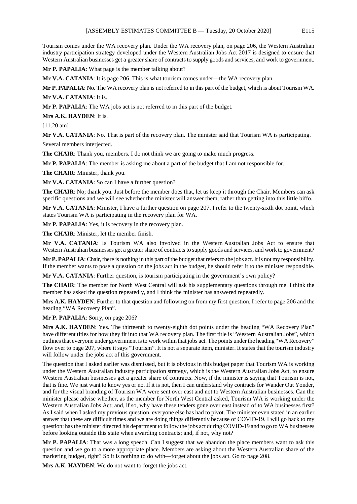Tourism comes under the WA recovery plan. Under the WA recovery plan, on page 206, the Western Australian industry participation strategy developed under the Western Australian Jobs Act 2017 is designed to ensure that Western Australian businesses get a greater share of contracts to supply goods and services, and work to government.

**Mr P. PAPALIA**: What page is the member talking about?

**Mr V.A. CATANIA**: It is page 206. This is what tourism comes under—the WA recovery plan.

**Mr P. PAPALIA**: No. The WA recovery plan is not referred to in this part of the budget, which is about Tourism WA.

**Mr V.A. CATANIA**: It is.

**Mr P. PAPALIA**: The WA jobs act is not referred to in this part of the budget.

**Mrs A.K. HAYDEN**: It is.

[11.20 am]

**Mr V.A. CATANIA**: No. That is part of the recovery plan. The minister said that Tourism WA is participating. Several members interjected.

**The CHAIR**: Thank you, members. I do not think we are going to make much progress.

**Mr P. PAPALIA**: The member is asking me about a part of the budget that I am not responsible for.

**The CHAIR**: Minister, thank you.

**Mr V.A. CATANIA**: So can I have a further question?

**The CHAIR**: No; thank you. Just before the member does that, let us keep it through the Chair. Members can ask specific questions and we will see whether the minister will answer them, rather than getting into this little biffo.

**Mr V.A. CATANIA**: Minister, I have a further question on page 207. I refer to the twenty-sixth dot point, which states Tourism WA is participating in the recovery plan for WA.

**Mr P. PAPALIA**: Yes, it is recovery in the recovery plan.

**The CHAIR**: Minister, let the member finish.

**Mr V.A. CATANIA**: Is Tourism WA also involved in the Western Australian Jobs Act to ensure that Western Australian businesses get a greater share of contracts to supply goods and services, and work to government?

**Mr P. PAPALIA**: Chair, there is nothing in this part of the budget that refers to the jobs act. It is not my responsibility. If the member wants to pose a question on the jobs act in the budget, he should refer it to the minister responsible.

**Mr V.A. CATANIA**: Further question, is tourism participating in the government's own policy?

**The CHAIR**: The member for North West Central will ask his supplementary questions through me. I think the member has asked the question repeatedly, and I think the minister has answered repeatedly.

**Mrs A.K. HAYDEN**: Further to that question and following on from my first question, I refer to page 206 and the heading "WA Recovery Plan".

**Mr P. PAPALIA**: Sorry, on page 206?

**Mrs A.K. HAYDEN**: Yes. The thirteenth to twenty-eighth dot points under the heading "WA Recovery Plan" have different titles for how they fit into that WA recovery plan. The first title is "Western Australian Jobs", which outlines that everyone under government is to work within that jobs act. The points under the heading "WA Recovery" flow over to page 207, where it says "Tourism". It is not a separate item, minister. It states that the tourism industry will follow under the jobs act of this government.

The question that I asked earlier was dismissed, but it is obvious in this budget paper that Tourism WA is working under the Western Australian industry participation strategy, which is the Western Australian Jobs Act, to ensure Western Australian businesses get a greater share of contracts. Now, if the minister is saying that Tourism is not, that is fine. We just want to know yes or no. If it is not, then I can understand why contracts for Wander Out Yonder, and for the visual branding of Tourism WA were sent over east and not to Western Australian businesses. Can the minister please advise whether, as the member for North West Central asked, Tourism WA is working under the Western Australian Jobs Act; and, if so, why have these tenders gone over east instead of to WA businesses first? As I said when I asked my previous question, everyone else has had to pivot. The minister even stated in an earlier answer that these are difficult times and we are doing things differently because of COVID-19. I will go back to my question: has the minister directed his department to follow the jobs act during COVID-19 and to go to WA businesses before looking outside this state when awarding contracts; and, if not, why not?

**Mr P. PAPALIA**: That was a long speech. Can I suggest that we abandon the place members want to ask this question and we go to a more appropriate place. Members are asking about the Western Australian share of the marketing budget, right? So it is nothing to do with—forget about the jobs act. Go to page 208.

**Mrs A.K. HAYDEN**: We do not want to forget the jobs act.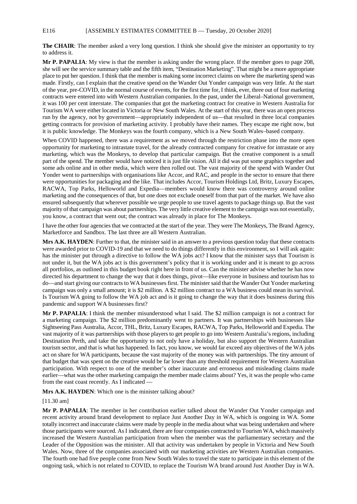# E116 [ASSEMBLY ESTIMATES COMMITTEE B — Tuesday, 20 October 2020]

**The CHAIR**: The member asked a very long question. I think she should give the minister an opportunity to try to address it.

**Mr P. PAPALIA**: My view is that the member is asking under the wrong place. If the member goes to page 208, she will see the service summary table and the fifth item, "Destination Marketing". That might be a more appropriate place to put her question. I think that the member is making some incorrect claims on where the marketing spend was made. Firstly, can I explain that the creative spend on the Wander Out Yonder campaign was very little. At the start of the year, pre-COVID, in the normal course of events, for the first time for, I think, ever, three out of four marketing contracts were entered into with Western Australian companies. In the past, under the Liberal–National government, it was 100 per cent interstate. The companies that got the marketing contract for creative in Western Australia for Tourism WA were either located in Victoria or New South Wales. At the start of this year, there was an open process run by the agency, not by government—appropriately independent of us—that resulted in three local companies getting contracts for provision of marketing activity. I probably have their names. They escape me right now, but it is public knowledge. The Monkeys was the fourth company, which is a New South Wales–based company.

When COVID happened, there was a requirement as we moved through the restriction phase into the more open opportunity for marketing to intrastate travel, for the already contracted company for creative for intrastate or any marketing, which was the Monkeys, to develop that particular campaign. But the creative component is a small part of the spend. The member would have noticed it is just file vision. All it did was put some graphics together and some ads online and in other media, which were then rolled out. The vast majority of the spend with Wander Out Yonder went to partnerships with organisations like Accor, and RAC, and people in the sector to ensure that there were opportunities for packaging and the like. That includes Accor, Tourism Holdings Ltd, Britz, Luxury Escapes, RACWA, Top Parks, Helloworld and Expedia—members would know there was controversy around online marketing and the consequences of that, but one does not exclude oneself from that part of the market. We have also ensured subsequently that wherever possible we urge people to use travel agents to package things up. But the vast majority of that campaign was about partnerships. The very little creative element to the campaign was not essentially, you know, a contract that went out; the contract was already in place for The Monkeys.

I have the other four agencies that we contracted at the start of the year. They were The Monkeys, The Brand Agency, Marketforce and Sandbox. The last three are all Western Australian.

**Mrs A.K. HAYDEN**: Further to that, the minister said in an answer to a previous question today that these contracts were awarded prior to COVID-19 and that we need to do things differently in this environment, so I will ask again: has the minister put through a directive to follow the WA jobs act? I know that the minister says that Tourism is not under it, but the WA jobs act is this government's policy that it is working under and it is meant to go across all portfolios, as outlined in this budget book right here in front of us. Can the minister advise whether he has now directed his department to change the way that it does things, pivot—like everyone in business and tourism has to do—and start giving our contracts to WA businesses first. The minister said that the Wander Out Yonder marketing campaign was only a small amount; it is \$2 million. A \$2 million contract to a WA business could mean its survival. Is Tourism WA going to follow the WA job act and is it going to change the way that it does business during this pandemic and support WA businesses first?

**Mr P. PAPALIA**: I think the member misunderstood what I said. The \$2 million campaign is not a contract for a marketing campaign. The \$2 million predominantly went to partners. It was partnerships with businesses like Sightseeing Pass Australia, Accor, THL, Britz, Luxury Escapes, RACWA, Top Parks, Helloworld and Expedia. The vast majority of it was partnerships with those players to get people to go into Western Australia's regions, including Destination Perth, and take the opportunity to not only have a holiday, but also support the Western Australian tourism sector, and that is what has happened. In fact, you know, we would far exceed any objectives of the WA jobs act on share for WA participants, because the vast majority of the money was with partnerships. The tiny amount of that budget that was spent on the creative would be far lower than any threshold requirement for Western Australian participation. With respect to one of the member's other inaccurate and erroneous and misleading claims made earlier—what was the other marketing campaign the member made claims about? Yes, it was the people who came from the east coast recently. As I indicated —

**Mrs A.K. HAYDEN**: Which one is the minister talking about?

#### [11.30 am]

**Mr P. PAPALIA**: The member in her contribution earlier talked about the Wander Out Yonder campaign and recent activity around brand development to replace Just Another Day in WA, which is ongoing in WA. Some totally incorrect and inaccurate claims were made by people in the media about what was being undertaken and where those participants were sourced. As I indicated, there are four companies contracted to Tourism WA, which massively increased the Western Australian participation from when the member was the parliamentary secretary and the Leader of the Opposition was the minister. All that activity was undertaken by people in Victoria and New South Wales. Now, three of the companies associated with our marketing activities are Western Australian companies. The fourth one had five people come from New South Wales to travel the state to participate in this element of the ongoing task, which is not related to COVID, to replace the Tourism WA brand around Just Another Day in WA.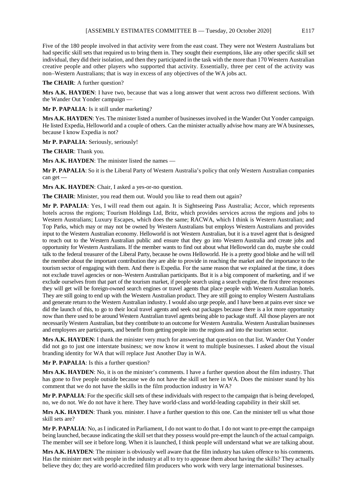Five of the 180 people involved in that activity were from the east coast. They were not Western Australians but had specific skill sets that required us to bring them in. They sought their exemptions, like any other specific skill set individual, they did their isolation, and then they participated in the task with the more than 170 Western Australian creative people and other players who supported that activity. Essentially, three per cent of the activity was non–Western Australians; that is way in excess of any objectives of the WA jobs act.

**The CHAIR**: A further question?

**Mrs A.K. HAYDEN**: I have two, because that was a long answer that went across two different sections. With the Wander Out Yonder campaign —

**Mr P. PAPALIA**: Is it still under marketing?

**Mrs A.K. HAYDEN**: Yes. The minister listed a number of businesses involved in the Wander Out Yonder campaign. He listed Expedia, Helloworld and a couple of others. Can the minister actually advise how many are WA businesses, because I know Expedia is not?

**Mr P. PAPALIA**: Seriously, seriously!

**The CHAIR**: Thank you.

**Mrs A.K. HAYDEN**: The minister listed the names —

**Mr P. PAPALIA**: So it is the Liberal Party of Western Australia's policy that only Western Australian companies can get —

**Mrs A.K. HAYDEN**: Chair, I asked a yes-or-no question.

**The CHAIR**: Minister, you read them out. Would you like to read them out again?

**Mr P. PAPALIA**: Yes, I will read them out again. It is Sightseeing Pass Australia; Accor, which represents hotels across the regions; Tourism Holdings Ltd, Britz, which provides services across the regions and jobs to Western Australians; Luxury Escapes, which does the same; RACWA, which I think is Western Australian; and Top Parks, which may or may not be owned by Western Australians but employs Western Australians and provides input to the Western Australian economy. Helloworld is not Western Australian, but it is a travel agent that is designed to reach out to the Western Australian public and ensure that they go into Western Australia and create jobs and opportunity for Western Australians. If the member wants to find out about what Helloworld can do, maybe she could talk to the federal treasurer of the Liberal Party, because he owns Helloworld. He is a pretty good bloke and he will tell the member about the important contribution they are able to provide in reaching the market and the importance to the tourism sector of engaging with them. And there is Expedia. For the same reason that we explained at the time, it does not exclude travel agencies or non–Western Australian participants. But it is a big component of marketing, and if we exclude ourselves from that part of the tourism market, if people search using a search engine, the first three responses they will get will be foreign-owned search engines or travel agents that place people with Western Australian hotels. They are still going to end up with the Western Australian product. They are still going to employ Western Australians and generate return to the Western Australian industry. I would also urge people, and I have been at pains ever since we did the launch of this, to go to their local travel agents and seek out packages because there is a lot more opportunity now than there used to be around Western Australian travel agents being able to package stuff. All those players are not necessarily Western Australian, but they contribute to an outcome for Western Australia. Western Australian businesses and employees are participants, and benefit from getting people into the regions and into the tourism sector.

**Mrs A.K. HAYDEN**: I thank the minister very much for answering that question on that list. Wander Out Yonder did not go to just one interstate business; we now know it went to multiple businesses. I asked about the visual branding identity for WA that will replace Just Another Day in WA.

**Mr P. PAPALIA**: Is this a further question?

**Mrs A.K. HAYDEN**: No, it is on the minister's comments. I have a further question about the film industry. That has gone to five people outside because we do not have the skill set here in WA. Does the minister stand by his comment that we do not have the skills in the film production industry in WA?

**Mr P. PAPALIA**: For the specific skill sets of these individuals with respect to the campaign that is being developed, no, we do not. We do not have it here. They have world-class and world-leading capability in their skill set.

**Mrs A.K. HAYDEN**: Thank you. minister. I have a further question to this one. Can the minister tell us what those skill sets are?

**Mr P. PAPALIA**: No, asI indicated in Parliament, I do not want to do that. I do not want to pre-empt the campaign being launched, because indicating the skill set that they possess would pre-empt the launch of the actual campaign. The member will see it before long. When it is launched, I think people will understand what we are talking about.

**Mrs A.K. HAYDEN**: The minister is obviously well aware that the film industry has taken offence to his comments. Has the minister met with people in the industry at all to try to appease them about having the skills? They actually believe they do; they are world-accredited film producers who work with very large international businesses.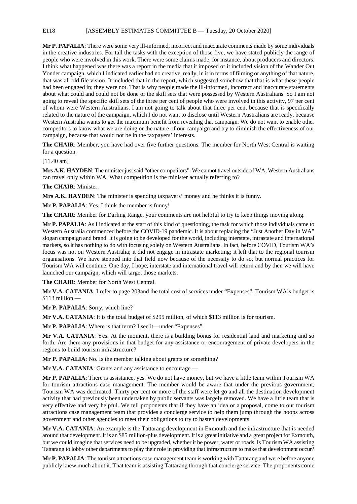# E118 [ASSEMBLY ESTIMATES COMMITTEE B — Tuesday, 20 October 2020]

**Mr P. PAPALIA**: There were some very ill-informed, incorrect and inaccurate comments made by some individuals in the creative industries. For tall the tasks with the exception of those five, we have stated publicly the range of people who were involved in this work. There were some claims made, for instance, about producers and directors. I think what happened was there was a report in the media that it imposed or it included vision of the Wander Out Yonder campaign, which I indicated earlier had no creative, really, in it in terms of filming or anything of that nature, that was all old file vision. It included that in the report, which suggested somehow that that is what these people had been engaged in; they were not. That is why people made the ill-informed, incorrect and inaccurate statements about what could and could not be done or the skill sets that were possessed by Western Australians. So I am not going to reveal the specific skill sets of the three per cent of people who were involved in this activity, 97 per cent of whom were Western Australians. I am not going to talk about that three per cent because that is specifically related to the nature of the campaign, which I do not want to disclose until Western Australians are ready, because Western Australia wants to get the maximum benefit from revealing that campaign. We do not want to enable other competitors to know what we are doing or the nature of our campaign and try to diminish the effectiveness of our campaign, because that would not be in the taxpayers' interests.

**The CHAIR**: Member, you have had over five further questions. The member for North West Central is waiting for a question.

[11.40 am]

**Mrs A.K. HAYDEN**: The minister just said "other competitors". We cannot travel outside of WA; Western Australians can travel only within WA. What competition is the minister actually referring to?

#### **The CHAIR**: Minister.

**Mrs A.K. HAYDEN**: The minister is spending taxpayers' money and he thinks it is funny.

**Mr P. PAPALIA**: Yes, I think the member is funny!

**The CHAIR**: Member for Darling Range, your comments are not helpful to try to keep things moving along.

**Mr P. PAPALIA**: As I indicated at the start of this kind of questioning, the task for which those individuals came to Western Australia commenced before the COVID-19 pandemic. It is about replacing the "Just Another Day in WA" slogan campaign and brand. It is going to be developed for the world, including interstate, intrastate and international markets, so it has nothing to do with focusing solely on Western Australians. In fact, before COVID, Tourism WA's focus was not on Western Australia; it did not engage in intrastate marketing; it left that to the regional tourism organisations. We have stepped into that field now because of the necessity to do so, but normal practices for Tourism WA will continue. One day, I hope, interstate and international travel will return and by then we will have launched our campaign, which will target those markets.

**The CHAIR**: Member for North West Central.

**Mr V.A. CATANIA**: I refer to page 203and the total cost of services under "Expenses". Tourism WA's budget is \$113 million —

**Mr P. PAPALIA**: Sorry, which line?

**Mr V.A. CATANIA**: It is the total budget of \$295 million, of which \$113 million is for tourism.

**Mr P. PAPALIA**: Where is that term? I see it—under "Expenses".

**Mr V.A. CATANIA**: Yes. At the moment, there is a building bonus for residential land and marketing and so forth. Are there any provisions in that budget for any assistance or encouragement of private developers in the regions to build tourism infrastructure?

**Mr P. PAPALIA**: No. Is the member talking about grants or something?

**Mr V.A. CATANIA**: Grants and any assistance to encourage —

**Mr P. PAPALIA**: There is assistance, yes. We do not have money, but we have a little team within Tourism WA for tourism attractions case management. The member would be aware that under the previous government, Tourism WA was decimated. Thirty per cent or more of the staff were let go and all the destination development activity that had previously been undertaken by public servants was largely removed. We have a little team that is very effective and very helpful. We tell proponents that if they have an idea or a proposal, come to our tourism attractions case management team that provides a concierge service to help them jump through the hoops across government and other agencies to meet their obligations to try to hasten developments.

**Mr V.A. CATANIA**: An example is the Tattarang development in Exmouth and the infrastructure that is needed around that development. It is an \$85 million-plus development. It is a great initiative and a great project for Exmouth, but we could imagine that services need to be upgraded, whether it be power, water or roads. Is Tourism WA assisting Tattarang to lobby other departments to play their role in providing that infrastructure to make that development occur?

**Mr P. PAPALIA**: The tourism attractions case management team is working with Tattarang and were before anyone publicly knew much about it. That team is assisting Tattarang through that concierge service. The proponents come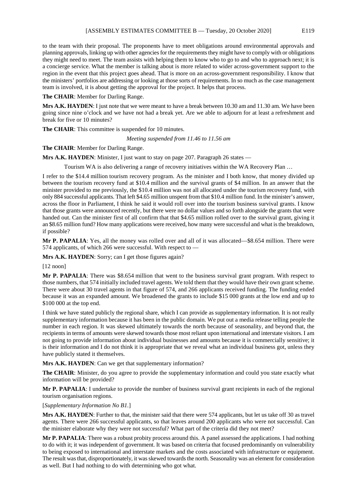to the team with their proposal. The proponents have to meet obligations around environmental approvals and planning approvals, linking up with other agencies for the requirements they might have to comply with or obligations they might need to meet. The team assists with helping them to know who to go to and who to approach next; it is a concierge service. What the member is talking about is more related to wider across-government support to the region in the event that this project goes ahead. That is more on an across-government responsibility. I know that the ministers' portfolios are addressing or looking at those sorts of requirements. In so much as the case management team is involved, it is about getting the approval for the project. It helps that process.

**The CHAIR**: Member for Darling Range.

**Mrs A.K. HAYDEN**: I just note that we were meant to have a break between 10.30 am and 11.30 am. We have been going since nine o'clock and we have not had a break yet. Are we able to adjourn for at least a refreshment and break for five or 10 minutes?

**The CHAIR:** This committee is suspended for 10 minutes.

*Meeting suspended from 11.46 to 11.56 am*

**The CHAIR**: Member for Darling Range.

**Mrs A.K. HAYDEN:** Minister, I just want to stay on page 207. Paragraph 26 states —

Tourism WA is also delivering a range of recovery initiatives within the WA Recovery Plan …

I refer to the \$14.4 million tourism recovery program. As the minister and I both know, that money divided up between the tourism recovery fund at \$10.4 million and the survival grants of \$4 million. In an answer that the minister provided to me previously, the \$10.4 million was not all allocated under the tourism recovery fund, with only 884 successful applicants. That left \$4.65 million unspent from that \$10.4 million fund. In the minister's answer, across the floor in Parliament, I think he said it would roll over into the tourism business survival grants. I know that those grants were announced recently, but there were no dollar values and so forth alongside the grants that were handed out. Can the minister first of all confirm that that \$4.65 million rolled over to the survival grant, giving it an \$8.65 million fund? How many applications were received, how many were successful and what is the breakdown, if possible?

**Mr P. PAPALIA**: Yes, all the money was rolled over and all of it was allocated—\$8.654 million. There were 574 applicants, of which 266 were successful. With respect to  $\cdot$ 

**Mrs A.K. HAYDEN**: Sorry; can I get those figures again?

[12 noon]

**Mr P. PAPALIA**: There was \$8.654 million that went to the business survival grant program. With respect to those numbers, that 574 initially included travel agents. We told them that they would have their own grant scheme. There were about 30 travel agents in that figure of 574, and 266 applicants received funding. The funding ended because it was an expanded amount. We broadened the grants to include \$15 000 grants at the low end and up to \$100 000 at the top end.

I think we have stated publicly the regional share, which I can provide as supplementary information. It is not really supplementary information because it has been in the public domain. We put out a media release telling people the number in each region. It was skewed ultimately towards the north because of seasonality, and beyond that, the recipients in terms of amounts were skewed towards those most reliant upon international and interstate visitors. I am not going to provide information about individual businesses and amounts because it is commercially sensitive; it is their information and I do not think it is appropriate that we reveal what an individual business got, unless they have publicly stated it themselves.

**Mrs A.K. HAYDEN**: Can we get that supplementary information?

**The CHAIR**: Minister, do you agree to provide the supplementary information and could you state exactly what information will be provided?

**Mr P. PAPALIA**: I undertake to provide the number of business survival grant recipients in each of the regional tourism organisation regions.

#### [*Supplementary Information No B1.*]

**Mrs A.K. HAYDEN**: Further to that, the minister said that there were 574 applicants, but let us take off 30 as travel agents. There were 266 successful applicants, so that leaves around 200 applicants who were not successful. Can the minister elaborate why they were not successful? What part of the criteria did they not meet?

**Mr P. PAPALIA**: There was a robust probity process around this. A panel assessed the applications. I had nothing to do with it; it was independent of government. It was based on criteria that focused predominantly on vulnerability to being exposed to international and interstate markets and the costs associated with infrastructure or equipment. The result was that, disproportionately, it was skewed towards the north. Seasonality was an element for consideration as well. But I had nothing to do with determining who got what.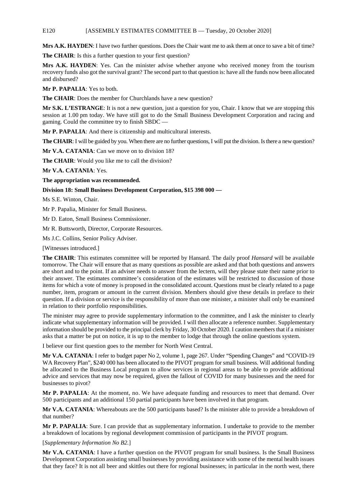# E120 [ASSEMBLY ESTIMATES COMMITTEE B — Tuesday, 20 October 2020]

**Mrs A.K. HAYDEN**: I have two further questions. Does the Chair want me to ask them at once to save a bit of time?

**The CHAIR**: Is this a further question to your first question?

**Mrs A.K. HAYDEN**: Yes. Can the minister advise whether anyone who received money from the tourism recovery funds also got the survival grant? The second part to that question is: have all the funds now been allocated and disbursed?

**Mr P. PAPALIA**: Yes to both.

**The CHAIR**: Does the member for Churchlands have a new question?

**Mr S.K. L'ESTRANGE**: It is not a new question, just a question for you, Chair. I know that we are stopping this session at 1.00 pm today. We have still got to do the Small Business Development Corporation and racing and gaming. Could the committee try to finish SBDC —

**Mr P. PAPALIA**: And there is citizenship and multicultural interests.

**The CHAIR:** I will be guided by you. When there are no further questions, I will put the division. Is there a new question?

**Mr V.A. CATANIA**: Can we move on to division 18?

**The CHAIR**: Would you like me to call the division?

**Mr V.A. CATANIA**: Yes.

**The appropriation was recommended.**

#### **Division 18: Small Business Development Corporation, \$15 398 000 —**

Ms S.E. Winton, Chair.

Mr P. Papalia, Minister for Small Business.

Mr D. Eaton, Small Business Commissioner.

Mr R. Buttsworth, Director, Corporate Resources.

Ms J.C. Collins, Senior Policy Adviser.

[Witnesses introduced.]

**The CHAIR**: This estimates committee will be reported by Hansard. The daily proof *Hansard* will be available tomorrow. The Chair will ensure that as many questions as possible are asked and that both questions and answers are short and to the point. If an adviser needs to answer from the lectern, will they please state their name prior to their answer. The estimates committee's consideration of the estimates will be restricted to discussion of those items for which a vote of money is proposed in the consolidated account. Questions must be clearly related to a page number, item, program or amount in the current division. Members should give these details in preface to their question. If a division or service is the responsibility of more than one minister, a minister shall only be examined in relation to their portfolio responsibilities.

The minister may agree to provide supplementary information to the committee, and I ask the minister to clearly indicate what supplementary information will be provided. I will then allocate a reference number. Supplementary information should be provided to the principal clerk by Friday, 30 October 2020. I caution members that if a minister asks that a matter be put on notice, it is up to the member to lodge that through the online questions system.

I believe our first question goes to the member for North West Central.

**Mr V.A. CATANIA**: I refer to budget paper No 2, volume 1, page 267. Under "Spending Changes" and "COVID-19 WA Recovery Plan", \$240 000 has been allocated to the PIVOT program for small business. Will additional funding be allocated to the Business Local program to allow services in regional areas to be able to provide additional advice and services that may now be required, given the fallout of COVID for many businesses and the need for businesses to pivot?

**Mr P. PAPALIA**: At the moment, no. We have adequate funding and resources to meet that demand. Over 500 participants and an additional 150 partial participants have been involved in that program.

**Mr V.A. CATANIA**: Whereabouts are the 500 participants based? Is the minister able to provide a breakdown of that number?

**Mr P. PAPALIA**: Sure. I can provide that as supplementary information. I undertake to provide to the member a breakdown of locations by regional development commission of participants in the PIVOT program.

[*Supplementary Information No B2.*]

**Mr V.A. CATANIA**: I have a further question on the PIVOT program for small business. Is the Small Business Development Corporation assisting small businesses by providing assistance with some of the mental health issues that they face? It is not all beer and skittles out there for regional businesses; in particular in the north west, there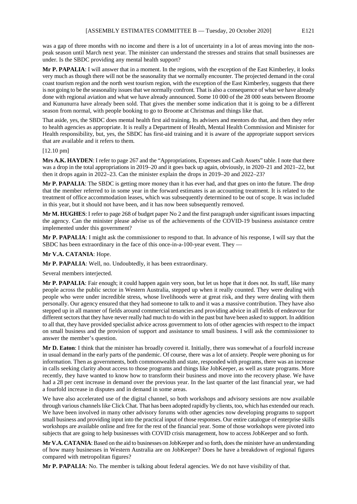was a gap of three months with no income and there is a lot of uncertainty in a lot of areas moving into the nonpeak season until March next year. The minister can understand the stresses and strains that small businesses are under. Is the SBDC providing any mental health support?

**Mr P. PAPALIA**: I will answer that in a moment. In the regions, with the exception of the East Kimberley, it looks very much as though there will not be the seasonality that we normally encounter. The projected demand in the coral coast tourism region and the north west tourism region, with the exception of the East Kimberley, suggests that there is not going to be the seasonality issues that we normally confront. That is also a consequence of what we have already done with regional aviation and what we have already announced. Some 10 000 of the 28 000 seats between Broome and Kununurra have already been sold. That gives the member some indication that it is going to be a different season from normal, with people booking to go to Broome at Christmas and things like that.

That aside, yes, the SBDC does mental health first aid training. Its advisers and mentors do that, and then they refer to health agencies as appropriate. It is really a Department of Health, Mental Health Commission and Minister for Health responsibility, but, yes, the SBDC has first-aid training and it is aware of the appropriate support services that are available and it refers to them.

#### [12.10 pm]

**Mrs A.K. HAYDEN**: I refer to page 267 and the "Appropriations, Expenses and Cash Assets" table. I note that there was a drop in the total appropriations in 2019–20 and it goes back up again, obviously, in 2020–21 and 2021–22, but then it drops again in 2022–23. Can the minister explain the drops in 2019–20 and 2022–23?

**Mr P. PAPALIA**: The SBDC is getting more money than it has ever had, and that goes on into the future. The drop that the member referred to in some year in the forward estimates is an accounting treatment. It is related to the treatment of office accommodation leases, which was subsequently determined to be out of scope. It was included in this year, but it should not have been, and it has now been subsequently removed.

**Mr M. HUGHES**: I refer to page 268 of budget paper No 2 and the first paragraph under significant issues impacting the agency. Can the minister please advise us of the achievements of the COVID-19 business assistance centre implemented under this government?

**Mr P. PAPALIA**: I might ask the commissioner to respond to that. In advance of his response, I will say that the SBDC has been extraordinary in the face of this once-in-a-100-year event. They —

**Mr V.A. CATANIA**: Hope.

**Mr P. PAPALIA**: Well, no. Undoubtedly, it has been extraordinary.

Several members interjected.

**Mr P. PAPALIA**: Fair enough; it could happen again very soon, but let us hope that it does not. Its staff, like many people across the public sector in Western Australia, stepped up when it really counted. They were dealing with people who were under incredible stress, whose livelihoods were at great risk, and they were dealing with them personally. Our agency ensured that they had someone to talk to and it was a massive contribution. They have also stepped up in all manner of fields around commercial tenancies and providing advice in all fields of endeavour for different sectors that they have never really had much to do with in the past but have been asked to support. In addition to all that, they have provided specialist advice across government to lots of other agencies with respect to the impact on small business and the provision of support and assistance to small business. I will ask the commissioner to answer the member's question.

**Mr D. Eaton**: I think that the minister has broadly covered it. Initially, there was somewhat of a fourfold increase in usual demand in the early parts of the pandemic. Of course, there was a lot of anxiety. People were phoning us for information. Then as governments, both commonwealth and state, responded with programs, there was an increase in calls seeking clarity about access to those programs and things like JobKeeper, as well as state programs. More recently, they have wanted to know how to transform their business and move into the recovery phase. We have had a 28 per cent increase in demand over the previous year. In the last quarter of the last financial year, we had a fourfold increase in disputes and in demand in some areas.

We have also accelerated use of the digital channel, so both workshops and advisory sessions are now available through various channels like Click Chat. That has been adopted rapidly by clients, too, which has extended our reach. We have been involved in many other advisory forums with other agencies now developing programs to support small business and providing input into the practical input of those responses. Our entire catalogue of enterprise skills workshops are available online and free for the rest of the financial year. Some of those workshops were pivoted into subjects that are going to help businesses with COVID crisis management, how to access JobKeeper and so forth.

**Mr V.A. CATANIA**: Based on the aid to businesses on JobKeeper and so forth, does the minister have an understanding of how many businesses in Western Australia are on JobKeeper? Does he have a breakdown of regional figures compared with metropolitan figures?

**Mr P. PAPALIA**: No. The member is talking about federal agencies. We do not have visibility of that.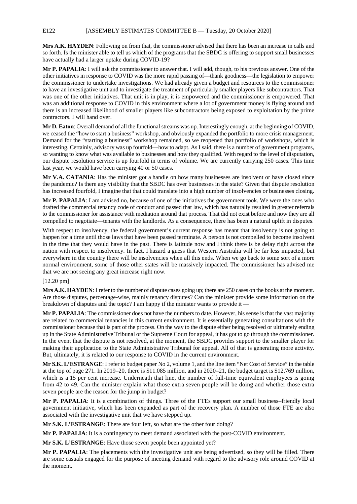# E122 [ASSEMBLY ESTIMATES COMMITTEE B — Tuesday, 20 October 2020]

**Mrs A.K. HAYDEN**: Following on from that, the commissioner advised that there has been an increase in calls and so forth. Is the minister able to tell us which of the programs that the SBDC is offering to support small businesses have actually had a larger uptake during COVID-19?

**Mr P. PAPALIA**: I will ask the commissioner to answer that. I will add, though, to his previous answer. One of the other initiatives in response to COVID was the more rapid passing of—thank goodness—the legislation to empower the commissioner to undertake investigations. We had already given a budget and resources to the commissioner to have an investigative unit and to investigate the treatment of particularly smaller players like subcontractors. That was one of the other initiatives. That unit is in play, it is empowered and the commissioner is empowered. That was an additional response to COVID in this environment where a lot of government money is flying around and there is an increased likelihood of smaller players like subcontractors being exposed to exploitation by the prime contractors. I will hand over.

**Mr D. Eaton**: Overall demand of all the functional streams was up. Interestingly enough, at the beginning of COVID, we ceased the "how to start a business" workshop, and obviously expanded the portfolio to more crisis management. Demand for the "starting a business" workshop remained, so we reopened that portfolio of workshops, which is interesting. Certainly, advisory was up fourfold—how to adapt. As I said, there is a number of government programs, so wanting to know what was available to businesses and how they qualified. With regard to the level of disputation, our dispute resolution service is up fourfold in terms of volume. We are currently carrying 250 cases. This time last year, we would have been carrying 40 or 50 cases.

**Mr V.A. CATANIA**: Has the minister got a handle on how many businesses are insolvent or have closed since the pandemic? Is there any visibility that the SBDC has over businesses in the state? Given that dispute resolution has increased fourfold, I imagine that that could translate into a high number of insolvencies or businesses closing.

**Mr P. PAPALIA**: I am advised no, because of one of the initiatives the government took. We were the ones who drafted the commercial tenancy code of conduct and passed that law, which has naturally resulted in greater referrals to the commissioner for assistance with mediation around that process. That did not exist before and now they are all compelled to negotiate—tenants with the landlords. As a consequence, there has been a natural uplift in disputes.

With respect to insolvency, the federal government's current response has meant that insolvency is not going to happen for a time until those laws that have been passed terminate. A person is not compelled to become insolvent in the time that they would have in the past. There is latitude now and I think there is be delay right across the nation with respect to insolvency. In fact, I hazard a guess that Western Australia will be far less impacted, but everywhere in the country there will be insolvencies when all this ends. When we go back to some sort of a more normal environment, some of those other states will be massively impacted. The commissioner has advised me that we are not seeing any great increase right now.

#### [12.20 pm]

**Mrs A.K. HAYDEN**: I refer to the number of dispute cases going up; there are 250 cases on the books at the moment. Are those disputes, percentage-wise, mainly tenancy disputes? Can the minister provide some information on the breakdown of disputes and the topic? I am happy if the minister wants to provide it —

**Mr P. PAPALIA**: The commissioner does not have the numbers to date. However, his sense is that the vast majority are related to commercial tenancies in this current environment. It is essentially generating consultations with the commissioner because that is part of the process. On the way to the dispute either being resolved or ultimately ending up in the State Administrative Tribunal or the Supreme Court for appeal, it has got to go through the commissioner. In the event that the dispute is not resolved, at the moment, the SBDC provides support to the smaller player for making their application to the State Administrative Tribunal for appeal. All of that is generating more activity. But, ultimately, it is related to our response to COVID in the current environment.

**Mr S.K. L'ESTRANGE**: I refer to budget paper No 2, volume 1, and the line item "Net Cost of Service" in the table at the top of page 271. In 2019–20, there is \$11.085 million, and in 2020–21, the budget target is \$12.769 million, which is a 15 per cent increase. Underneath that line, the number of full-time equivalent employees is going from 42 to 49. Can the minister explain what those extra seven people will be doing and whether those extra seven people are the reason for the jump in budget?

**Mr P. PAPALIA**: It is a combination of things. Three of the FTEs support our small business–friendly local government initiative, which has been expanded as part of the recovery plan. A number of those FTE are also associated with the investigative unit that we have stepped up.

**Mr S.K. L'ESTRANGE**: There are four left, so what are the other four doing?

**Mr P. PAPALIA**: It is a contingency to meet demand associated with the post-COVID environment.

**Mr S.K. L'ESTRANGE**: Have those seven people been appointed yet?

**Mr P. PAPALIA**: The placements with the investigative unit are being advertised, so they will be filled. There are some casuals engaged for the purpose of meeting demand with regard to the advisory role around COVID at the moment.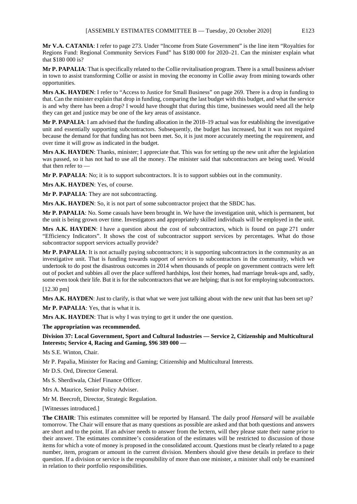**Mr V.A. CATANIA**: I refer to page 273. Under "Income from State Government" is the line item "Royalties for Regions Fund: Regional Community Services Fund" has \$180 000 for 2020–21. Can the minister explain what that \$180 000 is?

**Mr P. PAPALIA**: That is specifically related to the Collie revitalisation program. There is a small business adviser in town to assist transforming Collie or assist in moving the economy in Collie away from mining towards other opportunities.

**Mrs A.K. HAYDEN**: I refer to "Access to Justice for Small Business" on page 269. There is a drop in funding to that. Can the minister explain that drop in funding, comparing the last budget with this budget, and what the service is and why there has been a drop? I would have thought that during this time, businesses would need all the help they can get and justice may be one of the key areas of assistance.

**Mr P. PAPALIA**: I am advised that the funding allocation in the 2018–19 actual was for establishing the investigative unit and essentially supporting subcontractors. Subsequently, the budget has increased, but it was not required because the demand for that funding has not been met. So, it is just more accurately meeting the requirement, and over time it will grow as indicated in the budget.

**Mrs A.K. HAYDEN**: Thanks, minister; I appreciate that. This was for setting up the new unit after the legislation was passed, so it has not had to use all the money. The minister said that subcontractors are being used. Would that then refer to —

**Mr P. PAPALIA**: No; it is to support subcontractors. It is to support subbies out in the community.

**Mrs A.K. HAYDEN**: Yes, of course.

**Mr P. PAPALIA**: They are not subcontracting.

**Mrs A.K. HAYDEN**: So, it is not part of some subcontractor project that the SBDC has.

**Mr P. PAPALIA**: No. Some casuals have been brought in. We have the investigation unit, which is permanent, but the unit is being grown over time. Investigators and appropriately skilled individuals will be employed in the unit.

**Mrs A.K. HAYDEN**: I have a question about the cost of subcontractors, which is found on page 271 under "Efficiency Indicators". It shows the cost of subcontractor support services by percentages. What do those subcontractor support services actually provide?

**Mr P. PAPALIA**: It is not actually paying subcontractors; it is supporting subcontractors in the community as an investigative unit. That is funding towards support of services to subcontractors in the community, which we undertook to do post the disastrous outcomes in 2014 when thousands of people on government contracts were left out of pocket and subbies all over the place suffered hardships, lost their homes, had marriage break-ups and, sadly, some even took their life. But it is for the subcontractors that we are helping; that is not for employing subcontractors.

[12.30 pm]

**Mrs A.K. HAYDEN**: Just to clarify, is that what we were just talking about with the new unit that has been set up?

**Mr P. PAPALIA**: Yes, that is what it is.

**Mrs A.K. HAYDEN**: That is why I was trying to get it under the one question.

**The appropriation was recommended.**

# **Division 37: Local Government, Sport and Cultural Industries — Service 2, Citizenship and Multicultural Interests; Service 4, Racing and Gaming, \$96 389 000 —**

Ms S.E. Winton, Chair.

Mr P. Papalia, Minister for Racing and Gaming; Citizenship and Multicultural Interests.

Mr D.S. Ord, Director General.

Ms S. Sherdiwala, Chief Finance Officer.

Mrs A. Maurice, Senior Policy Adviser.

Mr M. Beecroft, Director, Strategic Regulation.

[Witnesses introduced.]

**The CHAIR**: This estimates committee will be reported by Hansard. The daily proof *Hansard* will be available tomorrow. The Chair will ensure that as many questions as possible are asked and that both questions and answers are short and to the point. If an adviser needs to answer from the lectern, will they please state their name prior to their answer. The estimates committee's consideration of the estimates will be restricted to discussion of those items for which a vote of money is proposed in the consolidated account. Questions must be clearly related to a page number, item, program or amount in the current division. Members should give these details in preface to their question. If a division or service is the responsibility of more than one minister, a minister shall only be examined in relation to their portfolio responsibilities.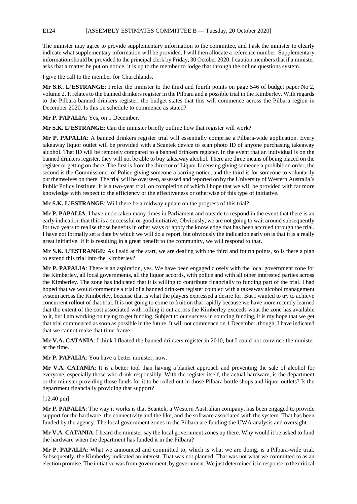# E124 [ASSEMBLY ESTIMATES COMMITTEE B — Tuesday, 20 October 2020]

The minister may agree to provide supplementary information to the committee, and I ask the minister to clearly indicate what supplementary information will be provided. I will then allocate a reference number. Supplementary information should be provided to the principal clerk by Friday, 30 October 2020. I caution members that if a minister asks that a matter be put on notice, it is up to the member to lodge that through the online questions system.

I give the call to the member for Churchlands.

**Mr S.K. L'ESTRANGE**: I refer the minister to the third and fourth points on page 546 of budget paper No 2, volume 2. It relates to the banned drinkers register in the Pilbara and a possible trial in the Kimberley. With regards to the Pilbara banned drinkers register, the budget states that this will commence across the Pilbara region in December 2020. Is this on schedule to commence as stated?

**Mr P. PAPALIA**: Yes, on 1 December.

**Mr S.K. L'ESTRANGE**: Can the minister briefly outline how that register will work?

**Mr P. PAPALIA**: A banned drinkers register trial will essentially comprise a Pilbara-wide application. Every takeaway liquor outlet will be provided with a Scantek device to scan photo ID of anyone purchasing takeaway alcohol. That ID will be remotely compared to a banned drinkers register. In the event that an individual is on the banned drinkers register, they will not be able to buy takeaway alcohol. There are three means of being placed on the register or getting on there. The first is from the director of Liquor Licensing giving someone a prohibition order; the second is the Commissioner of Police giving someone a barring notice; and the third is for someone to voluntarily put themselves on there. The trial will be overseen, assessed and reported on by the University of Western Australia's Public Policy Institute. It is a two-year trial, on completion of which I hope that we will be provided with far more knowledge with respect to the efficiency or the effectiveness or otherwise of this type of initiative.

**Mr S.K. L'ESTRANGE**: Will there be a midway update on the progress of this trial?

**Mr P. PAPALIA**: I have undertaken many times in Parliament and outside to respond in the event that there is an early indication that this is a successful or good initiative. Obviously, we are not going to wait around subsequently for two years to realise those benefits in other ways or apply the knowledge that has been accrued through the trial. I have not formally set a date by which we will do a report, but obviously the indication early on is that it is a really great initiative. If it is resulting in a great benefit to the community, we will respond to that.

**Mr S.K. L'ESTRANGE**: As I said at the start, we are dealing with the third and fourth points, so is there a plan to extend this trial into the Kimberley?

**Mr P. PAPALIA**: There is an aspiration, yes. We have been engaged closely with the local government zone for the Kimberley, all local governments, all the liquor accords, with police and with all other interested parties across the Kimberley. The zone has indicated that it is willing to contribute financially to funding part of the trial. I had hoped that we would commence a trial of a banned drinkers register coupled with a takeaway alcohol management system across the Kimberley, because that is what the players expressed a desire for. But I wanted to try to achieve concurrent rollout of that trial. It is not going to come to fruition that rapidly because we have more recently learned that the extent of the cost associated with rolling it out across the Kimberley exceeds what the zone has available to it, but I am working on trying to get funding. Subject to our success in sourcing funding, it is my hope that we get that trial commenced as soon as possible in the future. It will not commence on 1 December, though; I have indicated that we cannot make that time frame.

**Mr V.A. CATANIA**: I think I floated the banned drinkers register in 2010, but I could not convince the minister at the time.

**Mr P. PAPALIA**: You have a better minister, now.

**Mr V.A. CATANIA**: It is a better tool than having a blanket approach and preventing the sale of alcohol for everyone, especially those who drink responsibly. With the register itself, the actual hardware, is the department or the minister providing those funds for it to be rolled out in those Pilbara bottle shops and liquor outlets? Is the department financially providing that support?

[12.40 pm]

**Mr P. PAPALIA**: The way it works is that Scantek, a Western Australian company, has been engaged to provide support for the hardware, the connectivity and the like, and the software associated with the system. That has been funded by the agency. The local government zones in the Pilbara are funding the UWA analysis and oversight.

**Mr V.A. CATANIA**: I heard the minister say the local government zones up there. Why would it be asked to fund the hardware when the department has funded it in the Pilbara?

**Mr P. PAPALIA**: What we announced and committed to, which is what we are doing, is a Pilbara-wide trial. Subsequently, the Kimberley indicated an interest. That was not planned. That was not what we committed to as an election promise. The initiative was from government, by government. We just determined it in response to the critical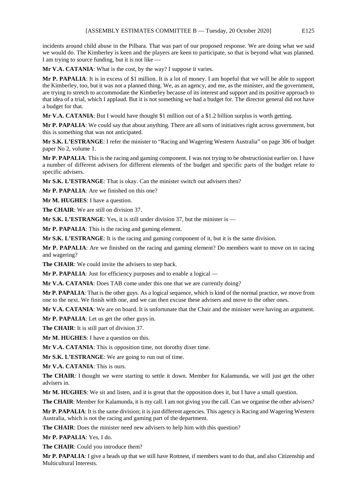incidents around child abuse in the Pilbara. That was part of our proposed response. We are doing what we said we would do. The Kimberley is keen and the players are keen to participate, so that is beyond what was planned. I am trying to source funding, but it is not like  $\overline{\phantom{a}}$ 

**Mr V.A. CATANIA**: What is the cost, by the way? I suppose it varies.

**Mr P. PAPALIA**: It is in excess of \$1 million. It is a lot of money. I am hopeful that we will be able to support the Kimberley, too, but it was not a planned thing. We, as an agency, and me, as the minister, and the government, are trying to stretch to accommodate the Kimberley because of its interest and support and its positive approach to that idea of a trial, which I applaud. But it is not something we had a budget for. The director general did not have a budget for that.

**Mr V.A. CATANIA**: But I would have thought \$1 million out of a \$1.2 billion surplus is worth getting.

**Mr P. PAPALIA**: We could say that about anything. There are all sorts of initiatives right across government, but this is something that was not anticipated.

**Mr S.K. L'ESTRANGE**: I refer the minister to "Racing and Wagering Western Australia" on page 306 of budget paper No 2, volume 1.

**Mr P. PAPALIA**: This is the racing and gaming component. I was not trying to be obstructionist earlier on. I have a number of different advisers for different elements of the budget and specific parts of the budget relate to specific advisers.

**Mr S.K. L'ESTRANGE**: That is okay. Can the minister switch out advisers then?

**Mr P. PAPALIA**: Are we finished on this one?

**Mr M. HUGHES**: I have a question.

**The CHAIR**: We are still on division 37.

**Mr S.K. L'ESTRANGE**: Yes, it is still under division 37, but the minister is —

**Mr P. PAPALIA**: This is the racing and gaming element.

**Mr S.K. L'ESTRANGE**: It is the racing and gaming component of it, but it is the same division.

**Mr P. PAPALIA**: Are we finished on the racing and gaming element? Do members want to move on to racing and wagering?

**The CHAIR**: We could invite the advisers to step back.

**Mr P. PAPALIA:** Just for efficiency purposes and to enable a logical —

**Mr V.A. CATANIA**: Does TAB come under this one that we are currently doing?

**Mr P. PAPALIA**: That is the other guys. As a logical sequence, which is kind of the normal practice, we move from one to the next. We finish with one, and we can then excuse these advisers and move to the other ones.

**Mr V.A. CATANIA**: We are on board. It is unfortunate that the Chair and the minister were having an argument.

**Mr P. PAPALIA**: Let us get the other guys in.

**The CHAIR**: It is still part of division 37.

**Mr M. HUGHES**: I have a question on this.

**Mr V.A. CATANIA**: This is opposition time, not dorothy dixer time.

**Mr S.K. L'ESTRANGE**: We are going to run out of time.

**Mr V.A. CATANIA**: This is ours.

**The CHAIR**: I thought we were starting to settle it down. Member for Kalamunda, we will just get the other advisers in.

**Mr M. HUGHES**: We sit and listen, and it is great that the opposition does it, but I have a small question.

**The CHAIR**: Member for Kalamunda, it is my call. I am not giving you the call. Can we organise the other advisers?

**Mr P. PAPALIA**: It is the same division; it is just different agencies. This agency is Racing and Wagering Western Australia, which is not the racing and gaming part of the department.

**The CHAIR**: Does the minister need new advisers to help him with this question?

**Mr P. PAPALIA**: Yes, I do.

**The CHAIR**: Could you introduce them?

**Mr P. PAPALIA**: I give a heads up that we still have Rottnest, if members want to do that, and also Citizenship and Multicultural Interests.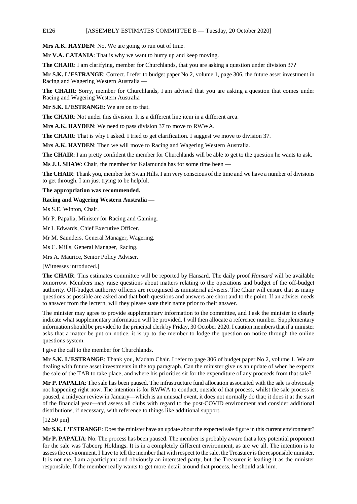# E126 [ASSEMBLY ESTIMATES COMMITTEE B — Tuesday, 20 October 2020]

**Mrs A.K. HAYDEN**: No. We are going to run out of time.

**Mr V.A. CATANIA**: That is why we want to hurry up and keep moving.

**The CHAIR**: I am clarifying, member for Churchlands, that you are asking a question under division 37?

**Mr S.K. L'ESTRANGE**: Correct. I refer to budget paper No 2, volume 1, page 306, the future asset investment in Racing and Wagering Western Australia —

**The CHAIR**: Sorry, member for Churchlands, I am advised that you are asking a question that comes under Racing and Wagering Western Australia

**Mr S.K. L'ESTRANGE**: We are on to that.

**The CHAIR**: Not under this division. It is a different line item in a different area.

**Mrs A.K. HAYDEN**: We need to pass division 37 to move to RWWA.

**The CHAIR**: That is why I asked. I tried to get clarification. I suggest we move to division 37.

**Mrs A.K. HAYDEN**: Then we will move to Racing and Wagering Western Australia.

**The CHAIR:** I am pretty confident the member for Churchlands will be able to get to the question he wants to ask.

**Ms J.J. SHAW**: Chair, the member for Kalamunda has for some time been —

**The CHAIR**: Thank you, member for Swan Hills. I am very conscious of the time and we have a number of divisions to get through. I am just trying to be helpful.

**The appropriation was recommended.**

**Racing and Wagering Western Australia —**

Ms S.E. Winton, Chair.

Mr P. Papalia, Minister for Racing and Gaming.

Mr I. Edwards, Chief Executive Officer.

Mr M. Saunders, General Manager, Wagering.

Ms C. Mills, General Manager, Racing.

Mrs A. Maurice, Senior Policy Adviser.

[Witnesses introduced.]

**The CHAIR**: This estimates committee will be reported by Hansard. The daily proof *Hansard* will be available tomorrow. Members may raise questions about matters relating to the operations and budget of the off-budget authority. Off-budget authority officers are recognised as ministerial advisers. The Chair will ensure that as many questions as possible are asked and that both questions and answers are short and to the point. If an adviser needs to answer from the lectern, will they please state their name prior to their answer.

The minister may agree to provide supplementary information to the committee, and I ask the minister to clearly indicate what supplementary information will be provided. I will then allocate a reference number. Supplementary information should be provided to the principal clerk by Friday, 30 October 2020. I caution members that if a minister asks that a matter be put on notice, it is up to the member to lodge the question on notice through the online questions system.

I give the call to the member for Churchlands.

**Mr S.K. L'ESTRANGE**: Thank you, Madam Chair. I refer to page 306 of budget paper No 2, volume 1. We are dealing with future asset investments in the top paragraph. Can the minister give us an update of when he expects the sale of the TAB to take place, and where his priorities sit for the expenditure of any proceeds from that sale?

**Mr P. PAPALIA**: The sale has been paused. The infrastructure fund allocation associated with the sale is obviously not happening right now. The intention is for RWWA to conduct, outside of that process, whilst the sale process is paused, a midyear review in January—which is an unusual event, it does not normally do that; it does it at the start of the financial year—and assess all clubs with regard to the post-COVID environment and consider additional distributions, if necessary, with reference to things like additional support.

# [12.50 pm]

**Mr S.K. L'ESTRANGE**: Does the minister have an update about the expected sale figure in this current environment?

**Mr P. PAPALIA**: No. The process has been paused. The member is probably aware that a key potential proponent for the sale was Tabcorp Holdings. It is in a completely different environment, as are we all. The intention is to assess the environment. I have to tell the member that with respect to the sale, the Treasurer is the responsible minister. It is not me. I am a participant and obviously an interested party, but the Treasurer is leading it as the minister responsible. If the member really wants to get more detail around that process, he should ask him.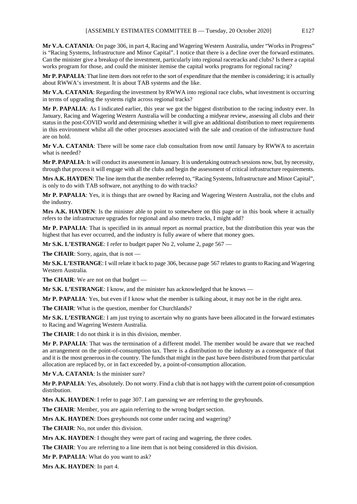**Mr V.A. CATANIA**: On page 306, in part 4, Racing and Wagering Western Australia, under "Works in Progress" is "Racing Systems, Infrastructure and Minor Capital". I notice that there is a decline over the forward estimates. Can the minister give a breakup of the investment, particularly into regional racetracks and clubs? Is there a capital works program for those, and could the minister itemise the capital works programs for regional racing?

**Mr P. PAPALIA**: That line item does not refer to the sort of expenditure that the member is considering; it is actually about RWWA's investment. It is about TAB systems and the like.

**Mr V.A. CATANIA**: Regarding the investment by RWWA into regional race clubs, what investment is occurring in terms of upgrading the systems right across regional tracks?

**Mr P. PAPALIA**: As I indicated earlier, this year we got the biggest distribution to the racing industry ever. In January, Racing and Wagering Western Australia will be conducting a midyear review, assessing all clubs and their status in the post-COVID world and determining whether it will give an additional distribution to meet requirements in this environment whilst all the other processes associated with the sale and creation of the infrastructure fund are on hold.

**Mr V.A. CATANIA**: There will be some race club consultation from now until January by RWWA to ascertain what is needed?

**Mr P. PAPALIA**: It will conduct its assessment in January. It is undertaking outreach sessions now, but, by necessity, through that process it will engage with all the clubs and begin the assessment of critical infrastructure requirements.

**Mrs A.K. HAYDEN**: The line item that the member referred to, "Racing Systems, Infrastructure and Minor Capital", is only to do with TAB software, not anything to do with tracks?

**Mr P. PAPALIA**: Yes, it is things that are owned by Racing and Wagering Western Australia, not the clubs and the industry.

**Mrs A.K. HAYDEN:** Is the minister able to point to somewhere on this page or in this book where it actually refers to the infrastructure upgrades for regional and also metro tracks, I might add?

**Mr P. PAPALIA**: That is specified in its annual report as normal practice, but the distribution this year was the highest that has ever occurred, and the industry is fully aware of where that money goes.

**Mr S.K. L'ESTRANGE**: I refer to budget paper No 2, volume 2, page 567 —

The CHAIR: Sorry, again, that is not —

**Mr S.K. L'ESTRANGE**: I will relate it back to page 306, because page 567 relates to grants to Racing and Wagering Western Australia.

**The CHAIR**: We are not on that budget —

**Mr S.K. L'ESTRANGE:** I know, and the minister has acknowledged that he knows —

**Mr P. PAPALIA**: Yes, but even if I know what the member is talking about, it may not be in the right area.

**The CHAIR**: What is the question, member for Churchlands?

**Mr S.K. L'ESTRANGE**: I am just trying to ascertain why no grants have been allocated in the forward estimates to Racing and Wagering Western Australia.

**The CHAIR**: I do not think it is in this division, member.

**Mr P. PAPALIA**: That was the termination of a different model. The member would be aware that we reached an arrangement on the point-of-consumption tax. There is a distribution to the industry as a consequence of that and it is the most generous in the country. The funds that might in the past have been distributed from that particular allocation are replaced by, or in fact exceeded by, a point-of-consumption allocation.

**Mr V.A. CATANIA**: Is the minister sure?

**Mr P. PAPALIA**: Yes, absolutely. Do not worry. Find a club that is not happy with the current point-of-consumption distribution.

**Mrs A.K. HAYDEN**: I refer to page 307. I am guessing we are referring to the greyhounds.

**The CHAIR**: Member, you are again referring to the wrong budget section.

**Mrs A.K. HAYDEN**: Does greyhounds not come under racing and wagering?

**The CHAIR**: No, not under this division.

**Mrs A.K. HAYDEN**: I thought they were part of racing and wagering, the three codes.

**The CHAIR:** You are referring to a line item that is not being considered in this division.

**Mr P. PAPALIA**: What do you want to ask?

**Mrs A.K. HAYDEN**: In part 4.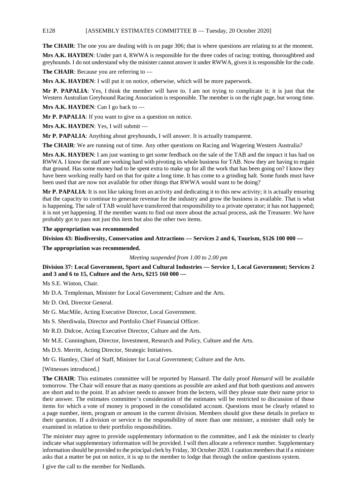### E128 [ASSEMBLY ESTIMATES COMMITTEE B — Tuesday, 20 October 2020]

**The CHAIR**: The one you are dealing with is on page 306; that is where questions are relating to at the moment.

**Mrs A.K. HAYDEN:** Under part 4, RWWA is responsible for the three codes of racing: trotting, thoroughbred and greyhounds. I do not understand why the minister cannot answer it under RWWA, given it is responsible for the code.

**The CHAIR**: Because you are referring to —

**Mrs A.K. HAYDEN**: I will put it on notice, otherwise, which will be more paperwork.

**Mr P. PAPALIA**: Yes, I think the member will have to. I am not trying to complicate it; it is just that the Western Australian Greyhound Racing Association is responsible. The member is on the right page, but wrong time.

**Mrs A.K. HAYDEN**: Can I go back to —

**Mr P. PAPALIA**: If you want to give us a question on notice.

**Mrs A.K. HAYDEN**: Yes, I will submit —

**Mr P. PAPALIA**: Anything about greyhounds, I will answer. It is actually transparent.

**The CHAIR:** We are running out of time. Any other questions on Racing and Wagering Western Australia?

**Mrs A.K. HAYDEN:** I am just wanting to get some feedback on the sale of the TAB and the impact it has had on RWWA. I know the staff are working hard with pivoting its whole business for TAB. Now they are having to regain that ground. Has some money had to be spent extra to make up for all the work that has been going on? I know they have been working really hard on that for quite a long time. It has come to a grinding halt. Some funds must have been used that are now not available for other things that RWWA would want to be doing?

**Mr P. PAPALIA**: It is not like taking from an activity and dedicating it to this new activity; it is actually ensuring that the capacity to continue to generate revenue for the industry and grow the business is available. That is what is happening. The sale of TAB would have transferred that responsibility to a private operator; it has not happened; it is not yet happening. If the member wants to find out more about the actual process, ask the Treasurer. We have probably got to pass not just this item but also the other two items.

## **The appropriation was recommended**

# **Division 43: Biodiversity, Conservation and Attractions — Services 2 and 6, Tourism, \$126 100 000 —**

### **The appropriation was recommended.**

### *Meeting suspended from 1.00 to 2.00 pm*

**Division 37: Local Government, Sport and Cultural Industries — Service 1, Local Government; Services 2 and 3 and 6 to 15, Culture and the Arts, \$215 160 000 —**

Ms S.E. Winton, Chair.

Mr D.A. Templeman, Minister for Local Government; Culture and the Arts.

Mr D. Ord, Director General.

Mr G. MacMile, Acting Executive Director, Local Government.

Ms S. Sherdiwala, Director and Portfolio Chief Financial Officer.

Mr R.D. Didcoe, Acting Executive Director, Culture and the Arts.

Mr M.E. Cunningham, Director, Investment, Research and Policy, Culture and the Arts.

Ms D.S. Merritt, Acting Director, Strategic Initiatives.

Mr G. Hamley, Chief of Staff, Minister for Local Government; Culture and the Arts.

[Witnesses introduced.]

**The CHAIR**: This estimates committee will be reported by Hansard. The daily proof *Hansard* will be available tomorrow. The Chair will ensure that as many questions as possible are asked and that both questions and answers are short and to the point. If an adviser needs to answer from the lectern, will they please state their name prior to their answer. The estimates committee's consideration of the estimates will be restricted to discussion of those items for which a vote of money is proposed in the consolidated account. Questions must be clearly related to a page number, item, program or amount in the current division. Members should give these details in preface to their question. If a division or service is the responsibility of more than one minister, a minister shall only be examined in relation to their portfolio responsibilities.

The minister may agree to provide supplementary information to the committee, and I ask the minister to clearly indicate what supplementary information will be provided. I will then allocate a reference number. Supplementary information should be provided to the principal clerk by Friday, 30 October 2020. I caution members that if a minister asks that a matter be put on notice, it is up to the member to lodge that through the online questions system.

I give the call to the member for Nedlands.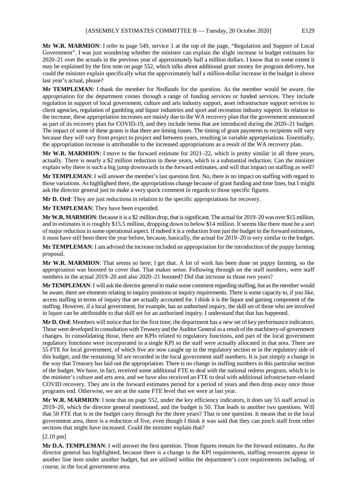**Mr W.R. MARMION**: I refer to page 549, service 1 at the top of the page, "Regulation and Support of Local Government". I was just wondering whether the minister can explain the slight increase in budget estimates for 2020–21 over the actuals in the previous year of approximately half a million dollars. I know that to some extent it may be explained by the first note on page 552, which talks about additional grant money for program delivery, but could the minister explain specifically what the approximately half a million-dollar increase in the budget is above last year's actual, please?

**Mr TEMPLEMAN**: I thank the member for Nedlands for the question. As the member would be aware, the appropriation for the department comes through a range of funding services or funded services. They include regulation in support of local government, culture and arts industry support, asset infrastructure support services to client agencies, regulation of gambling and liquor industries and sport and recreation industry support. In relation to the increase, these appropriation increases are mainly due to the WA recovery plan that the government announced as part of its recovery plan for COVID-19, and they include items that are introduced during the 2020–21 budget. The impact of some of these grants is that there are timing issues. The timing of grant payments to recipients will vary because they will vary from project to project and between years, resulting in variable appropriations. Essentially, the appropriation increase is attributable to the increased appropriations as a result of the WA recovery plan.

**Mr W.R. MARMION**: I move to the forward estimate for 2021–22, which is pretty similar in all three years, actually. There is nearly a \$2 million reduction in these years, which is a substantial reduction. Can the minister explain why there is such a big jump downwards in the forward estimates, and will that impact on staffing as well?

**Mr TEMPLEMAN**: I will answer the member's last question first. No, there is no impact on staffing with regard to those variations. As highlighted there, the appropriations change because of grant funding and time lines, but I might ask the director general just to make a very quick comment in regards to those specific figures.

**Mr D. Ord**: They are just reductions in relation to the specific appropriations for recovery.

**Mr TEMPLEMAN**: They have been expended.

**Mr W.R. MARMION**: Because it is a \$2 million drop, that is significant. The actual for 2019–20 was over \$15 million, and in estimates it is roughly \$15.5 million, dropping down to below \$14 million. It seems like there must be a sort of major reduction in some operational aspect. If indeed it is a reduction from just the budget to the forward estimates, it must have still been there the year before, because, basically, the actual for 2019–20 is very similar to the budget.

**Mr TEMPLEMAN**: I am advised the increase included an appropriation for the introduction of the puppy farming proposal.

**Mr W.R. MARMION**: That seems so here; I get that. A lot of work has been done on puppy farming, so the appropriation was boosted to cover that. That makes sense. Following through on the staff numbers, were staff numbers in the actual 2019–20 and also 2020–21 boosted? Did that increase in those two years?

**Mr TEMPLEMAN:** I will ask the director general to make some comment regarding staffing, but as the member would be aware, there are elements relating to inquiry positions or inquiry requirements. There is some capacity to, if you like, access staffing in terms of inquiry that are actually accounted for. I think it is the liquor and gaming component of the staffing. However, if a local government, for example, has an authorised inquiry, the skill set of those who are involved in liquor can be attributable to that skill set for an authorised inquiry. I understand that that has happened.

**Mr D. Ord**: Members will notice that for the first time, the department has a new set of key performance indicators. Those were developed in consultation with Treasury and the Auditor General as a result ofthe machinery-of-government changes. In consolidating those, there are KPIs related to regulatory functions, and part of the local government regulatory functions were incorporated in a single KPI so the staff were actually allocated in that area. There are 55 FTE for local government, of which five are now caught up in the regulatory section or in the regulatory side of this budget, and the remaining 50 are recorded in the local government staff numbers. It is just simply a change in the way that Treasury has laid out the appropriation. There is no change in staffing numbers in this particular section of the budget. We have, in fact, received some additional FTE to deal with the national redress program, which is in the minister's culture and arts area, and we have also received an FTE to deal with additional infrastructure-related COVID recovery. They are in the forward estimates period for a period of years and then drop away once those programs end. Otherwise, we are at the same FTE level that we were at last year.

**Mr W.R. MARMION**: I note that on page 552, under the key efficiency indicators, it does say 55 staff actual in 2019–20, which the director general mentioned, and the budget is 50. That leads to another two questions. Will that 50 FTE that is in the budget carry through for the three years? That is one question. It means that in the local government area, there is a reduction of five, even though I think it was said that they can pinch staff from other sections that might have increased. Could the minister explain that?

# [2.10 pm]

**Mr D.A. TEMPLEMAN**: I will answer the first question. Those figures remain for the forward estimates. As the director general has highlighted, because there is a change in the KPI requirements, staffing resources appear in another line item under another budget, but are utilised within the department's core requirements including, of course, in the local government area.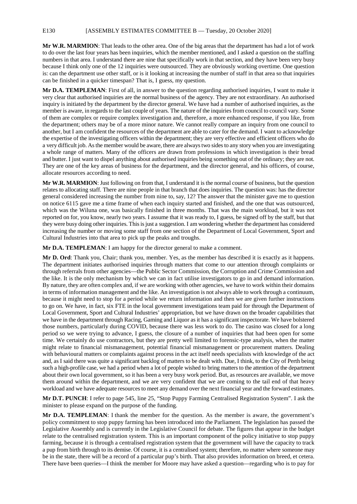# E130 [ASSEMBLY ESTIMATES COMMITTEE B — Tuesday, 20 October 2020]

**Mr W.R. MARMION**: That leads to the other area. One of the big areas that the department has had a lot of work to do over the last four years has been inquiries, which the member mentioned, and I asked a question on the staffing numbers in that area. I understand there are nine that specifically work in that section, and they have been very busy because I think only one of the 12 inquiries were outsourced. They are obviously working overtime. One question is: can the department use other staff, or is it looking at increasing the number of staff in that area so that inquiries can be finished in a quicker timespan? That is, I guess, my question.

**Mr D.A. TEMPLEMAN**: First of all, in answer to the question regarding authorised inquiries, I want to make it very clear that authorised inquiries are the normal business of the agency. They are not extraordinary. An authorised inquiry is initiated by the department by the director general. We have had a number of authorised inquiries, as the member is aware, in regards to the last couple of years. The nature of the inquiries from council to council vary. Some of them are complex or require complex investigation and, therefore, a more enhanced response, if you like, from the department; others may be of a more minor nature. We cannot really compare an inquiry from one council to another, but I am confident the resources of the department are able to cater for the demand. I want to acknowledge the expertise of the investigating officers within the department; they are very effective and efficient officers who do a very difficult job. As the member would be aware, there are always two sides to any story when you are investigating a whole range of matters. Many of the officers are drawn from professions in which investigation is their bread and butter. I just want to dispel anything about authorised inquiries being something out of the ordinary; they are not. They are one of the key areas of business for the department, and the director general, and his officers, of course, allocate resources according to need.

**Mr W.R. MARMION**: Just following on from that, I understand it is the normal course of business, but the question relates to allocating staff. There are nine people in that branch that does inquiries. The question was: has the director general considered increasing the number from nine to, say, 12? The answer that the minister gave me to question on notice 6115 gave me a time frame of when each inquiry started and finished, and the one that was outsourced, which was the Wiluna one, was basically finished in three months. That was the main workload, but it was not reported on for, you know, nearly two years. I assume that it was ready to, I guess, be signed off by the staff, but that they were busy doing other inquiries. This is just a suggestion. I am wondering whether the department has considered increasing the number or moving some staff from one section of the Department of Local Government, Sport and Cultural Industries into that area to pick up the peaks and troughs.

**Mr D.A. TEMPLEMAN**: I am happy for the director general to make a comment.

**Mr D. Ord**: Thank you, Chair; thank you, member. Yes, as the member has described it is exactly as it happens. The department initiates authorised inquiries through matters that come to our attention through complaints or through referrals from other agencies—the Public Sector Commission, the Corruption and Crime Commission and the like. It is the only mechanism by which we can in fact utilise investigators to go in and demand information. By nature, they are often complex and, if we are working with other agencies, we have to work within their domains in terms of information management and the like. An investigation is not always able to work through a continuum, because it might need to stop for a period while we return information and then we are given further instructions to go on. We have, in fact, six FTE in the local government investigations team paid for through the Department of Local Government, Sport and Cultural Industries' appropriation, but we have drawn on the broader capabilities that we have in the department through Racing, Gaming and Liquor as it has a significant inspectorate. We have bolstered those numbers, particularly during COVID, because there was less work to do. The casino was closed for a long period so we were trying to advance, I guess, the closure of a number of inquiries that had been open for some time. We certainly do use contractors, but they are pretty well limited to forensic-type analysis, when the matter might relate to financial mismanagement, potential financial mismanagement or procurement matters. Dealing with behavioural matters or complaints against process in the act itself needs specialists with knowledge of the act and, as I said there was quite a significant backlog of matters to be dealt with. Due, I think, to the City of Perth being such a high-profile case, we had a period when a lot of people wished to bring matters to the attention of the department about their own local government, so it has been a very busy work period. But, as resources are available, we move them around within the department, and we are very confident that we are coming to the tail end of that heavy workload and we have adequate resources to meet any demand over the next financial year and the forward estimates.

**Mr D.T. PUNCH**: I refer to page 545, line 25, "Stop Puppy Farming Centralised Registration System". I ask the minister to please expand on the purpose of the funding.

**Mr D.A. TEMPLEMAN**: I thank the member for the question. As the member is aware, the government's policy commitment to stop puppy farming has been introduced into the Parliament. The legislation has passed the Legislative Assembly and is currently in the Legislative Council for debate. The figures that appear in the budget relate to the centralised registration system. This is an important component of the policy initiative to stop puppy farming, because it is through a centralised registration system that the government will have the capacity to track a pup from birth through to its demise. Of course, it is a centralised system; therefore, no matter where someone may be in the state, there will be a record of a particular pup's birth. That also provides information on breed, et cetera. There have been queries—I think the member for Moore may have asked a question—regarding who is to pay for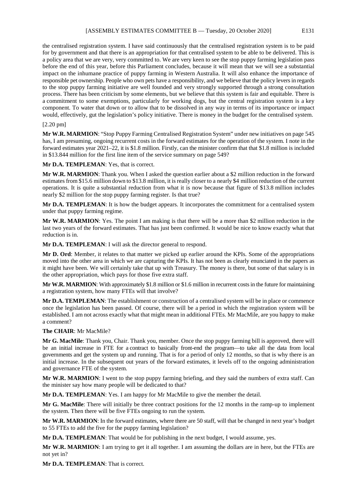the centralised registration system. I have said continuously that the centralised registration system is to be paid for by government and that there is an appropriation for that centralised system to be able to be delivered. This is a policy area that we are very, very committed to. We are very keen to see the stop puppy farming legislation pass before the end of this year, before this Parliament concludes, because it will mean that we will see a substantial impact on the inhumane practice of puppy farming in Western Australia. It will also enhance the importance of responsible pet ownership. People who own pets have a responsibility, and we believe that the policy levers in regards to the stop puppy farming initiative are well founded and very strongly supported through a strong consultation process. There has been criticism by some elements, but we believe that this system is fair and equitable. There is a commitment to some exemptions, particularly for working dogs, but the central registration system is a key component. To water that down or to allow that to be dissolved in any way in terms of its importance or impact would, effectively, gut the legislation's policy initiative. There is money in the budget for the centralised system.

# [2.20 pm]

**Mr W.R. MARMION**: "Stop Puppy Farming Centralised Registration System" under new initiatives on page 545 has, I am presuming, ongoing recurrent costs in the forward estimates for the operation of the system. I note in the forward estimates year 2021–22, it is \$1.8 million. Firstly, can the minister confirm that that \$1.8 million is included in \$13.844 million for the first line item of the service summary on page 549?

**Mr D.A. TEMPLEMAN**: Yes, that is correct.

**Mr W.R. MARMION**: Thank you. When I asked the question earlier about a \$2 million reduction in the forward estimates from \$15.6 million down to \$13.8 million, it is really closer to a nearly \$4 million reduction of the current operations. It is quite a substantial reduction from what it is now because that figure of \$13.8 million includes nearly \$2 million for the stop puppy farming register. Is that true?

**Mr D.A. TEMPLEMAN**: It is how the budget appears. It incorporates the commitment for a centralised system under that puppy farming regime.

**Mr W.R. MARMION**: Yes. The point I am making is that there will be a more than \$2 million reduction in the last two years of the forward estimates. That has just been confirmed. It would be nice to know exactly what that reduction is in.

**Mr D.A. TEMPLEMAN**: I will ask the director general to respond.

**Mr D. Ord**: Member, it relates to that matter we picked up earlier around the KPIs. Some of the appropriations moved into the other area in which we are capturing the KPIs. It has not been as clearly enunciated in the papers as it might have been. We will certainly take that up with Treasury. The money is there, but some of that salary is in the other appropriation, which pays for those five extra staff.

**Mr W.R. MARMION**: With approximately \$1.8 million or \$1.6 million in recurrent costs in the future for maintaining a registration system, how many FTEs will that involve?

**Mr D.A. TEMPLEMAN**: The establishment or construction of a centralised system will be in place or commence once the legislation has been passed. Of course, there will be a period in which the registration system will be established. I am not across exactly what that might mean in additional FTEs. Mr MacMile, are you happy to make a comment?

# **The CHAIR**: Mr MacMile?

**Mr G. MacMile**: Thank you, Chair. Thank you, member. Once the stop puppy farming bill is approved, there will be an initial increase in FTE for a contract to basically front-end the program—to take all the data from local governments and get the system up and running. That is for a period of only 12 months, so that is why there is an initial increase. In the subsequent out years of the forward estimates, it levels off to the ongoing administration and governance FTE of the system.

**Mr W.R. MARMION**: I went to the stop puppy farming briefing, and they said the numbers of extra staff. Can the minister say how many people will be dedicated to that?

**Mr D.A. TEMPLEMAN**: Yes. I am happy for Mr MacMile to give the member the detail.

**Mr G. MacMile**: There will initially be three contract positions for the 12 months in the ramp-up to implement the system. Then there will be five FTEs ongoing to run the system.

**Mr W.R. MARMION**: In the forward estimates, where there are 50 staff, will that be changed in next year's budget to 55 FTEs to add the five for the puppy farming legislation?

**Mr D.A. TEMPLEMAN**: That would be for publishing in the next budget, I would assume, yes.

**Mr W.R. MARMION**: I am trying to get it all together. I am assuming the dollars are in here, but the FTEs are not yet in?

**Mr D.A. TEMPLEMAN**: That is correct.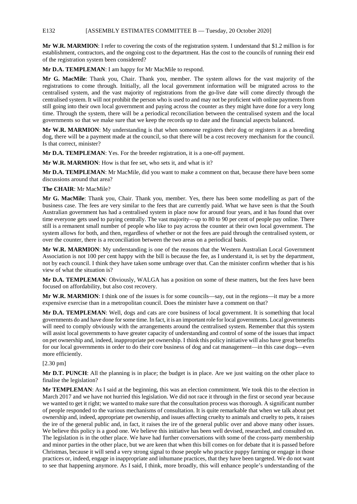## E132 [ASSEMBLY ESTIMATES COMMITTEE B — Tuesday, 20 October 2020]

**Mr W.R. MARMION**: I refer to covering the costs of the registration system. I understand that \$1.2 million is for establishment, contractors, and the ongoing cost to the department. Has the cost to the councils of running their end of the registration system been considered?

**Mr D.A. TEMPLEMAN**: I am happy for Mr MacMile to respond.

**Mr G. MacMile**: Thank you, Chair. Thank you, member. The system allows for the vast majority of the registrations to come through. Initially, all the local government information will be migrated across to the centralised system, and the vast majority of registrations from the go-live date will come directly through the centralised system. It will not prohibit the person who is used to and may not be proficient with online payments from still going into their own local government and paying across the counter as they might have done for a very long time. Through the system, there will be a periodical reconciliation between the centralised system and the local governments so that we make sure that we keep the records up to date and the financial aspects balanced.

**Mr W.R. MARMION**: My understanding is that when someone registers their dog or registers it as a breeding dog, there will be a payment made at the council, so that there will be a cost recovery mechanism for the council. Is that correct, minister?

**Mr D.A. TEMPLEMAN**: Yes. For the breeder registration, it is a one-off payment.

Mr W.R. MARMION: How is that fee set, who sets it, and what is it?

**Mr D.A. TEMPLEMAN**: Mr MacMile, did you want to make a comment on that, because there have been some discussions around that area?

## **The CHAIR**: Mr MacMile?

**Mr G. MacMile**: Thank you, Chair. Thank you, member. Yes, there has been some modelling as part of the business case. The fees are very similar to the fees that are currently paid. What we have seen is that the South Australian government has had a centralised system in place now for around four years, and it has found that over time everyone gets used to paying centrally. The vast majority—up to 80 to 90 per cent of people pay online. There still is a remanent small number of people who like to pay across the counter at their own local government. The system allows for both, and then, regardless of whether or not the fees are paid through the centralised system, or over the counter, there is a reconciliation between the two areas on a periodical basis.

**Mr W.R. MARMION**: My understanding is one of the reasons that the Western Australian Local Government Association is not 100 per cent happy with the bill is because the fee, as I understand it, is set by the department, not by each council. I think they have taken some umbrage over that. Can the minister confirm whether that is his view of what the situation is?

**Mr D.A. TEMPLEMAN**: Obviously, WALGA has a position on some of these matters, but the fees have been focused on affordability, but also cost recovery.

**Mr W.R. MARMION:** I think one of the issues is for some councils—say, out in the regions—it may be a more expensive exercise than in a metropolitan council. Does the minister have a comment on that?

**Mr D.A. TEMPLEMAN:** Well, dogs and cats are core business of local government. It is something that local governments do and have done for some time. In fact, it is an important role for local governments. Local governments will need to comply obviously with the arrangements around the centralised system. Remember that this system will assist local governments to have greater capacity of understanding and control of some of the issues that impact on pet ownership and, indeed, inappropriate pet ownership. I think this policy initiative will also have great benefits for our local governments in order to do their core business of dog and cat management—in this case dogs—even more efficiently.

### [2.30 pm]

**Mr D.T. PUNCH**: All the planning is in place; the budget is in place. Are we just waiting on the other place to finalise the legislation?

**Mr TEMPLEMAN**: As I said at the beginning, this was an election commitment. We took this to the election in March 2017 and we have not hurried this legislation. We did not race it through in the first or second year because we wanted to get it right; we wanted to make sure that the consultation process was thorough. A significant number of people responded to the various mechanisms of consultation. It is quite remarkable that when we talk about pet ownership and, indeed, appropriate pet ownership, and issues affecting cruelty to animals and cruelty to pets, it raises the ire of the general public and, in fact, it raises the ire of the general public over and above many other issues. We believe this policy is a good one. We believe this initiative has been well devised, researched, and consulted on. The legislation is in the other place. We have had further conversations with some of the cross-party membership and minor parties in the other place, but we are keen that when this bill comes on for debate that it is passed before Christmas, because it will send a very strong signal to those people who practice puppy farming or engage in those practices or, indeed, engage in inappropriate and inhumane practices, that they have been targeted. We do not want to see that happening anymore. As I said, I think, more broadly, this will enhance people's understanding of the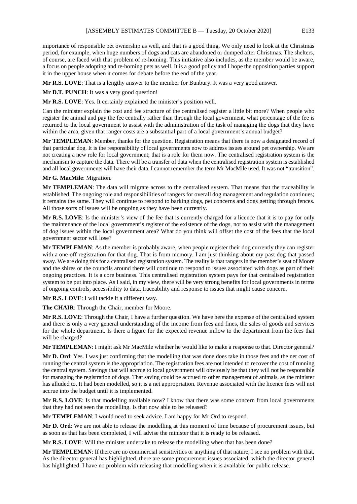importance of responsible pet ownership as well, and that is a good thing. We only need to look at the Christmas period, for example, when huge numbers of dogs and cats are abandoned or dumped after Christmas. The shelters, of course, are faced with that problem of re-homing. This initiative also includes, as the member would be aware, a focus on people adopting and re-homing pets as well. It is a good policy and I hope the opposition parties support it in the upper house when it comes for debate before the end of the year.

**Mr R.S. LOVE**: That is a lengthy answer to the member for Bunbury. It was a very good answer.

Mr D.T. PUNCH: It was a very good question!

**Mr R.S. LOVE**: Yes. It certainly explained the minister's position well.

Can the minister explain the cost and fee structure of the centralised register a little bit more? When people who register the animal and pay the fee centrally rather than through the local government, what percentage of the fee is returned to the local government to assist with the administration of the task of managing the dogs that they have within the area, given that ranger costs are a substantial part of a local government's annual budget?

**Mr TEMPLEMAN**: Member, thanks for the question. Registration means that there is now a designated record of that particular dog. It is the responsibility of local governments now to address issues around pet ownership. We are not creating a new role for local government; that is a role for them now. The centralised registration system is the mechanism to capture the data. There will be a transfer of data when the centralised registration system is established and all local governments will have their data. I cannot remember the term Mr MacMile used. It was not "transition".

**Mr G. MacMile**: Migration.

**Mr TEMPLEMAN**: The data will migrate across to the centralised system. That means that the traceability is established. The ongoing role and responsibilities of rangers for overall dog management and regulation continues; it remains the same. They will continue to respond to barking dogs, pet concerns and dogs getting through fences. All those sorts of issues will be ongoing as they have been currently.

**Mr R.S. LOVE**: Is the minister's view of the fee that is currently charged for a licence that it is to pay for only the maintenance of the local government's register of the existence of the dogs, not to assist with the management of dog issues within the local government area? What do you think will offset the cost of the fees that the local government sector will lose?

**Mr TEMPLEMAN**: As the member is probably aware, when people register their dog currently they can register with a one-off registration for that dog. That is from memory. I am just thinking about my past dog that passed away. We are doing this for a centralised registration system. The reality is that rangers in the member's seat of Moore and the shires or the councils around there will continue to respond to issues associated with dogs as part of their ongoing practices. It is a core business. This centralised registration system pays for that centralised registration system to be put into place. As I said, in my view, there will be very strong benefits for local governments in terms of ongoing controls, accessibility to data, traceability and response to issues that might cause concern.

**Mr R.S. LOVE**: I will tackle it a different way.

**The CHAIR**: Through the Chair, member for Moore.

**Mr R.S. LOVE**: Through the Chair, I have a further question. We have here the expense of the centralised system and there is only a very general understanding of the income from fees and fines, the sales of goods and services for the whole department. Is there a figure for the expected revenue inflow to the department from the fees that will be charged?

**Mr TEMPLEMAN**: I might ask Mr MacMile whether he would like to make a response to that. Director general?

**Mr D. Ord**: Yes. I was just confirming that the modelling that was done does take in those fees and the net cost of running the central system is the appropriation. The registration fees are not intended to recover the cost of running the central system. Savings that will accrue to local government will obviously be that they will not be responsible for managing the registration of dogs. That saving could be accrued to other management of animals, as the minister has alluded to. It had been modelled, so it is a net appropriation. Revenue associated with the licence fees will not accrue into the budget until it is implemented.

**Mr R.S. LOVE**: Is that modelling available now? I know that there was some concern from local governments that they had not seen the modelling. Is that now able to be released?

**Mr TEMPLEMAN**: I would need to seek advice. I am happy for Mr Ord to respond.

**Mr D. Ord**: We are not able to release the modelling at this moment of time because of procurement issues, but as soon as that has been completed, I will advise the minister that it is ready to be released.

**Mr R.S. LOVE**: Will the minister undertake to release the modelling when that has been done?

**Mr TEMPLEMAN**: If there are no commercial sensitivities or anything of that nature, I see no problem with that. As the director general has highlighted, there are some procurement issues associated, which the director general has highlighted. I have no problem with releasing that modelling when it is available for public release.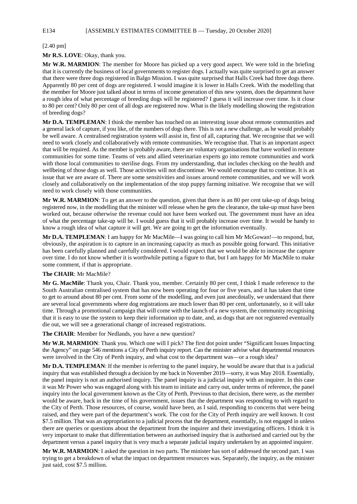# E134 [ASSEMBLY ESTIMATES COMMITTEE B — Tuesday, 20 October 2020]

### [2.40 pm]

**Mr R.S. LOVE**: Okay, thank you.

**Mr W.R. MARMION**: The member for Moore has picked up a very good aspect. We were told in the briefing that it is currently the business of local governments to register dogs. I actually was quite surprised to get an answer that there were three dogs registered in Balgo Mission. I was quite surprised that Halls Creek had three dogs there. Apparently 80 per cent of dogs are registered. I would imagine it is lower in Halls Creek. With the modelling that the member for Moore just talked about in terms of income generation of this new system, does the department have a rough idea of what percentage of breeding dogs will be registered? I guess it will increase over time. Is it close to 80 per cent? Only 80 per cent of all dogs are registered now. What is the likely modelling showing the registration of breeding dogs?

**Mr D.A. TEMPLEMAN**: I think the member has touched on an interesting issue about remote communities and a general lack of capture, if you like, of the numbers of dogs there. This is not a new challenge, as he would probably be well aware. A centralised registration system will assist in, first of all, capturing that. We recognise that we will need to work closely and collaboratively with remote communities. We recognise that. That is an important aspect that will be required. As the member is probably aware, there are voluntary organisations that have worked in remote communities for some time. Teams of vets and allied veterinarian experts go into remote communities and work with those local communities to sterilise dogs. From my understanding, that includes checking on the health and wellbeing of those dogs as well. Those activities will not discontinue. We would encourage that to continue. It is an issue that we are aware of. There are some sensitivities and issues around remote communities, and we will work closely and collaboratively on the implementation of the stop puppy farming initiative. We recognise that we will need to work closely with those communities.

**Mr W.R. MARMION**: To get an answer to the question, given that there is an 80 per cent take-up of dogs being registered now, in the modelling that the minister will release when he gets the clearance, the take-up must have been worked out, because otherwise the revenue could not have been worked out. The government must have an idea of what the percentage take-up will be. I would guess that it will probably increase over time. It would be handy to know a rough idea of what capture it will get. We are going to get the information eventually.

**Mr D.A. TEMPLEMAN**: I am happy for Mr MacMile—I was going to call him Mr McGowan!—to respond, but, obviously, the aspiration is to capture in an increasing capacity as much as possible going forward. This initiative has been carefully planned and carefully considered. I would expect that we would be able to increase the capture over time. I do not know whether it is worthwhile putting a figure to that, but I am happy for Mr MacMile to make some comment, if that is appropriate.

# **The CHAIR**: Mr MacMile?

**Mr G. MacMile**: Thank you, Chair. Thank you, member. Certainly 80 per cent, I think I made reference to the South Australian centralised system that has now been operating for four or five years, and it has taken that time to get to around about 80 per cent. From some of the modelling, and even just anecdotally, we understand that there are several local governments where dog registrations are much lower than 80 per cent, unfortunately, so it will take time. Through a promotional campaign that will come with the launch of a new system, the community recognising that it is easy to use the system to keep their information up to date, and, as dogs that are not registered eventually die out, we will see a generational change of increased registrations.

**The CHAIR**: Member for Nedlands, you have a new question?

**Mr W.R. MARMION**: Thank you. Which one will I pick? The first dot point under "Significant Issues Impacting the Agency" on page 546 mentions a City of Perth inquiry report. Can the minister advise what departmental resources were involved in the City of Perth inquiry, and what cost to the department was—or a rough idea?

**Mr D.A. TEMPLEMAN**: If the member is referring to the panel inquiry, he would be aware that that is a judicial inquiry that was established through a decision by me back in November 2019—sorry, it was May 2018. Essentially, the panel inquiry is not an authorised inquiry. The panel inquiry is a judicial inquiry with an inquirer. In this case it was Mr Power who was engaged along with his team to initiate and carry out, under terms of reference, the panel inquiry into the local government known as the City of Perth. Previous to that decision, there were, as the member would be aware, back in the time of his government, issues that the department was responding to with regard to the City of Perth. Those resources, of course, would have been, as I said, responding to concerns that were being raised, and they were part of the department's work. The cost for the City of Perth inquiry are well known. It cost \$7.5 million. That was an appropriation to a judicial process that the department, essentially, is not engaged in unless there are queries or questions about the department from the inquirer and their investigating officers. I think it is very important to make that differentiation between an authorised inquiry that is authorised and carried out by the department versus a panel inquiry that is very much a separate judicial inquiry undertaken by an appointed inquirer.

**Mr W.R. MARMION**: I asked the question in two parts. The minister has sort of addressed the second part. I was trying to get a breakdown of what the impact on department resources was. Separately, the inquiry, as the minister just said, cost \$7.5 million.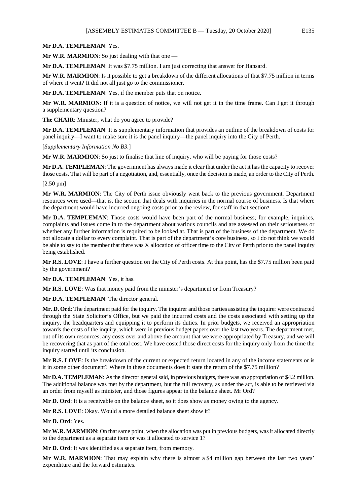**Mr D.A. TEMPLEMAN**: Yes.

**Mr W.R. MARMION**: So just dealing with that one —

**Mr D.A. TEMPLEMAN:** It was \$7.75 million. I am just correcting that answer for Hansard.

**Mr W.R. MARMION**: Is it possible to get a breakdown of the different allocations of that \$7.75 million in terms of where it went? It did not all just go to the commissioner.

**Mr D.A. TEMPLEMAN**: Yes, if the member puts that on notice.

**Mr W.R. MARMION**: If it is a question of notice, we will not get it in the time frame. Can I get it through a supplementary question?

The CHAIR: Minister, what do you agree to provide?

**Mr D.A. TEMPLEMAN**: It is supplementary information that provides an outline of the breakdown of costs for panel inquiry—I want to make sure it is the panel inquiry—the panel inquiry into the City of Perth.

[*Supplementary Information No B3.*]

**Mr W.R. MARMION**: So just to finalise that line of inquiry, who will be paying for those costs?

**Mr D.A. TEMPLEMAN**: The government has always made it clear that under the act it has the capacity to recover those costs. That will be part of a negotiation, and, essentially, once the decision is made, an order to the City of Perth.

[2.50 pm]

**Mr W.R. MARMION**: The City of Perth issue obviously went back to the previous government. Department resources were used—that is, the section that deals with inquiries in the normal course of business. Is that where the department would have incurred ongoing costs prior to the review, for staff in that section?

**Mr D.A. TEMPLEMAN**: Those costs would have been part of the normal business; for example, inquiries, complaints and issues come in to the department about various councils and are assessed on their seriousness or whether any further information is required to be looked at. That is part of the business of the department. We do not allocate a dollar to every complaint. That is part of the department's core business, so I do not think we would be able to say to the member that there was X allocation of officer time to the City of Perth prior to the panel inquiry being established.

**Mr R.S. LOVE**: I have a further question on the City of Perth costs. At this point, has the \$7.75 million been paid by the government?

**Mr D.A. TEMPLEMAN**: Yes, it has.

**Mr R.S. LOVE**: Was that money paid from the minister's department or from Treasury?

**Mr D.A. TEMPLEMAN**: The director general.

**Mr. D. Ord**: The department paid for the inquiry. The inquirer and those parties assisting the inquirer were contracted through the State Solicitor's Office, but we paid the incurred costs and the costs associated with setting up the inquiry, the headquarters and equipping it to perform its duties. In prior budgets, we received an appropriation towards the costs of the inquiry, which were in previous budget papers over the last two years. The department met, out of its own resources, any costs over and above the amount that we were appropriated by Treasury, and we will be recovering that as part of the total cost. We have costed those direct costs for the inquiry only from the time the inquiry started until its conclusion.

**Mr R.S. LOVE**: Is the breakdown of the current or expected return located in any of the income statements or is it in some other document? Where in these documents does it state the return of the \$7.75 million?

**Mr D.A. TEMPLEMAN**: As the director general said, in previous budgets, there was an appropriation of \$4.2 million. The additional balance was met by the department, but the full recovery, as under the act, is able to be retrieved via an order from myself as minister, and those figures appear in the balance sheet. Mr Ord?

**Mr D. Ord**: It is a receivable on the balance sheet, so it does show as money owing to the agency.

**Mr R.S. LOVE**: Okay. Would a more detailed balance sheet show it?

**Mr D. Ord**: Yes.

**Mr W.R. MARMION**: On that same point, when the allocation was put in previous budgets, was it allocated directly to the department as a separate item or was it allocated to service 1?

**Mr D. Ord**: It was identified as a separate item, from memory.

**Mr W.R. MARMION**: That may explain why there is almost a \$4 million gap between the last two years' expenditure and the forward estimates.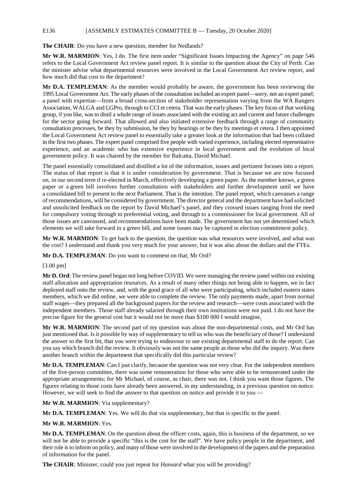# E136 [ASSEMBLY ESTIMATES COMMITTEE B — Tuesday, 20 October 2020]

**The CHAIR**: Do you have a new question, member for Nedlands?

**Mr W.R. MARMION**: Yes, I do. The first item under "Significant Issues Impacting the Agency" on page 546 refers to the Local Government Act review panel report. It is similar to the question about the City of Perth. Can the minister advise what departmental resources were involved in the Local Government Act review report, and how much did that cost to the department?

**Mr D.A. TEMPLEMAN**: As the member would probably be aware, the government has been reviewing the 1995 Local Government Act. The early phases of the consultation included an expert panel—sorry, not an expert panel; a panel with expertise—from a broad cross-section of stakeholder representation varying from the WA Rangers Association, WALGA and LGPro, through to CCI et cetera. That was the early phases. The key focus of that working group, if you like, was to distil a whole range of issues associated with the existing act and current and future challenges for the sector going forward. That allowed and also initiated extensive feedback through a range of community consultation processes, be they by submission, be they by hearings or be they by meetings et cetera. I then appointed the Local Government Act review panel to essentially take a greater look at the information that had been collated in the first two phases. The expert panel comprised five people with varied experience, including elected representative experience, and an academic who has extensive experience in local government and the evolution of local government policy. It was chaired by the member for Balcatta, David Michael.

The panel essentially consolidated and distilled a lot of the information, issues and pertinent focuses into a report. The status of that report is that it is under consideration by government. That is because we are now focused on, in our second term if re-elected in March, effectively developing a green paper. As the member knows, a green paper or a green bill involves further consultation with stakeholders and further development until we have a consolidated bill to present to the next Parliament. That is the intention. The panel report, which canvasses a range of recommendations, will be considered by government. The director general and the department have had solicited and unsolicited feedback on the report by David Michael's panel, and they crossed issues ranging from the need for compulsory voting through to preferential voting, and through to a commissioner for local government. All of those issues are canvassed, and recommendations have been made. The government has not yet determined which elements we will take forward in a green bill, and some issues may be captured in election commitment policy.

**Mr W.R. MARMION**: To get back to the question, the question was what resources were involved, and what was the cost? I understand and thank you very much for your answer, but it was also about the dollars and the FTEs.

**Mr D.A. TEMPLEMAN**: Do you want to comment on that, Mr Ord?

[3.00 pm]

**Mr D. Ord**: The review panel began not long before COVID. We were managing the review panel within our existing staff allocation and appropriation resources. As a result of many other things not being able to happen, we in fact deployed staff onto the review, and, with the good grace of all who were participating, which included eastern states members, which we did online, we were able to complete the review. The only payments made, apart from normal staff wages—they prepared all the background papers for the review and research—were costs associated with the independent members. Those staff already salaried through their own institutions were not paid. I do not have the precise figure for the general cost but it would not be more than \$100 000 I would imagine.

**Mr W.R. MARMION**: The second part of my question was about the non-departmental costs, and Mr Ord has just mentioned that. Is it possible by way of supplementary to tell us who was the beneficiary of those? I understand the answer to the first bit, that you were trying to endeavour to use existing departmental staff to do the report. Can you say which branch did the review. It obviously was not the same people as those who did the inquiry. Was there another branch within the department that specifically did this particular review?

**Mr D.A. TEMPLEMAN**: Can I just clarify, because the question was not very clear. For the independent members of the five-person committee, there was some remuneration for those who were able to be remunerated under the appropriate arrangements; for Mr Michael, of course, as chair, there was not. I think you want those figures. The figures relating to those costs have already been answered, in my understanding, in a previous question on notice. However, we will seek to find the answer to that question on notice and provide it to you —

**Mr W.R. MARMION**: Via supplementary?

**Mr D.A. TEMPLEMAN**: Yes. We will do that via supplementary, but that is specific to the panel.

**Mr W.R. MARMION**: Yes.

**Mr D.A. TEMPLEMAN**: On the question about the officer costs, again, this is business of the department, so we will not be able to provide a specific "this is the cost for the staff". We have policy people in the department, and their role is to inform on policy, and many of those were involved in the development of the papers and the preparation of information for the panel.

**The CHAIR**: Minister, could you just repeat for *Hansard* what you will be providing?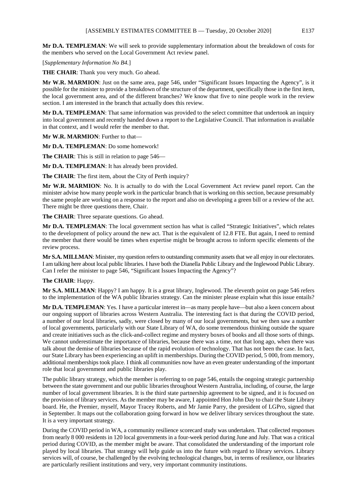**Mr D.A. TEMPLEMAN**: We will seek to provide supplementary information about the breakdown of costs for the members who served on the Local Government Act review panel.

[*Supplementary Information No B4.*]

**THE CHAIR**: Thank you very much. Go ahead.

**Mr W.R. MARMION**: Just on the same area, page 546, under "Significant Issues Impacting the Agency", is it possible for the minister to provide a breakdown of the structure of the department, specifically those in the first item, the local government area, and of the different branches? We know that five to nine people work in the review section. I am interested in the branch that actually does this review.

**Mr D.A. TEMPLEMAN**: That same information was provided to the select committee that undertook an inquiry into local government and recently handed down a report to the Legislative Council. That information is available in that context, and I would refer the member to that.

**Mr W.R. MARMION**: Further to that—

**Mr D.A. TEMPLEMAN**: Do some homework!

**The CHAIR:** This is still in relation to page 546—

**Mr D.A. TEMPLEMAN**: It has already been provided.

**The CHAIR**: The first item, about the City of Perth inquiry?

**Mr W.R. MARMION**: No. It is actually to do with the Local Government Act review panel report. Can the minister advise how many people work in the particular branch that is working on this section, because presumably the same people are working on a response to the report and also on developing a green bill or a review of the act. There might be three questions there, Chair.

**The CHAIR**: Three separate questions. Go ahead.

**Mr D.A. TEMPLEMAN**: The local government section has what is called "Strategic Initiatives", which relates to the development of policy around the new act. That is the equivalent of 12.8 FTE. But again, I need to remind the member that there would be times when expertise might be brought across to inform specific elements of the review process.

**Mr S.A. MILLMAN**: Minister, my question refers to outstanding community assets that we all enjoy in our electorates. I am talking here about local public libraries. I have both the Dianella Public Library and the Inglewood Public Library. Can I refer the minister to page 546, "Significant Issues Impacting the Agency"?

# **The CHAIR**: Happy.

**Mr S.A. MILLMAN**: Happy? I am happy. It is a great library, Inglewood. The eleventh point on page 546 refers to the implementation of the WA public libraries strategy. Can the minister please explain what this issue entails?

**Mr D.A. TEMPLEMAN**: Yes. I have a particular interest in—as many people have—but also a keen concern about our ongoing support of libraries across Western Australia. The interesting fact is that during the COVID period, a number of our local libraries, sadly, were closed by many of our local governments, but we then saw a number of local governments, particularly with our State Library of WA, do some tremendous thinking outside the square and create initiatives such as the click-and-collect regime and mystery boxes of books and all those sorts of things. We cannot underestimate the importance of libraries, because there was a time, not that long ago, when there was talk about the demise of libraries because of the rapid evolution of technology. That has not been the case. In fact, our State Library has been experiencing an uplift in memberships. During the COVID period, 5 000, from memory, additional memberships took place. I think all communities now have an even greater understanding of the important role that local government and public libraries play.

The public library strategy, which the member is referring to on page 546, entails the ongoing strategic partnership between the state government and our public libraries throughout Western Australia, including, of course, the large number of local government libraries. It is the third state partnership agreement to be signed, and it is focused on the provision of library services. As the member may be aware, I appointed Hon John Day to chair the State Library board. He, the Premier, myself, Mayor Tracey Roberts, and Mr Jamie Parry, the president of LGPro, signed that in September. It maps out the collaboration going forward in how we deliver library services throughout the state. It is a very important strategy.

During the COVID period in WA, a community resilience scorecard study was undertaken. That collected responses from nearly 8 000 residents in 120 local governments in a four-week period during June and July. That was a critical period during COVID, as the member might be aware. That consolidated the understanding of the important role played by local libraries. That strategy will help guide us into the future with regard to library services. Library services will, of course, be challenged by the evolving technological changes, but, in terms of resilience, our libraries are particularly resilient institutions and very, very important community institutions.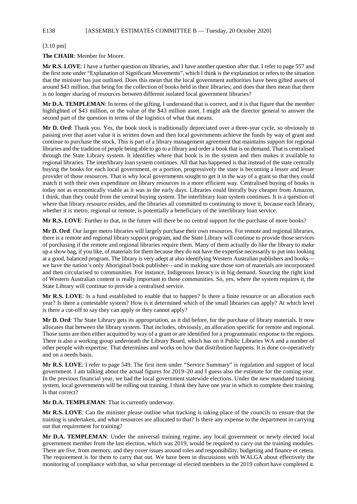# E138 [ASSEMBLY ESTIMATES COMMITTEE B - Tuesday, 20 October 2020]

### [3.10 pm]

### **The CHAIR**: Member for Moore.

**Mr R.S. LOVE**: I have a further question on libraries, and I have another question after that. I refer to page 557 and the first note under "Explanation of Significant Movements", which I think is the explanation or refers to the situation that the minister has just outlined. Does this mean that the local government authorities have been gifted assets of around \$43 million, that being for the collection of books held in their libraries; and does that then mean that there is no longer sharing of resources between different isolated local government libraries?

**Mr D.A. TEMPLEMAN**: In terms of the gifting, I understand that is correct, and it is that figure that the member highlighted of \$43 million, or the value of the \$43 million asset. I might ask the director general to answer the second part of the question in terms of the logistics of what that means.

**Mr D. Ord**: Thank you. Yes, the book stock is traditionally depreciated over a three-year cycle, so obviously in passing over that asset value it is written down and then local governments achieve the funds by way of grant and continue to purchase the stock. This is part of a library management agreement that maintains support for regional libraries and the tradition of people being able to go to a library and order a book that is on demand. That is centralised through the State Library system. It identifies where that book is in the system and then makes it available to regional libraries. The interlibrary loan system continues. All that has happened is that instead of the state centrally buying the books for each local government, or a portion, progressively the state is becoming a lesser and lesser provider of those resources. That is why local governments sought to get it in the way of a grant so that they could match it with their own expenditure on library resources in a more efficient way. Centralised buying of books is today not as economically viable as it was in the early days. Libraries could literally buy cheaper from Amazon, I think, than they could from the central buying system. The interlibrary loan system continues. It is a question of where that library resource resides, and the libraries all committed to continuing to move it, because each library, whether it is metro, regional or remote, is potentially a beneficiary of the interlibrary loan service.

**Mr R.S. LOVE**: Further to that, in the future will there be no central support for the purchase of more books?

**Mr D. Ord**: Our larger metro libraries will largely purchase their own resources. For remote and regional libraries, there is a remote and regional library support program, and the State Library will continue to provide those services of purchasing if the remote and regional libraries require them. Many of them actually do like the library to make up a show bag, if you like, of materials for them because they do not have the expertise necessarily to put into looking at a good, balanced program. The library is very adept at also identifying Western Australian publishers and books we have the nation's only Aboriginal book publisher—and in making sure those sort of materials are incorporated and then circularised to communities. For instance, Indigenous literacy is in big demand. Sourcing the right kind of Western Australian content is really important to those communities. So, yes, where the system requires it, the State Library will continue to provide a centralised service.

**Mr R.S. LOVE**: Is a fund established to enable that to happen? Is there a finite resource or an allocation each year? Is there a contestable system? How is it determined which of the small libraries can apply? At which level is there a cut-off to say they can apply or they cannot apply?

**Mr D. Ord**: The State Library gets its appropriation, as it did before, for the purchase of library materials. It now allocates that between the library system. That includes, obviously, an allocation specific for remote and regional. Those sums are then either acquitted by way of a grant or are identified for a programmatic response to the regions. There is also a working group underneath the Library Board, which has on it Public Libraries WA and a number of other people with expertise. That determines and works on how that distribution happens. It is done co-operatively and on a needs basis.

**Mr R.S. LOVE**: I refer to page 549. The first item under "Service Summary" is regulation and support of local government. I am talking about the actual figures for 2019–20 and I guess also the estimate for the coming year. In the previous financial year, we had the local government statewide elections. Under the new mandated training system, local governments will be rolling out training. I think they have one year in which to complete their training. Is that correct?

**Mr D.A. TEMPLEMAN**: That is currently underway.

**Mr R.S. LOVE**: Can the minister please outline what tracking is taking place of the councils to ensure that the training is undertaken, and what resources are allocated to that? Is there any expense to the department in carrying out that requirement for training?

**Mr D.A. TEMPLEMAN**: Under the universal training regime, any local government or newly elected local government member from the last election, which was 2019, would be required to carry out the training modules. There are five, from memory, and they cover issues around roles and responsibility, budgeting and finance et cetera. The requirement is for them to carry that out. We have been in discussions with WALGA about effectively the monitoring of compliance with that, so what percentage of elected members in the 2019 cohort have completed it.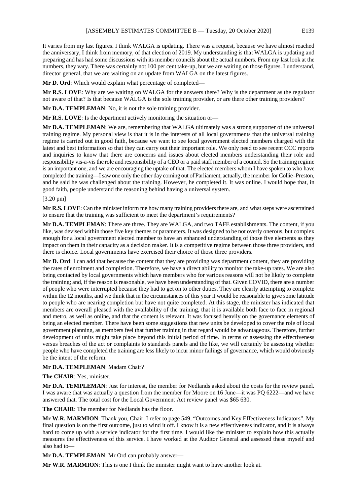It varies from my last figures. I think WALGA is updating. There was a request, because we have almost reached the anniversary, I think from memory, of that election of 2019. My understanding is that WALGA is updating and preparing and has had some discussions with its member councils about the actual numbers. From my last look at the numbers, they vary. There was certainly not 100 per cent take-up, but we are waiting on those figures. I understand, director general, that we are waiting on an update from WALGA on the latest figures.

**Mr D. Ord**: Which would explain what percentage of completed—

**Mr R.S. LOVE**: Why are we waiting on WALGA for the answers there? Why is the department as the regulator not aware of that? Is that because WALGA is the sole training provider, or are there other training providers?

**Mr D.A. TEMPLEMAN**: No, it is not the sole training provider.

**Mr R.S. LOVE**: Is the department actively monitoring the situation or—

**Mr D.A. TEMPLEMAN**: We are, remembering that WALGA ultimately was a strong supporter of the universal training regime. My personal view is that it is in the interests of all local governments that the universal training regime is carried out in good faith, because we want to see local government elected members charged with the latest and best information so that they can carry out their important role. We only need to see recent CCC reports and inquiries to know that there are concerns and issues about elected members understanding their role and responsibility vis-a-vis the role and responsibility of a CEO or a paid staff member of a council. So the training regime is an important one, and we are encouraging the uptake of that. The elected members whom I have spoken to who have completed the training—I saw one only the other day coming out of Parliament, actually, the member for Collie–Preston, and he said he was challenged about the training. However, he completed it. It was online. I would hope that, in good faith, people understand the reasoning behind having a universal system.

#### [3.20 pm]

**Mr R.S. LOVE**: Can the minister inform me how many training providers there are, and what steps were ascertained to ensure that the training was sufficient to meet the department's requirements?

**Mr D.A. TEMPLEMAN**: There are three. They are WALGA, and two TAFE establishments. The content, if you like, was devised within those five key themes or parameters. It was designed to be not overly onerous, but complex enough for a local government elected member to have an enhanced understanding of those five elements as they impact on them in their capacity as a decision maker. It is a competitive regime between those three providers, and there is choice. Local governments have exercised their choice of those three providers.

**Mr D. Ord**: I can add that because the content that they are providing was department content, they are providing the rates of enrolment and completion. Therefore, we have a direct ability to monitor the take-up rates. We are also being contacted by local governments which have members who for various reasons will not be likely to complete the training; and, if the reason is reasonable, we have been understanding of that. Given COVID, there are a number of people who were interrupted because they had to get on to other duties. They are clearly attempting to complete within the 12 months, and we think that in the circumstances of this year it would be reasonable to give some latitude to people who are nearing completion but have not quite completed. At this stage, the minister has indicated that members are overall pleased with the availability of the training, that it is available both face to face in regional and metro, as well as online, and that the content is relevant. It was focused heavily on the governance elements of being an elected member. There have been some suggestions that new units be developed to cover the role of local government planning, as members feel that further training in that regard would be advantageous. Therefore, further development of units might take place beyond this initial period of time. In terms of assessing the effectiveness versus breaches of the act or complaints to standards panels and the like, we will certainly be assessing whether people who have completed the training are less likely to incur minor failings of governance, which would obviously be the intent of the reform.

### **Mr D.A. TEMPLEMAN**: Madam Chair?

**The CHAIR**: Yes, minister.

**Mr D.A. TEMPLEMAN**: Just for interest, the member for Nedlands asked about the costs for the review panel. I was aware that was actually a question from the member for Moore on 16 June—it was PQ 6222—and we have answered that. The total cost for the Local Government Act review panel was \$65 630.

**The CHAIR**: The member for Nedlands has the floor.

**Mr W.R. MARMION**: Thank you, Chair. I refer to page 549, "Outcomes and Key Effectiveness Indicators". My final question is on the first outcome, just to wind it off. I know it is a new effectiveness indicator, and it is always hard to come up with a service indicator for the first time. I would like the minister to explain how this actually measures the effectiveness of this service. I have worked at the Auditor General and assessed these myself and also had to—

**Mr D.A. TEMPLEMAN**: Mr Ord can probably answer—

**Mr W.R. MARMION**: This is one I think the minister might want to have another look at.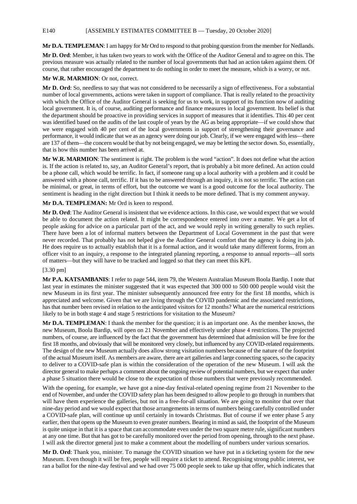### E140 [ASSEMBLY ESTIMATES COMMITTEE B — Tuesday, 20 October 2020]

**Mr D.A. TEMPLEMAN**: I am happy for Mr Ord to respond to that probing question from the member for Nedlands.

**Mr D. Ord**: Member, it has taken two years to work with the Office of the Auditor General and to agree on this. The previous measure was actually related to the number of local governments that had an action taken against them. Of course, that rather encouraged the department to do nothing in order to meet the measure, which is a worry, or not.

# **Mr W.R. MARMION**: Or not, correct.

**Mr D. Ord**: So, needless to say that was not considered to be necessarily a sign of effectiveness. For a substantial number of local governments, actions were taken in support of compliance. That is really related to the proactivity with which the Office of the Auditor General is seeking for us to work, in support of its function now of auditing local government. It is, of course, auditing performance and finance measures in local government. Its belief is that the department should be proactive in providing services in support of measures that it identifies. This 40 per cent was identified based on the audits of the last couple of years by the AG as being appropriate—if we could show that we were engaged with 40 per cent of the local governments in support of strengthening their governance and performance, it would indicate that we as an agency were doing our job. Clearly, if we were engaged with less—there are 137 of them—the concern would be that by not being engaged, we may be letting the sector down. So, essentially, that is how this number has been arrived at.

**Mr W.R. MARMION**: The sentiment is right. The problem is the word "action". It does not define what the action is. If the action is related to, say, an Auditor General's report, that is probably a bit more defined. An action could be a phone call, which would be terrific. In fact, if someone rang up a local authority with a problem and it could be answered with a phone call, terrific. If it has to be answered through an inquiry, it is not so terrific. The action can be minimal, or great, in terms of effort, but the outcome we want is a good outcome for the local authority. The sentiment is heading in the right direction but I think it needs to be more defined. That is my comment anyway.

**Mr D.A. TEMPLEMAN:** Mr Ord is keen to respond.

**Mr D. Ord**: The Auditor General is insistent that we evidence actions. In this case, we would expect that we would be able to document the action related. It might be correspondence entered into over a matter. We get a lot of people asking for advice on a particular part of the act, and we would reply in writing generally to such replies. There have been a lot of informal matters between the Department of Local Government in the past that were never recorded. That probably has not helped give the Auditor General comfort that the agency is doing its job. He does require us to actually establish that it is a formal action, and it would take many different forms, from an officer visit to an inquiry, a response to the integrated planning reporting, a response to annual reports—all sorts of matters—but they will have to be tracked and logged so that they can meet this KPI.

### [3.30 pm]

**Mr P.A. KATSAMBANIS**: I refer to page 544, item 79, the Western Australian Museum Boola Bardip. I note that last year in estimates the minister suggested that it was expected that 300 000 to 500 000 people would visit the new Museum in its first year. The minister subsequently announced free entry for the first 18 months, which is appreciated and welcome. Given that we are living through the COVID pandemic and the associated restrictions, has that number been revised in relation to the anticipated visitors for 12 months? What are the numerical restrictions likely to be in both stage 4 and stage 5 restrictions for visitation to the Museum?

**Mr D.A. TEMPLEMAN**: I thank the member for the question; it is an important one. As the member knows, the new Museum, Boola Bardip, will open on 21 November and effectively under phase 4 restrictions. The projected numbers, of course, are influenced by the fact that the government has determined that admission will be free for the first 18 months, and obviously that will be monitored very closely, but influenced by any COVID-related requirements. The design of the new Museum actually does allow strong visitation numbers because of the nature of the footprint of the actual Museum itself. As members are aware, there are art galleries and large connecting spaces, so the capacity to deliver to a COVID-safe plan is within the consideration of the operation of the new Museum. I will ask the director general to make perhaps a comment about the ongoing review of potential numbers, but we expect that under a phase 5 situation there would be close to the expectation of those numbers that were previously recommended.

With the opening, for example, we have got a nine-day festival-related opening regime from 21 November to the end of November, and under the COVID safety plan has been designed to allow people to go through in numbers that will have them experience the galleries, but not in a free-for-all situation. We are going to monitor that over that nine-day period and we would expect that those arrangements in terms of numbers being carefully controlled under a COVID-safe plan, will continue up until certainly in towards Christmas. But of course if we enter phase 5 any earlier, then that opens up the Museum to even greater numbers. Bearing in mind as said, the footprint of the Museum is quite unique in that it is a space that can accommodate even under the two square metre rule, significant numbers at any one time. But that has got to be carefully monitored over the period from opening, through to the next phase. I will ask the director general just to make a comment about the modelling of numbers under various scenarios.

**Mr D. Ord**: Thank you, minister. To manage the COVID situation we have put in a ticketing system for the new Museum. Even though it will be free, people will require a ticket to attend. Recognising strong public interest, we ran a ballot for the nine-day festival and we had over 75 000 people seek to take up that offer, which indicates that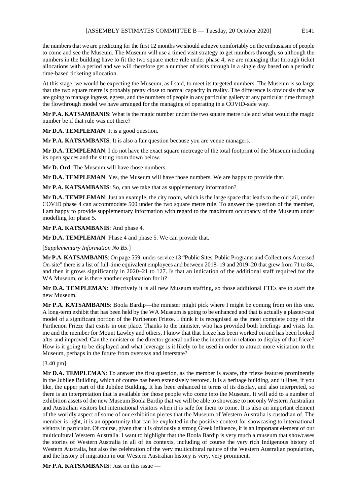the numbers that we are predicting for the first 12 months we should achieve comfortably on the enthusiasm of people to come and see the Museum. The Museum will use a timed visit strategy to get numbers through, so although the numbers in the building have to fit the two square metre rule under phase 4, we are managing that through ticket allocations with a period and we will therefore get a number of visits through in a single day based on a periodic time-based ticketing allocation.

At this stage, we would be expecting the Museum, as I said, to meet its targeted numbers. The Museum is so large that the two square metre is probably pretty close to normal capacity in reality. The difference is obviously that we are going to manage ingress, egress, and the numbers of people in any particular gallery at any particular time through the flowthrough model we have arranged for the managing of operating in a COVID-safe way.

**Mr P.A. KATSAMBANIS**: What is the magic number under the two square metre rule and what would the magic number be if that rule was not there?

**Mr D.A. TEMPLEMAN**: It is a good question.

**Mr P.A. KATSAMBANIS**: It is also a fair question because you are venue managers.

**Mr D.A. TEMPLEMAN**: I do not have the exact square metreage of the total footprint of the Museum including its open spaces and the sitting room down below.

**Mr D. Ord**: The Museum will have those numbers.

**Mr D.A. TEMPLEMAN**: Yes, the Museum will have those numbers. We are happy to provide that.

**Mr P.A. KATSAMBANIS**: So, can we take that as supplementary information?

**Mr D.A. TEMPLEMAN**: Just an example, the city room, which is the large space that leads to the old jail, under COVID phase 4 can accommodate 500 under the two square metre rule. To answer the question of the member, I am happy to provide supplementary information with regard to the maximum occupancy of the Museum under modelling for phase 5.

**Mr P.A. KATSAMBANIS**: And phase 4.

**Mr D.A. TEMPLEMAN**: Phase 4 and phase 5. We can provide that.

[*Supplementary Information No B5.*]

**Mr P.A. KATSAMBANIS**: On page 559, under service 13 "Public Sites, Public Programs and Collections Accessed On-site" there is a list of full-time equivalent employees and between 2018–19 and 2019–20 that grew from 71 to 84, and then it grows significantly in 2020–21 to 127. Is that an indication of the additional staff required for the WA Museum, or is there another explanation for it?

**Mr D.A. TEMPLEMAN**: Effectively it is all new Museum staffing, so those additional FTEs are to staff the new Museum.

**Mr P.A. KATSAMBANIS**: Boola Bardip—the minister might pick where I might be coming from on this one. A long-term exhibit that has been held by the WA Museum is going to be enhanced and that is actually a plaster-cast model of a significant portion of the Parthenon Frieze. I think it is recognised as the most complete copy of the Parthenon Frieze that exists in one place. Thanks to the minister, who has provided both briefings and visits for me and the member for Mount Lawley and others, I know that that frieze has been worked on and has been looked after and improved. Can the minister or the director general outline the intention in relation to display of that frieze? How is it going to be displayed and what leverage is it likely to be used in order to attract more visitation to the Museum, perhaps in the future from overseas and interstate?

[3.40 pm]

**Mr D.A. TEMPLEMAN**: To answer the first question, as the member is aware, the frieze features prominently in the Jubilee Building, which of course has been extensively restored. It is a heritage building, and it lines, if you like, the upper part of the Jubilee Building. It has been enhanced in terms of its display, and also interpreted, so there is an interpretation that is available for those people who come into the Museum. It will add to a number of exhibition assets of the new Museum Boola Bardip that we will be able to showcase to not only Western Australian and Australian visitors but international visitors when it is safe for them to come. It is also an important element of the worldly aspect of some of our exhibition pieces that the Museum of Western Australia is custodian of. The member is right, it is an opportunity that can be exploited in the positive context for showcasing to international visitors in particular. Of course, given that it is obviously a strong Greek influence, it is an important element of our multicultural Western Australia. I want to highlight that the Boola Bardip is very much a museum that showcases the stories of Western Australia in all of its contexts, including of course the very rich Indigenous history of Western Australia, but also the celebration of the very multicultural nature of the Western Australian population, and the history of migration in our Western Australian history is very, very prominent.

**Mr P.A. KATSAMBANIS**: Just on this issue —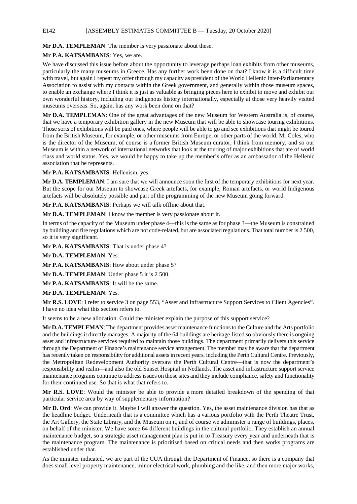## E142 [ASSEMBLY ESTIMATES COMMITTEE B — Tuesday, 20 October 2020]

### **Mr D.A. TEMPLEMAN**: The member is very passionate about these.

# **Mr P.A. KATSAMBANIS**: Yes, we are.

We have discussed this issue before about the opportunity to leverage perhaps loan exhibits from other museums, particularly the many museums in Greece. Has any further work been done on that? I know it is a difficult time with travel, but again I repeat my offer through my capacity as president of the World Hellenic Inter-Parliamentary Association to assist with my contacts within the Greek government, and generally within those museum spaces, to enable an exchange where I think it is just as valuable as bringing pieces here to exhibit to move and exhibit our own wonderful history, including our Indigenous history internationally, especially at those very heavily visited museums overseas. So, again, has any work been done on that?

**Mr D.A. TEMPLEMAN**: One of the great advantages of the new Museum for Western Australia is, of course, that we have a temporary exhibition gallery in the new Museum that will be able to showcase touring exhibitions. Those sorts of exhibitions will be paid ones, where people will be able to go and see exhibitions that might be toured from the British Museum, for example, or other museums from Europe, or other parts of the world. Mr Coles, who is the director of the Museum, of course is a former British Museum curator, I think from memory, and so our Museum is within a network of international networks that look at the touring of major exhibitions that are of world class and world status. Yes, we would be happy to take up the member's offer as an ambassador of the Hellenic association that he represents.

## **Mr P.A. KATSAMBANIS**: Hellenism, yes.

**Mr D.A. TEMPLEMAN**: I am sure that we will announce soon the first of the temporary exhibitions for next year. But the scope for our Museum to showcase Greek artefacts, for example, Roman artefacts, or world Indigenous artefacts will be absolutely possible and part of the programming of the new Museum going forward.

**Mr P.A. KATSAMBANIS**: Perhaps we will talk offline about that.

**Mr D.A. TEMPLEMAN**: I know the member is very passionate about it.

In terms of the capacity of the Museum under phase 4—this is the same as for phase 3—the Museum is constrained by building and fire regulations which are not code-related, but are associated regulations. That total number is 2 500, so it is very significant.

**Mr P.A. KATSAMBANIS**: That is under phase 4?

**Mr D.A. TEMPLEMAN**: Yes.

**Mr P.A. KATSAMBANIS**: How about under phase 5?

**Mr D.A. TEMPLEMAN**: Under phase 5 it is 2 500.

**Mr P.A. KATSAMBANIS**: It will be the same.

**Mr D.A. TEMPLEMAN**: Yes.

**Mr R.S. LOVE**: I refer to service 3 on page 553, "Asset and Infrastructure Support Services to Client Agencies". I have no idea what this section refers to.

It seems to be a new allocation. Could the minister explain the purpose of this support service?

**Mr D.A. TEMPLEMAN**: The department provides asset maintenance functions to the Culture and the Arts portfolio and the buildings it directly manages. A majority of the 64 buildings are heritage-listed so obviously there is ongoing asset and infrastructure services required to maintain those buildings. The department primarily delivers this service through the Department of Finance's maintenance service arrangement. The member may be aware that the department has recently taken on responsibility for additional assetsin recent years, including the Perth Cultural Centre. Previously, the Metropolitan Redevelopment Authority oversaw the Perth Cultural Centre—that is now the department's responsibility and realm—and also the old Sunset Hospital in Nedlands. The asset and infrastructure support service maintenance programs continue to address issues on those sites and they include compliance, safety and functionality for their continued use. So that is what that refers to.

**Mr R.S. LOVE**: Would the minister be able to provide a more detailed breakdown of the spending of that particular service area by way of supplementary information?

**Mr D. Ord**: We can provide it. Maybe I will answer the question. Yes, the asset maintenance division has that as the headline budget. Underneath that is a committee which has a various portfolio with the Perth Theatre Trust, the Art Gallery, the State Library, and the Museum on it, and of course we administer a range of buildings, places, on behalf of the minister. We have some 64 different buildings in the cultural portfolio. They establish an annual maintenance budget, so a strategic asset management plan is put in to Treasury every year and underneath that is the maintenance program. The maintenance is prioritised based on critical needs and then works programs are established under that.

As the minister indicated, we are part of the CUA through the Department of Finance, so there is a company that does small level property maintenance, minor electrical work, plumbing and the like, and then more major works,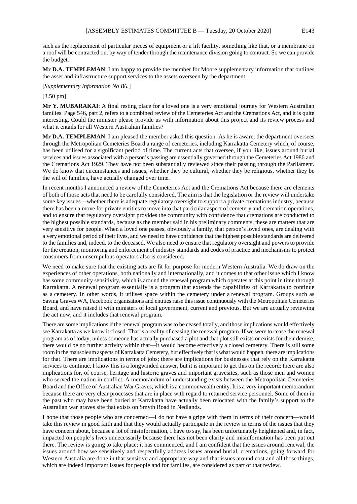such as the replacement of particular pieces of equipment or a lift facility, something like that, or a membrane on a roof will be contracted out by way of tender through the maintenance division going to contract. So we can provide the budget.

**Mr D.A. TEMPLEMAN**: I am happy to provide the member for Moore supplementary information that outlines the asset and infrastructure support services to the assets overseen by the department.

[*Supplementary Information No B6.*]

[3.50 pm]

**Mr Y. MUBARAKAI**: A final resting place for a loved one is a very emotional journey for Western Australian families. Page 546, part 2, refers to a combined review of the Cemeteries Act and the Cremations Act, and it is quite interesting. Could the minister please provide us with information about this project and its review process and what it entails for all Western Australian families?

**Mr D.A. TEMPLEMAN**: I am pleased the member asked this question. As he is aware, the department oversees through the Metropolitan Cemeteries Board a range of cemeteries, including Karrakatta Cemetery which, of course, has been utilised for a significant period of time. The current acts that oversee, if you like, issues around burial services and issues associated with a person's passing are essentially governed through the Cemeteries Act 1986 and the Cremations Act 1929. They have not been substantially reviewed since their passing through the Parliament. We do know that circumstances and issues, whether they be cultural, whether they be religious, whether they be the will of families, have actually changed over time.

In recent months I announced a review of the Cemeteries Act and the Cremations Act because there are elements of both of those acts that need to be carefully considered. The aim is that the legislation or the review will undertake some key issues—whether there is adequate regulatory oversight to support a private cremations industry, because there has been a move for private entities to move into that particular aspect of cemetery and cremation operations, and to ensure that regulatory oversight provides the community with confidence that cremations are conducted to the highest possible standards, because as the member said in his preliminary comments, these are matters that are very sensitive for people. When a loved one passes, obviously a family, that person's loved ones, are dealing with a very emotional period of their lives, and we need to have confidence that the highest possible standards are delivered to the families and, indeed, to the deceased. We also need to ensure that regulatory oversight and powers to provide for the creation, monitoring and enforcement of industry standards and codes of practice and mechanisms to protect consumers from unscrupulous operators also is considered.

We need to make sure that the existing acts are fit for purpose for modern Western Australia. We do draw on the experiences of other operations, both nationally and internationally, and it comes to that other issue which I know has some community sensitivity, which is around the renewal program which operates at this point in time through Karrakatta. A renewal program essentially is a program that extends the capabilities of Karrakatta to continue as a cemetery. In other words, it utilises space within the cemetery under a renewal program. Groups such as Saving Graves WA, Facebook organisations and entities raise this issue continuously with the Metropolitan Cemeteries Board, and have raised it with ministers of local government, current and previous. But we are actually reviewing the act now, and it includes that renewal program.

There are some implications if the renewal program was to be ceased totally, and those implications would effectively see Karrakatta as we know it closed. That is a reality of ceasing the renewal program. If we were to cease the renewal program as of today, unless someone has actually purchased a plot and that plot still exists or exists for their demise, there would be no further activity within that—it would become effectively a closed cemetery. There is still some room in the mausoleum aspects of Karrakatta Cemetery, but effectively that is what would happen. there are implications for that. There are implications in terms of jobs; there are implications for businesses that rely on the Karrakatta services to continue. I know this is a longwinded answer, but it is important to get this on the record: there are also implications for, of course, heritage and historic graves and important gravesites, such as those men and women who served the nation in conflict. A memorandum of understanding exists between the Metropolitan Cemeteries Board and the Office of Australian War Graves, which is a commonwealth entity. It is a very important memorandum because there are very clear processes that are in place with regard to returned service personnel. Some of them in the past who may have been buried at Karrakatta have actually been relocated with the family's support to the Australian war graves site that exists on Smyth Road in Nedlands.

I hope that those people who are concerned—I do not have a gripe with them in terms of their concern—would take this review in good faith and that they would actually participate in the review in terms of the issues that they have concern about, because a lot of misinformation, I have to say, has been unfortunately heightened and, in fact, impacted on people's lives unnecessarily because there has not been clarity and misinformation has been put out there. The review is going to take place; it has commenced, and I am confident that the issues around renewal, the issues around how we sensitively and respectfully address issues around burial, cremations, going forward for Western Australia are done in that sensitive and appropriate way and that issues around cost and all those things, which are indeed important issues for people and for families, are considered as part of that review.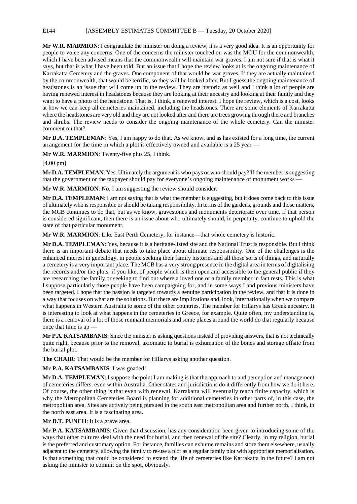# E144 [ASSEMBLY ESTIMATES COMMITTEE B — Tuesday, 20 October 2020]

**Mr W.R. MARMION**: I congratulate the minister on doing a review; it is a very good idea. It is an opportunity for people to voice any concerns. One of the concerns the minister touched on was the MOU for the commonwealth, which I have been advised means that the commonwealth will maintain war graves. I am not sure if that is what it says, but that is what I have been told. But an issue that I hope the review looks at is the ongoing maintenance of Karrakatta Cemetery and the graves. One component of that would be war graves. If they are actually maintained by the commonwealth, that would be terrific, so they will be looked after. But I guess the ongoing maintenance of headstones is an issue that will come up in the review. They are historic as well and I think a lot of people are having renewed interest in headstones because they are looking at their ancestry and looking at their family and they want to have a photo of the headstone. That is, I think, a renewed interest. I hope the review, which is a cost, looks at how we can keep all cemeteries maintained, including the headstones. There are some elements of Karrakatta where the headstones are very old and they are not looked after and there are trees growing through there and branches and shrubs. The review needs to consider the ongoing maintenance of the whole cemetery. Can the minister comment on that?

**Mr D.A. TEMPLEMAN**: Yes, I am happy to do that. As we know, and as has existed for a long time, the current arrangement for the time in which a plot is effectively owned and available is a 25 year —

**Mr W.R. MARMION**: Twenty-five plus 25, I think.

[4.00 pm]

**Mr D.A. TEMPLEMAN**: Yes. Ultimately the argument is who pays or who should pay? If the member is suggesting that the government or the taxpayer should pay for everyone's ongoing maintenance of monument works —

**Mr W.R. MARMION**: No, I am suggesting the review should consider.

**Mr D.A. TEMPLEMAN:** I am not saying that is what the member is suggesting, but it does come back to this issue of ultimately who is responsible or should be taking responsibility. In terms of the gardens, grounds and those matters, the MCB continues to do that, but as we know, gravestones and monuments deteriorate over time. If that person is considered significant, then there is an issue about who ultimately should, in perpetuity, continue to uphold the state of that particular monument.

**Mr W.R. MARMION**: Like East Perth Cemetery, for instance—that whole cemetery is historic.

**Mr D.A. TEMPLEMAN**: Yes, because it is a heritage-listed site and the National Trust is responsible. But I think there is an important debate that needs to take place about ultimate responsibility. One of the challenges is the enhanced interest in genealogy, in people seeking their family histories and all those sorts of things, and naturally a cemetery is a very important place. The MCB has a very strong presence in the digital area in terms of digitalising the records and/or the plots, if you like, of people which is then open and accessible to the general public if they are researching the family or seeking to find out where a loved one or a family member in fact rests. This is what I suppose particularly those people have been campaigning for, and in some ways I and previous ministers have been targeted. I hope that the passion is targeted towards a genuine participation in the review, and that it is done in a way that focuses on what are the solutions. But there are implications and, look, internationally when we compare what happens in Western Australia to some of the other countries. The member for Hillarys has Greek ancestry. It is interesting to look at what happens in the cemeteries in Greece, for example. Quite often, my understanding is, there is a removal of a lot of those remnant memorials and some places around the world do that regularly because once that time is up —

**Mr P.A. KATSAMBANIS**: Since the minister is asking questions instead of providing answers, that is not technically quite right, because prior to the removal, axiomatic to burial is exhumation of the bones and storage offsite from the burial plot.

**The CHAIR**: That would be the member for Hillarys asking another question.

**Mr P.A. KATSAMBANIS**: I was goaded!

**Mr D.A. TEMPLEMAN**: I suppose the point I am making is that the approach to and perception and management of cemeteries differs, even within Australia. Other states and jurisdictions do it differently from how we do it here. Of course, the other thing is that even with renewal, Karrakatta will eventually reach finite capacity, which is why the Metropolitan Cemeteries Board is planning for additional cemeteries in other parts of, in this case, the metropolitan area. Sites are actively being pursued in the south east metropolitan area and further north, I think, in the north east area. It is a fascinating area.

**Mr D.T. PUNCH**: It is a grave area.

**Mr P.A. KATSAMBANIS**: Given that discussion, has any consideration been given to introducing some of the ways that other cultures deal with the need for burial, and then renewal of the site? Clearly, in my religion, burial is the preferred and customary option. For instance, families can exhume remains and store them elsewhere, usually adjacent to the cemetery, allowing the family to re-use a plot as a regular family plot with appropriate memorialisation. Is that something that could be considered to extend the life of cemeteries like Karrakatta in the future? I am not asking the minister to commit on the spot, obviously.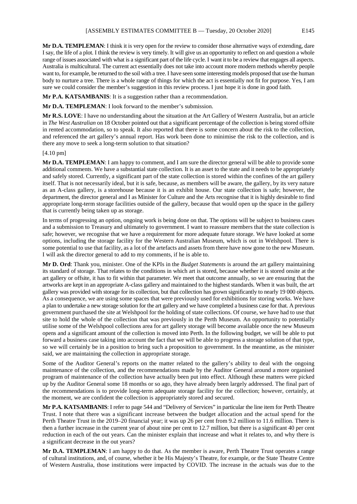**Mr D.A. TEMPLEMAN**: I think it is very open for the review to consider those alternative ways of extending, dare I say, the life of a plot. I think the review is very timely. It will give us an opportunity to reflect on and question a whole range of issues associated with what is a significant part of the life cycle. I want it to be a review that engages all aspects. Australia is multicultural. The current act essentially does not take into account more modern methods whereby people want to, for example, be returned to the soil with a tree. I have seen some interesting models proposed that use the human body to nurture a tree. There is a whole range of things for which the act is essentially not fit for purpose. Yes, I am sure we could consider the member's suggestion in this review process. I just hope it is done in good faith.

**Mr P.A. KATSAMBANIS**: It is a suggestion rather than a recommendation.

**Mr D.A. TEMPLEMAN:** I look forward to the member's submission.

**Mr R.S. LOVE**: I have no understanding about the situation at the Art Gallery of Western Australia, but an article in *The West Australian* on 18 October pointed out that a significant percentage of the collection is being stored offsite in rented accommodation, so to speak. It also reported that there is some concern about the risk to the collection, and referenced the art gallery's annual report. Has work been done to minimise the risk to the collection, and is there any move to seek a long-term solution to that situation?

## [4.10 pm]

**Mr D.A. TEMPLEMAN**: I am happy to comment, and I am sure the director general will be able to provide some additional comments. We have a substantial state collection. It is an asset to the state and it needs to be appropriately and safely stored. Currently, a significant part of the state collection is stored within the confines of the art gallery itself. That is not necessarily ideal, but it is safe, because, as members will be aware, the gallery, by its very nature as an A-class gallery, is a storehouse because it is an exhibit house. Our state collection is safe; however, the department, the director general and I as Minister for Culture and the Arts recognise that it is highly desirable to find appropriate long-term storage facilities outside of the gallery, because that would open up the space in the gallery that is currently being taken up as storage.

In terms of progressing an option, ongoing work is being done on that. The options will be subject to business cases and a submission to Treasury and ultimately to government. I want to reassure members that the state collection is safe; however, we recognise that we have a requirement for more adequate future storage. We have looked at some options, including the storage facility for the Western Australian Museum, which is out in Welshpool. There is some potential to use that facility, as a lot of the artefacts and assets from there have now gone to the new Museum. I will ask the director general to add to my comments, if he is able to.

**Mr D. Ord**: Thank you, minister. One of the KPIs in the *Budget Statements* is around the art gallery maintaining its standard of storage. That relates to the conditions in which art is stored, because whether it is stored onsite at the art gallery or offsite, it has to fit within that parameter. We meet that outcome annually, so we are ensuring that the artworks are kept in an appropriate A-class gallery and maintained to the highest standards. When it was built, the art gallery was provided with storage for its collection, but that collection has grown significantly to nearly 19 000 objects. As a consequence, we are using some spaces that were previously used for exhibitions for storing works. We have a plan to undertake a new storage solution for the art gallery and we have completed a business case for that. A previous government purchased the site at Welshpool for the holding of state collections. Of course, we have had to use that site to hold the whole of the collection that was previously in the Perth Museum. An opportunity to potentially utilise some of the Welshpool collections area for art gallery storage will become available once the new Museum opens and a significant amount of the collection is moved into Perth. In the following budget, we will be able to put forward a business case taking into account the fact that we will be able to progress a storage solution of that type, so we will certainly be in a position to bring such a proposition to government. In the meantime, as the minister said, we are maintaining the collection in appropriate storage.

Some of the Auditor General's reports on the matter related to the gallery's ability to deal with the ongoing maintenance of the collection, and the recommendations made by the Auditor General around a more organised program of maintenance of the collection have actually been put into effect. Although these matters were picked up by the Auditor General some 18 months or so ago, they have already been largely addressed. The final part of the recommendations is to provide long-term adequate storage facility for the collection; however, certainly, at the moment, we are confident the collection is appropriately stored and secured.

**Mr P.A. KATSAMBANIS**: I refer to page 544 and "Delivery of Services" in particular the line item for Perth Theatre Trust. I note that there was a significant increase between the budget allocation and the actual spend for the Perth Theatre Trust in the 2019–20 financial year; it was up 26 per cent from 9.2 million to 11.6 million. There is then a further increase in the current year of about nine per cent to 12.7 million, but there is a significant 40 per cent reduction in each of the out years. Can the minister explain that increase and what it relates to, and why there is a significant decrease in the out years?

**Mr D.A. TEMPLEMAN**: I am happy to do that. As the member is aware, Perth Theatre Trust operates a range of cultural institutions, and, of course, whether it be His Majesty's Theatre, for example, or the State Theatre Centre of Western Australia, those institutions were impacted by COVID. The increase in the actuals was due to the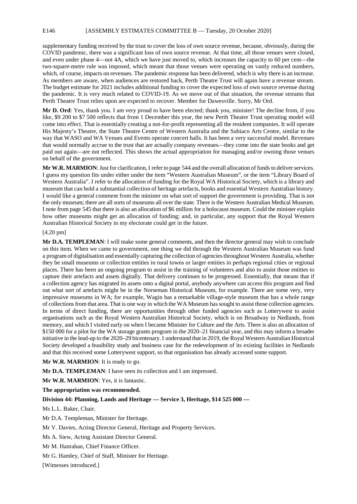# E146 [ASSEMBLY ESTIMATES COMMITTEE B — Tuesday, 20 October 2020]

supplementary funding received by the trust to cover the loss of own source revenue, because, obviously, during the COVID pandemic, there was a significant loss of own source revenue. At that time, all those venues were closed, and even under phase 4—not 4A, which we have just moved to, which increases the capacity to 60 per cent—the two-square-metre rule was imposed, which meant that those venues were operating on vastly reduced numbers, which, of course, impacts on revenues. The pandemic response has been delivered, which is why there is an increase. As members are aware, when audiences are restored back, Perth Theatre Trust will again have a revenue stream. The budget estimate for 2021 includes additional funding to cover the expected loss of own source revenue during the pandemic. It is very much related to COVID-19. As we move out of that situation, the revenue streams that Perth Theatre Trust relies upon are expected to recover. Member for Dawesville. Sorry, Mr Ord.

**Mr D. Ord**: Yes, thank you. I am very proud to have been elected; thank you, minister! The decline from, if you like, \$9 200 to \$7 500 reflects that from 1 December this year, the new Perth Theatre Trust operating model will come into effect. That is essentially creating a not-for-profit representing all the resident companies. It will operate His Majesty's Theatre, the State Theatre Centre of Western Australia and the Subiaco Arts Centre, similar to the way that WASO and WA Venues and Events operate concert halls. It has been a very successful model. Revenues that would normally accrue to the trust that are actually company revenues—they come into the state books and get paid out again—are not reflected. This shows the actual appropriation for managing and/or owning those venues on behalf of the government.

**Mr W.R. MARMION**: Just for clarification, I refer to page 544 and the overall allocation of funds to deliver services. I guess my question fits under either under the item "Western Australian Museum", or the item "Library Board of Western Australia". I refer to the allocation of funding for the Royal WA Historical Society, which is a library and museum that can hold a substantial collection of heritage artefacts, books and essential Western Australian history. I would like a general comment from the minister on what sort of support the government is providing. That is not the only museum; there are all sorts of museums all over the state. There is the Western Australian Medical Museum. I note from page 545 that there is also an allocation of \$6 million for a holocaust museum. Could the minister explain how other museums might get an allocation of funding; and, in particular, any support that the Royal Western Australian Historical Society in my electorate could get in the future.

### [4.20 pm]

**Mr D.A. TEMPLEMAN**: I will make some general comments, and then the director general may wish to conclude on this item. When we came to government, one thing we did through the Western Australian Museum was fund a program of digitalisation and essentially capturing the collection of agencies throughout Western Australia, whether they be small museums or collection entities in rural towns or larger entities in perhaps regional cities or regional places. There has been an ongoing program to assist in the training of volunteers and also to assist those entities to capture their artefacts and assets digitally. That delivery continues to be progressed. Essentially, that means that if a collection agency has migrated its assets onto a digital portal, anybody anywhere can access this program and find out what sort of artefacts might be in the Norseman Historical Museum, for example. There are some very, very impressive museums in WA; for example, Wagin has a remarkable village-style museum that has a whole range of collections from that area. That is one way in which the WA Museum has sought to assist those collection agencies. In terms of direct funding, there are opportunities through other funded agencies such as Lotterywest to assist organisations such as the Royal Western Australian Historical Society, which is on Broadway in Nedlands, from memory, and which I visited early on when I became Minister for Culture and the Arts. There is also an allocation of \$150 000 for a pilot for the WA storage grants program in the 2020–21 financial year, and this may inform a broader initiative in the lead-up to the 2020–29 bicentenary. I understand that in 2019, the Royal Western Australian Historical Society developed a feasibility study and business case for the redevelopment of its existing facilities in Nedlands and that this received some Lotterywest support, so that organisation has already accessed some support.

**Mr W.R. MARMION**: It is ready to go.

**Mr D.A. TEMPLEMAN**: I have seen its collection and I am impressed.

**Mr W.R. MARMION**: Yes, it is fantastic.

### **The appropriation was recommended.**

### **Division 44: Planning, Lands and Heritage — Service 3, Heritage, \$14 525 000 —**

Ms L.L. Baker, Chair.

Mr D.A. Templeman, Minister for Heritage.

Mr V. Davies, Acting Director General, Heritage and Property Services.

Ms A. Siew, Acting Assistant Director General.

Mr M. Hanrahan, Chief Finance Officer.

Mr G. Hamley, Chief of Staff, Minister for Heritage.

[Witnesses introduced.]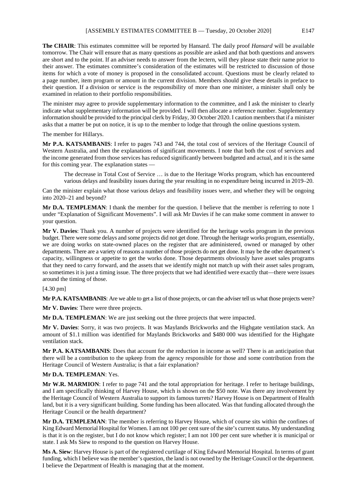**The CHAIR**: This estimates committee will be reported by Hansard. The daily proof *Hansard* will be available tomorrow. The Chair will ensure that as many questions as possible are asked and that both questions and answers are short and to the point. If an adviser needs to answer from the lectern, will they please state their name prior to their answer. The estimates committee's consideration of the estimates will be restricted to discussion of those items for which a vote of money is proposed in the consolidated account. Questions must be clearly related to a page number, item program or amount in the current division. Members should give these details in preface to their question. If a division or service is the responsibility of more than one minister, a minister shall only be examined in relation to their portfolio responsibilities.

The minister may agree to provide supplementary information to the committee, and I ask the minister to clearly indicate what supplementary information will be provided. I will then allocate a reference number. Supplementary information should be provided to the principal clerk by Friday, 30 October 2020. I caution members that if a minister asks that a matter be put on notice, it is up to the member to lodge that through the online questions system.

The member for Hillarys.

**Mr P.A. KATSAMBANIS**: I refer to pages 743 and 744, the total cost of services of the Heritage Council of Western Australia, and then the explanations of significant movements. I note that both the cost of services and the income generated from those services has reduced significantly between budgeted and actual, and it is the same for this coming year. The explanation states —

The decrease in Total Cost of Service … is due to the Heritage Works program, which has encountered various delays and feasibility issues during the year resulting in no expenditure being incurred in 2019–20.

Can the minister explain what those various delays and feasibility issues were, and whether they will be ongoing into 2020–21 and beyond?

**Mr D.A. TEMPLEMAN**: I thank the member for the question. I believe that the member is referring to note 1 under "Explanation of Significant Movements". I will ask Mr Davies if he can make some comment in answer to your question.

**Mr V. Davies**: Thank you. A number of projects were identified for the heritage works program in the previous budget. There were some delays and some projects did not get done. Through the heritage works program, essentially, we are doing works on state-owned places on the register that are administered, owned or managed by other departments. There are a variety of reasons a number of those projects do not get done. It may be the other department's capacity, willingness or appetite to get the works done. Those departments obviously have asset sales programs that they need to carry forward, and the assets that we identify might not match up with their asset sales program, so sometimes it is just a timing issue. The three projects that we had identified were exactly that—there were issues around the timing of those.

### [4.30 pm]

**Mr P.A. KATSAMBANIS**: Are we able to get a list of those projects, or can the adviser tell us what those projects were?

**Mr V. Davies**: There were three projects.

**Mr D.A. TEMPLEMAN**: We are just seeking out the three projects that were impacted.

**Mr V. Davies**: Sorry, it was two projects. It was Maylands Brickworks and the Highgate ventilation stack. An amount of \$1.1 million was identified for Maylands Brickworks and \$480 000 was identified for the Highgate ventilation stack.

**Mr P.A. KATSAMBANIS**: Does that account for the reduction in income as well? There is an anticipation that there will be a contribution to the upkeep from the agency responsible for those and some contribution from the Heritage Council of Western Australia; is that a fair explanation?

# **Mr D.A. TEMPLEMAN**: Yes.

**Mr W.R. MARMION**: I refer to page 741 and the total appropriation for heritage. I refer to heritage buildings, and I am specifically thinking of Harvey House, which is shown on the \$50 note. Was there any involvement by the Heritage Council of Western Australia to support its famous turrets? Harvey House is on Department of Health land, but it is a very significant building. Some funding has been allocated. Was that funding allocated through the Heritage Council or the health department?

**Mr D.A. TEMPLEMAN**: The member is referring to Harvey House, which of course sits within the confines of King Edward Memorial Hospital for Women. I am not 100 per cent sure of the site's current status. My understanding is that it is on the register, but I do not know which register; I am not 100 per cent sure whether it is municipal or state. I ask Ms Siew to respond to the question on Harvey House.

**Ms A. Siew**: Harvey House is part of the registered curtilage of King Edward Memorial Hospital. In terms of grant funding, which I believe was the member's question, the land is not owned by the Heritage Council or the department. I believe the Department of Health is managing that at the moment.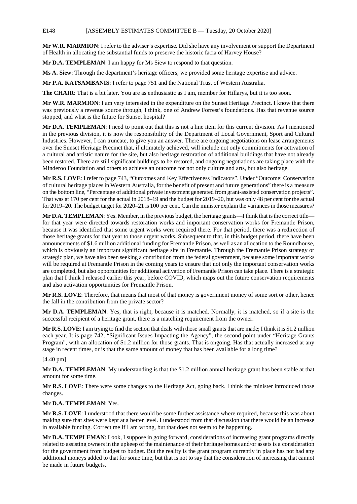## E148 [ASSEMBLY ESTIMATES COMMITTEE B — Tuesday, 20 October 2020]

**Mr W.R. MARMION**: I refer to the adviser's expertise. Did she have any involvement or support the Department of Health in allocating the substantial funds to preserve the historic facia of Harvey House?

**Mr D.A. TEMPLEMAN**: I am happy for Ms Siew to respond to that question.

**Ms A. Siew**: Through the department's heritage officers, we provided some heritage expertise and advice.

**Mr P.A. KATSAMBANIS**: I refer to page 751 and the National Trust of Western Australia.

**The CHAIR**: That is a bit later. You are as enthusiastic as I am, member for Hillarys, but it is too soon.

**Mr W.R. MARMION**: I am very interested in the expenditure on the Sunset Heritage Precinct. I know that there was previously a revenue source through, I think, one of Andrew Forrest's foundations. Has that revenue source stopped, and what is the future for Sunset hospital?

**Mr D.A. TEMPLEMAN**: I need to point out that this is not a line item for this current division. As I mentioned in the previous division, it is now the responsibility of the Department of Local Government, Sport and Cultural Industries. However, I can truncate, to give you an answer. There are ongoing negotiations on lease arrangements over the Sunset Heritage Precinct that, if ultimately achieved, will include not only commitments for activation of a cultural and artistic nature for the site, but also heritage restoration of additional buildings that have not already been restored. There are still significant buildings to be restored, and ongoing negotiations are taking place with the Minderoo Foundation and others to achieve an outcome for not only culture and arts, but also heritage.

**Mr R.S. LOVE**: I refer to page 743, "Outcomes and Key Effectiveness Indicators". Under "Outcome: Conservation of cultural heritage places in Western Australia, for the benefit of present and future generations" there is a measure on the bottom line, "Percentage of additional private investment generated from grant-assisted conservation projects". That was at 170 per cent for the actual in 2018–19 and the budget for 2019–20, but was only 48 per cent for the actual for 2019–20. The budget target for 2020–21 is 100 per cent. Can the minister explain the variances in those measures?

**Mr D.A. TEMPLEMAN**: Yes. Member, in the previous budget, the heritage grants—I think that is the correct title for that year were directed towards restoration works and important conservation works for Fremantle Prison, because it was identified that some urgent works were required there. For that period, there was a redirection of those heritage grants for that year to those urgent works. Subsequent to that, in this budget period, there have been announcements of \$1.6 million additional funding for Fremantle Prison, as well as an allocation to the Roundhouse, which is obviously an important significant heritage site in Fremantle. Through the Fremantle Prison strategy or strategic plan, we have also been seeking a contribution from the federal government, because some important works will be required at Fremantle Prison in the coming years to ensure that not only the important conservation works are completed, but also opportunities for additional activation of Fremantle Prison can take place. There is a strategic plan that I think I released earlier this year, before COVID, which maps out the future conservation requirements and also activation opportunities for Fremantle Prison.

**Mr R.S. LOVE**: Therefore, that means that most of that money is government money of some sort or other, hence the fall in the contribution from the private sector?

**Mr D.A. TEMPLEMAN**: Yes, that is right, because it is matched. Normally, it is matched, so if a site is the successful recipient of a heritage grant, there is a matching requirement from the owner.

**Mr R.S. LOVE**: I am trying to find the section that deals with those small grants that are made; I think it is \$1.2 million each year. It is page 742, "Significant Issues Impacting the Agency", the second point under "Heritage Grants Program", with an allocation of \$1.2 million for those grants. That is ongoing. Has that actually increased at any stage in recent times, or is that the same amount of money that has been available for a long time?

[4.40 pm]

**Mr D.A. TEMPLEMAN**: My understanding is that the \$1.2 million annual heritage grant has been stable at that amount for some time.

**Mr R.S. LOVE**: There were some changes to the Heritage Act, going back. I think the minister introduced those changes.

### **Mr D.A. TEMPLEMAN**: Yes.

**Mr R.S. LOVE**: I understood that there would be some further assistance where required, because this was about making sure that sites were kept at a better level. I understood from that discussion that there would be an increase in available funding. Correct me if I am wrong, but that does not seem to be happening.

**Mr D.A. TEMPLEMAN**: Look, I suppose in going forward, considerations of increasing grant programs directly related to assisting owners in the upkeep of the maintenance of their heritage homes and/or assets is a consideration for the government from budget to budget. But the reality is the grant program currently in place has not had any additional moneys added to that for some time, but that is not to say that the consideration of increasing that cannot be made in future budgets.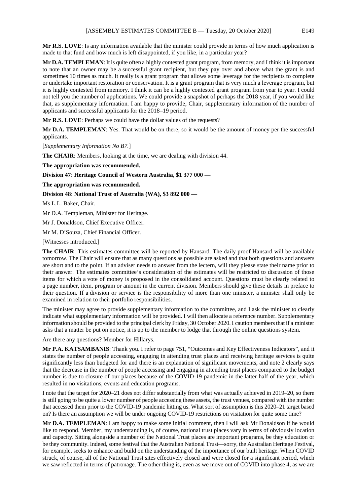**Mr R.S. LOVE**: Is any information available that the minister could provide in terms of how much application is made to that fund and how much is left disappointed, if you like, in a particular year?

**Mr D.A. TEMPLEMAN**: It is quite often a highly contested grant program, from memory, and I think it is important to note that an owner may be a successful grant recipient, but they pay over and above what the grant is and sometimes 10 times as much. It really is a grant program that allows some leverage for the recipients to complete or undertake important restoration or conservation. It is a grant program that is very much a leverage program, but it is highly contested from memory. I think it can be a highly contested grant program from year to year. I could not tell you the number of applications. We could provide a snapshot of perhaps the 2018 year, if you would like that, as supplementary information. I am happy to provide, Chair, supplementary information of the number of applicants and successful applicants for the 2018–19 period.

**Mr R.S. LOVE**: Perhaps we could have the dollar values of the requests?

**Mr D.A. TEMPLEMAN**: Yes. That would be on there, so it would be the amount of money per the successful applicants.

[*Supplementary Information No B7.*]

**The CHAIR**: Members, looking at the time, we are dealing with division 44.

**The appropriation was recommended.**

**Division 47**: **Heritage Council of Western Australia, \$1 377 000 —**

**The appropriation was recommended.**

#### **Division 48**: **National Trust of Australia (WA), \$3 892 000 —**

Ms L.L. Baker, Chair.

Mr D.A. Templeman, Minister for Heritage.

Mr J. Donaldson, Chief Executive Officer.

Mr M. D'Souza, Chief Financial Officer.

[Witnesses introduced.]

**The CHAIR**: This estimates committee will be reported by Hansard. The daily proof Hansard will be available tomorrow. The Chair will ensure that as many questions as possible are asked and that both questions and answers are short and to the point. If an adviser needs to answer from the lectern, will they please state their name prior to their answer. The estimates committee's consideration of the estimates will be restricted to discussion of those items for which a vote of money is proposed in the consolidated account. Questions must be clearly related to a page number, item, program or amount in the current division. Members should give these details in preface to their question. If a division or service is the responsibility of more than one minister, a minister shall only be examined in relation to their portfolio responsibilities.

The minister may agree to provide supplementary information to the committee, and I ask the minister to clearly indicate what supplementary information will be provided. I will then allocate a reference number. Supplementary information should be provided to the principal clerk by Friday, 30 October 2020. I caution members that if a minister asks that a matter be put on notice, it is up to the member to lodge that through the online questions system.

Are there any questions? Member for Hillarys.

**Mr P.A. KATSAMBANIS**: Thank you. I refer to page 751, "Outcomes and Key Effectiveness Indicators", and it states the number of people accessing, engaging in attending trust places and receiving heritage services is quite significantly less than budgeted for and there is an explanation of significant movements, and note 2 clearly says that the decrease in the number of people accessing and engaging in attending trust places compared to the budget number is due to closure of our places because of the COVID-19 pandemic in the latter half of the year, which resulted in no visitations, events and education programs.

I note that the target for 2020–21 does not differ substantially from what was actually achieved in 2019–20, so there is still going to be quite a lower number of people accessing these assets, the trust venues, compared with the number that accessed them prior to the COVID-19 pandemic hitting us. What sort of assumption is this 2020–21 target based on? Is there an assumption we will be under ongoing COVID-19 restrictions on visitation for quite some time?

**Mr D.A. TEMPLEMAN**: I am happy to make some initial comment, then I will ask Mr Donaldson if he would like to respond. Member, my understanding is, of course, national trust places vary in terms of obviously location and capacity. Sitting alongside a number of the National Trust places are important programs, be they education or be they community. Indeed, some festival that the Australian National Trust—sorry, the Australian Heritage Festival, for example, seeks to enhance and build on the understanding of the importance of our built heritage. When COVID struck, of course, all of the National Trust sites effectively closed and were closed for a significant period, which we saw reflected in terms of patronage. The other thing is, even as we move out of COVID into phase 4, as we are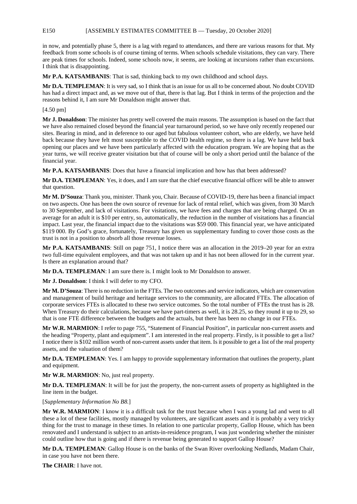# E150 [ASSEMBLY ESTIMATES COMMITTEE B — Tuesday, 20 October 2020]

in now, and potentially phase 5, there is a lag with regard to attendances, and there are various reasons for that. My feedback from some schools is of course timing of terms. When schools schedule visitations, they can vary. There are peak times for schools. Indeed, some schools now, it seems, are looking at incursions rather than excursions. I think that is disappointing.

**Mr P.A. KATSAMBANIS**: That is sad, thinking back to my own childhood and school days.

**Mr D.A. TEMPLEMAN**: It is very sad, so I think that is an issue for us all to be concerned about. No doubt COVID has had a direct impact and, as we move out of that, there is that lag. But I think in terms of the projection and the reasons behind it, I am sure Mr Donaldson might answer that.

[4.50 pm]

**Mr J. Donaldson**: The minister has pretty well covered the main reasons. The assumption is based on the fact that we have also remained closed beyond the financial year turnaround period, so we have only recently reopened our sites. Bearing in mind, and in deference to our aged but fabulous volunteer cohort, who are elderly, we have held back because they have felt most susceptible to the COVID health regime, so there is a lag. We have held back opening our places and we have been particularly affected with the education program. We are hoping that as the year turns, we will receive greater visitation but that of course will be only a short period until the balance of the financial year.

**Mr P.A. KATSAMBANIS**: Does that have a financial implication and how has that been addressed?

**Mr D.A. TEMPLEMAN**: Yes, it does, and I am sure that the chief executive financial officer will be able to answer that question.

**Mr M. D'Souza**: Thank you, minister. Thank you, Chair. Because of COVID-19, there has been a financial impact on two aspects. One has been the own source of revenue for lack of rental relief, which was given, from 30 March to 30 September, and lack of visitations. For visitations, we have fees and charges that are being charged. On an average for an adult it is \$10 per entry, so, automatically, the reduction in the number of visitations has a financial impact. Last year, the financial impact due to the visitations was \$59 000. This financial year, we have anticipated \$119 000. By God's grace, fortunately, Treasury has given us supplementary funding to cover those costs as the trust is not in a position to absorb all those revenue losses.

**Mr P.A. KATSAMBANIS**: Still on page 751, I notice there was an allocation in the 2019–20 year for an extra two full-time equivalent employees, and that was not taken up and it has not been allowed for in the current year. Is there an explanation around that?

**Mr D.A. TEMPLEMAN**: I am sure there is. I might look to Mr Donaldson to answer.

**Mr J. Donaldson**: I think I will defer to my CFO.

**Mr M. D'Souza**: There is no reduction in the FTEs. The two outcomes and service indicators, which are conservation and management of build heritage and heritage services to the community, are allocated FTEs. The allocation of corporate services FTEs is allocated to these two service outcomes. So the total number of FTEs the trust has is 28. When Treasury do their calculations, because we have part-timers as well, it is 28.25, so they round it up to 29, so that is one FTE difference between the budgets and the actuals, but there has been no change in our FTEs.

**Mr W.R. MARMION**: I refer to page 755, "Statement of Financial Position", in particular non-current assets and the heading "Property, plant and equipment". I am interested in the real property. Firstly, is it possible to get a list? I notice there is \$102 million worth of non-current assets under that item. Is it possible to get a list of the real property assets, and the valuation of them?

**Mr D.A. TEMPLEMAN**: Yes. I am happy to provide supplementary information that outlines the property, plant and equipment.

**Mr W.R. MARMION**: No, just real property.

**Mr D.A. TEMPLEMAN**: It will be for just the property, the non-current assets of property as highlighted in the line item in the budget.

### [*Supplementary Information No B8.*]

**Mr W.R. MARMION**: I know it is a difficult task for the trust because when I was a young lad and went to all these a lot of these facilities, mostly managed by volunteers, are significant assets and it is probably a very tricky thing for the trust to manage in these times. In relation to one particular property, Gallop House, which has been renovated and I understand is subject to an artists-in-residence program, I was just wondering whether the minister could outline how that is going and if there is revenue being generated to support Gallop House?

**Mr D.A. TEMPLEMAN**: Gallop House is on the banks of the Swan River overlooking Nedlands, Madam Chair, in case you have not been there.

**The CHAIR**: I have not.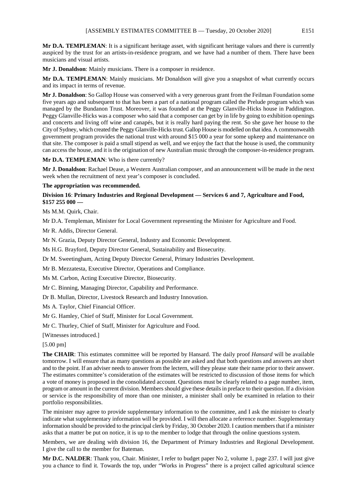**Mr D.A. TEMPLEMAN**: It is a significant heritage asset, with significant heritage values and there is currently auspiced by the trust for an artists-in-residence program, and we have had a number of them. There have been musicians and visual artists.

**Mr J. Donaldson**: Mainly musicians. There is a composer in residence.

**Mr D.A. TEMPLEMAN**: Mainly musicians. Mr Donaldson will give you a snapshot of what currently occurs and its impact in terms of revenue.

**Mr J. Donaldson**: So Gallop House was conserved with a very generous grant from the Feilman Foundation some five years ago and subsequent to that has been a part of a national program called the Prelude program which was managed by the Bundanon Trust. Moreover, it was founded at the Peggy Glanville-Hicks house in Paddington. Peggy Glanville-Hicks was a composer who said that a composer can get by in life by going to exhibition openings and concerts and living off wine and canapés, but it is really hard paying the rent. So she gave her house to the City of Sydney, which created the Peggy Glanville-Hicks trust. Gallop House is modelled on that idea. A commonwealth government program provides the national trust with around \$15 000 a year for some upkeep and maintenance on that site. The composer is paid a small stipend as well, and we enjoy the fact that the house is used, the community can access the house, and it is the origination of new Australian music through the composer-in-residence program.

**Mr D.A. TEMPLEMAN**: Who is there currently?

**Mr J. Donaldson**: Rachael Dease, a Western Australian composer, and an announcement will be made in the next week when the recruitment of next year's composer is concluded.

### **The appropriation was recommended.**

# **Division 16**: **Primary Industries and Regional Development — Services 6 and 7, Agriculture and Food, \$157 255 000 —**

Ms M.M. Quirk, Chair.

Mr D.A. Templeman, Minister for Local Government representing the Minister for Agriculture and Food.

Mr R. Addis, Director General.

Mr N. Grazia, Deputy Director General, Industry and Economic Development.

Ms H.G. Brayford, Deputy Director General, Sustainability and Biosecurity.

Dr M. Sweetingham, Acting Deputy Director General, Primary Industries Development.

Mr B. Mezzatesta, Executive Director, Operations and Compliance.

Ms M. Carbon, Acting Executive Director, Biosecurity.

Mr C. Binning, Managing Director, Capability and Performance.

Dr B. Mullan, Director, Livestock Research and Industry Innovation.

Ms A. Taylor, Chief Financial Officer.

Mr G. Hamley, Chief of Staff, Minister for Local Government.

Mr C. Thurley, Chief of Staff, Minister for Agriculture and Food.

[Witnesses introduced.]

### [5.00 pm]

**The CHAIR**: This estimates committee will be reported by Hansard. The daily proof *Hansard* will be available tomorrow. I will ensure that as many questions as possible are asked and that both questions and answers are short and to the point. If an adviser needs to answer from the lectern, will they please state their name prior to their answer. The estimates committee's consideration of the estimates will be restricted to discussion of those items for which a vote of money is proposed in the consolidated account. Questions must be clearly related to a page number, item, program or amount in the current division. Members should give these details in preface to their question. If a division or service is the responsibility of more than one minister, a minister shall only be examined in relation to their portfolio responsibilities.

The minister may agree to provide supplementary information to the committee, and I ask the minister to clearly indicate what supplementary information will be provided. I will then allocate a reference number. Supplementary information should be provided to the principal clerk by Friday, 30 October 2020. I caution members that if a minister asks that a matter be put on notice, it is up to the member to lodge that through the online questions system.

Members, we are dealing with division 16, the Department of Primary Industries and Regional Development. I give the call to the member for Bateman.

**Mr D.C. NALDER**: Thank you, Chair. Minister, I refer to budget paper No 2, volume 1, page 237. I will just give you a chance to find it. Towards the top, under "Works in Progress" there is a project called agricultural science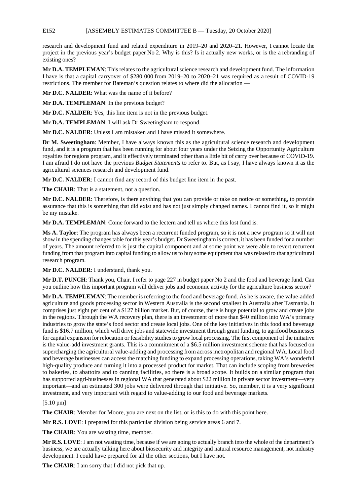# E152 [ASSEMBLY ESTIMATES COMMITTEE B — Tuesday, 20 October 2020]

research and development fund and related expenditure in 2019–20 and 2020–21. However, I cannot locate the project in the previous year's budget paper No 2. Why is this? Is it actually new works, or is the a rebranding of existing ones?

**Mr D.A. TEMPLEMAN**: This relates to the agricultural science research and development fund. The information I have is that a capital carryover of \$280 000 from 2019–20 to 2020–21 was required as a result of COVID-19 restrictions. The member for Bateman's question relates to where did the allocation —

**Mr D.C. NALDER**: What was the name of it before?

**Mr D.A. TEMPLEMAN**: In the previous budget?

**Mr D.C. NALDER**: Yes, this line item is not in the previous budget.

**Mr D.A. TEMPLEMAN**: I will ask Dr Sweetingham to respond.

**Mr D.C. NALDER**: Unless I am mistaken and I have missed it somewhere.

**Dr M. Sweetingham**: Member, I have always known this as the agricultural science research and development fund, and it is a program that has been running for about four years under the Seizing the Opportunity Agriculture royalties for regions program, and it effectively terminated other than a little bit of carry over because of COVID-19. I am afraid I do not have the previous *Budget Statements* to refer to. But, as I say, I have always known it as the agricultural sciences research and development fund.

**Mr D.C. NALDER**: I cannot find any record of this budget line item in the past.

**The CHAIR**: That is a statement, not a question.

**Mr D.C. NALDER**: Therefore, is there anything that you can provide or take on notice or something, to provide assurance that this is something that did exist and has not just simply changed names. I cannot find it, so it might be my mistake.

**Mr D.A. TEMPLEMAN**: Come forward to the lectern and tell us where this lost fund is.

**Ms A. Taylor**: The program has always been a recurrent funded program, so it is not a new program so it will not show in the spending changes table for this year's budget. Dr Sweetingham is correct, it has been funded for a number of years. The amount referred to is just the capital component and at some point we were able to revert recurrent funding from that program into capital funding to allow us to buy some equipment that was related to that agricultural research program.

**Mr D.C. NALDER**: I understand, thank you.

**Mr D.T. PUNCH**: Thank you, Chair. I refer to page 227 in budget paper No 2 and the food and beverage fund. Can you outline how this important program will deliver jobs and economic activity for the agriculture business sector?

**Mr D.A. TEMPLEMAN**: The member is referring to the food and beverage fund. As he is aware, the value-added agriculture and goods processing sector in Western Australia is the second smallest in Australia after Tasmania. It comprises just eight per cent of a \$127 billion market. But, of course, there is huge potential to grow and create jobs in the regions. Through the WA recovery plan, there is an investment of more than \$40 million into WA's primary industries to grow the state's food sector and create local jobs. One of the key initiatives in this food and beverage fund is \$16.7 million, which will drive jobs and statewide investment through grant funding, to agrifood businesses for capital expansion for relocation or feasibility studies to grow local processing. The first component of the initiative is the value-add investment grants. This is a commitment of a \$6.5 million investment scheme that has focused on supercharging the agricultural value-adding and processing from across metropolitan and regional WA. Local food and beverage businesses can access the matching funding to expand processing operations, taking WA's wonderful high-quality produce and turning it into a processed product for market. That can include scoping from breweries to bakeries, to abattoirs and to canning facilities, so there is a broad scope. It builds on a similar program that has supported agri-businesses in regional WA that generated about \$22 million in private sector investment—very important—and an estimated 300 jobs were delivered through that initiative. So, member, it is a very significant investment, and very important with regard to value-adding to our food and beverage markets.

[5.10 pm]

**The CHAIR:** Member for Moore, you are next on the list, or is this to do with this point here.

**Mr R.S. LOVE**: I prepared for this particular division being service areas 6 and 7.

**The CHAIR**: You are wasting time, member.

**Mr R.S. LOVE**: I am not wasting time, because if we are going to actually branch into the whole of the department's business, we are actually talking here about biosecurity and integrity and natural resource management, not industry development. I could have prepared for all the other sections, but I have not.

**The CHAIR**: I am sorry that I did not pick that up.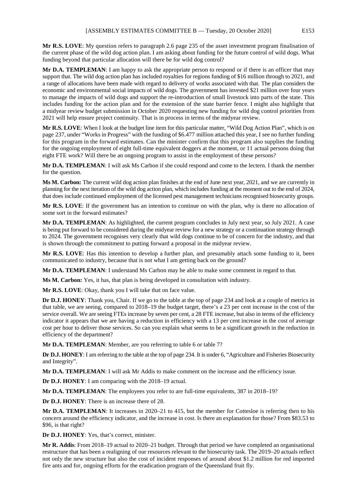**Mr R.S. LOVE**: My question refers to paragraph 2.6 page 235 of the asset investment program finalisation of the current phase of the wild dog action plan. I am asking about funding for the future control of wild dogs. What funding beyond that particular allocation will there be for wild dog control?

**Mr D.A. TEMPLEMAN**: I am happy to ask the appropriate person to respond or if there is an officer that may support that. The wild dog action plan has included royalties for regions funding of \$16 million through to 2021, and a range of allocations have been made with regard to delivery of works associated with that. The plan considers the economic and environmental social impacts of wild dogs. The government has invested \$21 million over four years to manage the impacts of wild dogs and support the re-introduction of small livestock into parts of the state. This includes funding for the action plan and for the extension of the state barrier fence. I might also highlight that a midyear review budget submission in October 2020 requesting new funding for wild dog control priorities from 2021 will help ensure project continuity. That is in process in terms of the midyear review.

**Mr R.S. LOVE**: When I look at the budget line item for this particular matter, "Wild Dog Action Plan", which is on page 237, under "Works in Progress" with the funding of \$6.477 million attached this year, I see no further funding for this program in the forward estimates. Can the minister confirm that this program also supplies the funding for the ongoing employment of eight full-time equivalent doggers at the moment, or 11 actual persons doing that eight FTE work? Will there be an ongoing program to assist in the employment of these persons?

**Mr D.A. TEMPLEMAN**: I will ask Ms Carbon if she could respond and come to the lectern. I thank the member for the question.

**Ms M. Carbon:** The current wild dog action plan finishes at the end of June next year, 2021, and we are currently in planning for the next iteration of the wild dog action plan, which includes funding at the moment out to the end of 2024, that does include continued employment of the licensed pest management technicians recognised biosecurity groups.

**Mr R.S. LOVE**: If the government has an intention to continue on with the plan, why is there no allocation of some sort in the forward estimates?

**Mr D.A. TEMPLEMAN**: As highlighted, the current program concludes in July next year, so July 2021. A case is being put forward to be considered during the midyear review for a new strategy or a continuation strategy through to 2024. The government recognises very clearly that wild dogs continue to be of concern for the industry, and that is shown through the commitment to putting forward a proposal in the midyear review.

**Mr R.S. LOVE**: Has this intention to develop a further plan, and presumably attach some funding to it, been communicated to industry, because that is not what I am getting back on the ground?

**Mr D.A. TEMPLEMAN**: I understand Ms Carbon may be able to make some comment in regard to that.

**Ms M. Carbon:** Yes, it has, that plan is being developed in consultation with industry.

**Mr R.S. LOVE**: Okay, thank you I will take that on face value.

**Dr D.J. HONEY**: Thank you, Chair. If we go to the table at the top of page 234 and look at a couple of metrics in that table, we are seeing, compared to 2018–19 the budget target, there's a 23 per cent increase in the cost of the service overall. We are seeing FTEs increase by seven per cent, a 28 FTE increase, but also in terms of the efficiency indicator it appears that we are having a reduction in efficiency with a 13 per cent increase in the cost of average cost per hour to deliver those services. So can you explain what seems to be a significant growth in the reduction in efficiency of the department?

**Mr D.A. TEMPLEMAN:** Member, are you referring to table 6 or table 7?

**Dr D.J. HONEY**: I am referring to the table at the top of page 234. It is under 6, "Agriculture and Fisheries Biosecurity and Integrity".

**Mr D.A. TEMPLEMAN**: I will ask Mr Addis to make comment on the increase and the efficiency issue.

**Dr D.J. HONEY**: I am comparing with the 2018–19 actual.

**Mr D.A. TEMPLEMAN**: The employees you refer to are full-time equivalents, 387 in 2018–19?

**Dr D.J. HONEY**: There is an increase there of 28.

**Mr D.A. TEMPLEMAN**: It increases in 2020–21 to 415, but the member for Cottesloe is referring then to his concern around the efficiency indicator, and the increase in cost. Is there an explanation for those? From \$83.53 to \$96, is that right?

**Dr D.J. HONEY**: Yes, that's correct, minister.

**Mr R. Addis**: From 2018–19 actual to 2020–21 budget. Through that period we have completed an organisational restructure that has been a realigning of our resources relevant to the biosecurity task. The 2019–20 actuals reflect not only the new structure but also the cost of incident responses of around about \$1.2 million for red imported fire ants and for, ongoing efforts for the eradication program of the Queensland fruit fly.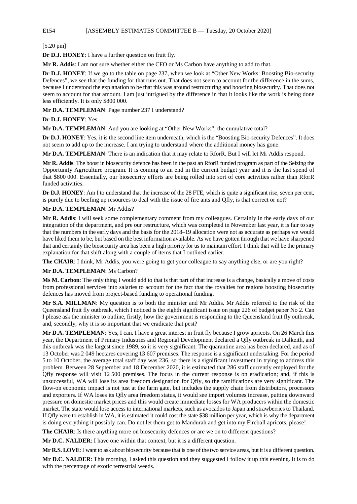# E154 [ASSEMBLY ESTIMATES COMMITTEE B - Tuesday, 20 October 2020]

[5.20 pm]

**Dr D.J. HONEY**: I have a further question on fruit fly.

**Mr R. Addis**: I am not sure whether either the CFO or Ms Carbon have anything to add to that.

**Dr D.J. HONEY**: If we go to the table on page 237, when we look at "Other New Works: Boosting Bio-security Defences", we see that the funding for that runs out. That does not seem to account for the difference in the sums, because I understood the explanation to be that this was around restructuring and boosting biosecurity. That does not seem to account for that amount. I am just intrigued by the difference in that it looks like the work is being done less efficiently. It is only \$800 000.

**Mr D.A. TEMPLEMAN**: Page number 237 I understand?

**Dr D.J. HONEY**: Yes.

**Mr D.A. TEMPLEMAN**: And you are looking at "Other New Works", the cumulative total?

**Dr D.J. HONEY**: Yes, it is the second line item underneath, which is the "Boosting Bio-security Defences". It does not seem to add up to the increase. I am trying to understand where the additional money has gone.

**Mr D.A. TEMPLEMAN**: There is an indication that it may relate to RforR. But I will let Mr Addis respond.

**Mr R. Addis**: The boost in biosecurity defence has been in the past an RforR funded program as part of the Seizing the Opportunity Agriculture program. It is coming to an end in the current budget year and it is the last spend of that \$800 000. Essentially, our biosecurity efforts are being rolled into sort of core activities rather than RforR funded activities.

**Dr D.J. HONEY**: Am I to understand that the increase of the 28 FTE, which is quite a significant rise, seven per cent, is purely due to beefing up resources to deal with the issue of fire ants and Qfly, is that correct or not?

**Mr D.A. TEMPLEMAN**: Mr Addis?

**Mr R. Addis**: I will seek some complementary comment from my colleagues. Certainly in the early days of our integration of the department, and pre our restructure, which was completed in November last year, it is fair to say that the numbers in the early days and the basis for the 2018–19 allocation were not as accurate as perhaps we would have liked them to be, but based on the best information available. As we have gotten through that we have sharpened that and certainly the biosecurity area has been a high priority for us to maintain effort. I think that will be the primary explanation for that shift along with a couple of items that I outlined earlier.

**The CHAIR**: I think, Mr Addis, you were going to get your colleague to say anything else, or are you right?

**Mr D.A. TEMPLEMAN**: Ms Carbon?

**Ms M. Carbon**: The only thing I would add to that is that part of that increase is a change, basically a move of costs from professional services into salaries to account for the fact that the royalties for regions boosting biosecurity defences has moved from project-based funding to operational funding.

**Mr S.A. MILLMAN**: My question is to both the minister and Mr Addis. Mr Addis referred to the risk of the Queensland fruit fly outbreak, which I noticed is the eighth significant issue on page 226 of budget paper No 2. Can I please ask the minister to outline, firstly, how the government is responding to the Queensland fruit fly outbreak, and, secondly, why it is so important that we eradicate that pest?

**Mr D.A. TEMPLEMAN**: Yes, I can. I have a great interest in fruit fly because I grow apricots. On 26 March this year, the Department of Primary Industries and Regional Development declared a Qfly outbreak in Dalkeith, and this outbreak was the largest since 1989, so it is very significant. The quarantine area has been declared, and as of 13 October was 2 049 hectares covering 13 607 premises. The response is a significant undertaking. For the period 5 to 10 October, the average total staff day was 236, so there is a significant investment in trying to address this problem. Between 28 September and 18 December 2020, it is estimated that 286 staff currently employed for the Qfly response will visit 12 500 premises. The focus in the current response is on eradication; and, if this is unsuccessful, WA will lose its area freedom designation for Qfly, so the ramifications are very significant. The flow-on economic impact is not just at the farm gate, but includes the supply chain from distributors, processors and exporters. If WA loses its Qfly area freedom status, it would see import volumes increase, putting downward pressure on domestic market prices and this would create immediate losses for WA producers within the domestic market. The state would lose access to international markets, such as avocados to Japan and strawberries to Thailand. If Qfly were to establish in WA, it is estimated it could cost the state \$38 million per year, which is why the department is doing everything it possibly can. Do not let them get to Mandurah and get into my Fireball apricots, please!

**The CHAIR:** Is there anything more on biosecurity defences or are we on to different questions?

**Mr D.C. NALDER**: I have one within that context, but it is a different question.

**Mr R.S. LOVE**: I want to ask about biosecurity because that is one of the two service areas, but it is a different question.

**Mr D.C. NALDER**: This morning, I asked this question and they suggested I follow it up this evening. It is to do with the percentage of exotic terrestrial weeds.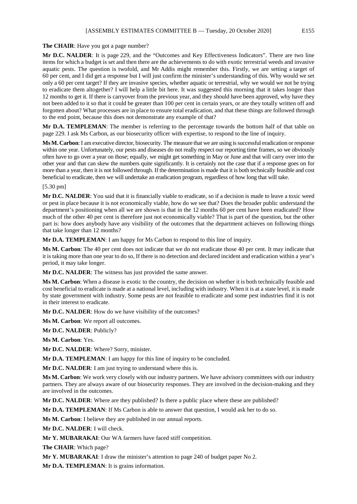# **The CHAIR**: Have you got a page number?

**Mr D.C. NALDER**: It is page 229, and the "Outcomes and Key Effectiveness Indicators". There are two line items for which a budget is set and then there are the achievements to do with exotic terrestrial weeds and invasive aquatic pests. The question is twofold, and Mr Addis might remember this. Firstly, we are setting a target of 60 per cent, and I did get a response but I will just confirm the minister's understanding of this. Why would we set only a 60 per cent target? If they are invasive species, whether aquatic or terrestrial, why we would we not be trying to eradicate them altogether? I will help a little bit here. It was suggested this morning that it takes longer than 12 months to get it. If there is carryover from the previous year, and they should have been approved, why have they not been added to it so that it could be greater than 100 per cent in certain years, or are they totally written off and forgotten about? What processes are in place to ensure total eradication, and that these things are followed through to the end point, because this does not demonstrate any example of that?

**Mr D.A. TEMPLEMAN**: The member is referring to the percentage towards the bottom half of that table on page 229. I ask Ms Carbon, as our biosecurity officer with expertise, to respond to the line of inquiry.

**Ms M. Carbon**: I am executive director, biosecurity. The measure that we are using is successful eradication or response within one year. Unfortunately, our pests and diseases do not really respect our reporting time frames, so we obviously often have to go over a year on those; equally, we might get something in May or June and that will carry over into the other year and that can skew the numbers quite significantly. It is certainly not the case that if a response goes on for more than a year, then it is not followed through. If the determination is made that it is both technically feasible and cost beneficial to eradicate, then we will undertake an eradication program, regardless of how long that will take.

### [5.30 pm]

**Mr D.C. NALDER**: You said that it is financially viable to eradicate, so if a decision is made to leave a toxic weed or pest in place because it is not economically viable, how do we see that? Does the broader public understand the department's positioning when all we are shown is that in the 12 months 60 per cent have been eradicated? How much of the other 40 per cent is therefore just not economically viable? That is part of the question, but the other part is: how does anybody have any visibility of the outcomes that the department achieves on following things that take longer than 12 months?

**Mr D.A. TEMPLEMAN**: I am happy for Ms Carbon to respond to this line of inquiry.

**Ms M. Carbon**: The 40 per cent does not indicate that we do not eradicate those 40 per cent. It may indicate that it is taking more than one year to do so, If there is no detection and declared incident and eradication within a year's period, it may take longer.

**Mr D.C. NALDER:** The witness has just provided the same answer.

**Ms M. Carbon**: When a disease is exotic to the country, the decision on whether it is both technically feasible and cost beneficial to eradicate is made at a national level, including with industry. When it is at a state level, it is made by state government with industry. Some pests are not feasible to eradicate and some pest industries find it is not in their interest to eradicate.

**Mr D.C. NALDER**: How do we have visibility of the outcomes?

**Ms M. Carbon**: We report all outcomes.

**Mr D.C. NALDER**: Publicly?

**Ms M. Carbon**: Yes.

**Mr D.C. NALDER**: Where? Sorry, minister.

**Mr D.A. TEMPLEMAN**: I am happy for this line of inquiry to be concluded.

**Mr D.C. NALDER**: I am just trying to understand where this is.

**Ms M. Carbon**: We work very closely with our industry partners. We have advisory committees with our industry partners. They are always aware of our biosecurity responses. They are involved in the decision-making and they are involved in the outcomes.

**Mr D.C. NALDER**: Where are they published? Is there a public place where these are published?

**Mr D.A. TEMPLEMAN:** If Ms Carbon is able to answer that question, I would ask her to do so.

**Ms M. Carbon**: I believe they are published in our annual reports.

**Mr D.C. NALDER**: I will check.

Mr Y. MUBARAKAI: Our WA farmers have faced stiff competition.

**The CHAIR**: Which page?

**Mr Y. MUBARAKAI**: I draw the minister's attention to page 240 of budget paper No 2.

**Mr D.A. TEMPLEMAN**: It is grains information.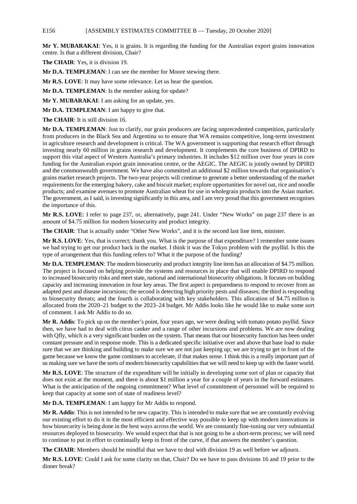# E156 [ASSEMBLY ESTIMATES COMMITTEE B — Tuesday, 20 October 2020]

**Mr Y. MUBARAKAI**: Yes, it is grains. It is regarding the funding for the Australian export grains innovation centre. Is that a different division, Chair?

**The CHAIR**: Yes, it is division 19.

**Mr D.A. TEMPLEMAN**: I can see the member for Moore stewing there.

**Mr R.S. LOVE**: It may have some relevance. Let us hear the question.

**Mr D.A. TEMPLEMAN**: Is the member asking for update?

**Mr Y. MUBARAKAI**: I am asking for an update, yes.

**Mr D.A. TEMPLEMAN**: I am happy to give that.

**The CHAIR**: It is still division 16.

**Mr D.A. TEMPLEMAN**: Just to clarify, our grain producers are facing unprecedented competition, particularly from producers in the Black Sea and Argentina so to ensure that WA remains competitive, long-term investment in agriculture research and development is critical. The WA government is supporting that research effort through investing nearly 60 million in grains research and development. It complements the core business of DPIRD to support this vital aspect of Western Australia's primary industries. It includes \$12 million over four years in core funding for the Australian export grain innovation centre, or the AEGIC. The AEGIC is jointly owned by DPIRD and the commonwealth government. We have also committed an additional \$2 million towards that organisation's grains market research projects. The two-year projects will continue to generate a better understanding of the market requirements for the emerging bakery, cake and biscuit market; explore opportunities for novel oat, rice and noodle products; and examine avenues to promote Australian wheat for use in wholegrain products into the Asian market. The government, as I said, is investing significantly in this area, and I am very proud that this government recognises the importance of this.

**Mr R.S. LOVE**: I refer to page 237, or, alternatively, page 241. Under "New Works" on page 237 there is an amount of \$4.75 million for modern biosecurity and product integrity.

**The CHAIR**: That is actually under "Other New Works", and it is the second last line item, minister.

**Mr R.S. LOVE**: Yes, that is correct; thank you. What is the purpose of that expenditure? I remember some issues we had trying to get our product back in the market. I think it was the Tokyo problem with the psyllid. Is this the type of arrangement that this funding refers to? What it the purpose of the funding?

**Mr D.A. TEMPLEMAN**: The modern biosecurity and product integrity line item has an allocation of \$4.75 million. The project is focused on helping provide the systems and resources in place that will enable DPIRD to respond to increased biosecurity risks and meet state, national and international biosecurity obligations. It focuses on building capacity and increasing innovation in four key areas. The first aspect is preparedness to respond to recover from an adapted pest and disease incursions; the second is detecting high priority pests and diseases; the third is responding to biosecurity threats; and the fourth is collaborating with key stakeholders. This allocation of \$4.75 million is allocated from the 2020–21 budget to the 2023–24 budget. Mr Addis looks like he would like to make some sort of comment. I ask Mr Addis to do so.

**Mr R. Addis**: To pick up on the member's point, four years ago, we were dealing with tomato potato psyllid. Since then, we have had to deal with citrus canker and a range of other incursions and problems. We are now dealing with Qfly, which is a very significant burden on the system. That means that our biosecurity function has been under constant pressure and in response mode. This is a dedicated specific initiative over and above that base load to make sure that we are thinking and building to make sure we are not just keeping up; we are trying to get in front of the game because we know the game continues to accelerate, if that makes sense. I think this is a really important part of us making sure we have the sorts of modern biosecurity capabilities that we will need to keep up with the faster world.

**Mr R.S. LOVE**: The structure of the expenditure will be initially in developing some sort of plan or capacity that does not exist at the moment, and there is about \$1 million a year for a couple of years in the forward estimates. What is the anticipation of the ongoing commitment? What level of commitment of personnel will be required to keep that capacity at some sort of state of readiness level?

**Mr D.A. TEMPLEMAN**: I am happy for Mr Addis to respond.

**Mr R. Addis**: This is not intended to be new capacity. This is intended to make sure that we are constantly evolving our existing effort to do it in the most efficient and effective way possible to keep up with modern innovations in how biosecurity is being done in the best ways across the world. We are constantly fine-tuning our very substantial resources deployed to biosecurity. We would expect that that is not going to be a short-term process; we will need to continue to put in effort to continually keep in front of the curve, if that answers the member's question.

**The CHAIR**: Members should be mindful that we have to deal with division 19 as well before we adjourn.

**Mr R.S. LOVE**: Could I ask for some clarity on that, Chair? Do we have to pass divisions 16 and 19 prior to the dinner break?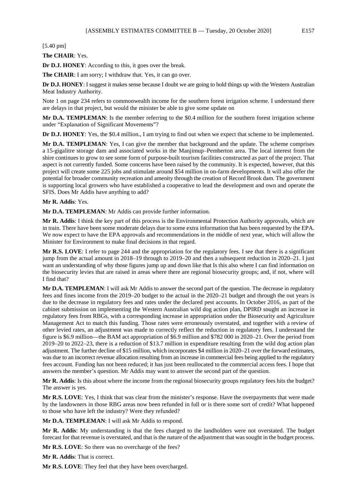[5.40 pm]

## **The CHAIR**: Yes.

**Dr D.J. HONEY**: According to this, it goes over the break.

**The CHAIR**: I am sorry; I withdraw that. Yes, it can go over.

**Dr D.J. HONEY**: I suggest it makes sense because I doubt we are going to hold things up with the Western Australian Meat Industry Authority.

Note 1 on page 234 refers to commonwealth income for the southern forest irrigation scheme. I understand there are delays in that project, but would the minister be able to give some update on

**Mr D.A. TEMPLEMAN**: Is the member referring to the \$0.4 million for the southern forest irrigation scheme under "Explanation of Significant Movements"?

**Dr D.J. HONEY**: Yes, the \$0.4 million., I am trying to find out when we expect that scheme to be implemented.

**Mr D.A. TEMPLEMAN**: Yes, I can give the member that background and the update. The scheme comprises a 15-gigalitre storage dam and associated works in the Manjimup–Pemberton area. The local interest from the shire continues to grow to see some form of purpose-built tourism facilities constructed as part of the project. That aspect is not currently funded. Some concerns have been raised by the community. It is expected, however, that this project will create some 225 jobs and stimulate around \$54 million in on-farm developments. It will also offer the potential for broader community recreation and amenity through the creation of Record Brook dam. The government is supporting local growers who have established a cooperative to lead the development and own and operate the SFIS. Does Mr Addis have anything to add?

### **Mr R. Addis**: Yes.

**Mr D.A. TEMPLEMAN**: Mr Addis can provide further information.

**Mr R. Addis**: I think the key part of this process is the Environmental Protection Authority approvals, which are in train. There have been some moderate delays due to some extra information that has been requested by the EPA. We now expect to have the EPA approvals and recommendations in the middle of next year, which will allow the Minister for Environment to make final decisions in that regard.

**Mr R.S. LOVE**: I refer to page 244 and the appropriation for the regulatory fees. I see that there is a significant jump from the actual amount in 2018–19 through to 2019–20 and then a subsequent reduction in 2020–21. I just want an understanding of why those figures jump up and down like that Is this also where I can find information on the biosecurity levies that are raised in areas where there are regional biosecurity groups; and, if not, where will I find that?

**Mr D.A. TEMPLEMAN**: I will ask Mr Addis to answer the second part of the question. The decrease in regulatory fees and fines income from the 2019–20 budget to the actual in the 2020–21 budget and through the out years is due to the decrease in regulatory fees and rates under the declared pest accounts. In October 2016, as part of the cabinet submission on implementing the Western Australian wild dog action plan, DPIRD sought an increase in regulatory fees from RBGs, with a corresponding increase in appropriation under the Biosecurity and Agriculture Management Act to match this funding. Those rates were erroneously overstated, and together with a review of other levied rates, an adjustment was made to correctly reflect the reduction in regulatory fees. I understand the figure is \$6.9 million—the BAM act appropriation of \$6.9 million and \$782 000 in 2020–21. Over the period from 2019–20 to 2022–23, there is a reduction of \$13.7 million in expenditure resulting from the wild dog action plan adjustment. The further decline of \$15 million, which incorporates \$4 million in 2020–21 over the forward estimates, was due to an incorrect revenue allocation resulting from an increase in commercial fees being applied to the regulatory fees account. Funding has not been reduced; it has just been reallocated to the commercial access fees. I hope that answers the member's question. Mr Addis may want to answer the second part of the question.

**Mr R. Addis**: Is this about where the income from the regional biosecurity groups regulatory fees hits the budget? The answer is yes.

**Mr R.S. LOVE**: Yes, I think that was clear from the minister's response. Have the overpayments that were made by the landowners in those RBG areas now been refunded in full or is there some sort of credit? What happened to those who have left the industry? Were they refunded?

**Mr D.A. TEMPLEMAN**: I will ask Mr Addis to respond.

**Mr R. Addis**: My understanding is that the fees charged to the landholders were not overstated. The budget forecast for that revenue is overstated, and that is the nature of the adjustment that was sought in the budget process.

**Mr R.S. LOVE**: So there was no overcharge of the fees?

**Mr R. Addis**: That is correct.

**Mr R.S. LOVE**: They feel that they have been overcharged.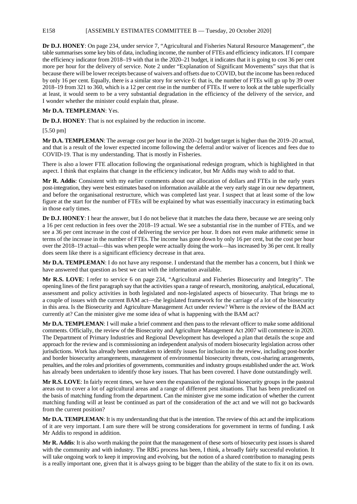# E158 [ASSEMBLY ESTIMATES COMMITTEE B — Tuesday, 20 October 2020]

**Dr D.J. HONEY**: On page 234, under service 7, "Agricultural and Fisheries Natural Resource Management", the table summarises some key bits of data, including income, the number of FTEs and efficiency indicators. If I compare the efficiency indicator from 2018–19 with that in the 2020–21 budget, it indicates that it is going to cost 36 per cent more per hour for the delivery of service. Note 2 under "Explanation of Significant Movements" says that that is because there will be lower receipts because of waivers and offsets due to COVID, but the income has been reduced by only 16 per cent. Equally, there is a similar story for service 6: that is, the number of FTEs will go up by 39 over 2018–19 from 321 to 360, which is a 12 per cent rise in the number of FTEs. If were to look at the table superficially at least, it would seem to be a very substantial degradation in the efficiency of the delivery of the service, and I wonder whether the minister could explain that, please.

# **Mr D.A. TEMPLEMAN**: Yes.

**Dr D.J. HONEY**: That is not explained by the reduction in income.

[5.50 pm]

**Mr D.A. TEMPLEMAN**: The average cost per hour in the 2020–21 budget target is higher than the 2019–20 actual, and that is a result of the lower expected income following the deferral and/or waiver of licences and fees due to COVID-19. That is my understanding. That is mostly in Fisheries.

There is also a lower FTE allocation following the organisational redesign program, which is highlighted in that aspect. I think that explains that change in the efficiency indicator, but Mr Addis may wish to add to that.

**Mr R. Addis**: Consistent with my earlier comments about our allocation of dollars and FTEs in the early years post-integration, they were best estimates based on information available at the very early stage in our new department, and before the organisational restructure, which was completed last year. I suspect that at least some of the low figure at the start for the number of FTEs will be explained by what was essentially inaccuracy in estimating back in those early times.

**Dr D.J. HONEY**: I hear the answer, but I do not believe that it matches the data there, because we are seeing only a 16 per cent reduction in fees over the 2018–19 actual. We see a substantial rise in the number of FTEs, and we see a 36 per cent increase in the cost of delivering the service per hour. It does not even make arithmetic sense in terms of the increase in the number of FTEs. The income has gone down by only 16 per cent, but the cost per hour over the 2018–19 actual—this was when people were actually doing the work—has increased by 36 per cent. It really does seem like there is a significant efficiency decrease in that area.

**Mr D.A. TEMPLEMAN**: I do not have any response. I understand that the member has a concern, but I think we have answered that question as best we can with the information available.

**Mr R.S. LOVE**: I refer to service 6 on page 234, "Agricultural and Fisheries Biosecurity and Integrity". The opening lines of the first paragraph say that the activities span a range of research, monitoring, analytical, educational, assessment and policy activities in both legislated and non-legislated aspects of biosecurity. That brings me to a couple of issues with the current BAM act—the legislated framework for the carriage of a lot of the biosecurity in this area. Is the Biosecurity and Agriculture Management Act under review? Where is the review of the BAM act currently at? Can the minister give me some idea of what is happening with the BAM act?

**Mr D.A. TEMPLEMAN**: I will make a brief comment and then pass to the relevant officer to make some additional comments. Officially, the review of the Biosecurity and Agriculture Management Act 2007 will commence in 2020. The Department of Primary Industries and Regional Development has developed a plan that details the scope and approach for the review and is commissioning an independent analysis of modern biosecurity legislation across other jurisdictions. Work has already been undertaken to identify issues for inclusion in the review, including post-border and border biosecurity arrangements, management of environmental biosecurity threats, cost-sharing arrangements, penalties, and the roles and priorities of governments, communities and industry groups established under the act. Work has already been undertaken to identify those key issues. That has been covered. I have done outstandingly well.

**Mr R.S. LOVE**: In fairly recent times, we have seen the expansion of the regional biosecurity groups in the pastoral areas out to cover a lot of agricultural areas and a range of different pest situations. That has been predicated on the basis of matching funding from the department. Can the minister give me some indication of whether the current matching funding will at least be continued as part of the consideration of the act and we will not go backwards from the current position?

**Mr D.A. TEMPLEMAN**: It is my understanding that that is the intention. The review of this act and the implications of it are very important. I am sure there will be strong considerations for government in terms of funding. I ask Mr Addis to respond in addition.

**Mr R. Addis**: It is also worth making the point that the management of these sorts of biosecurity pest issues is shared with the community and with industry. The RBG process has been, I think, a broadly fairly successful evolution. It will take ongoing work to keep it improving and evolving, but the notion of a shared contribution to managing pests is a really important one, given that it is always going to be bigger than the ability of the state to fix it on its own.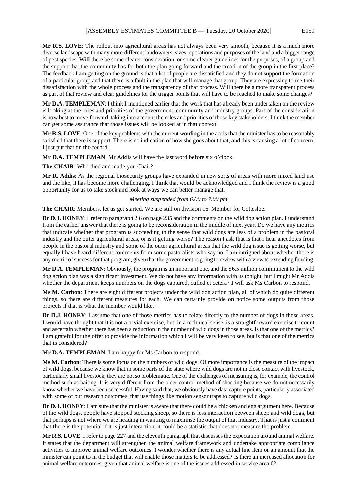**Mr R.S. LOVE**: The rollout into agricultural areas has not always been very smooth, because it is a much more diverse landscape with many more different landowners, sizes, operations and purposes of the land and a bigger range of pest species. Will there be some clearer consideration, or some clearer guidelines for the purposes, of a group and the support that the community has for both the plan going forward and the creation of the group in the first place? The feedback I am getting on the ground is that a lot of people are dissatisfied and they do not support the formation of a particular group and that there is a fault in the plan that will manage that group. They are expressing to me their dissatisfaction with the whole process and the transparency of that process. Will there be a more transparent process as part of that review and clear guidelines for the trigger points that will have to be reached to make some changes?

**Mr D.A. TEMPLEMAN**: I think I mentioned earlier that the work that has already been undertaken on the review is looking at the roles and priorities of the government, community and industry groups. Part of the consideration is how best to move forward, taking into account the roles and priorities of those key stakeholders. I think the member can get some assurance that those issues will be looked at in that context.

**Mr R.S. LOVE**: One of the key problems with the current wording in the act is that the minister has to be reasonably satisfied that there is support. There is no indication of how she goes about that, and this is causing a lot of concern. I just put that on the record.

**Mr D.A. TEMPLEMAN**: Mr Addis will have the last word before six o'clock.

**The CHAIR**: Who died and made you Chair?

**Mr R. Addis**: As the regional biosecurity groups have expanded in new sorts of areas with more mixed land use and the like, it has become more challenging. I think that would be acknowledged and I think the review is a good opportunity for us to take stock and look at ways we can better manage that.

### *Meeting suspended from 6.00 to 7.00 pm*

**The CHAIR**: Members, let us get started. We are still on division 16. Member for Cottesloe.

**Dr D.J. HONEY**: I refer to paragraph 2.6 on page 235 and the comments on the wild dog action plan. I understand from the earlier answer that there is going to be reconsideration in the middle of next year. Do we have any metrics that indicate whether that program is succeeding in the sense that wild dogs are less of a problem in the pastoral industry and the outer agricultural areas, or is it getting worse? The reason I ask that is that I hear anecdotes from people in the pastoral industry and some of the outer agricultural areas that the wild dog issue is getting worse, but equally I have heard different comments from some pastoralists who say no. I am intrigued about whether there is any metric of success for that program, given that the government is going to review with a view to extending funding.

**Mr D.A. TEMPLEMAN**: Obviously, the program is an important one, and the \$6.5 million commitment to the wild dog action plan was a significant investment. We do not have any information with us tonight, but I might Mr Addis whether the department keeps numbers on the dogs captured, culled et cetera? I will ask Ms Carbon to respond.

**Ms M. Carbon**: There are eight different projects under the wild dog action plan, all of which do quite different things, so there are different measures for each. We can certainly provide on notice some outputs from those projects if that is what the member would like.

**Dr D.J. HONEY**: I assume that one of those metrics has to relate directly to the number of dogs in those areas. I would have thought that it is not a trivial exercise, but, in a technical sense, is a straightforward exercise to count and ascertain whether there has been a reduction in the number of wild dogs in those areas. Is that one of the metrics? I am grateful for the offer to provide the information which I will be very keen to see, but is that one of the metrics that is considered?

**Mr D.A. TEMPLEMAN**: I am happy for Ms Carbon to respond.

**Ms M. Carbon**: There is some focus on the numbers of wild dogs. Of more importance is the measure of the impact of wild dogs, because we know that in some parts of the state where wild dogs are not in close contact with livestock, particularly small livestock, they are not so problematic. One of the challenges of measuring is, for example, the control method such as baiting. It is very different from the older control method of shooting because we do not necessarily know whether we have been successful. Having said that, we obviously have data capture points, particularly associated with some of our research outcomes, that use things like motion sensor traps to capture wild dogs.

**Dr D.J. HONEY**: I am sure that the minister is aware that there could be a chicken and egg argument here. Because of the wild dogs, people have stopped stocking sheep, so there is less interaction between sheep and wild dogs, but that perhaps is not where we are heading in wanting to maximise the output of that industry. That is just a comment that there is the potential if it is just interaction, it could be a statistic that does not measure the problem.

**Mr R.S. LOVE**: I refer to page 227 and the eleventh paragraph that discusses the expectation around animal welfare. It states that the department will strengthen the animal welfare framework and undertake appropriate compliance activities to improve animal welfare outcomes. I wonder whether there is any actual line item or an amount that the minister can point to in the budget that will enable those matters to be addressed? Is there an increased allocation for animal welfare outcomes, given that animal welfare is one of the issues addressed in service area 6?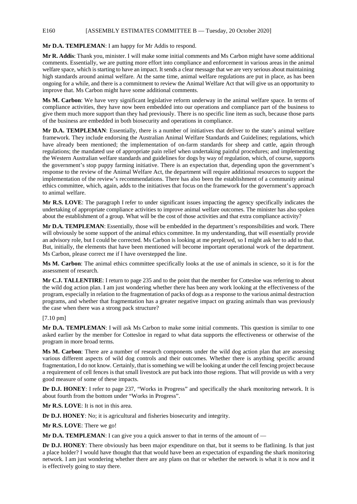# E160 [ASSEMBLY ESTIMATES COMMITTEE B — Tuesday, 20 October 2020]

## **Mr D.A. TEMPLEMAN**: I am happy for Mr Addis to respond.

**Mr R. Addis**: Thank you, minister. I will make some initial comments and Ms Carbon might have some additional comments. Essentially, we are putting more effort into compliance and enforcement in various areas in the animal welfare space, which is starting to have an impact. It sends a clear message that we are very serious about maintaining high standards around animal welfare. At the same time, animal welfare regulations are put in place, as has been ongoing for a while, and there is a commitment to review the Animal Welfare Act that will give us an opportunity to improve that. Ms Carbon might have some additional comments.

**Ms M. Carbon**: We have very significant legislative reform underway in the animal welfare space. In terms of compliance activities, they have now been embedded into our operations and compliance part of the business to give them much more support than they had previously. There is no specific line item as such, because those parts of the business are embedded in both biosecurity and operations in compliance.

**Mr D.A. TEMPLEMAN**: Essentially, there is a number of initiatives that deliver to the state's animal welfare framework. They include endorsing the Australian Animal Welfare Standards and Guidelines; regulations, which have already been mentioned; the implementation of on-farm standards for sheep and cattle, again through regulations; the mandated use of appropriate pain relief when undertaking painful procedures; and implementing the Western Australian welfare standards and guidelines for dogs by way of regulation, which, of course, supports the government's stop puppy farming initiative. There is an expectation that, depending upon the government's response to the review of the Animal Welfare Act, the department will require additional resources to support the implementation of the review's recommendations. There has also been the establishment of a community animal ethics committee, which, again, adds to the initiatives that focus on the framework for the government's approach to animal welfare.

**Mr R.S. LOVE**: The paragraph I refer to under significant issues impacting the agency specifically indicates the undertaking of appropriate compliance activities to improve animal welfare outcomes. The minister has also spoken about the establishment of a group. What will be the cost of those activities and that extra compliance activity?

**Mr D.A. TEMPLEMAN**: Essentially, those will be embedded in the department's responsibilities and work. There will obviously be some support of the animal ethics committee. In my understanding, that will essentially provide an advisory role, but I could be corrected. Ms Carbon is looking at me perplexed, so I might ask her to add to that. But, initially, the elements that have been mentioned will become important operational work of the department. Ms Carbon, please correct me if I have overstepped the line.

**Ms M. Carbon**: The animal ethics committee specifically looks at the use of animals in science, so it is for the assessment of research.

**Mr C.J. TALLENTIRE**: I return to page 235 and to the point that the member for Cottesloe was referring to about the wild dog action plan. I am just wondering whether there has been any work looking at the effectiveness of the program, especially in relation to the fragmentation of packs of dogs as a response to the various animal destruction programs, and whether that fragmentation has a greater negative impact on grazing animals than was previously the case when there was a strong pack structure?

### [7.10 pm]

**Mr D.A. TEMPLEMAN**: I will ask Ms Carbon to make some initial comments. This question is similar to one asked earlier by the member for Cottesloe in regard to what data supports the effectiveness or otherwise of the program in more broad terms.

**Ms M. Carbon**: There are a number of research components under the wild dog action plan that are assessing various different aspects of wild dog controls and their outcomes. Whether there is anything specific around fragmentation, I do not know. Certainly, that is something we will be looking at under the cell fencing project because a requirement of cell fences is that small livestock are put back into those regions. That will provide us with a very good measure of some of these impacts.

**Dr D.J. HONEY**: I refer to page 237, "Works in Progress" and specifically the shark monitoring network. It is about fourth from the bottom under "Works in Progress".

**Mr R.S. LOVE**: It is not in this area.

**Dr D.J. HONEY**: No; it is agricultural and fisheries biosecurity and integrity.

**Mr R.S. LOVE**: There we go!

**Mr D.A. TEMPLEMAN:** I can give you a quick answer to that in terms of the amount of —

**Dr D.J. HONEY**: There obviously has been major expenditure on that, but it seems to be flatlining. Is that just a place holder? I would have thought that that would have been an expectation of expanding the shark monitoring network. I am just wondering whether there are any plans on that or whether the network is what it is now and it is effectively going to stay there.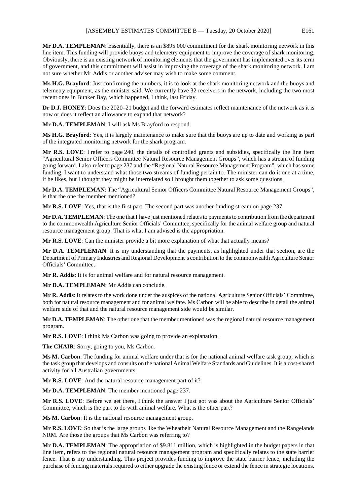**Mr D.A. TEMPLEMAN**: Essentially, there is an \$895 000 commitment for the shark monitoring network in this line item. This funding will provide buoys and telemetry equipment to improve the coverage of shark monitoring. Obviously, there is an existing network of monitoring elements that the government has implemented over its term of government, and this commitment will assist in improving the coverage of the shark monitoring network. I am not sure whether Mr Addis or another adviser may wish to make some comment.

**Ms H.G. Brayford**: Just confirming the numbers, it is to look at the shark monitoring network and the buoys and telemetry equipment, as the minister said. We currently have 32 receivers in the network, including the two most recent ones in Bunker Bay, which happened, I think, last Friday.

**Dr D.J. HONEY**: Does the 2020–21 budget and the forward estimates reflect maintenance of the network as it is now or does it reflect an allowance to expand that network?

**Mr D.A. TEMPLEMAN**: I will ask Ms Brayford to respond.

**Ms H.G. Brayford**: Yes, it is largely maintenance to make sure that the buoys are up to date and working as part of the integrated monitoring network for the shark program.

**Mr R.S. LOVE**: I refer to page 240, the details of controlled grants and subsidies, specifically the line item "Agricultural Senior Officers Committee Natural Resource Management Groups", which has a stream of funding going forward. I also refer to page 237 and the "Regional Natural Resource Management Program", which has some funding. I want to understand what those two streams of funding pertain to. The minister can do it one at a time, if he likes, but I thought they might be interrelated so I brought them together to ask some questions.

**Mr D.A. TEMPLEMAN**: The "Agricultural Senior Officers Committee Natural Resource Management Groups", is that the one the member mentioned?

**Mr R.S. LOVE**: Yes, that is the first part. The second part was another funding stream on page 237.

**Mr D.A. TEMPLEMAN**: The one that I have just mentioned relates to payments to contribution from the department to the commonwealth Agriculture Senior Officials' Committee, specifically for the animal welfare group and natural resource management group. That is what I am advised is the appropriation.

**Mr R.S. LOVE**: Can the minister provide a bit more explanation of what that actually means?

**Mr D.A. TEMPLEMAN**: It is my understanding that the payments, as highlighted under that section, are the Department of Primary Industries and Regional Development's contribution to the commonwealth Agriculture Senior Officials' Committee.

**Mr R. Addis**: It is for animal welfare and for natural resource management.

**Mr D.A. TEMPLEMAN**: Mr Addis can conclude.

**Mr R. Addis**: It relates to the work done under the auspices of the national Agriculture Senior Officials' Committee, both for natural resource management and for animal welfare. Ms Carbon will be able to describe in detail the animal welfare side of that and the natural resource management side would be similar.

**Mr D.A. TEMPLEMAN**: The other one that the member mentioned was the regional natural resource management program.

**Mr R.S. LOVE**: I think Ms Carbon was going to provide an explanation.

**The CHAIR**: Sorry; going to you, Ms Carbon.

**Ms M. Carbon**: The funding for animal welfare under that is for the national animal welfare task group, which is the task group that develops and consults on the national Animal Welfare Standards and Guidelines. It is a cost-shared activity for all Australian governments.

**Mr R.S. LOVE**: And the natural resource management part of it?

**Mr D.A. TEMPLEMAN**: The member mentioned page 237.

**Mr R.S. LOVE**: Before we get there, I think the answer I just got was about the Agriculture Senior Officials' Committee, which is the part to do with animal welfare. What is the other part?

**Ms M. Carbon**: It is the national resource management group.

**Mr R.S. LOVE**: So that is the large groups like the Wheatbelt Natural Resource Management and the Rangelands NRM. Are those the groups that Ms Carbon was referring to?

**Mr D.A. TEMPLEMAN**: The appropriation of \$9.811 million, which is highlighted in the budget papers in that line item, refers to the regional natural resource management program and specifically relates to the state barrier fence. That is my understanding. This project provides funding to improve the state barrier fence, including the purchase of fencing materials required to either upgrade the existing fence or extend the fence in strategic locations.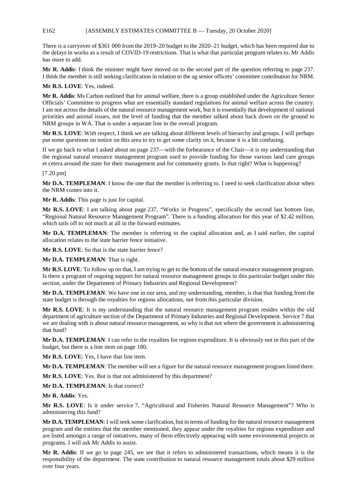### E162 [ASSEMBLY ESTIMATES COMMITTEE B — Tuesday, 20 October 2020]

There is a carryover of \$361 000 from the 2019–20 budget to the 2020–21 budget, which has been required due to the delays in works as a result of COVID-19 restrictions. That is what that particular program relates to. Mr Addis has more to add.

**Mr R. Addis**: I think the minister might have moved on to the second part of the question referring to page 237. I think the member is still seeking clarification in relation to the ag senior officers' committee contribution for NRM.

**Mr R.S. LOVE**: Yes, indeed.

**Mr R. Addis**: Ms Carbon outlined that for animal welfare, there is a group established under the Agriculture Senior Officials' Committee to progress what are essentially standard regulations for animal welfare across the country. I am not across the details of the natural resource management work, but it is essentially that development of national priorities and animal issues, not the level of funding that the member talked about back down on the ground to NRM groups in WA. That is under a separate line in the overall program.

**Mr R.S. LOVE**: With respect, I think we are talking about different levels of hierarchy and groups. I will perhaps put some questions on notice on this area to try to get some clarity on it, because it is a bit confusing.

If we go back to what I asked about on page 237—with the forbearance of the Chair—it is my understanding that the regional natural resource management program used to provide funding for those various land care groups et cetera around the state for their management and for community grants. Is that right? What is happening?

#### [7.20 pm]

**Mr D.A. TEMPLEMAN**: I know the one that the member is referring to. I need to seek clarification about when the NRM comes into it.

**Mr R. Addis**: This page is just for capital.

**Mr R.S. LOVE**: I am talking about page 237, "Works in Progress", specifically the second last bottom line, "Regional Natural Resource Management Program". There is a funding allocation for this year of \$2.42 million, which tails off to not much at all in the forward estimates.

**Mr D.A. TEMPLEMAN**: The member is referring to the capital allocation and, as I said earlier, the capital allocation relates to the state barrier fence initiative.

**Mr R.S. LOVE**: So that is the state barrier fence?

**Mr D.A. TEMPLEMAN**: That is right.

**Mr R.S. LOVE**: To follow up on that, I am trying to get to the bottom of the natural resource management program. Is there a program of ongoing support for natural resource management groups in this particular budget under this section, under the Department of Primary Industries and Regional Development?

**Mr D.A. TEMPLEMAN**: We have one in our area, and my understanding, member, is that that funding from the state budget is through the royalties for regions allocations, not from this particular division.

**Mr R.S. LOVE**: It is my understanding that the natural resource management program resides within the old department of agriculture section of the Department of Primary Industries and Regional Development. Service 7 that we are dealing with is about natural resource management, so why is that not where the government is administering that fund?

**Mr D.A. TEMPLEMAN**: I can refer to the royalties for regions expenditure. It is obviously not in this part of the budget, but there is a line item on page 180.

**Mr R.S. LOVE**: Yes, I have that line item.

**Mr D.A. TEMPLEMAN**: The member will see a figure for the natural resource management program listed there.

**Mr R.S. LOVE**: Yes. But is that not administered by this department?

**Mr D.A. TEMPLEMAN**: Is that correct?

**Mr R. Addis**: Yes.

**Mr R.S. LOVE**: Is it under service 7, "Agricultural and Fisheries Natural Resource Management"? Who is administering this fund?

**Mr D.A. TEMPLEMAN**: I will seek some clarification, but in terms of funding for the natural resource management program and the entities that the member mentioned, they appear under the royalties for regions expenditure and are listed amongst a range of initiatives, many of them effectively appearing with some environmental projects or programs. I will ask Mr Addis to assist.

**Mr R. Addis**: If we go to page 245, we see that it refers to administered transactions, which means it is the responsibility of the department. The state contribution to natural resource management totals about \$29 million over four years.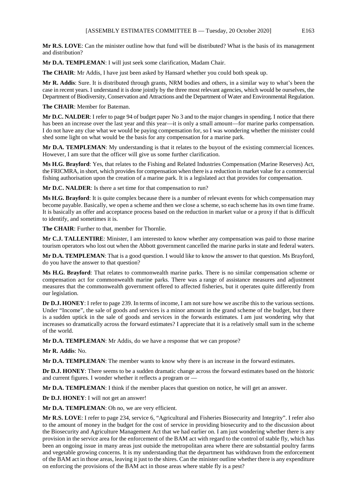**Mr R.S. LOVE**: Can the minister outline how that fund will be distributed? What is the basis of its management and distribution?

**Mr D.A. TEMPLEMAN**: I will just seek some clarification, Madam Chair.

**The CHAIR**: Mr Addis, I have just been asked by Hansard whether you could both speak up.

**Mr R. Addis**: Sure. It is distributed through grants, NRM bodies and others, in a similar way to what's been the case in recent years. I understand it is done jointly by the three most relevant agencies, which would be ourselves, the Department of Biodiversity, Conservation and Attractions and the Department of Water and Environmental Regulation.

**The CHAIR**: Member for Bateman.

**Mr D.C. NALDER**: I refer to page 94 of budget paper No 3 and to the major changes in spending. I notice that there has been an increase over the last year and this year—it is only a small amount—for marine parks compensation. I do not have any clue what we would be paying compensation for, so I was wondering whether the minister could shed some light on what would be the basis for any compensation for a marine park.

**Mr D.A. TEMPLEMAN**: My understanding is that it relates to the buyout of the existing commercial licences. However, I am sure that the officer will give us some further clarification.

**Ms H.G. Brayford**: Yes, that relates to the Fishing and Related Industries Compensation (Marine Reserves) Act, the FRICMRA, in short, which provides for compensation when there is a reduction in market value for a commercial fishing authorisation upon the creation of a marine park. It is a legislated act that provides for compensation.

**Mr D.C. NALDER**: Is there a set time for that compensation to run?

**Ms H.G. Brayford**: It is quite complex because there is a number of relevant events for which compensation may become payable. Basically, we open a scheme and then we close a scheme, so each scheme has its own time frame. It is basically an offer and acceptance process based on the reduction in market value or a proxy if that is difficult to identify, and sometimes it is.

**The CHAIR**: Further to that, member for Thornlie.

**Mr C.J. TALLENTIRE**: Minister, I am interested to know whether any compensation was paid to those marine tourism operators who lost out when the Abbott government cancelled the marine parks in state and federal waters.

**Mr D.A. TEMPLEMAN**: That is a good question. I would like to know the answer to that question. Ms Brayford, do you have the answer to that question?

**Ms H.G. Brayford**: That relates to commonwealth marine parks. There is no similar compensation scheme or compensation act for commonwealth marine parks. There was a range of assistance measures and adjustment measures that the commonwealth government offered to affected fisheries, but it operates quite differently from our legislation.

**Dr D.J. HONEY**: I refer to page 239. In terms of income, I am not sure how we ascribe this to the various sections. Under "Income", the sale of goods and services is a minor amount in the grand scheme of the budget, but there is a sudden uptick in the sale of goods and services in the forwards estimates. I am just wondering why that increases so dramatically across the forward estimates? I appreciate that it is a relatively small sum in the scheme of the world.

**Mr D.A. TEMPLEMAN**: Mr Addis, do we have a response that we can propose?

**Mr R. Addis**: No.

**Mr D.A. TEMPLEMAN:** The member wants to know why there is an increase in the forward estimates.

**Dr D.J. HONEY**: There seems to be a sudden dramatic change across the forward estimates based on the historic and current figures. I wonder whether it reflects a program or —

**Mr D.A. TEMPLEMAN**: I think if the member places that question on notice, he will get an answer.

**Dr D.J. HONEY**: I will not get an answer!

Mr D.A. TEMPLEMAN: Oh no, we are very efficient.

**Mr R.S. LOVE**: I refer to page 234, service 6, "Agricultural and Fisheries Biosecurity and Integrity". I refer also to the amount of money in the budget for the cost of service in providing biosecurity and to the discussion about the Biosecurity and Agriculture Management Act that we had earlier on. I am just wondering whether there is any provision in the service area for the enforcement of the BAM act with regard to the control of stable fly, which has been an ongoing issue in many areas just outside the metropolitan area where there are substantial poultry farms and vegetable growing concerns. It is my understanding that the department has withdrawn from the enforcement of the BAM act in those areas, leaving it just to the shires. Can the minister outline whether there is any expenditure on enforcing the provisions of the BAM act in those areas where stable fly is a pest?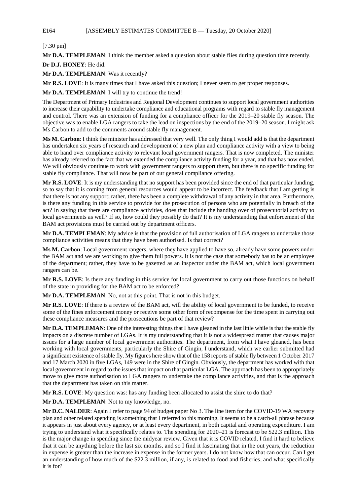# E164 [ASSEMBLY ESTIMATES COMMITTEE B — Tuesday, 20 October 2020]

[7.30 pm]

**Mr D.A. TEMPLEMAN**: I think the member asked a question about stable flies during question time recently. **Dr D.J. HONEY**: He did.

**Mr D.A. TEMPLEMAN**: Was it recently?

**Mr R.S. LOVE**: It is many times that I have asked this question; I never seem to get proper responses.

Mr D.A. TEMPLEMAN: I will try to continue the trend!

The Department of Primary Industries and Regional Development continues to support local government authorities to increase their capability to undertake compliance and educational programs with regard to stable fly management and control. There was an extension of funding for a compliance officer for the 2019–20 stable fly season. The objective was to enable LGA rangers to take the lead on inspections by the end of the 2019–20 season. I might ask Ms Carbon to add to the comments around stable fly management.

**Ms M. Carbon**: I think the minister has addressed that very well. The only thing I would add is that the department has undertaken six years of research and development of a new plan and compliance activity with a view to being able to hand over compliance activity to relevant local government rangers. That is now completed. The minister has already referred to the fact that we extended the compliance activity funding for a year, and that has now ended. We will obviously continue to work with government rangers to support them, but there is no specific funding for stable fly compliance. That will now be part of our general compliance offering.

**Mr R.S. LOVE**: It is my understanding that no support has been provided since the end of that particular funding, so to say that it is coming from general resources would appear to be incorrect. The feedback that I am getting is that there is not any support; rather, there has been a complete withdrawal of any activity in that area. Furthermore, is there any funding in this service to provide for the prosecution of persons who are potentially in breach of the act? In saying that there are compliance activities, does that include the handing over of prosecutorial activity to local governments as well? If so, how could they possibly do that? It is my understanding that enforcement of the BAM act provisions must be carried out by department officers.

**Mr D.A. TEMPLEMAN**: My advice is that the provision of full authorisation of LGA rangers to undertake those compliance activities means that they have been authorised. Is that correct?

**Ms M. Carbon**: Local government rangers, where they have applied to have so, already have some powers under the BAM act and we are working to give them full powers. It is not the case that somebody has to be an employee of the department; rather, they have to be gazetted as an inspector under the BAM act, which local government rangers can be.

**Mr R.S. LOVE**: Is there any funding in this service for local government to carry out those functions on behalf of the state in providing for the BAM act to be enforced?

**Mr D.A. TEMPLEMAN**: No, not at this point. That is not in this budget.

**Mr R.S. LOVE**: If there is a review of the BAM act, will the ability of local government to be funded, to receive some of the fines enforcement money or receive some other form of recompense for the time spent in carrying out these compliance measures and the prosecutions be part of that review?

**Mr D.A. TEMPLEMAN**: One of the interesting things that I have gleaned in the last little while is that the stable fly impacts on a discrete number of LGAs. It is my understanding that it is not a widespread matter that causes major issues for a large number of local government authorities. The department, from what I have gleaned, has been working with local governments, particularly the Shire of Gingin, I understand, which we earlier submitted had a significant existence of stable fly. My figures here show that of the 158 reports of stable fly between 1 October 2017 and 17 March 2020 in five LGAs, 149 were in the Shire of Gingin. Obviously, the department has worked with that local government in regard to the issues that impact on that particular LGA. The approach has been to appropriately move to give more authorisation to LGA rangers to undertake the compliance activities, and that is the approach that the department has taken on this matter.

**Mr R.S. LOVE**: My question was: has any funding been allocated to assist the shire to do that?

**Mr D.A. TEMPLEMAN**: Not to my knowledge, no.

**Mr D.C. NALDER**: Again I refer to page 94 of budget paper No 3. The line item for the COVID-19 WA recovery plan and other related spending is something that I referred to this morning. It seems to be a catch-all phrase because it appears in just about every agency, or at least every department, in both capital and operating expenditure. I am trying to understand what it specifically relates to. The spending for 2020–21 is forecast to be \$22.3 million. This is the major change in spending since the midyear review. Given that it is COVID related, I find it hard to believe that it can be anything before the last six months, and so I find it fascinating that in the out years, the reduction in expense is greater than the increase in expense in the former years. I do not know how that can occur. Can I get an understanding of how much of the \$22.3 million, if any, is related to food and fisheries, and what specifically it is for?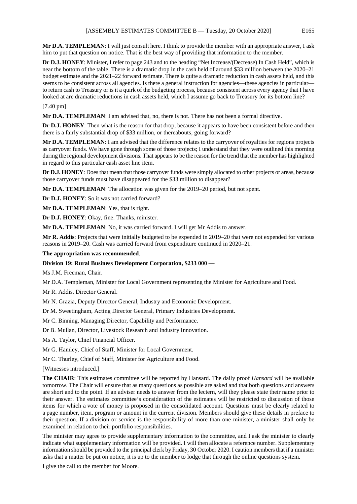**Mr D.A. TEMPLEMAN**: I will just consult here. I think to provide the member with an appropriate answer, I ask him to put that question on notice. That is the best way of providing that information to the member.

**Dr D.J. HONEY**: Minister, I refer to page 243 and to the heading "Net Increase/(Decrease) In Cash Held", which is near the bottom of the table. There is a dramatic drop in the cash held of around \$33 million between the 2020–21 budget estimate and the 2021–22 forward estimate. There is quite a dramatic reduction in cash assets held, and this seems to be consistent across all agencies. Is there a general instruction for agencies—these agencies in particular to return cash to Treasury or is it a quirk of the budgeting process, because consistent across every agency that I have looked at are dramatic reductions in cash assets held, which I assume go back to Treasury for its bottom line?

## [7.40 pm]

**Mr D.A. TEMPLEMAN**: I am advised that, no, there is not. There has not been a formal directive.

**Dr D.J. HONEY**: Then what is the reason for that drop, because it appears to have been consistent before and then there is a fairly substantial drop of \$33 million, or thereabouts, going forward?

**Mr D.A. TEMPLEMAN**: I am advised that the difference relates to the carryover of royalties for regions projects as carryover funds. We have gone through some of those projects; I understand that they were outlined this morning during the regional development divisions. That appears to be the reason for the trend that the member has highlighted in regard to this particular cash asset line item.

**Dr D.J. HONEY**: Does that mean that those carryover funds were simply allocated to other projects or areas, because those carryover funds must have disappeared for the \$33 million to disappear?

**Mr D.A. TEMPLEMAN**: The allocation was given for the 2019–20 period, but not spent.

**Dr D.J. HONEY**: So it was not carried forward?

**Mr D.A. TEMPLEMAN**: Yes, that is right.

**Dr D.J. HONEY**: Okay, fine. Thanks, minister.

**Mr D.A. TEMPLEMAN**: No, it was carried forward. I will get Mr Addis to answer.

**Mr R. Addis**: Projects that were initially budgeted to be expended in 2019–20 that were not expended for various reasons in 2019–20. Cash was carried forward from expenditure continued in 2020–21.

**The appropriation was recommended**.

#### **Division 19: Rural Business Development Corporation, \$233 000 —**

Ms J.M. Freeman, Chair.

Mr D.A. Templeman, Minister for Local Government representing the Minister for Agriculture and Food.

Mr R. Addis, Director General.

Mr N. Grazia, Deputy Director General, Industry and Economic Development.

Dr M. Sweetingham, Acting Director General, Primary Industries Development.

Mr C. Binning, Managing Director, Capability and Performance.

Dr B. Mullan, Director, Livestock Research and Industry Innovation.

Ms A. Taylor, Chief Financial Officer.

Mr G. Hamley, Chief of Staff, Minister for Local Government.

Mr C. Thurley, Chief of Staff, Minister for Agriculture and Food.

[Witnesses introduced.]

**The CHAIR**: This estimates committee will be reported by Hansard. The daily proof *Hansard* will be available tomorrow. The Chair will ensure that as many questions as possible are asked and that both questions and answers are short and to the point. If an adviser needs to answer from the lectern, will they please state their name prior to their answer. The estimates committee's consideration of the estimates will be restricted to discussion of those items for which a vote of money is proposed in the consolidated account. Questions must be clearly related to a page number, item, program or amount in the current division. Members should give these details in preface to their question. If a division or service is the responsibility of more than one minister, a minister shall only be examined in relation to their portfolio responsibilities.

The minister may agree to provide supplementary information to the committee, and I ask the minister to clearly indicate what supplementary information will be provided. I will then allocate a reference number. Supplementary information should be provided to the principal clerk by Friday, 30 October 2020. I caution members that if a minister asks that a matter be put on notice, it is up to the member to lodge that through the online questions system.

I give the call to the member for Moore.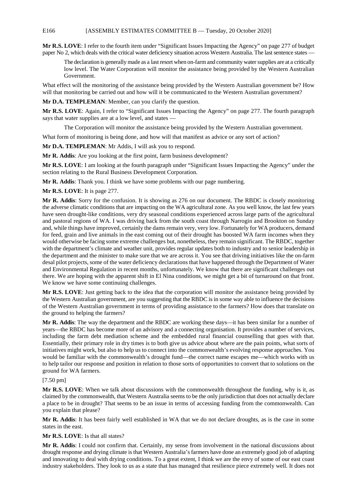### E166 [ASSEMBLY ESTIMATES COMMITTEE B — Tuesday, 20 October 2020]

**Mr R.S. LOVE**: I refer to the fourth item under "Significant Issues Impacting the Agency" on page 277 of budget paper No 2, which deals with the critical water deficiency situation across Western Australia. The last sentence states -

The declaration is generally made as a last resort when on-farm and community water supplies are at a critically low level. The Water Corporation will monitor the assistance being provided by the Western Australian Government.

What effect will the monitoring of the assistance being provided by the Western Australian government be? How will that monitoring be carried out and how will it be communicated to the Western Australian government?

**Mr D.A. TEMPLEMAN**: Member, can you clarify the question.

**Mr R.S. LOVE**: Again, I refer to "Significant Issues Impacting the Agency" on page 277. The fourth paragraph says that water supplies are at a low level, and states —

The Corporation will monitor the assistance being provided by the Western Australian government.

What form of monitoring is being done, and how will that manifest as advice or any sort of action?

**Mr D.A. TEMPLEMAN**: Mr Addis, I will ask you to respond.

**Mr R. Addis**: Are you looking at the first point, farm business development?

**Mr R.S. LOVE**: I am looking at the fourth paragraph under "Significant Issues Impacting the Agency" under the section relating to the Rural Business Development Corporation.

**Mr R. Addis**: Thank you. I think we have some problems with our page numbering.

**Mr R.S. LOVE**: It is page 277.

**Mr R. Addis**: Sorry for the confusion. It is showing as 276 on our document. The RBDC is closely monitoring the adverse climatic conditions that are impacting on the WA agricultural zone. As you well know, the last few years have seen drought-like conditions, very dry seasonal conditions experienced across large parts of the agricultural and pastoral regions of WA. I was driving back from the south coast through Narrogin and Brookton on Sunday and, while things have improved, certainly the dams remain very, very low. Fortunately for WA producers, demand for feed, grain and live animals in the east coming out of their drought has boosted WA farm incomes when they would otherwise be facing some extreme challenges but, nonetheless, they remain significant. The RBDC, together with the department's climate and weather unit, provides regular updates both to industry and to senior leadership in the department and the minister to make sure that we are across it. You see that driving initiatives like the on-farm desal pilot projects, some of the water deficiency declarations that have happened through the Department of Water and Environmental Regulation in recent months, unfortunately. We know that there are significant challenges out there. We are hoping with the apparent shift in El Nina conditions, we might get a bit of turnaround on that front. We know we have some continuing challenges.

**Mr R.S. LOVE**: Just getting back to the idea that the corporation will monitor the assistance being provided by the Western Australian government, are you suggesting that the RBDC is in some way able to influence the decisions of the Western Australian government in terms of providing assistance to the farmers? How does that translate on the ground to helping the farmers?

**Mr R. Addis**: The way the department and the RBDC are working these days—it has been similar for a number of years—the RBDC has become more of an advisory and a connecting organisation. It provides a number of services, including the farm debt mediation scheme and the embedded rural financial counselling that goes with that. Essentially, their primary role in dry times is to both give us advice about where are the pain points, what sorts of initiatives might work, but also to help us to connect into the commonwealth's evolving response approaches. You would be familiar with the commonwealth's drought fund—the correct name escapes me—which works with us to help tailor our response and position in relation to those sorts of opportunities to convert that to solutions on the ground for WA farmers.

#### [7.50 pm]

**Mr R.S. LOVE**: When we talk about discussions with the commonwealth throughout the funding, why is it, as claimed by the commonwealth, that Western Australia seems to be the only jurisdiction that does not actually declare a place to be in drought? That seems to be an issue in terms of accessing funding from the commonwealth. Can you explain that please?

**Mr R. Addis**: It has been fairly well established in WA that we do not declare droughts, as is the case in some states in the east.

## **Mr R.S. LOVE**: Is that all states?

**Mr R. Addis**: I could not confirm that. Certainly, my sense from involvement in the national discussions about drought response and drying climate is that Western Australia's farmers have done an extremely good job of adapting and innovating to deal with drying conditions. To a great extent, I think we are the envy of some of our east coast industry stakeholders. They look to us as a state that has managed that resilience piece extremely well. It does not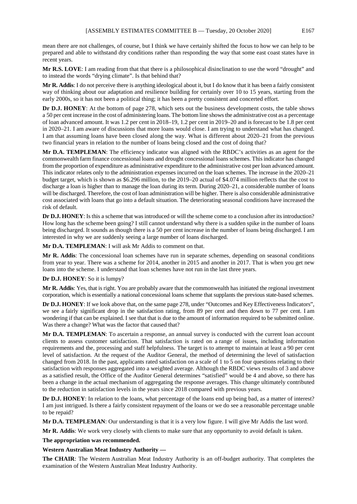mean there are not challenges, of course, but I think we have certainly shifted the focus to how we can help to be prepared and able to withstand dry conditions rather than responding the way that some east coast states have in recent years.

**Mr R.S. LOVE**: I am reading from that that there is a philosophical disinclination to use the word "drought" and to instead the words "drying climate". Is that behind that?

**Mr R. Addis**: I do not perceive there is anything ideological about it, but I do know that it has been a fairly consistent way of thinking about our adaptation and resilience building for certainly over 10 to 15 years, starting from the early 2000s, so it has not been a political thing; it has been a pretty consistent and concerted effort.

**Dr D.J. HONEY**: At the bottom of page 278, which sets out the business development costs, the table shows a 50 per cent increase in the cost of administering loans. The bottom line shows the administrative cost as a percentage of loan advanced amount. It was 1.2 per cent in 2018–19, 1.2 per cent in 2019–20 and is forecast to be 1.8 per cent in 2020–21. I am aware of discussions that more loans would close. I am trying to understand what has changed. I am that assuming loans have been closed along the way. What is different about 2020–21 from the previous two financial years in relation to the number of loans being closed and the cost of doing that?

**Mr D.A. TEMPLEMAN**: The efficiency indicator was aligned with the RBDC's activities as an agent for the commonwealth farm finance concessional loans and drought concessional loans schemes. This indicator has changed from the proportion of expenditure as administrative expenditure to the administrative cost per loan advanced amount. This indicator relates only to the administration expenses incurred on the loan schemes. The increase in the 2020–21 budget target, which is shown as \$6.296 million, to the 2019–20 actual of \$4.074 million reflects that the cost to discharge a loan is higher than to manage the loan during its term. During 2020–21, a considerable number of loans will be discharged. Therefore, the cost of loan administration will be higher. There is also considerable administrative cost associated with loans that go into a default situation. The deteriorating seasonal conditions have increased the risk of default.

**Dr D.J. HONEY**: Is this a scheme that was introduced or will the scheme come to a conclusion after its introduction? How long has the scheme been going? I still cannot understand why there is a sudden spike in the number of loans being discharged. It sounds as though there is a 50 per cent increase in the number of loans being discharged. I am interested in why we are suddenly seeing a large number of loans discharged.

**Mr D.A. TEMPLEMAN**: I will ask Mr Addis to comment on that.

**Mr R. Addis**: The concessional loan schemes have run in separate schemes, depending on seasonal conditions from year to year. There was a scheme for 2014, another in 2015 and another in 2017. That is when you get new loans into the scheme. I understand that loan schemes have not run in the last three years.

#### **Dr D.J. HONEY**: So it is lumpy?

**Mr R. Addis**: Yes, that is right. You are probably aware that the commonwealth has initiated the regional investment corporation, which is essentially a national concessional loans scheme that supplants the previous state-based schemes.

**Dr D.J. HONEY**: If we look above that, on the same page 278, under "Outcomes and Key Effectiveness Indicators", we see a fairly significant drop in the satisfaction rating, from 89 per cent and then down to 77 per cent. I am wondering if that can be explained. I see that that is due to the amount of information required to be submitted online. Was there a change? What was the factor that caused that?

**Mr D.A. TEMPLEMAN**: To ascertain a response, an annual survey is conducted with the current loan account clients to assess customer satisfaction. That satisfaction is rated on a range of issues, including information requirements and the, processing and staff helpfulness. The target is to attempt to maintain at least a 90 per cent level of satisfaction. At the request of the Auditor General, the method of determining the level of satisfaction changed from 2018. In the past, applicants rated satisfaction on a scale of 1 to 5 on four questions relating to their satisfaction with responses aggregated into a weighted average. Although the RBDC views results of 3 and above as a satisfied result, the Office of the Auditor General determines "satisfied" would be 4 and above, so there has been a change in the actual mechanism of aggregating the response averages. This change ultimately contributed to the reduction in satisfaction levels in the years since 2018 compared with previous years.

**Dr D.J. HONEY**: In relation to the loans, what percentage of the loans end up being bad, as a matter of interest? I am just intrigued. Is there a fairly consistent repayment of the loans or we do see a reasonable percentage unable to be repaid?

**Mr D.A. TEMPLEMAN**: Our understanding is that it is a very low figure. I will give Mr Addis the last word.

**Mr R. Addis**: We work very closely with clients to make sure that any opportunity to avoid default is taken.

**The appropriation was recommended.**

**Western Australian Meat Industry Authority —**

**The CHAIR**: The Western Australian Meat Industry Authority is an off-budget authority. That completes the examination of the Western Australian Meat Industry Authority.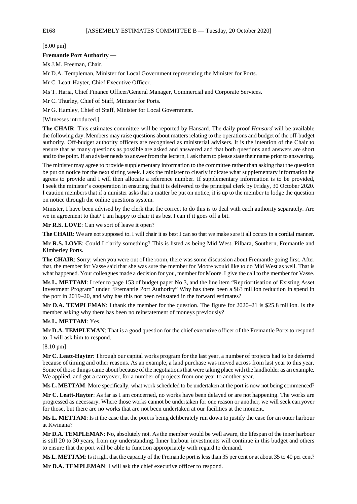[8.00 pm]

## **Fremantle Port Authority —**

Ms J.M. Freeman, Chair.

Mr D.A. Templeman, Minister for Local Government representing the Minister for Ports.

Mr C. Leatt-Hayter, Chief Executive Officer.

Ms T. Haria, Chief Finance Officer/General Manager, Commercial and Corporate Services.

Mr C. Thurley, Chief of Staff, Minister for Ports.

Mr G. Hamley, Chief of Staff, Minister for Local Government.

[Witnesses introduced.]

**The CHAIR**: This estimates committee will be reported by Hansard. The daily proof *Hansard* will be available the following day. Members may raise questions about matters relating to the operations and budget of the off-budget authority. Off-budget authority officers are recognised as ministerial advisers. It is the intention of the Chair to ensure that as many questions as possible are asked and answered and that both questions and answers are short and to the point. If an adviser needs to answer from the lectern, I ask them to please state their name prior to answering.

The minister may agree to provide supplementary information to the committee rather than asking that the question be put on notice for the next sitting week. I ask the minister to clearly indicate what supplementary information he agrees to provide and I will then allocate a reference number. If supplementary information is to be provided, I seek the minister's cooperation in ensuring that it is delivered to the principal clerk by Friday, 30 October 2020. I caution members that if a minister asks that a matter be put on notice, it is up to the member to lodge the question on notice through the online questions system.

Minister, I have been advised by the clerk that the correct to do this is to deal with each authority separately. Are we in agreement to that? I am happy to chair it as best I can if it goes off a bit.

**Mr R.S. LOVE**: Can we sort of leave it open?

**The CHAIR:** We are not supposed to. I will chair it as best I can so that we make sure it all occurs in a cordial manner.

**Mr R.S. LOVE**: Could I clarify something? This is listed as being Mid West, Pilbara, Southern, Fremantle and Kimberley Ports.

**The CHAIR**: Sorry; when you were out of the room, there was some discussion about Fremantle going first. After that, the member for Vasse said that she was sure the member for Moore would like to do Mid West as well. That is what happened. Your colleagues made a decision for you, member for Moore. I give the call to the member for Vasse.

**Ms L. METTAM**: I refer to page 153 of budget paper No 3, and the line item "Reprioritisation of Existing Asset Investment Program" under "Fremantle Port Authority" Why has there been a \$63 million reduction in spend in the port in 2019–20, and why has this not been reinstated in the forward estimates?

**Mr D.A. TEMPLEMAN**: I thank the member for the question. The figure for 2020–21 is \$25.8 million. Is the member asking why there has been no reinstatement of moneys previously?

## **Ms L. METTAM**: Yes.

**Mr D.A. TEMPLEMAN**: That is a good question for the chief executive officer of the Fremantle Ports to respond to. I will ask him to respond.

#### [8.10 pm]

**Mr C. Leatt-Hayter**: Through our capital works program for the last year, a number of projects had to be deferred because of timing and other reasons. As an example, a land purchase was moved across from last year to this year. Some of those things came about because of the negotiations that were taking place with the landholder as an example. We applied, and got a carryover, for a number of projects from one year to another year.

**Ms L. METTAM**: More specifically, what work scheduled to be undertaken at the port is now not being commenced?

**Mr C. Leatt-Hayter**: As far as I am concerned, no works have been delayed or are not happening. The works are progressed as necessary. Where those works cannot be undertaken for one reason or another, we will seek carryover for those, but there are no works that are not been undertaken at our facilities at the moment.

**Ms L. METTAM**: Is it the case that the port is being deliberately run down to justify the case for an outer harbour at Kwinana?

**Mr D.A. TEMPLEMAN**: No, absolutely not. As the member would be well aware, the lifespan of the inner harbour is still 20 to 30 years, from my understanding. Inner harbour investments will continue in this budget and others to ensure that the port will be able to function appropriately with regard to demand.

**Ms L. METTAM**: Is it right that the capacity of the Fremantle port is less than 35 per cent or at about 35 to 40 per cent?

**Mr D.A. TEMPLEMAN**: I will ask the chief executive officer to respond.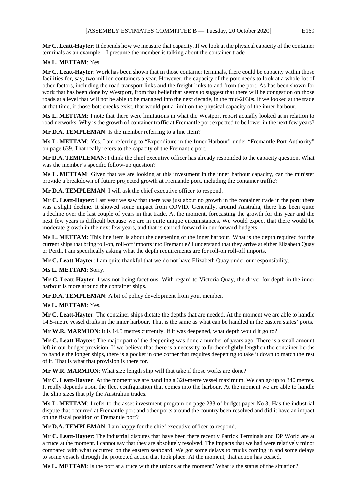**Mr C. Leatt-Hayter**: It depends how we measure that capacity. If we look at the physical capacity of the container terminals as an example—I presume the member is talking about the container trade —

## **Ms L. METTAM**: Yes.

**Mr C. Leatt-Hayter**: Work has been shown that in those container terminals, there could be capacity within those facilities for, say, two million containers a year. However, the capacity of the port needs to look at a whole lot of other factors, including the road transport links and the freight links to and from the port. As has been shown for work that has been done by Westport, from that belief that seems to suggest that there will be congestion on those roads at a level that will not be able to be managed into the next decade, in the mid-2030s. If we looked at the trade at that time, if those bottlenecks exist, that would put a limit on the physical capacity of the inner harbour.

**Ms L. METTAM**: I note that there were limitations in what the Westport report actually looked at in relation to road networks. Why is the growth of container traffic at Fremantle port expected to be lower in the next few years?

**Mr D.A. TEMPLEMAN**: Is the member referring to a line item?

**Ms L. METTAM**: Yes. I am referring to "Expenditure in the Inner Harbour" under "Fremantle Port Authority" on page 639. That really refers to the capacity of the Fremantle port.

**Mr D.A. TEMPLEMAN**: I think the chief executive officer has already responded to the capacity question. What was the member's specific follow-up question?

**Ms L. METTAM**: Given that we are looking at this investment in the inner harbour capacity, can the minister provide a breakdown of future projected growth at Fremantle port, including the container traffic?

**Mr D.A. TEMPLEMAN**: I will ask the chief executive officer to respond.

**Mr C. Leatt-Hayter**: Last year we saw that there was just about no growth in the container trade in the port; there was a slight decline. It showed some impact from COVID. Generally, around Australia, there has been quite a decline over the last couple of years in that trade. At the moment, forecasting the growth for this year and the next few years is difficult because we are in quite unique circumstances. We would expect that there would be moderate growth in the next few years, and that is carried forward in our forward budgets.

**Ms L. METTAM**: This line item is about the deepening of the inner harbour. What is the depth required for the current ships that bring roll-on, roll-off imports into Fremantle? I understand that they arrive at either Elizabeth Quay or Perth. I am specifically asking what the depth requirements are for roll-on roll-off imports.

**Mr C. Leatt-Hayter**: I am quite thankful that we do not have Elizabeth Quay under our responsibility.

**Ms L. METTAM**: Sorry.

**Mr C. Leatt-Hayter**: I was not being facetious. With regard to Victoria Quay, the driver for depth in the inner harbour is more around the container ships.

**Mr D.A. TEMPLEMAN**: A bit of policy development from you, member.

**Ms L. METTAM**: Yes.

**Mr C. Leatt-Hayter**: The container ships dictate the depths that are needed. At the moment we are able to handle 14.5-metre vessel drafts in the inner harbour. That is the same as what can be handled in the eastern states' ports.

**Mr W.R. MARMION:** It is 14.5 metres currently. If it was deepened, what depth would it go to?

**Mr C. Leatt-Hayter**: The major part of the deepening was done a number of years ago. There is a small amount left in our budget provision. If we believe that there is a necessity to further slightly lengthen the container berths to handle the longer ships, there is a pocket in one corner that requires deepening to take it down to match the rest of it. That is what that provision is there for.

**Mr W.R. MARMION**: What size length ship will that take if those works are done?

**Mr C. Leatt-Hayter**: At the moment we are handling a 320-metre vessel maximum. We can go up to 340 metres. It really depends upon the fleet configuration that comes into the harbour. At the moment we are able to handle the ship sizes that ply the Australian trades.

**Ms L. METTAM**: I refer to the asset investment program on page 233 of budget paper No 3. Has the industrial dispute that occurred at Fremantle port and other ports around the country been resolved and did it have an impact on the fiscal position of Fremantle port?

**Mr D.A. TEMPLEMAN**: I am happy for the chief executive officer to respond.

**Mr C. Leatt-Hayter**: The industrial disputes that have been there recently Patrick Terminals and DP World are at a truce at the moment. I cannot say that they are absolutely resolved. The impacts that we had were relatively minor compared with what occurred on the eastern seaboard. We got some delays to trucks coming in and some delays to some vessels through the protected action that took place. At the moment, that action has ceased.

**Ms L. METTAM**: Is the port at a truce with the unions at the moment? What is the status of the situation?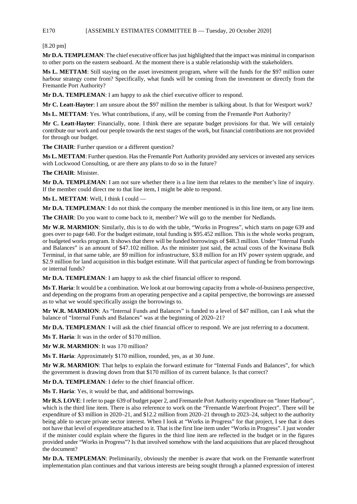### E170 [ASSEMBLY ESTIMATES COMMITTEE B — Tuesday, 20 October 2020]

[8.20 pm]

**Mr D.A. TEMPLEMAN**: The chief executive officer has just highlighted that the impact was minimal in comparison to other ports on the eastern seaboard. At the moment there is a stable relationship with the stakeholders.

**Ms L. METTAM**: Still staying on the asset investment program, where will the funds for the \$97 million outer harbour strategy come from? Specifically, what funds will be coming from the investment or directly from the Fremantle Port Authority?

**Mr D.A. TEMPLEMAN**: I am happy to ask the chief executive officer to respond.

**Mr C. Leatt-Hayter**: I am unsure about the \$97 million the member is talking about. Is that for Westport work?

**Ms L. METTAM**: Yes. What contributions, if any, will be coming from the Fremantle Port Authority?

**Mr C. Leatt-Hayter**: Financially, none. I think there are separate budget provisions for that. We will certainly contribute our work and our people towards the next stages of the work, but financial contributions are not provided for through our budget.

**The CHAIR**: Further question or a different question?

**Ms L. METTAM**: Further question. Has the Fremantle Port Authority provided any services or invested any services with Lockwood Consulting, or are there any plans to do so in the future?

**The CHAIR**: Minister.

**Mr D.A. TEMPLEMAN**: I am not sure whether there is a line item that relates to the member's line of inquiry. If the member could direct me to that line item, I might be able to respond.

**Ms L. METTAM**: Well, I think I could —

**Mr D.A. TEMPLEMAN**: I do not think the company the member mentioned is in this line item, or any line item.

**The CHAIR**: Do you want to come back to it, member? We will go to the member for Nedlands.

**Mr W.R. MARMION**: Similarly, this is to do with the table, "Works in Progress", which starts on page 639 and goes over to page 640. For the budget estimate, total funding is \$95.452 million. This is the whole works program, or budgeted works program. It shows that there will be funded borrowings of \$48.3 million. Under "Internal Funds and Balances" is an amount of \$47.102 million. As the minister just said, the actual costs of the Kwinana Bulk Terminal, in that same table, are \$9 million for infrastructure, \$3.8 million for an HV power system upgrade, and \$2.9 million for land acquisition in this budget estimate. Will that particular aspect of funding be from borrowings or internal funds?

**Mr D.A. TEMPLEMAN**: I am happy to ask the chief financial officer to respond.

**Ms T. Haria**: It would be a combination. We look at our borrowing capacity from a whole-of-business perspective, and depending on the programs from an operating perspective and a capital perspective, the borrowings are assessed as to what we would specifically assign the borrowings to.

**Mr W.R. MARMION**: As "Internal Funds and Balances" is funded to a level of \$47 million, can I ask what the balance of "Internal Funds and Balances" was at the beginning of 2020–21?

**Mr D.A. TEMPLEMAN**: I will ask the chief financial officer to respond. We are just referring to a document.

**Ms T. Haria**: It was in the order of \$170 million.

**Mr W.R. MARMION**: It was 170 million?

**Ms T. Haria**: Approximately \$170 million, rounded, yes, as at 30 June.

**Mr W.R. MARMION**: That helps to explain the forward estimate for "Internal Funds and Balances", for which the government is drawing down from that \$170 million of its current balance. Is that correct?

**Mr D.A. TEMPLEMAN**: I defer to the chief financial officer.

**Ms T. Haria**: Yes, it would be that, and additional borrowings.

**Mr R.S. LOVE**: I refer to page 639 of budget paper 2, and Fremantle Port Authority expenditure on "Inner Harbour", which is the third line item. There is also reference to work on the "Fremantle Waterfront Project". There will be expenditure of \$3 million in 2020–21, and \$12.2 million from 2020–21 through to 2023–24, subject to the authority being able to secure private sector interest. When I look at "Works in Progress" for that project, I see that it does not have that level of expenditure attached to it. That is the first line item under "Works in Progress". I just wonder if the minister could explain where the figures in the third line item are reflected in the budget or in the figures provided under "Works in Progress"? Is that involved somehow with the land acquisitions that are placed throughout the document?

**Mr D.A. TEMPLEMAN**: Preliminarily, obviously the member is aware that work on the Fremantle waterfront implementation plan continues and that various interests are being sought through a planned expression of interest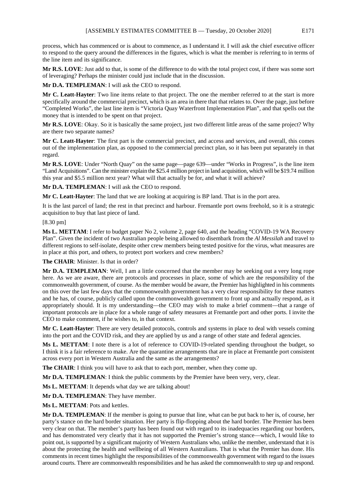process, which has commenced or is about to commence, as I understand it. I will ask the chief executive officer to respond to the query around the differences in the figures, which is what the member is referring to in terms of the line item and its significance.

**Mr R.S. LOVE**: Just add to that, is some of the difference to do with the total project cost, if there was some sort of leveraging? Perhaps the minister could just include that in the discussion.

**Mr D.A. TEMPLEMAN**: I will ask the CEO to respond.

**Mr C. Leatt-Hayter**: Two line items relate to that project. The one the member referred to at the start is more specifically around the commercial precinct, which is an area in there that that relates to. Over the page, just before "Completed Works", the last line item is "Victoria Quay Waterfront Implementation Plan", and that spells out the money that is intended to be spent on that project.

**Mr R.S. LOVE**: Okay. So it is basically the same project, just two different little areas of the same project? Why are there two separate names?

**Mr C. Leatt-Hayter**: The first part is the commercial precinct, and access and services, and overall, this comes out of the implementation plan, as opposed to the commercial precinct plan, so it has been put separately in that regard.

**Mr R.S. LOVE**: Under "North Quay" on the same page—page 639—under "Works in Progress", is the line item "Land Acquisitions". Can the minister explain the \$25.4 million project in land acquisition, which will be \$19.74 million this year and \$5.5 million next year? What will that actually be for, and what it will achieve?

**Mr D.A. TEMPLEMAN**: I will ask the CEO to respond.

**Mr C. Leatt-Hayter**: The land that we are looking at acquiring is BP land. That is in the port area.

It is the last parcel of land; the rest in that precinct and harbour. Fremantle port owns freehold, so it is a strategic acquisition to buy that last piece of land.

[8.30 pm]

**Ms L. METTAM**: I refer to budget paper No 2, volume 2, page 640, and the heading "COVID-19 WA Recovery Plan". Given the incident of two Australian people being allowed to disembark from the *Al Messilah* and travel to different regions to self-isolate, despite other crew members being tested positive for the virus, what measures are in place at this port, and others, to protect port workers and crew members?

**The CHAIR**: Minister. Is that in order?

**Mr D.A. TEMPLEMAN**: Well, I am a little concerned that the member may be seeking out a very long rope here. As we are aware, there are protocols and processes in place, some of which are the responsibility of the commonwealth government, of course. As the member would be aware, the Premier has highlighted in his comments on this over the last few days that the commonwealth government has a very clear responsibility for these matters and he has, of course, publicly called upon the commonwealth government to front up and actually respond, as it appropriately should. It is my understanding—the CEO may wish to make a brief comment—that a range of important protocols are in place for a whole range of safety measures at Fremantle port and other ports. I invite the CEO to make comment, if he wishes to, in that context.

**Mr C. Leatt-Hayter**: There are very detailed protocols, controls and systems in place to deal with vessels coming into the port and the COVID risk, and they are applied by us and a range of other state and federal agencies.

**Ms L. METTAM**: I note there is a lot of reference to COVID-19-related spending throughout the budget, so I think it is a fair reference to make. Are the quarantine arrangements that are in place at Fremantle port consistent across every port in Western Australia and the same as the arrangements?

**The CHAIR**: I think you will have to ask that to each port, member, when they come up.

**Mr D.A. TEMPLEMAN**: I think the public comments by the Premier have been very, very, clear.

**Ms L. METTAM**: It depends what day we are talking about!

**Mr D.A. TEMPLEMAN**: They have member.

**Ms L. METTAM**: Pots and kettles.

**Mr D.A. TEMPLEMAN**: If the member is going to pursue that line, what can be put back to her is, of course, her party's stance on the hard border situation. Her party is flip-flopping about the hard border. The Premier has been very clear on that. The member's party has been found out with regard to its inadequacies regarding our borders, and has demonstrated very clearly that it has not supported the Premier's strong stance—which, I would like to point out, is supported by a significant majority of Western Australians who, unlike the member, understand that it is about the protecting the health and wellbeing of all Western Australians. That is what the Premier has done. His comments in recent times highlight the responsibilities of the commonwealth government with regard to the issues around courts. There are commonwealth responsibilities and he has asked the commonwealth to step up and respond.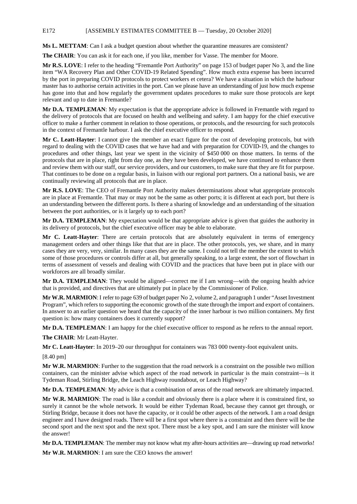### E172 [ASSEMBLY ESTIMATES COMMITTEE B — Tuesday, 20 October 2020]

**Ms L. METTAM**: Can I ask a budget question about whether the quarantine measures are consistent?

**The CHAIR**: You can ask it for each one, if you like, member for Vasse. The member for Moore.

**Mr R.S. LOVE**: I refer to the heading "Fremantle Port Authority" on page 153 of budget paper No 3, and the line item "WA Recovery Plan and Other COVID-19 Related Spending". How much extra expense has been incurred by the port in preparing COVID protocols to protect workers et cetera? We have a situation in which the harbour master has to authorise certain activities in the port. Can we please have an understanding of just how much expense has gone into that and how regularly the government updates procedures to make sure those protocols are kept relevant and up to date in Fremantle?

**Mr D.A. TEMPLEMAN**: My expectation is that the appropriate advice is followed in Fremantle with regard to the delivery of protocols that are focused on health and wellbeing and safety. I am happy for the chief executive officer to make a further comment in relation to those operations, or protocols, and the resourcing for such protocols in the context of Fremantle harbour. I ask the chief executive officer to respond.

**Mr C. Leatt-Hayter**: I cannot give the member an exact figure for the cost of developing protocols, but with regard to dealing with the COVID cases that we have had and with preparation for COVID-19, and the changes to procedures and other things, last year we spent in the vicinity of \$450 000 on those matters. In terms of the protocols that are in place, right from day one, as they have been developed, we have continued to enhance them and review them with our staff, our service providers, and our customers, to make sure that they are fit for purpose. That continues to be done on a regular basis, in liaison with our regional port partners. On a national basis, we are continually reviewing all protocols that are in place.

**Mr R.S. LOVE**: The CEO of Fremantle Port Authority makes determinations about what appropriate protocols are in place at Fremantle. That may or may not be the same as other ports; it is different at each port, but there is an understanding between the different ports. Is there a sharing of knowledge and an understanding of the situation between the port authorities, or is it largely up to each port?

**Mr D.A. TEMPLEMAN**: My expectation would be that appropriate advice is given that guides the authority in its delivery of protocols, but the chief executive officer may be able to elaborate.

**Mr C. Leatt-Hayter**: There are certain protocols that are absolutely equivalent in terms of emergency management orders and other things like that that are in place. The other protocols, yes, we share, and in many cases they are very, very, similar. In many cases they are the same. I could not tell the member the extent to which some of those procedures or controls differ at all, but generally speaking, to a large extent, the sort of flowchart in terms of assessment of vessels and dealing with COVID and the practices that have been put in place with our workforces are all broadly similar.

**Mr D.A. TEMPLEMAN:** They would be aligned—correct me if I am wrong—with the ongoing health advice that is provided, and directives that are ultimately put in place by the Commissioner of Police.

**Mr W.R. MARMION**:I refer to page 639 of budget paper No 2, volume 2, and paragraph 1 under "Asset Investment Program", which refers to supporting the economic growth of the state through the import and export of containers. In answer to an earlier question we heard that the capacity of the inner harbour is two million containers. My first question is: how many containers does it currently support?

**Mr D.A. TEMPLEMAN**: I am happy for the chief executive officer to respond as he refers to the annual report.

**The CHAIR**: Mr Leatt-Hayter.

**Mr C. Leatt-Hayter**: In 2019–20 our throughput for containers was 783 000 twenty-foot equivalent units.

[8.40 pm]

**Mr W.R. MARMION**: Further to the suggestion that the road network is a constraint on the possible two million containers, can the minister advise which aspect of the road network in particular is the main constraint—is it Tydeman Road, Stirling Bridge, the Leach Highway roundabout, or Leach Highway?

**Mr D.A. TEMPLEMAN**: My advice is that a combination of areas of the road network are ultimately impacted.

**Mr W.R. MARMION**: The road is like a conduit and obviously there is a place where it is constrained first, so surely it cannot be the whole network. It would be either Tydeman Road, because they cannot get through, or Stirling Bridge, because it does not have the capacity, or it could be other aspects of the network. I am a road design engineer and I have designed roads. There will be a first spot where there is a constraint and then there will be the second sport and the next spot and the next spot. There must be a key spot, and I am sure the minister will know the answer!

**Mr D.A. TEMPLEMAN**: The member may not know what my after-hours activities are—drawing up road networks!

**Mr W.R. MARMION**: I am sure the CEO knows the answer!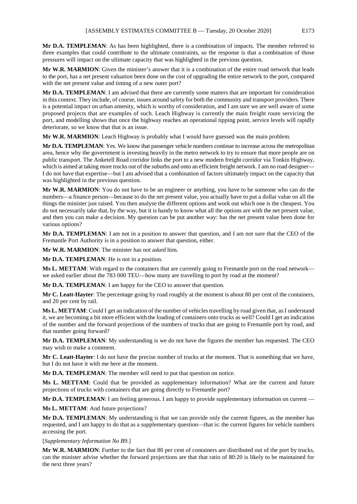**Mr D.A. TEMPLEMAN**: As has been highlighted, there is a combination of impacts. The member referred to three examples that could contribute to the ultimate constraints, so the response is that a combination of those pressures will impact on the ultimate capacity that was highlighted in the previous question.

**Mr W.R. MARMION**: Given the minister's answer that it is a combination of the entire road network that leads to the port, has a net present valuation been done on the cost of upgrading the entire network to the port, compared with the net present value and timing of a new outer port?

**Mr D.A. TEMPLEMAN**: I am advised that there are currently some matters that are important for consideration in this context. They include, of course, issues around safety for both the community and transport providers. There is a potential impact on urban amenity, which is worthy of consideration, and I am sure we are well aware of some proposed projects that are examples of such. Leach Highway is currently the main freight route servicing the port, and modelling shows that once the highway reaches an operational tipping point, service levels will rapidly deteriorate, so we know that that is an issue.

**Mr W.R. MARMION**: Leach Highway is probably what I would have guessed was the main problem.

**Mr D.A. TEMPLEMAN**: Yes. We know that passenger vehicle numbers continue to increase across the metropolitan area, hence why the government is investing heavily in the metro network to try to ensure that more people are on public transport. The Anketell Road corridor links the port to a new modern freight corridor via Tonkin Highway, which is aimed at taking more trucks out of the suburbs and onto an efficient freight network. I am no road designer— I do not have that expertise—but I am advised that a combination of factors ultimately impact on the capacity that was highlighted in the previous question.

**Mr W.R. MARMION**: You do not have to be an engineer or anything, you have to be someone who can do the numbers—a finance person—because to do the net present value, you actually have to put a dollar value on all the things the minister just raised. You then analyse the different options and work out which one is the cheapest. You do not necessarily take that, by the way, but it is handy to know what all the options are with the net present value, and then you can make a decision. My question can be put another way: has the net present value been done for various options?

**Mr D.A. TEMPLEMAN**: I am not in a position to answer that question, and I am not sure that the CEO of the Fremantle Port Authority is in a position to answer that question, either.

**Mr W.R. MARMION**: The minister has not asked him.

**Mr D.A. TEMPLEMAN**: He is not in a position.

**Ms L. METTAM:** With regard to the containers that are currently going to Fremantle port on the road network we asked earlier about the 783 000 TEU—how many are travelling to port by road at the moment?

**Mr D.A. TEMPLEMAN**: I am happy for the CEO to answer that question.

**Mr C. Leatt-Hayter**: The percentage going by road roughly at the moment is about 80 per cent of the containers, and 20 per cent by rail.

**Ms L. METTAM**: Could I get an indication of the number of vehicles travelling by road given that, as I understand it, we are becoming a bit more efficient with the loading of containers onto trucks as well? Could I get an indication of the number and the forward projections of the numbers of trucks that are going to Fremantle port by road, and that number going forward?

**Mr D.A. TEMPLEMAN**: My understanding is we do not have the figures the member has requested. The CEO may wish to make a comment.

**Mr C. Leatt-Hayter**: I do not have the precise number of trucks at the moment. That is something that we have, but I do not have it with me here at the moment.

**Mr D.A. TEMPLEMAN**: The member will need to put that question on notice.

**Ms L. METTAM**: Could that be provided as supplementary information? What are the current and future projections of trucks with containers that are going directly to Fremantle port?

**Mr D.A. TEMPLEMAN**: I am feeling generous. I am happy to provide supplementary information on current —

**Ms L. METTAM**: And future projections?

**Mr D.A. TEMPLEMAN**: My understanding is that we can provide only the current figures, as the member has requested, and I am happy to do that as a supplementary question—that is: the current figures for vehicle numbers accessing the port.

[*Supplementary Information No B9.*]

**Mr W.R. MARMION**: Further to the fact that 80 per cent of containers are distributed out of the port by trucks, can the minister advise whether the forward projections are that that ratio of 80:20 is likely to be maintained for the next three years?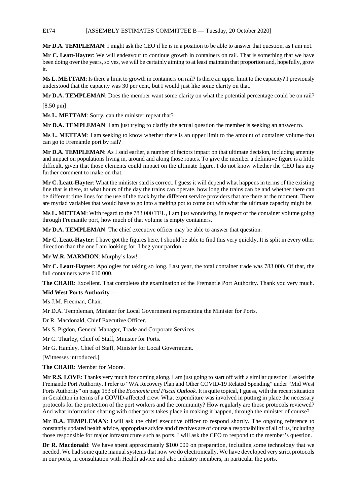## E174 [ASSEMBLY ESTIMATES COMMITTEE B — Tuesday, 20 October 2020]

**Mr D.A. TEMPLEMAN**: I might ask the CEO if he is in a position to be able to answer that question, as I am not.

**Mr C. Leatt-Hayter**: We will endeavour to continue growth in containers on rail. That is something that we have been doing over the years, so yes, we will be certainly aiming to at least maintain that proportion and, hopefully, grow it.

**Ms L. METTAM**: Is there a limit to growth in containers on rail? Is there an upper limit to the capacity? I previously understood that the capacity was 30 per cent, but I would just like some clarity on that.

**Mr D.A. TEMPLEMAN**: Does the member want some clarity on what the potential percentage could be on rail?

[8.50 pm]

**Ms L. METTAM**: Sorry, can the minister repeat that?

**Mr D.A. TEMPLEMAN**: I am just trying to clarify the actual question the member is seeking an answer to.

**Ms L. METTAM**: I am seeking to know whether there is an upper limit to the amount of container volume that can go to Fremantle port by rail?

**Mr D.A. TEMPLEMAN**: As I said earlier, a number of factors impact on that ultimate decision, including amenity and impact on populations living in, around and along those routes. To give the member a definitive figure is a little difficult, given that those elements could impact on the ultimate figure. I do not know whether the CEO has any further comment to make on that.

**Mr C. Leatt-Hayter**: What the minister said is correct. I guess it will depend what happens in terms of the existing line that is there, at what hours of the day the trains can operate, how long the trains can be and whether there can be different time lines for the use of the track by the different service providers that are there at the moment. There are myriad variables that would have to go into a melting pot to come out with what the ultimate capacity might be.

**Ms L. METTAM**: With regard to the 783 000 TEU, I am just wondering, in respect of the container volume going through Fremantle port, how much of that volume is empty containers.

**Mr D.A. TEMPLEMAN**: The chief executive officer may be able to answer that question.

**Mr C. Leatt-Hayter**: I have got the figures here. I should be able to find this very quickly. It is split in every other direction than the one I am looking for. I beg your pardon.

**Mr W.R. MARMION**: Murphy's law!

**Mr C. Leatt-Hayter**: Apologies for taking so long. Last year, the total container trade was 783 000. Of that, the full containers were 610 000.

**The CHAIR**: Excellent. That completes the examination of the Fremantle Port Authority. Thank you very much.

**Mid West Ports Authority —**

Ms J.M. Freeman, Chair.

Mr D.A. Templeman, Minister for Local Government representing the Minister for Ports.

Dr R. Macdonald, Chief Executive Officer.

Ms S. Pigdon, General Manager, Trade and Corporate Services.

Mr C. Thurley, Chief of Staff, Minister for Ports.

Mr G. Hamley, Chief of Staff, Minister for Local Government.

[Witnesses introduced.]

**The CHAIR**: Member for Moore.

**Mr R.S. LOVE**: Thanks very much for coming along. I am just going to start off with a similar question I asked the Fremantle Port Authority. I refer to "WA Recovery Plan and Other COVID-19 Related Spending" under "Mid West Ports Authority" on page 153 of the *Economic and Fiscal Outlook.* It is quite topical, I guess, with the recent situation in Geraldton in terms of a COVID-affected crew. What expenditure was involved in putting in place the necessary protocols for the protection of the port workers and the community? How regularly are those protocols reviewed? And what information sharing with other ports takes place in making it happen, through the minister of course?

**Mr D.A. TEMPLEMAN**: I will ask the chief executive officer to respond shortly. The ongoing reference to constantly updated health advice, appropriate advice and directives are of course a responsibility of all of us, including those responsible for major infrastructure such as ports. I will ask the CEO to respond to the member's question.

**Dr R. Macdonald**: We have spent approximately \$100 000 on preparation, including some technology that we needed. We had some quite manual systems that now we do electronically. We have developed very strict protocols in our ports, in consultation with Health advice and also industry members, in particular the ports.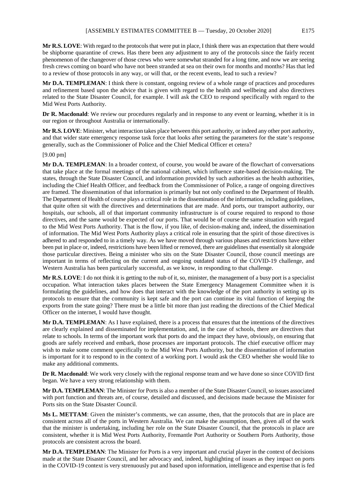**Mr R.S. LOVE**: With regard to the protocols that were put in place, I think there was an expectation that there would be shipborne quarantine of crews. Has there been any adjustment to any of the protocols since the fairly recent phenomenon of the changeover of those crews who were somewhat stranded for a long time, and now we are seeing fresh crews coming on board who have not been stranded at sea on their own for months and months? Has that led to a review of those protocols in any way, or will that, or the recent events, lead to such a review?

**Mr D.A. TEMPLEMAN**: I think there is constant, ongoing review of a whole range of practices and procedures and refinement based upon the advice that is given with regard to the health and wellbeing and also directives related to the State Disaster Council, for example. I will ask the CEO to respond specifically with regard to the Mid West Ports Authority.

**Dr R. Macdonald**: We review our procedures regularly and in response to any event or learning, whether it is in our region or throughout Australia or internationally.

**Mr R.S. LOVE**: Minister, what interaction takes place between this port authority, or indeed any other port authority, and that wider state emergency response task force that looks after setting the parameters for the state's response generally, such as the Commissioner of Police and the Chief Medical Officer et cetera?

## [9.00 pm]

**Mr D.A. TEMPLEMAN**: In a broader context, of course, you would be aware of the flowchart of conversations that take place at the formal meetings of the national cabinet, which influence state-based decision-making. The states, through the State Disaster Council, and information provided by such authorities as the health authorities, including the Chief Health Officer, and feedback from the Commissioner of Police, a range of ongoing directives are framed. The dissemination of that information is primarily but not only confined to the Department of Health. The Department of Health of course plays a critical role in the dissemination of the information, including guidelines, that quite often sit with the directives and determinations that are made. And ports, our transport authority, our hospitals, our schools, all of that important community infrastructure is of course required to respond to those directives, and the same would be expected of our ports. That would be of course the same situation with regard to the Mid West Ports Authority. That is the flow, if you like, of decision-making and, indeed, the dissemination of information. The Mid West Ports Authority plays a critical role in ensuring that the spirit of those directives is adhered to and responded to in a timely way. As we have moved through various phases and restrictions have either been put in place or, indeed, restrictions have been lifted or removed, there are guidelines that essentially sit alongside those particular directives. Being a minister who sits on the State Disaster Council, those council meetings are important in terms of reflecting on the current and ongoing outdated status of the COVID-19 challenge, and Western Australia has been particularly successful, as we know, in responding to that challenge.

**Mr R.S. LOVE**: I do not think it is getting to the nub of it, so, minister, the management of a busy port is a specialist occupation. What interaction takes places between the State Emergency Management Committee when it is formulating the guidelines, and how does that interact with the knowledge of the port authority in setting up its protocols to ensure that the community is kept safe and the port can continue its vital function of keeping the exports from the state going? There must be a little bit more than just reading the directions of the Chief Medical Officer on the internet, I would have thought.

**Mr D.A. TEMPLEMAN**: As I have explained, there is a process that ensures that the intentions of the directives are clearly explained and disseminated for implementation, and, in the case of schools, there are directives that relate to schools. In terms of the important work that ports do and the impact they have, obviously, on ensuring that goods are safely received and embark, those processes are important protocols. The chief executive officer may wish to make some comment specifically to the Mid West Ports Authority, but the dissemination of information is important for it to respond to in the context of a working port. I would ask the CEO whether she would like to make any additional comments.

**Dr R. Macdonald**: We work very closely with the regional response team and we have done so since COVID first began. We have a very strong relationship with them.

**Mr D.A. TEMPLEMAN**: The Minister for Ports is also a member of the State Disaster Council, so issues associated with port function and threats are, of course, detailed and discussed, and decisions made because the Minister for Ports sits on the State Disaster Council.

**Ms L. METTAM**: Given the minister's comments, we can assume, then, that the protocols that are in place are consistent across all of the ports in Western Australia. We can make the assumption, then, given all of the work that the minister is undertaking, including her role on the State Disaster Council, that the protocols in place are consistent, whether it is Mid West Ports Authority, Fremantle Port Authority or Southern Ports Authority, those protocols are consistent across the board.

**Mr D.A. TEMPLEMAN**: The Minister for Ports is a very important and crucial player in the context of decisions made at the State Disaster Council, and her advocacy and, indeed, highlighting of issues as they impact on ports in the COVID-19 context is very strenuously put and based upon information, intelligence and expertise that is fed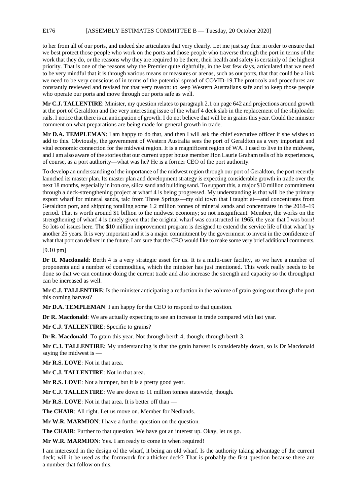### E176 [ASSEMBLY ESTIMATES COMMITTEE B — Tuesday, 20 October 2020]

to her from all of our ports, and indeed she articulates that very clearly. Let me just say this: in order to ensure that we best protect those people who work on the ports and those people who traverse through the port in terms of the work that they do, or the reasons why they are required to be there, their health and safety is certainly of the highest priority. That is one of the reasons why the Premier quite rightfully, in the last few days, articulated that we need to be very mindful that it is through various means or measures or arenas, such as our ports, that that could be a link we need to be very conscious of in terms of the potential spread of COVID-19.The protocols and procedures are constantly reviewed and revised for that very reason: to keep Western Australians safe and to keep those people who operate our ports and move through our ports safe as well.

**Mr C.J. TALLENTIRE**: Minister, my question relates to paragraph 2.1 on page 642 and projections around growth at the port of Geraldton and the very interesting issue of the wharf 4 deck slab in the replacement of the shiploader rails. I notice that there is an anticipation of growth. I do not believe that will be in grains this year. Could the minister comment on what preparations are being made for general growth in trade.

**Mr D.A. TEMPLEMAN**: I am happy to do that, and then I will ask the chief executive officer if she wishes to add to this. Obviously, the government of Western Australia sees the port of Geraldton as a very important and vital economic connection for the midwest region. It is a magnificent region of WA. I used to live in the midwest, and I am also aware of the stories that our current upper house member Hon Laurie Graham tells of his experiences, of course, as a port authority—what was he? He is a former CEO of the port authority.

To develop an understanding of the importance of the midwest region through our port of Geraldton, the port recently launched its master plan. Its master plan and development strategy is expecting considerable growth in trade over the next 18 months, especially in iron ore, silica sand and building sand. To support this, a major \$10 million commitment through a deck-strengthening project at wharf 4 is being progressed. My understanding is that will be the primary export wharf for mineral sands, talc from Three Springs—my old town that I taught at—and concentrates from Geraldton port, and shipping totalling some 1.2 million tonnes of mineral sands and concentrates in the 2018–19 period. That is worth around \$1 billion to the midwest economy; so not insignificant. Member, the works on the strengthening of wharf 4 is timely given that the original wharf was constructed in 1965, the year that I was born! So lots of issues here. The \$10 million improvement program is designed to extend the service life of that wharf by another 25 years. It is very important and it is a major commitment by the government to invest in the confidence of what that port can deliver in the future. I am sure that the CEO would like to make some very brief additional comments.

[9.10 pm]

**Dr R. Macdonald**: Berth 4 is a very strategic asset for us. It is a multi-user facility, so we have a number of proponents and a number of commodities, which the minister has just mentioned. This work really needs to be done so that we can continue doing the current trade and also increase the strength and capacity so the throughput can be increased as well.

**Mr C.J. TALLENTIRE**: Is the minister anticipating a reduction in the volume of grain going out through the port this coming harvest?

**Mr D.A. TEMPLEMAN**: I am happy for the CEO to respond to that question.

**Dr R. Macdonald**: We are actually expecting to see an increase in trade compared with last year.

**Mr C.J. TALLENTIRE**: Specific to grains?

**Dr R. Macdonald**: To grain this year. Not through berth 4, though; through berth 3.

**Mr C.J. TALLENTIRE**: My understanding is that the grain harvest is considerably down, so is Dr Macdonald saying the midwest is —

**Mr R.S. LOVE**: Not in that area.

**Mr C.J. TALLENTIRE**: Not in that area.

**Mr R.S. LOVE**: Not a bumper, but it is a pretty good year.

**Mr C.J. TALLENTIRE**: We are down to 11 million tonnes statewide, though.

**Mr R.S. LOVE**: Not in that area. It is better off than —

**The CHAIR**: All right. Let us move on. Member for Nedlands.

Mr W.R. MARMION: I have a further question on the question.

**The CHAIR**: Further to that question. We have got an interest up. Okay, let us go.

**Mr W.R. MARMION**: Yes. I am ready to come in when required!

I am interested in the design of the wharf, it being an old wharf. Is the authority taking advantage of the current deck; will it be used as the formwork for a thicker deck? That is probably the first question because there are a number that follow on this.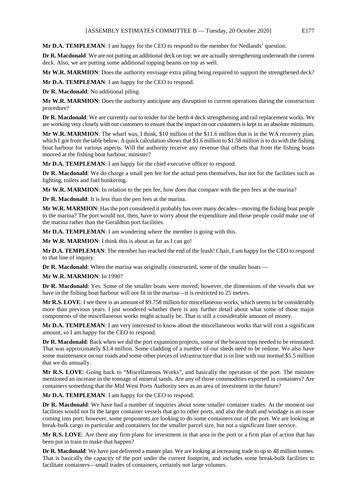**Mr D.A. TEMPLEMAN**: I am happy for the CEO to respond to the member for Nedlands' question.

**Dr R. Macdonald**: We are not putting an additional deck on top; we are actually strengthening underneath the current deck. Also, we are putting some additional topping beams on top as well.

**Mr W.R. MARMION**: Does the authority envisage extra piling being required to support the strengthened deck?

**Mr D.A. TEMPLEMAN**: I am happy for the CEO to respond.

**Dr R. Macdonald**: No additional piling.

**Mr W.R. MARMION**: Does the authority anticipate any disruption to current operations during the construction procedure?

**Dr R. Macdonald**: We are currently out to tender for the berth 4 deck strengthening and rail replacement works. We are working very closely with our customers to ensure that the impact on our customers is kept to an absolute minimum.

**Mr W.R. MARMION**: The wharf was, I think, \$10 million of the \$11.6 million that is in the WA recovery plan, which I got from the table below. A quick calculation shows that \$1.6 million to \$1.58 million is to do with the fishing boat harbour for various aspects. Will the authority receive any revenue that offsets that from the fishing boats moored at the fishing boat harbour, minister?

**Mr D.A. TEMPLEMAN**: I am happy for the chief executive officer to respond.

**Dr R. Macdonald**: We do charge a small pen fee for the actual pens themselves, but not for the facilities such as lighting, toilets and fuel bunkering.

**Mr W.R. MARMION**: In relation to the pen fee, how does that compare with the pen fees at the marina?

**Dr R. Macdonald**: It is less than the pen fees at the marina.

**Mr W.R. MARMION**: Has the port considered it probably has over many decades—moving the fishing boat people to the marina? The port would not, then, have to worry about the expenditure and those people could make use of the marina rather than the Geraldton port facilities.

**Mr D.A. TEMPLEMAN**: I am wondering where the member is going with this.

**Mr W.R. MARMION**: I think this is about as far as I can go!

**Mr D.A. TEMPLEMAN**: The member has reached the end of the leash! Chair, I am happy for the CEO to respond to that line of inquiry.

**Dr R. Macdonald**: When the marina was originally constructed, some of the smaller boats —

**Mr W.R. MARMION**: In 1990?

**Dr R. Macdonald**: Yes. Some of the smaller boats were moved; however, the dimensions of the vessels that we have in the fishing boat harbour will not fit in the marina—it is restricted to 25 metres.

**Mr R.S. LOVE**: I see there is an amount of \$9.758 million for miscellaneous works, which seems to be considerably more than previous years. I just wondered whether there is any further detail about what some of those major components of the miscellaneous works might actually be. That is still a considerable amount of money.

**Mr D.A. TEMPLEMAN**: I am very interested to know about the miscellaneous works that will cost a significant amount, so I am happy for the CEO to respond.

**Dr R. Macdonald**: Back when we did the port expansion projects, some of the beacon tops needed to be reinstated. That was approximately \$3.4 million. Some cladding of a number of our sheds need to be redone. We also have some maintenance on our roads and some other pieces of infrastructure that is in line with our normal \$5.5 million that we do annually.

**Mr R.S. LOVE**: Going back to "Miscellaneous Works", and basically the operation of the port. The minister mentioned an increase in the tonnage of mineral sands. Are any of those commodities exported in containers? Are containers something that the Mid West Ports Authority sees as an area of investment in the future?

**Mr D.A. TEMPLEMAN**: I am happy for the CEO to respond.

**Dr R. Macdonald**: We have had a number of inquiries about some smaller container trades. At the moment our facilities would not fit the larger container vessels that go to other ports, and also the draft and windage is an issue coming into port; however, some proponents are looking to do some containers out of the port. We are looking at break-bulk cargo in particular and containers for the smaller parcel size, but not a significant liner service.

**Mr R.S. LOVE**: Are there any firm plans for investment in that area in the port or a firm plan of action that has been put in train to make that happen?

**Dr R. Macdonald**: We have just delivered a master plan. We are looking at increasing trade to up to 48 million tonnes. That is basically the capacity of the port under the current footprint, and includes some break-bulk facilities to facilitate containers—small trades of containers, certainly not large volumes.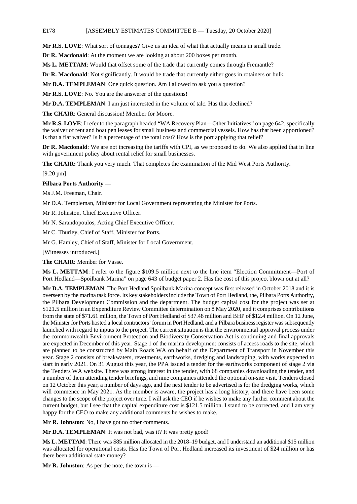## E178 [ASSEMBLY ESTIMATES COMMITTEE B — Tuesday, 20 October 2020]

**Mr R.S. LOVE**: What sort of tonnages? Give us an idea of what that actually means in small trade.

**Dr R. Macdonald**: At the moment we are looking at about 200 boxes per month.

**Ms L. METTAM**: Would that offset some of the trade that currently comes through Fremantle?

**Dr R. Macdonald**: Not significantly. It would be trade that currently either goes in rotainers or bulk.

**Mr D.A. TEMPLEMAN**: One quick question. Am I allowed to ask you a question?

**Mr R.S. LOVE**: No. You are the answerer of the questions!

**Mr D.A. TEMPLEMAN**: I am just interested in the volume of talc. Has that declined?

**The CHAIR**: General discussion! Member for Moore.

**Mr R.S. LOVE**: I refer to the paragraph headed "WA Recovery Plan—Other Initiatives" on page 642, specifically the waiver of rent and boat pen leases for small business and commercial vessels. How has that been apportioned? Is that a flat waiver? Is it a percentage of the total cost? How is the port applying that relief?

**Dr R. Macdonald**: We are not increasing the tariffs with CPI, as we proposed to do. We also applied that in line with government policy about rental relief for small businesses.

**The CHAIR:** Thank you very much. That completes the examination of the Mid West Ports Authority.

[9.20 pm]

### **Pilbara Ports Authority —**

Ms J.M. Freeman, Chair.

Mr D.A. Templeman, Minister for Local Government representing the Minister for Ports.

Mr R. Johnston, Chief Executive Officer.

Mr N. Sarandopoulos, Acting Chief Executive Officer.

Mr C. Thurley, Chief of Staff, Minister for Ports.

Mr G. Hamley, Chief of Staff, Minister for Local Government.

[Witnesses introduced.]

**The CHAIR**: Member for Vasse.

**Ms L. METTAM**: I refer to the figure \$109.5 million next to the line item "Election Commitment—Port of Port Hedland—Spoilbank Marina" on page 643 of budget paper 2. Has the cost of this project blown out at all?

**Mr D.A. TEMPLEMAN**: The Port Hedland Spoilbank Marina concept was first released in October 2018 and it is overseen by the marina task force. Its key stakeholders include the Town of Port Hedland, the, Pilbara Ports Authority, the Pilbara Development Commission and the department. The budget capital cost for the project was set at \$121.5 million in an Expenditure Review Committee determination on 8 May 2020, and it comprises contributions from the state of \$71.61 million, the Town of Port Hedland of \$37.48 million and BHP of \$12.4 million. On 12 June, the Minister for Ports hosted a local contractors' forum in Port Hedland, and a Pilbara business register was subsequently launched with regard to inputs to the project. The current situation is that the environmental approval process under the commonwealth Environment Protection and Biodiversity Conservation Act is continuing and final approvals are expected in December of this year. Stage 1 of the marina development consists of access roads to the site, which are planned to be constructed by Main Roads WA on behalf of the Department of Transport in November this year. Stage 2 consists of breakwaters, revetments, earthworks, dredging and landscaping, with works expected to start in early 2021. On 31 August this year, the PPA issued a tender for the earthworks component of stage 2 via the Tenders WA website. There was strong interest in the tender, with 68 companies downloading the tender, and a number of them attending tender briefings, and nine companies attended the optional on-site visit. Tenders closed on 12 October this year, a number of days ago, and the next tender to be advertised is for the dredging works, which will commence in May 2021. As the member is aware, the project has a long history, and there have been some changes to the scope of the project over time. I will ask the CEO if he wishes to make any further comment about the current budget, but I see that the capital expenditure cost is \$121.5 million. I stand to be corrected, and I am very happy for the CEO to make any additional comments he wishes to make.

**Mr R. Johnston**: No, I have got no other comments.

**Mr D.A. TEMPLEMAN**: It was not bad, was it? It was pretty good!

**Ms L. METTAM**: There was \$85 million allocated in the 2018–19 budget, and I understand an additional \$15 million was allocated for operational costs. Has the Town of Port Hedland increased its investment of \$24 million or has there been additional state money?

**Mr R. Johnston**: As per the note, the town is —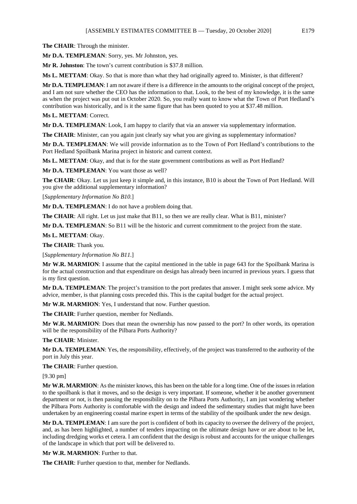**The CHAIR**: Through the minister.

**Mr D.A. TEMPLEMAN**: Sorry, yes. Mr Johnston, yes.

**Mr R. Johnston**: The town's current contribution is \$37.8 million.

**Ms L. METTAM**: Okay. So that is more than what they had originally agreed to. Minister, is that different?

**Mr D.A. TEMPLEMAN**: I am not aware if there is a difference in the amounts to the original concept of the project, and I am not sure whether the CEO has the information to that. Look, to the best of my knowledge, it is the same as when the project was put out in October 2020. So, you really want to know what the Town of Port Hedland's contribution was historically, and is it the same figure that has been quoted to you at \$37.48 million.

### **Ms L. METTAM**: Correct.

**Mr D.A. TEMPLEMAN**: Look, I am happy to clarify that via an answer via supplementary information.

**The CHAIR**: Minister, can you again just clearly say what you are giving as supplementary information?

**Mr D.A. TEMPLEMAN**: We will provide information as to the Town of Port Hedland's contributions to the Port Hedland Spoilbank Marina project in historic and current context.

**Ms L. METTAM**: Okay, and that is for the state government contributions as well as Port Hedland?

**Mr D.A. TEMPLEMAN**: You want those as well?

**The CHAIR**: Okay. Let us just keep it simple and, in this instance, B10 is about the Town of Port Hedland. Will you give the additional supplementary information?

[*Supplementary Information No B10.*]

**Mr D.A. TEMPLEMAN**: I do not have a problem doing that.

**The CHAIR**: All right. Let us just make that B11, so then we are really clear. What is B11, minister?

**Mr D.A. TEMPLEMAN**: So B11 will be the historic and current commitment to the project from the state.

#### **Ms L. METTAM**: Okay.

#### **The CHAIR**: Thank you.

[*Supplementary Information No B11.*]

**Mr W.R. MARMION**: I assume that the capital mentioned in the table in page 643 for the Spoilbank Marina is for the actual construction and that expenditure on design has already been incurred in previous years. I guess that is my first question.

**Mr D.A. TEMPLEMAN**: The project's transition to the port predates that answer. I might seek some advice. My advice, member, is that planning costs preceded this. This is the capital budget for the actual project.

**Mr W.R. MARMION**: Yes, I understand that now. Further question.

**The CHAIR**: Further question, member for Nedlands.

**Mr W.R. MARMION**: Does that mean the ownership has now passed to the port? In other words, its operation will be the responsibility of the Pilbara Ports Authority?

#### **The CHAIR**: Minister.

**Mr D.A. TEMPLEMAN**: Yes, the responsibility, effectively, of the project was transferred to the authority of the port in July this year.

**The CHAIR**: Further question.

[9.30 pm]

**Mr W.R. MARMION**: As the minister knows, this has been on the table for a long time. One of the issues in relation to the spoilbank is that it moves, and so the design is very important. If someone, whether it be another government department or not, is then passing the responsibility on to the Pilbara Ports Authority, I am just wondering whether the Pilbara Ports Authority is comfortable with the design and indeed the sedimentary studies that might have been undertaken by an engineering coastal marine expert in terms of the stability of the spoilbank under the new design.

**Mr D.A. TEMPLEMAN**: I am sure the port is confident of both its capacity to oversee the delivery of the project, and, as has been highlighted, a number of tenders impacting on the ultimate design have or are about to be let, including dredging works et cetera. I am confident that the design is robust and accounts for the unique challenges of the landscape in which that port will be delivered to.

**Mr W.R. MARMION**: Further to that.

**The CHAIR**: Further question to that, member for Nedlands.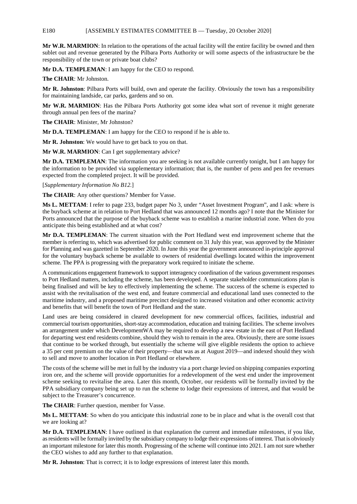### E180 [ASSEMBLY ESTIMATES COMMITTEE B — Tuesday, 20 October 2020]

**Mr W.R. MARMION**: In relation to the operations of the actual facility will the entire facility be owned and then sublet out and revenue generated by the Pilbara Ports Authority or will some aspects of the infrastructure be the responsibility of the town or private boat clubs?

**Mr D.A. TEMPLEMAN**: I am happy for the CEO to respond.

**The CHAIR**: Mr Johnston.

**Mr R. Johnston**: Pilbara Ports will build, own and operate the facility. Obviously the town has a responsibility for maintaining landside, car parks, gardens and so on.

**Mr W.R. MARMION**: Has the Pilbara Ports Authority got some idea what sort of revenue it might generate through annual pen fees of the marina?

**The CHAIR**: Minister, Mr Johnston?

**Mr D.A. TEMPLEMAN**: I am happy for the CEO to respond if he is able to.

**Mr R. Johnston**: We would have to get back to you on that.

**Mr W.R. MARMION**: Can I get supplementary advice?

**Mr D.A. TEMPLEMAN**: The information you are seeking is not available currently tonight, but I am happy for the information to be provided via supplementary information; that is, the number of pens and pen fee revenues expected from the completed project. It will be provided.

[*Supplementary Information No B12.*]

**The CHAIR**: Any other questions? Member for Vasse.

**Ms L. METTAM**: I refer to page 233, budget paper No 3, under "Asset Investment Program", and I ask: where is the buyback scheme at in relation to Port Hedland that was announced 12 months ago? I note that the Minister for Ports announced that the purpose of the buyback scheme was to establish a marine industrial zone. When do you anticipate this being established and at what cost?

**Mr D.A. TEMPLEMAN**: The current situation with the Port Hedland west end improvement scheme that the member is referring to, which was advertised for public comment on 31 July this year, was approved by the Minister for Planning and was gazetted in September 2020. In June this year the government announced in-principle approval for the voluntary buyback scheme be available to owners of residential dwellings located within the improvement scheme. The PPA is progressing with the preparatory work required to initiate the scheme.

A communications engagement framework to support interagency coordination of the various government responses to Port Hedland matters, including the scheme, has been developed. A separate stakeholder communications plan is being finalised and will be key to effectively implementing the scheme. The success of the scheme is expected to assist with the revitalisation of the west end, and feature commercial and educational land uses connected to the maritime industry, and a proposed maritime precinct designed to increased visitation and other economic activity and benefits that will benefit the town of Port Hedland and the state.

Land uses are being considered in cleared development for new commercial offices, facilities, industrial and commercial tourism opportunities, short-stay accommodation, education and training facilities. The scheme involves an arrangement under which DevelopmentWA may be required to develop a new estate in the east of Port Hedland for departing west end residents combine, should they wish to remain in the area. Obviously, there are some issues that continue to be worked through, but essentially the scheme will give eligible residents the option to achieve a 35 per cent premium on the value of their property—that was as at August 2019—and indexed should they wish to sell and move to another location in Port Hedland or elsewhere.

The costs of the scheme will be met in full by the industry via a port charge levied on shipping companies exporting iron ore, and the scheme will provide opportunities for a redevelopment of the west end under the improvement scheme seeking to revitalise the area. Later this month, October, our residents will be formally invited by the PPA subsidiary company being set up to run the scheme to lodge their expressions of interest, and that would be subject to the Treasurer's concurrence.

**The CHAIR**: Further question, member for Vasse.

**Ms L. METTAM**: So when do you anticipate this industrial zone to be in place and what is the overall cost that we are looking at?

**Mr D.A. TEMPLEMAN**: I have outlined in that explanation the current and immediate milestones, if you like, as residents will be formally invited by the subsidiary company to lodge their expressions of interest. That is obviously an important milestone for later this month. Progressing of the scheme will continue into 2021. I am not sure whether the CEO wishes to add any further to that explanation.

**Mr R. Johnston**: That is correct; it is to lodge expressions of interest later this month.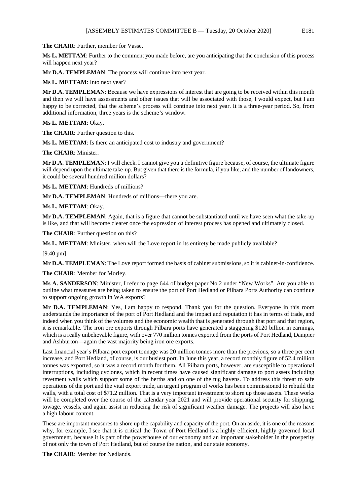**The CHAIR**: Further, member for Vasse.

**Ms L. METTAM**: Further to the comment you made before, are you anticipating that the conclusion of this process will happen next year?

**Mr D.A. TEMPLEMAN**: The process will continue into next year.

**Ms L. METTAM**: Into next year?

**Mr D.A. TEMPLEMAN**: Because we have expressions of interest that are going to be received within this month and then we will have assessments and other issues that will be associated with those, I would expect, but I am happy to be corrected, that the scheme's process will continue into next year. It is a three-year period. So, from additional information, three years is the scheme's window.

**Ms L. METTAM**: Okay.

**The CHAIR**: Further question to this.

**Ms L. METTAM**: Is there an anticipated cost to industry and government?

**The CHAIR**: Minister.

**Mr D.A. TEMPLEMAN**: I will check. I cannot give you a definitive figure because, of course, the ultimate figure will depend upon the ultimate take-up. But given that there is the formula, if you like, and the number of landowners, it could be several hundred million dollars?

**Ms L. METTAM**: Hundreds of millions?

**Mr D.A. TEMPLEMAN**: Hundreds of millions—there you are.

**Ms L. METTAM**: Okay.

**Mr D.A. TEMPLEMAN**: Again, that is a figure that cannot be substantiated until we have seen what the take-up is like, and that will become clearer once the expression of interest process has opened and ultimately closed.

**The CHAIR:** Further question on this?

**Ms L. METTAM**: Minister, when will the Love report in its entirety be made publicly available?

[9.40 pm]

**Mr D.A. TEMPLEMAN**: The Love report formed the basis of cabinet submissions, so it is cabinet-in-confidence.

**The CHAIR**: Member for Morley.

**Ms A. SANDERSON**: Minister, I refer to page 644 of budget paper No 2 under "New Works". Are you able to outline what measures are being taken to ensure the port of Port Hedland or Pilbara Ports Authority can continue to support ongoing growth in WA exports?

**Mr D.A. TEMPLEMAN**: Yes, I am happy to respond. Thank you for the question. Everyone in this room understands the importance of the port of Port Hedland and the impact and reputation it has in terms of trade, and indeed when you think of the volumes and the economic wealth that is generated through that port and that region, it is remarkable. The iron ore exports through Pilbara ports have generated a staggering \$120 billion in earnings, which is a really unbelievable figure, with over 770 million tonnes exported from the ports of Port Hedland, Dampier and Ashburton—again the vast majority being iron ore exports.

Last financial year's Pilbara port export tonnage was 20 million tonnes more than the previous, so a three per cent increase, and Port Hedland, of course, is our busiest port. In June this year, a record monthly figure of 52.4 million tonnes was exported, so it was a record month for them. All Pilbara ports, however, are susceptible to operational interruptions, including cyclones, which in recent times have caused significant damage to port assets including revetment walls which support some of the berths and on one of the tug havens. To address this threat to safe operations of the port and the vital export trade, an urgent program of works has been commissioned to rebuild the walls, with a total cost of \$71.2 million. That is a very important investment to shore up those assets. These works will be completed over the course of the calendar year 2021 and will provide operational security for shipping, towage, vessels, and again assist in reducing the risk of significant weather damage. The projects will also have a high labour content.

These are important measures to shore up the capability and capacity of the port. On an aside, it is one of the reasons why, for example, I see that it is critical the Town of Port Hedland is a highly efficient, highly governed local government, because it is part of the powerhouse of our economy and an important stakeholder in the prosperity of not only the town of Port Hedland, but of course the nation, and our state economy.

**The CHAIR**: Member for Nedlands.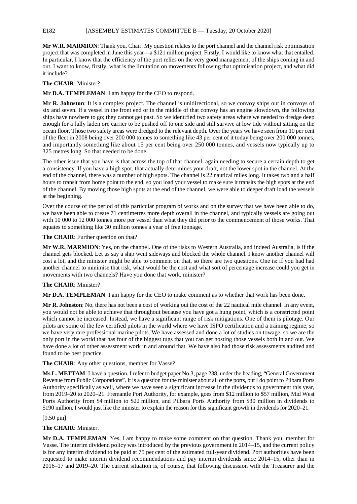## E182 [ASSEMBLY ESTIMATES COMMITTEE B — Tuesday, 20 October 2020]

**Mr W.R. MARMION**: Thank you, Chair. My question relates to the port channel and the channel risk optimisation project that was completed in June this year—a \$121 million project. Firstly, I would like to know what that entailed. In particular, I know that the efficiency of the port relies on the very good management of the ships coming in and out. I want to know, firstly, what is the limitation on movements following that optimisation project, and what did it include?

## **The CHAIR**: Minister?

**Mr D.A. TEMPLEMAN**: I am happy for the CEO to respond.

**Mr R. Johnston**: It is a complex project. The channel is unidirectional, so we convoy ships out in convoys of six and seven. If a vessel in the front end or in the middle of that convoy has an engine slowdown, the following ships have nowhere to go; they cannot get past. So we identified two safety areas where we needed to dredge deep enough for a fully laden ore carrier to be pushed off to one side and still survive at low tide without sitting on the ocean floor. Those two safety areas were dredged to the relevant depth. Over the years we have seen from 10 per cent of the fleet in 2008 being over 200 000 tonnes to something like 43 per cent of it today being over 200 000 tonnes, and importantly something like about 15 per cent being over 250 000 tonnes, and vessels now typically up to 325 metres long. So that needed to be done.

The other issue that you have is that across the top of that channel, again needing to secure a certain depth to get a consistency. If you have a high spot, that actually determines your draft, not the lower spot in the channel. At the end of the channel, there was a number of high spots. The channel is 22 nautical miles long. It takes two and a half hours to transit from home point to the end, so you load your vessel to make sure it transits the high spots at the end of the channel. By moving those high spots at the end of the channel, we were able to deeper draft load the vessels at the beginning.

Over the course of the period of this particular program of works and on the survey that we have been able to do, we have been able to create 71 centimetres more depth overall in the channel, and typically vessels are going out with 10 000 to 12 000 tonnes more per vessel than what they did prior to the commencement of those works. That equates to something like 30 million tonnes a year of free tonnage.

### **The CHAIR:** Further question on that?

**Mr W.R. MARMION**: Yes, on the channel. One of the risks to Western Australia, and indeed Australia, is if the channel gets blocked. Let us say a ship went sideways and blocked the whole channel. I know another channel will cost a lot, and the minister might be able to comment on that, so there are two questions. One is: if you had had another channel to minimise that risk, what would be the cost and what sort of percentage increase could you get in movements with two channels? Have you done that work, minister?

## **The CHAIR**: Minister?

**Mr D.A. TEMPLEMAN**: I am happy for the CEO to make comment as to whether that work has been done.

**Mr R. Johnston**: No, there has not been a cost of working out the cost of the 22 nautical mile channel. In any event, you would not be able to achieve that throughout because you have got a hung point, which is a constricted point which cannot be increased. Instead, we have a significant range of risk mitigations. One of them is pilotage. Our pilots are some of the few certified pilots in the world where we have ISPO certification and a training regime, so we have very rare professional marine pilots. We have assessed and done a lot of studies on towage, so we are the only port in the world that has four of the biggest tugs that you can get hosting those vessels both in and out. We have done a lot of other assessment work in and around that. We have also had those risk assessments audited and found to be best practice.

## **The CHAIR**: Any other questions, member for Vasse?

**Ms L. METTAM**: I have a question. I refer to budget paper No 3, page 238, under the heading, "General Government Revenue from Public Corporations". It is a question for the minister about all of the ports, but I do point to Pilbara Ports Authority specifically as well, where we have seen a significant increase in the dividends to government this year, from 2019–20 to 2020–21. Fremantle Port Authority, for example, goes from \$12 million to \$57 million, Mid West Ports Authority from \$4 million to \$22 million, and Pilbara Ports Authority from \$30 million in dividends to \$190 million. I would just like the minister to explain the reason for this significant growth in dividends for 2020–21.

## [9.50 pm]

## **The CHAIR**: Minister.

**Mr D.A. TEMPLEMAN**: Yes, I am happy to make some comment on that question. Thank you, member for Vasse. The interim dividend policy was introduced by the previous government in 2014–15, and the current policy is for any interim dividend to be paid at 75 per cent of the estimated full-year dividend. Port authorities have been requested to make interim dividend recommendations and pay interim dividends since 2014–15, other than in 2016–17 and 2019–20. The current situation is, of course, that following discussion with the Treasurer and the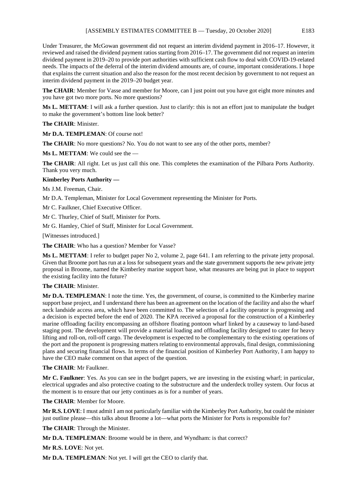Under Treasurer, the McGowan government did not request an interim dividend payment in 2016–17. However, it reviewed and raised the dividend payment ratios starting from 2016–17. The government did not request an interim dividend payment in 2019–20 to provide port authorities with sufficient cash flow to deal with COVID-19-related needs. The impacts of the deferral of the interim dividend amounts are, of course, important considerations. I hope that explains the current situation and also the reason for the most recent decision by government to not request an interim dividend payment in the 2019–20 budget year.

**The CHAIR**: Member for Vasse and member for Moore, can I just point out you have got eight more minutes and you have got two more ports. No more questions?

**Ms L. METTAM**: I will ask a further question. Just to clarify: this is not an effort just to manipulate the budget to make the government's bottom line look better?

**The CHAIR**: Minister.

**Mr D.A. TEMPLEMAN**: Of course not!

**The CHAIR**: No more questions? No. You do not want to see any of the other ports, member?

**Ms L. METTAM**: We could see the —

**The CHAIR**: All right. Let us just call this one. This completes the examination of the Pilbara Ports Authority. Thank you very much.

## **Kimberley Ports Authority —**

Ms J.M. Freeman, Chair.

Mr D.A. Templeman, Minister for Local Government representing the Minister for Ports.

Mr C. Faulkner, Chief Executive Officer.

Mr C. Thurley, Chief of Staff, Minister for Ports.

Mr G. Hamley, Chief of Staff, Minister for Local Government.

[Witnesses introduced.]

**The CHAIR**: Who has a question? Member for Vasse?

**Ms L. METTAM**: I refer to budget paper No 2, volume 2, page 641. I am referring to the private jetty proposal. Given that Broome port has run at a loss for subsequent years and the state government supports the new private jetty proposal in Broome, named the Kimberley marine support base, what measures are being put in place to support the existing facility into the future?

## **The CHAIR**: Minister.

**Mr D.A. TEMPLEMAN**: I note the time. Yes, the government, of course, is committed to the Kimberley marine support base project, and I understand there has been an agreement on the location of the facility and also the wharf neck landside access area, which have been committed to. The selection of a facility operator is progressing and a decision is expected before the end of 2020. The KPA received a proposal for the construction of a Kimberley marine offloading facility encompassing an offshore floating pontoon wharf linked by a causeway to land-based staging post. The development will provide a material loading and offloading facility designed to cater for heavy lifting and roll-on, roll-off cargo. The development is expected to be complementary to the existing operations of the port and the proponent is progressing matters relating to environmental approvals, final design, commissioning plans and securing financial flows. In terms of the financial position of Kimberley Port Authority, I am happy to have the CEO make comment on that aspect of the question.

## **The CHAIR**: Mr Faulkner.

**Mr C. Faulkner**: Yes. As you can see in the budget papers, we are investing in the existing wharf; in particular, electrical upgrades and also protective coating to the substructure and the underdeck trolley system. Our focus at the moment is to ensure that our jetty continues as is for a number of years.

**The CHAIR**: Member for Moore.

**Mr R.S. LOVE**: I must admit I am not particularly familiar with the Kimberley Port Authority, but could the minister just outline please—this talks about Broome a lot—what ports the Minister for Ports is responsible for?

**The CHAIR**: Through the Minister.

**Mr D.A. TEMPLEMAN**: Broome would be in there, and Wyndham: is that correct?

**Mr R.S. LOVE**: Not yet.

**Mr D.A. TEMPLEMAN**: Not yet. I will get the CEO to clarify that.